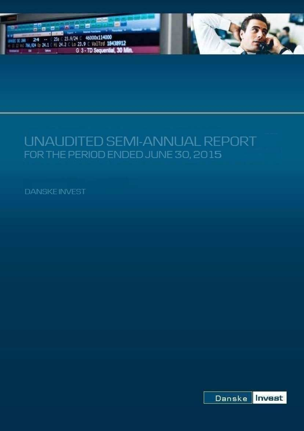

# UNAUDITED SEMI-ANNUAL REPORT FOR THE PERIOD ENDED JUNE 30, 2015

**DANSKEINVEST** 

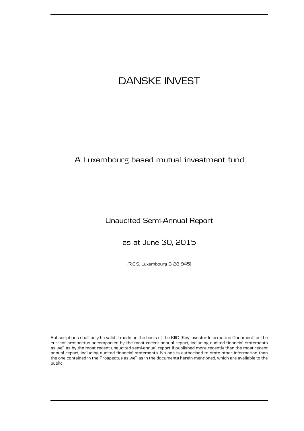# A Luxembourg based mutual investment fund

### Unaudited Semi-Annual Report

as at June 30, 2015

(R.C.S. Luxembourg B 28 945)

Subscriptions shall only be valid if made on the basis of the KIID (Key Investor Information Document) or the current prospectus accompanied by the most recent annual report, including audited financial statements as well as by the most recent unaudited semi-annual report if published more recently than the most recent annual report, including audited financial statements. No one is authorised to state other information than the one contained in the Prospectus as well as in the documents herein mentioned, which are available to the public.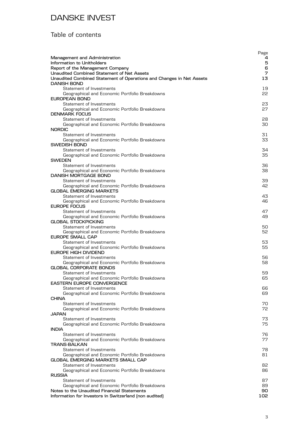### Table of contents

|                                                                                            | Page     |
|--------------------------------------------------------------------------------------------|----------|
| Management and Administration<br>Information to Unitholders                                | 4<br>5   |
| Report of the Management Company                                                           | 6        |
| <b>Unaudited Combined Statement of Net Assets</b>                                          | 7        |
| Unaudited Combined Statement of Operations and Changes in Net Assets<br><b>DANISH BOND</b> | 13       |
| Statement of Investments                                                                   | 19       |
| Geographical and Economic Portfolio Breakdowns                                             | 55       |
| EUROPEAN BOND                                                                              |          |
| Statement of Investments<br>Geographical and Economic Portfolio Breakdowns                 | 23<br>27 |
| <b>DENMARK FOCUS</b>                                                                       |          |
| Statement of Investments                                                                   | 28       |
| Geographical and Economic Portfolio Breakdowns                                             | 30       |
| <b>NORDIC</b><br>Statement of Investments                                                  | 31       |
| Geographical and Economic Portfolio Breakdowns                                             | 33       |
| <b>SWEDISH BOND</b>                                                                        |          |
| Statement of Investments                                                                   | 34       |
| Geographical and Economic Portfolio Breakdowns<br><b>SWEDEN</b>                            | 35       |
| Statement of Investments                                                                   | 36       |
| Geographical and Economic Portfolio Breakdowns                                             | 38       |
| DANISH MORTGAGE BOND                                                                       |          |
| Statement of Investments<br>Geographical and Economic Portfolio Breakdowns                 | 39<br>42 |
| <b>GLOBAL EMERGING MARKETS</b>                                                             |          |
| Statement of Investments                                                                   | 43       |
| Geographical and Economic Portfolio Breakdowns<br>EUROPE FOCUS                             | 46       |
| Statement of Investments                                                                   | 47       |
| Geographical and Economic Portfolio Breakdowns                                             | 49       |
| <b>GLOBAL STOCKPICKING</b>                                                                 |          |
| Statement of Investments<br>Geographical and Economic Portfolio Breakdowns                 | 50<br>52 |
| <b>EUROPE SMALL CAP</b>                                                                    |          |
| Statement of Investments                                                                   | 53       |
| Geographical and Economic Portfolio Breakdowns                                             | 55       |
| <b>EUROPE HIGH DIVIDEND</b><br>Statement of Investments                                    | 56       |
| Geographical and Economic Portfolio Breakdowns                                             | 58       |
| <b>GLOBAL CORPORATE BONDS</b>                                                              |          |
| Statement of Investments                                                                   | 59       |
| Geographical and Economic Portfolio Breakdowns<br><b>EASTERN EUROPE CONVERGENCE</b>        | 65       |
| Statement of Investments                                                                   | 66       |
| Geographical and Economic Portfolio Breakdowns                                             | 69       |
| <b>CHINA</b><br>Statement of Investments                                                   | 70       |
| Geographical and Economic Portfolio Breakdowns                                             | 72       |
| JAPAN                                                                                      |          |
| Statement of Investments                                                                   | 73       |
| Geographical and Economic Portfolio Breakdowns<br><b>INDIA</b>                             | 75       |
| Statement of Investments                                                                   | 76       |
| Geographical and Economic Portfolio Breakdowns                                             | 77       |
| <b>TRANS-BALKAN</b>                                                                        |          |
| Statement of Investments<br>Geographical and Economic Portfolio Breakdowns                 | 78<br>81 |
| <b>GLOBAL EMERGING MARKETS SMALL CAP</b>                                                   |          |
| Statement of Investments                                                                   | 82       |
| Geographical and Economic Portfolio Breakdowns<br><b>RUSSIA</b>                            | 86       |
| Statement of Investments                                                                   | 87       |
| Geographical and Economic Portfolio Breakdowns                                             | 89       |
| Notes to the Unaudited Financial Statements                                                | 90       |
| Information for Investors in Switzerland (non audited)                                     | 102      |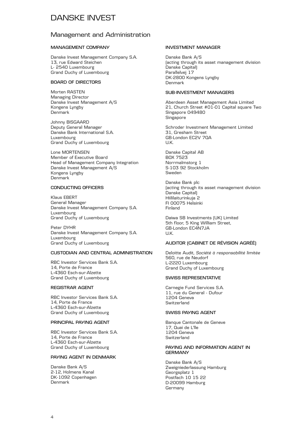#### Management and Administration

#### **MANAGEMENT COMPANY**

Danske Invest Management Company S.A. 13, rue Edward Steichen L- 2540 Luxembourg Grand Duchy of Luxembourg

#### **BOARD OF DIRECTORS**

Morten RASTEN Managing Director Danske Invest Management A/S Kongens Lyngby Denmark

Johnny BISGAARD Deputy General Manager Danske Bank International S.A. Luxembourg Grand Duchy of Luxembourg

Lone MORTENSEN Member of Executive Board Head of Management Company Integration Danske Invest Management A/S Kongens Lyngby Denmark

#### **CONDUCTING OFFICERS**

Klaus EBERT General Manager Danske Invest Management Company S.A. Luxembourg Grand Duchy of Luxembourg

Peter DYHR Danske Invest Management Company S.A. Luxembourg Grand Duchy of Luxembourg

#### **CUSTODIAN AND CENTRAL ADMINISTRATION**

RBC Investor Services Bank S.A. 14, Porte de France L-4360 Esch-sur-Alzette Grand Duchy of Luxembourg

#### **REGISTRAR AGENT**

RBC Investor Services Bank S.A. 14, Porte de France L-4360 Esch-sur-Alzette Grand Duchy of Luxembourg

#### **PRINCIPAL PAYING AGENT**

RBC Investor Services Bank S.A. 14, Porte de France L-4360 Esch-sur-Alzette Grand Duchy of Luxembourg

#### **PAYING AGENT IN DENMARK**

Danske Bank A/S 2-12, Holmens Kanal DK-1092 Copenhagen Denmark

#### **INVESTMENT MANAGER**

Danske Bank A/S (acting through its asset management division Danske Capital) Parallelvej 17 DK-2800 Kongens Lyngby Denmark

#### **SUB-INVESTMENT MANAGERS**

Aberdeen Asset Management Asia Limited 21, Church Street #01-01 Capital square Two Singapore 049480 Singapore

Schroder Investment Management Limited 31, Gresham Street GB-London EC2V 7QA U.K.

Danske Capital AB BOX 7523 Norrmalmstorg 1 S-103 92 Stockholm Sweden

Danske Bank plc (acting through its asset management division Danske Capital) Hiililaiturinkuja 2 FI 00075 Helsinki Finland

Daiwa SB Investments (UK) Limited 5th floor, 5 King William Street, GB-London EC4N7JA U.K.

#### **AUDITOR (CABINET DE RÉVISION AGRÉÉ)**

Deloitte Audit, *Société à responsabilité limitée* 560, rue de Neudorf L-2220 Luxembourg Grand Duchy of Luxembourg

#### **SWISS REPRESENTATIVE**

Carnegie Fund Services S.A. 11, rue du General - Dufour 1204 Geneva Switzerland

#### **SWISS PAYING AGENT**

Banque Cantonale de Geneve 17, Quai de L'lle 1204 Geneva **Switzerland** 

#### **PAYING AND INFORMATION AGENT IN GERMANY**

Danske Bank A/S Zweigniederlassung Hamburg Georgsplatz 1 Postfach 10 15 22 D-20099 Hamburg Germany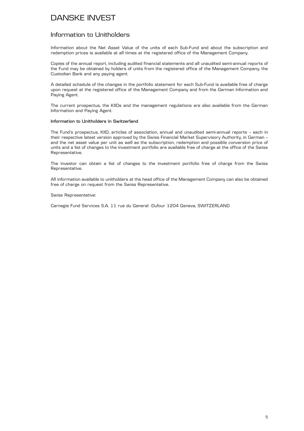#### Information to Unitholders

Information about the Net Asset Value of the units of each Sub-Fund and about the subscription and redemption prices is available at all times at the registered office of the Management Company.

Copies of the annual report, including audited financial statements and all unaudited semi-annual reports of the Fund may be obtained by holders of units from the registered office of the Management Company, the Custodian Bank and any paying agent.

A detailed schedule of the changes in the portfolio statement for each Sub-Fund is available free of charge upon request at the registered office of the Management Company and from the German Information and Paying Agent.

The current prospectus, the KIIDs and the management regulations are also available from the German Information and Paying Agent.

#### **Information to Unitholders in Switzerland**

The Fund's prospectus, KIID, articles of association, annual and unaudited semi-annual reports – each in their respective latest version approved by the Swiss Financial Market Supervisory Authority, in German – and the net asset value per unit as well as the subscription, redemption and possible conversion price of units and a list of changes to the investment portfolio are available free of charge at the office of the Swiss Representative.

The investor can obtain a list of changes to the investment portfolio free of charge from the Swiss Representative.

All information available to unitholders at the head office of the Management Company can also be obtained free of charge on request from the Swiss Representative.

#### Swiss Representative:

Carnegie Fund Services S.A. 11 rue du General -Dufour 1204 Geneva, SWITZERLAND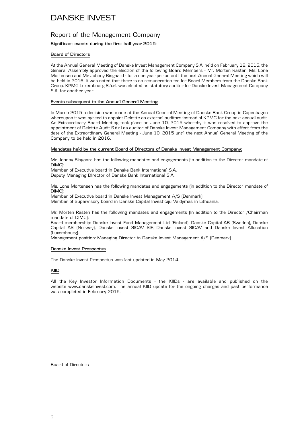#### Report of the Management Company

#### **Significant events during the first half-year 2015:**

#### **Board of Directors**

At the Annual General Meeting of Danske Invest Management Company S.A. held on February 18, 2015, the General Assembly approved the election of the following Board Members - Mr. Morten Rasten, Ms. Lone Mortensen and Mr. Johnny Bisgaard - for a one year period until the next Annual General Meeting which will be held in 2016. It was noted that there is no remuneration fee for Board Members from the Danske Bank Group. KPMG Luxembourg S.à.r.l. was elected as statutory auditor for Danske Invest Management Company S.A. for another year.

#### **Events subsequent to the Annual General Meeting:**

In March 2015 a decision was made at the Annual General Meeting of Danske Bank Group in Copenhagen whereupon it was agreed to appoint Deloitte as external auditors instead of KPMG for the next annual audit. An Extraordinary Board Meeting took place on June 10, 2015 whereby it was resolved to approve the appointment of Deloitte Audit S.à.r.l as auditor of Danske Invest Management Company with effect from the date of the Extraordinary General Meeting - June 10, 2015 until the next Annual General Meeting of the Company to be held in 2016.

#### **Mandates held by the current Board of Directors of Danske Invest Management Company:**

Mr. Johnny Bisgaard has the following mandates and engagements (in addition to the Director mandate of DIMC):

Member of Executive board in Danske Bank International S.A.

Deputy Managing Director of Danske Bank International S.A.

Ms. Lone Mortensen has the following mandates and engagements (in addition to the Director mandate of DIMC):

Member of Executive board in Danske Invest Management A/S (Denmark).

Member of Supervisory board in Danske Capital Investiciju Valdymas in Lithuania.

Mr. Morten Rasten has the following mandates and engagements (in addition to the Director /Chairman mandate of DIMC):

Board membership: Danske Invest Fund Management Ltd (Finland), Danske Capital AB (Sweden), Danske Capital AS (Norway), Danske Invest SICAV SIF, Danske Invest SICAV and Danske Invest Allocation (Luxembourg).

Management position: Managing Director in Danske Invest Management A/S (Denmark).

#### **Danske Invest Prospectus**

The Danske Invest Prospectus was last updated in May 2014.

#### **KIID**

All the Key Investor Information Documents - the KIIDs - are available and published on the website www.danskeinvest.com. The annual KIID update for the ongoing charges and past performance was completed in February 2015.

Board of Directors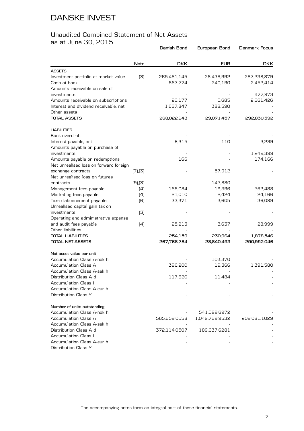#### Unaudited Combined Statement of Net Assets as at June 30, 2015

|                                                                              |               | Danish Bond            | European Bond         | <b>Denmark Focus</b>     |
|------------------------------------------------------------------------------|---------------|------------------------|-----------------------|--------------------------|
|                                                                              | Note          | <b>DKK</b>             | <b>EUR</b>            | <b>DKK</b>               |
| <b>ASSETS</b>                                                                |               |                        |                       |                          |
| Investment portfolio at market value<br>Cash at bank                         | (3)           | 265,461,145<br>867,774 | 28,436,992<br>240,190 | 287,238,879<br>2,452,414 |
| Amounts receivable on sale of<br>investments                                 |               |                        |                       | 477,873                  |
| Amounts receivable on subscriptions<br>Interest and dividend receivable, net |               | 26,177<br>1,667,847    | 5,685<br>388,590      | 2,661,426                |
| Other assets                                                                 |               |                        |                       |                          |
| <b>TOTAL ASSETS</b>                                                          |               | 268,022,943            | 29,071,457            | 292,830,592              |
| <b>LIABILITIES</b>                                                           |               |                        |                       |                          |
| Bank overdraft                                                               |               |                        |                       |                          |
| Interest payable, net<br>Amounts payable on purchase of                      |               | 6,315                  | 110                   | 3,239                    |
| investments                                                                  |               |                        |                       | 1,249,399                |
| Amounts payable on redemptions<br>Net unrealised loss on forward foreign     |               | 166                    |                       | 174,166                  |
| exchange contracts                                                           | (7), (3)      |                        | 57,912                |                          |
| Net unrealised loss on futures                                               |               |                        |                       |                          |
| contracts                                                                    | $(9)$ , $(3)$ |                        | 143,880               |                          |
| Management fees payable                                                      | (4)           | 168,084                | 19,396                | 362,488                  |
| Marketing fees payable                                                       | (4)           | 21,010                 | 2,424                 | 24,166                   |
| Taxe d'abonnement payable                                                    | [6]           | 33,371                 | 3,605                 | 36,089                   |
| Unrealised capital gain tax on                                               |               |                        |                       |                          |
| investments                                                                  | (3)           |                        |                       |                          |
| Operating and administrative expense                                         |               |                        |                       |                          |
| and audit fees payable                                                       | (4)           | 25,213                 | 3,637                 | 28,999                   |
| Other liabilities                                                            |               |                        |                       |                          |
| <b>TOTAL LIABILITIES</b>                                                     |               | 254,159                | 230,964               | 1,878,546                |
| <b>TOTAL NET ASSETS</b>                                                      |               | 267,768,784            | 28,840,493            | 290,952,046              |
| Net asset value per unit                                                     |               |                        |                       |                          |
| Accumulation Class A-nok h                                                   |               |                        | 103.370               |                          |
| <b>Accumulation Class A</b>                                                  |               | 396.200                | 19.366                | 1,391.580                |
| Accumulation Class A-sek h                                                   |               |                        |                       |                          |
| Distribution Class A d                                                       |               | 117.320                | 11.484                |                          |
| <b>Accumulation Class I</b>                                                  |               |                        |                       |                          |
| Accumulation Class A-eur h                                                   |               |                        |                       |                          |
| Distribution Class Y                                                         |               |                        |                       |                          |
| Number of units outstanding                                                  |               |                        |                       |                          |
| Accumulation Class A-nok h                                                   |               |                        | 541,599.6972          |                          |
| Accumulation Class A                                                         |               | 565,659.0558           | 1,049,769.9532        | 209,081.1029             |
| Accumulation Class A-sek h                                                   |               |                        |                       |                          |
| Distribution Class A d                                                       |               | 372,114.0507           | 189,637.6281          |                          |
| <b>Accumulation Class I</b>                                                  |               |                        |                       |                          |
| Accumulation Class A-eur h                                                   |               |                        |                       |                          |
| Distribution Class Y                                                         |               |                        |                       |                          |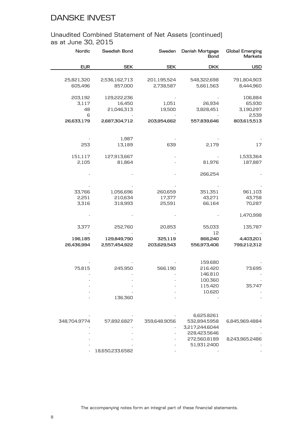#### Unaudited Combined Statement of Net Assets (continued) as at June 30, 2015

| Nordic                | Swedish Bond             | Sweden       | Danish Mortgage<br>Bond | <b>Global Emerging</b><br>Markets |
|-----------------------|--------------------------|--------------|-------------------------|-----------------------------------|
| <b>EUR</b>            | <b>SEK</b>               | <b>SEK</b>   | <b>DKK</b>              | <b>USD</b>                        |
|                       |                          | 201,195,524  | 548,322,698             |                                   |
| 25,821,320<br>605,496 | 2,536,162,713<br>857,000 | 2,738,587    | 5,661,563               | 791,804,903<br>8,444,960          |
| 203,192               | 129,222,236              |              |                         | 106,884                           |
| 3,117                 | 16,450                   | 1,051        | 26,934                  | 65,930                            |
| 48                    | 21,046,313               | 19,500       | 3,828,451               | 3,190,297                         |
| 6                     |                          |              |                         | 2,539                             |
| 26,633,179            | 2,687,304,712            | 203,954,662  | 557,839,646             | 803,615,513                       |
|                       |                          |              |                         |                                   |
|                       | 1,987                    |              |                         |                                   |
| 253                   | 13,189                   | 639          | 2,179                   | 17                                |
| 151,117               | 127,913,667              |              |                         | 1,533,364                         |
| 2,105                 | 81,864                   |              | 81,976                  | 187,887                           |
|                       |                          |              | 266,254                 |                                   |
|                       |                          |              |                         |                                   |
| 33,766                | 1,056,696                | 260,659      | 351,351                 | 961,103                           |
| 2,251                 | 210,634                  | 17,377       | 43,271                  | 43,758                            |
| 3,316                 | 318,993                  | 25,591       | 66,164                  | 70,287                            |
|                       |                          |              |                         | 1,470,998                         |
| 3,377                 | 252,760                  | 20,853       | 55,033                  | 135,787                           |
|                       |                          |              | 12                      |                                   |
| 196,185               | 129,849,790              | 325,119      | 866,240                 | 4,403,201                         |
| 26,436,994            | 2,557,454,922            | 203,629,543  | 556,973,406             | 799,212,312                       |
|                       |                          |              | 159.680                 |                                   |
| 75.815                | 245.950                  | 566.190      | 216.420                 | 73.695                            |
|                       |                          |              | 146.810                 |                                   |
|                       |                          |              | 100.360                 |                                   |
|                       |                          |              | 115.420                 | 35.747                            |
|                       |                          |              | 10.620                  |                                   |
|                       | 136.360                  |              |                         |                                   |
|                       |                          |              |                         |                                   |
|                       |                          |              | 6,625.8261              |                                   |
| 348,704.9774          | 57,892.6827              | 359,648.9056 | 532,894.5958            | 6,845,969.4884                    |
|                       |                          |              | 3,217,244.6044          |                                   |
|                       |                          |              | 228,423.5646            |                                   |
|                       |                          |              | 272,560.8189            | 8,243,965.2486                    |
|                       |                          |              | 51,931.2400             |                                   |
|                       | 18,650,233.6582          |              |                         |                                   |

The accompanying notes form an integral part of these financial statements.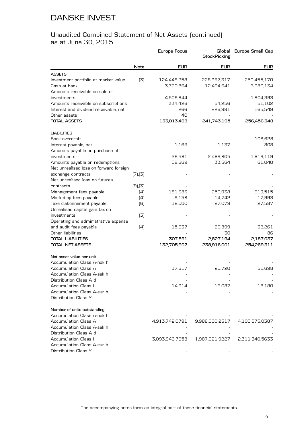#### Unaudited Combined Statement of Net Assets (continued) as at June 30, 2015

|                                        |               | Europe Focus   | <b>StockPicking</b> | Global Europe Small Cap |
|----------------------------------------|---------------|----------------|---------------------|-------------------------|
|                                        | Note          | <b>EUR</b>     | <b>EUR</b>          | <b>EUR</b>              |
| <b>ASSETS</b>                          |               |                |                     |                         |
| Investment portfolio at market value   | (3)           | 124,448,258    | 228,967,317         | 250,455,170             |
| Cash at bank                           |               | 3,720,864      | 12,494,641          | 3,980,134               |
| Amounts receivable on sale of          |               |                |                     |                         |
| investments                            |               | 4,509,644      |                     | 1,804,393               |
| Amounts receivable on subscriptions    |               | 334,426        | 54,256              | 51,102                  |
| Interest and dividend receivable, net  |               | 266            | 226,981             | 165,549                 |
| Other assets                           |               | 40             |                     |                         |
| <b>TOTAL ASSETS</b>                    |               | 133,013,498    | 241,743,195         | 256,456,348             |
| <b>LIABILITIES</b>                     |               |                |                     |                         |
| Bank overdraft                         |               |                |                     | 108,628                 |
| Interest payable, net                  |               | 1,163          | 1,137               | 808                     |
| Amounts payable on purchase of         |               |                |                     |                         |
| investments                            |               | 29,581         | 2,469,805           | 1,619,119               |
| Amounts payable on redemptions         |               | 58,669         | 33,564              | 61,040                  |
| Net unrealised loss on forward foreign |               |                |                     |                         |
| exchange contracts                     | (7), (3)      |                |                     |                         |
| Net unrealised loss on futures         |               |                |                     |                         |
| contracts                              | $(9)$ , $(3)$ |                |                     |                         |
| Management fees payable                | (4)           | 181,383        | 259,938             | 319,515                 |
| Marketing fees payable                 | (4)           | 9,158          | 14,742              | 17,993                  |
| Taxe d'abonnement payable              | (6)           | 12,000         | 27,079              | 27,587                  |
| Unrealised capital gain tax on         |               |                |                     |                         |
| investments                            | (3)           |                |                     |                         |
| Operating and administrative expense   |               |                |                     |                         |
| and audit fees payable                 | (4)           | 15,637         | 20,899              | 32,261                  |
| Other liabilities                      |               |                | 30                  | 86                      |
| <b>TOTAL LIABILITIES</b>               |               | 307,591        | 2,827,194           | 2,187,037               |
| <b>TOTAL NET ASSETS</b>                |               | 132,705,907    | 238,916,001         | 254,269,311             |
| Net asset value per unit               |               |                |                     |                         |
| Accumulation Class A-nok h             |               |                |                     |                         |
| <b>Accumulation Class A</b>            |               | 17.617         | 20.720              | 51.698                  |
| Accumulation Class A-sek h             |               |                |                     |                         |
| Distribution Class A d                 |               |                |                     |                         |
| <b>Accumulation Class I</b>            |               | 14.914         | 16.087              | 18.180                  |
| Accumulation Class A-eur h             |               |                |                     |                         |
| Distribution Class Y                   |               |                |                     |                         |
| Number of units outstanding            |               |                |                     |                         |
| Accumulation Class A-nok h             |               |                |                     |                         |
| Accumulation Class A                   |               | 4,913,742.0791 | 9,988,000.2517      | 4,105,575.0387          |
| Accumulation Class A-sek h             |               |                |                     |                         |
| Distribution Class A d                 |               |                |                     |                         |
| <b>Accumulation Class I</b>            |               | 3,093,946.7658 | 1,987,021.9227      | 2,311,340.5633          |
| Accumulation Class A-eur h             |               |                |                     |                         |
| Distribution Class Y                   |               |                |                     |                         |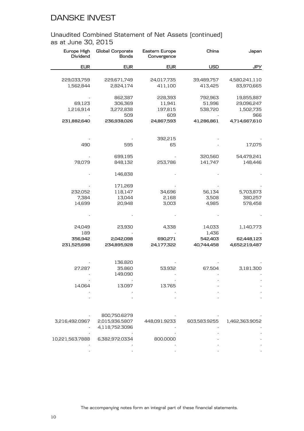#### Unaudited Combined Statement of Net Assets (continued) as at June 30, 2015

| Japan          | China        | Eastern Europe<br>Convergence | Global Corporate<br><b>Bonds</b> | Europe High<br>Dividend |
|----------------|--------------|-------------------------------|----------------------------------|-------------------------|
| <b>JPY</b>     | <b>USD</b>   | <b>EUR</b>                    | <b>EUR</b>                       | <b>EUR</b>              |
|                |              |                               |                                  |                         |
| 4,580,241,110  | 39,489,757   | 24,017,735                    | 229,671,749                      | 229,033,759             |
| 83,970,665     | 413,425      | 411,100                       | 2,824,174                        | 1,562,844               |
| 19,855,887     | 792,963      | 228,393                       | 862,387                          |                         |
| 29,096,247     | 51,996       | 11,941                        | 306,369                          | 69,123                  |
| 1,502,735      | 538,720      | 197,815                       | 3,272,838                        | 1,216,914               |
| 966            |              | 609                           | 509                              |                         |
| 4,714,667,610  | 41,286,861   | 24,867,593                    | 236,938,026                      | 231,882,640             |
|                |              |                               |                                  |                         |
|                |              | 392,215                       |                                  |                         |
| 17,075         |              | 65                            | 595                              | 490                     |
| 54,479,241     | 320,560      |                               | 699,195                          |                         |
| 148,446        | 141,747      | 253,786                       | 848,132                          | 78,079                  |
|                |              |                               |                                  |                         |
|                |              |                               | 146,838                          |                         |
|                |              |                               | 171,269                          |                         |
| 5,703,873      | 56,134       | 34,696                        | 118,147                          | 232,052                 |
| 380,257        | 3,508        | 2,168                         | 13,044                           | 7,384                   |
| 578,458        | 4,985        | 3,003                         | 20,948                           | 14,699                  |
|                |              |                               |                                  |                         |
|                |              |                               |                                  |                         |
| 1,140,773      | 14,033       | 4,338                         | 23,930                           | 24,049                  |
|                | 1,436        |                               |                                  | 189                     |
| 62,448,123     | 542,403      | 690,271                       | 2,042,098                        | 356,942                 |
| 4,652,219,487  | 40,744,458   | 24,177,322                    | 234,895,928                      | 231,525,698             |
|                |              |                               |                                  |                         |
|                |              |                               | 136.820                          |                         |
| 3,181.300      | 67.504       | 53.932                        | 35.860                           | 27.287                  |
|                |              |                               | 149.090                          |                         |
|                |              |                               |                                  |                         |
|                |              | 13.765                        | 13.097                           | 14.064                  |
|                |              |                               |                                  |                         |
|                |              |                               |                                  |                         |
|                |              |                               | 800,750.6279                     |                         |
| 1,462,363.9052 | 603,583.9255 | 448,091.9233                  | 2,015,936.5807                   | 3,216,492.0967          |
|                |              |                               |                                  |                         |

| 4,118,752.3096<br>-<br>10,221,563.7888<br>6.382.972.0334<br>800,0000 |  |
|----------------------------------------------------------------------|--|
|                                                                      |  |
|                                                                      |  |
|                                                                      |  |
| -                                                                    |  |
|                                                                      |  |

The accompanying notes form an integral part of these financial statements.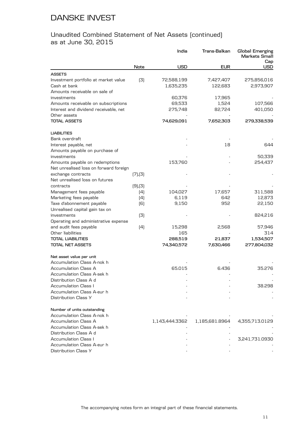#### Unaudited Combined Statement of Net Assets (continued) as at June 30, 2015

|                                        |               | India          | Trans-Balkan   | Global Emerging<br>Markets Small<br>Cap |
|----------------------------------------|---------------|----------------|----------------|-----------------------------------------|
|                                        | Note          | <b>USD</b>     | <b>EUR</b>     | USD                                     |
| <b>ASSETS</b>                          |               |                |                |                                         |
| Investment portfolio at market value   | (3)           | 72,588,199     | 7,427,407      | 275,856,016                             |
| Cash at bank                           |               | 1,635,235      | 122,683        | 2,973,907                               |
| Amounts receivable on sale of          |               |                |                |                                         |
| investments                            |               | 60,376         | 17,965         |                                         |
| Amounts receivable on subscriptions    |               | 69,533         | 1,524          | 107,566                                 |
| Interest and dividend receivable, net  |               | 275,748        | 82,724         | 401,050                                 |
| Other assets                           |               |                |                |                                         |
| <b>TOTAL ASSETS</b>                    |               | 74,629,091     | 7,652,303      | 279,338,539                             |
| <b>LIABILITIES</b>                     |               |                |                |                                         |
| Bank overdraft                         |               |                |                |                                         |
| Interest payable, net                  |               |                | 18             | 644                                     |
| Amounts payable on purchase of         |               |                |                |                                         |
| investments                            |               |                |                | 50,339                                  |
| Amounts payable on redemptions         |               | 153,760        |                | 254,437                                 |
| Net unrealised loss on forward foreign |               |                |                |                                         |
| exchange contracts                     | (7), (3)      |                |                |                                         |
| Net unrealised loss on futures         |               |                |                |                                         |
| contracts                              | $(9)$ , $(3)$ |                |                |                                         |
| Management fees payable                | (4)           | 104,027        | 17,657         | 311,588                                 |
| Marketing fees payable                 | (4)           | 6,119          | 642            | 12,873                                  |
| Taxe d'abonnement payable              | (6)           | 9,150          | 952            | 22,150                                  |
| Unrealised capital gain tax on         |               |                |                |                                         |
| investments                            | (3)           |                |                | 824,216                                 |
| Operating and administrative expense   |               |                |                |                                         |
| and audit fees payable                 | (4)           | 15,298         | 2,568          | 57,946                                  |
| Other liabilities                      |               | 165            |                | 314                                     |
| <b>TOTAL LIABILITIES</b>               |               | 288,519        | 21,837         | 1,534,507                               |
| <b>TOTAL NET ASSETS</b>                |               | 74,340,572     | 7,630,466      | 277,804,032                             |
| Net asset value per unit               |               |                |                |                                         |
| Accumulation Class A-nok h             |               |                |                |                                         |
| Accumulation Class A                   |               | 65.015         | 6.436          | 35.276                                  |
| Accumulation Class A-sek h             |               |                |                |                                         |
| Distribution Class A d                 |               |                |                |                                         |
| Accumulation Class I                   |               |                |                | 38.298                                  |
| Accumulation Class A-eur h             |               |                |                |                                         |
| Distribution Class Y                   |               |                |                |                                         |
| Number of units outstanding            |               |                |                |                                         |
| Accumulation Class A-nok h             |               |                |                |                                         |
| Accumulation Class A                   |               | 1,143,444.3362 | 1,185,681.8964 | 4,355,713.0129                          |
| Accumulation Class A-sek h             |               |                |                |                                         |
| Distribution Class A d                 |               |                |                |                                         |
| <b>Accumulation Class I</b>            |               |                |                | 3,241,731.0930                          |
| Accumulation Class A-eur h             |               |                |                |                                         |
| Distribution Class Y                   |               |                |                |                                         |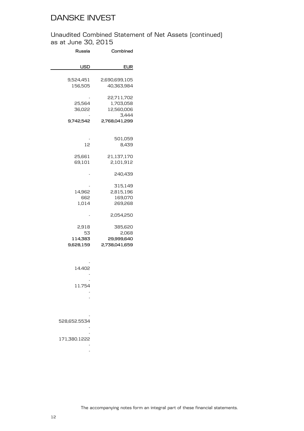Unaudited Combined Statement of Net Assets (continued) as at June 30, 2015

| Russia                              | Combined                                        |
|-------------------------------------|-------------------------------------------------|
| usd                                 | EUR                                             |
| 9,524,451<br>156,505                | 2,690,699,105<br>40,363,984                     |
| 25,564<br>36,022                    | 22,711,702<br>1,703,058<br>12,560,006<br>3,444  |
| 9,742,542                           | 2,768,041,299                                   |
| 12                                  | 501,059<br>8,439                                |
| 25,661<br>69,101                    | 21,137,170<br>2,101,912                         |
|                                     | 240,439                                         |
| 14,962<br>662<br>1,014              | 315,149<br>2,815,196<br>169,070<br>269,268      |
|                                     | 2,054,250                                       |
| 2,918<br>53<br>114,383<br>9,628,159 | 385,620<br>2,068<br>29,999,640<br>2,738,041,659 |
| 14.402<br>11.754                    |                                                 |
| 528.652.5534<br>171.380.1222        |                                                 |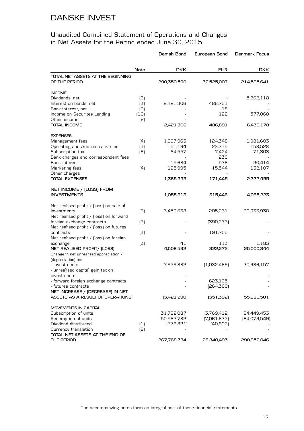|                                                               |                  | Danish Bond    | European Bond | Denmark Focus |
|---------------------------------------------------------------|------------------|----------------|---------------|---------------|
|                                                               | Note             | <b>DKK</b>     | <b>EUR</b>    | <b>DKK</b>    |
| TOTAL NET ASSETS AT THE BEGINNING<br>OF THE PERIOD            |                  | 290,350,590    | 32,525,007    | 214,595,641   |
| <b>INCOME</b>                                                 |                  |                |               |               |
| Dividends, net                                                | (3)              |                |               | 5,862,118     |
| Interest on bonds, net                                        | (3)              | 2,421,306      | 486,751       |               |
| Bank interest, net                                            | (3)              |                | 18            |               |
| Income on Securites Lending                                   | (10)             |                | 122           | 577,060       |
| Other income                                                  | (6)              |                |               |               |
| <b>TOTAL INCOME</b>                                           |                  | 2,421,306      | 486,891       | 6,439,178     |
| <b>EXPENSES</b>                                               |                  |                |               |               |
| Management fees                                               | (4)              | 1,007,963      | 124,348       | 1,981,603     |
| Operating and Administrative fee                              | (4)              | 151,194        | 23,315        | 158,528       |
| Subscription tax                                              | (6)              | 64,557         | 7,424         | 71,303        |
| Bank charges and correspondent fees                           |                  |                | 236           |               |
| Bank interest                                                 |                  | 15,684         | 578           | 30,414        |
| Marketing fees                                                | (4)              | 125,995        | 15,544        | 132,107       |
| Other charges<br><b>TOTAL EXPENSES</b>                        |                  | 1,365,393      | 171,445       | 2,373,955     |
|                                                               |                  |                |               |               |
| NET INCOME / (LOSS) FROM                                      |                  |                |               |               |
| <b>INVESTMENTS</b>                                            |                  | 1,055,913      | 315,446       | 4,065,223     |
| Net realised profit / [loss] on sale of                       |                  |                |               |               |
| investments                                                   | (3)              | 3,452,638      | 205,231       | 20,933,938    |
| Net realised profit / [loss] on forward                       |                  |                |               |               |
| foreign exchange contracts                                    | (3)              |                | [390, 273]    |               |
| Net realised profit / [loss] on futures                       |                  |                |               |               |
| contracts                                                     | (3)              |                | 191,755       |               |
| Net realised profit / [loss] on foreign                       |                  |                |               |               |
| exchange                                                      | (3)              | 41             | 113           | 1,183         |
| NET REALISED PROFIT/ (LOSS)                                   |                  | 4,508,592      | 322,272       | 25,000,344    |
| Change in net unrealised appreciation /<br>(depreciation) on: |                  |                |               |               |
| - investments                                                 |                  | [7,929,882]    | (1,032,469)   | 30,986,157    |
| - unrealised capital gain tax on                              |                  |                |               |               |
| investments                                                   |                  |                |               |               |
| - forward foreign exchange contracts                          |                  |                | 623.165       |               |
| - futures contracts                                           |                  |                | [264, 360]    |               |
| NET INCREASE / (DECREASE) IN NET                              |                  |                |               |               |
| ASSETS AS A RESULT OF OPERATIONS                              |                  | [3,421,290]    | (351, 392)    | 55,986,501    |
| MOVEMENTS IN CAPITAL                                          |                  |                |               |               |
| Subscription of units                                         |                  | 31,782,087     | 3,769,412     | 84,449,453    |
| Redemption of units                                           |                  | [50, 562, 782] | [7,061,632]   | [64,079,549]  |
| Dividend distributed                                          | $\left(1\right)$ | [379, 821]     | [40,902]      |               |
| Currency translation                                          | (8)              |                |               |               |
| TOTAL NET ASSETS AT THE END OF                                |                  |                |               |               |
| THE PERIOD                                                    |                  | 267,768,784    | 28,840,493    | 290,952,046   |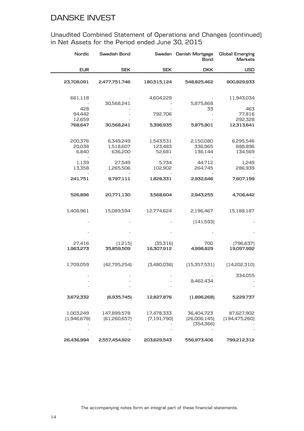| Nordic                     | Swedish Bond                      | Sweden                         | Danish Mortgage<br><b>Bond</b>           | <b>Global Emerging</b><br><b>Markets</b> |
|----------------------------|-----------------------------------|--------------------------------|------------------------------------------|------------------------------------------|
| <b>EUR</b>                 | <b>SEK</b>                        | <b>SEK</b>                     | <b>DKK</b>                               | <b>USD</b>                               |
| 23,708,091                 | 2,477,751,746                     | 180,515,124                    | 548,825,462                              | 900,829,933                              |
| 661,118                    | 30,568,241                        | 4,604,229                      | 5,875,868                                | 11,943,034                               |
| 428<br>94,442<br>12,659    |                                   | 792,706                        | 33                                       | 463<br>77,816<br>292,328                 |
| 768,647                    | 30,568,241                        | 5,396,935                      | 5,875,901                                | 12,313,641                               |
| 200,376<br>20,038<br>6,840 | 6,349,249<br>1,518,607<br>636,200 | 1,543,531<br>123,483<br>52,681 | 2,150,080<br>336,965<br>136,144          | 6,295,546<br>888,896<br>134,569          |
| 1,139<br>13,358            | 27,549<br>1,265,506               | 5,734<br>102,902               | 44,712<br>264,745                        | 1,249<br>286,939                         |
| 241,751                    | 9,797,111                         | 1,828,331                      | 2,932,646                                | 7,607,199                                |
| 526,896                    | 20,771,130                        | 3,568,604                      | 2,943,255                                | 4,706,442                                |
| 1,408,961                  | 15,089,594                        | 12,774,624                     | 2,196,467                                | 15,188,187                               |
|                            |                                   |                                | [141, 593]                               |                                          |
|                            |                                   |                                |                                          |                                          |
| 27,416<br>1,963,273        | (1,215)<br>35,859,509             | [35,316]<br>16,307,912         | 700<br>4,998,829                         | [796, 637]<br>19,097,992                 |
| 1,709,059                  | [42,795,254]                      | [3,480,036]                    | (15,357,531)                             | [14,202,310]                             |
|                            |                                   |                                | 8,462,434                                | 334,055                                  |
| 3,672,332                  | [6,935,745]                       | 12,827,876                     | (1,896,268)                              | 5,229,737                                |
| 1,003,249<br>[1,946,678]   | 147,899,578<br>[61,260,657]       | 17,478,333<br>[7, 191, 790]    | 36,404,723<br>[26,006,145]<br>[354, 366] | 87,627,902<br>[194, 475, 260]            |
| 26,436,994                 | 2,557,454,922                     | 203,629,543                    | 556,973,406                              | 799,212,312                              |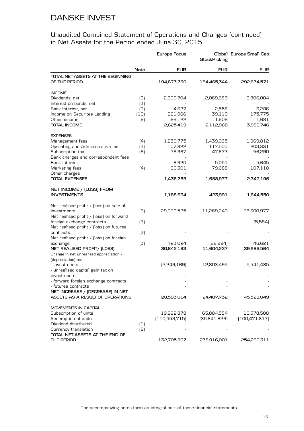Unaudited Combined Statement of Operations and Changes (continued) in Net Assets for the Period ended June 30, 2015

|                                                                        |            | Europe Focus  | <b>StockPicking</b> | Global Europe Small Cap |
|------------------------------------------------------------------------|------------|---------------|---------------------|-------------------------|
|                                                                        | Note       | <b>EUR</b>    | <b>EUR</b>          | <b>EUR</b>              |
| TOTAL NET ASSETS AT THE BEGINNING<br>OF THE PERIOD                     |            | 194,673,730   | 184,465,344         | 292,634,571             |
| <b>INCOME</b>                                                          |            |               |                     |                         |
| Dividends, net<br>Interest on bonds, net                               | (3)<br>(3) | 2,309,704     | 2,069,683           | 3,806,004               |
| Bank interest, net                                                     | (3)        | 4,627         | 2,558               | 3,286                   |
| Income on Securites Lending                                            | $[10]$     | 221,966       | 39,119              | 175,775                 |
| Other income                                                           | [6]        | 89,122        | 1,608               | 1,681                   |
| <b>TOTAL INCOME</b>                                                    |            | 2,625,419     | 2,112,968           | 3,986,746               |
| <b>EXPENSES</b>                                                        |            |               |                     |                         |
| Management fees                                                        | (4)        | 1,230,775     | 1,439,065           | 1,969,812               |
| Operating and Administrative fee                                       | (4)        | 107,822       | 117,500             | 203,331                 |
| Subscription tax                                                       | [6]        | 28,967        | 47,673              | 56,290                  |
| Bank charges and correspondent fees                                    |            |               |                     |                         |
| <b>Bank interest</b>                                                   |            | 8,920         | 5,051               | 5,645                   |
| Marketing fees                                                         | (4)        | 60,301        | 79,688              | 107,118                 |
| Other charges<br><b>TOTAL EXPENSES</b>                                 |            | 1,436,785     | 1,688,977           | 2,342,196               |
| NET INCOME / (LOSS) FROM                                               |            |               |                     |                         |
| <b>INVESTMENTS</b>                                                     |            | 1,188,634     | 423,991             | 1,644,550               |
| Net realised profit / [loss] on sale of                                |            |               |                     |                         |
| investments                                                            | (3)        | 29,230,525    | 11,269,240          | 38,300,977              |
| Net realised profit / [loss] on forward                                |            |               |                     |                         |
| foreign exchange contracts                                             | (3)        |               |                     | [5,584]                 |
| Net realised profit / [loss] on futures                                |            |               |                     |                         |
| contracts                                                              | (3)        |               |                     |                         |
| Net realised profit / [loss] on foreign                                |            |               |                     |                         |
| exchange                                                               | (3)        | 423,024       | [88,994]            | 46,621                  |
| NET REALISED PROFIT/ (LOSS)<br>Change in net unrealised appreciation / |            | 30,842,183    | 11,604,237          | 39,986,564              |
| (depreciation) on:                                                     |            |               |                     |                         |
| - investments                                                          |            | [2,249,169]   | 12,803,495          | 5,541,485               |
| - unrealised capital gain tax on                                       |            |               |                     |                         |
| investments                                                            |            |               |                     |                         |
| - forward foreign exchange contracts                                   |            |               |                     |                         |
| - futures contracts                                                    |            |               |                     |                         |
| NET INCREASE / (DECREASE) IN NET                                       |            |               |                     |                         |
| ASSETS AS A RESULT OF OPERATIONS                                       |            | 28,593,014    | 24,407,732          | 45,528,049              |
| <b>MOVEMENTS IN CAPITAL</b>                                            |            |               |                     |                         |
| Subscription of units                                                  |            | 19,992,878    | 65,884,554          | 16,578,508              |
| Redemption of units                                                    |            | [110,553,715] | [35,841,629]        | [100, 471, 817]         |
| Dividend distributed                                                   | (1)        |               |                     |                         |
| Currency translation                                                   | (8)        |               |                     |                         |
| TOTAL NET ASSETS AT THE END OF                                         |            |               |                     |                         |
| THE PERIOD                                                             |            | 132,705,907   | 238,916,001         | 254,269,311             |

The accompanying notes form an integral part of these financial statements.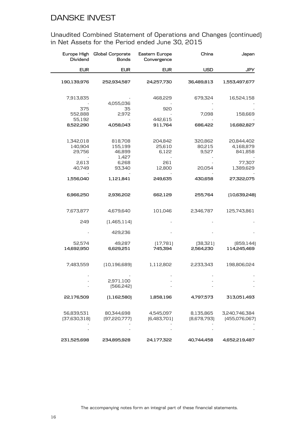| Europe High<br>Dividend        | Global Corporate<br><b>Bonds</b>      | Eastern Europe<br>Convergence | China                      | Japan                              |
|--------------------------------|---------------------------------------|-------------------------------|----------------------------|------------------------------------|
| <b>EUR</b>                     | <b>EUR</b>                            | <b>EUR</b>                    | <b>USD</b>                 | <b>JPY</b>                         |
| 190,139,976                    | 252,934,587                           | 24,257,730                    | 36,489,813                 | 1,553,497,677                      |
| 7,913,835                      | 4,055,036                             | 468,229                       | 679,324                    | 16,524,158                         |
| 375<br>552,888                 | 35<br>2,972                           | 920                           | 7,098                      | 158,669                            |
| 55,192<br>8,522,290            | 4,058,043                             | 442,615<br>911,764            | 686,422                    | 16,682,827                         |
| 1,342,018<br>140,904<br>29,756 | 818,708<br>155,199<br>46,899<br>1,427 | 204,842<br>25,610<br>6,122    | 320,862<br>80,215<br>9,527 | 20,844,402<br>4,168,879<br>841,858 |
| 2,613<br>40,749                | 6,268<br>93,340                       | 261<br>12,800                 | 20,054                     | 77,307<br>1,389,629                |
| 1,556,040                      | 1,121,841                             | 249,635                       | 430,658                    | 27,322,075                         |
| 6,966,250                      | 2,936,202                             | 662,129                       | 255,764                    | (10,639,248)                       |
| 7,673,877                      | 4,679,640                             | 101,046                       | 2,346,787                  | 125,743,861                        |
| 249                            | (1,465,114)                           |                               |                            |                                    |
|                                | 429,236                               |                               |                            |                                    |
| 52,574<br>14,692,950           | 49,287<br>6,629,251                   | (17,781)<br>745,394           | [38, 321]<br>2,564,230     | [859, 144]<br>114,245,469          |
| 7,483,559                      | [10, 196, 689]                        | 1,112,802                     | 2,233,343                  | 198,806,024                        |
|                                | 2,971,100<br>[566, 242]               |                               |                            |                                    |
| 22,176,509                     | (1,162,580)                           | 1,858,196                     | 4,797,573                  | 313,051,493                        |
| 56,839,531<br>[37,630,318]     | 80,344,698<br>[97, 220, 777]          | 4,545,097<br>[6,483,701]      | 8,135,865<br>[8,678,793]   | 3,240,746,384<br>(455,076,067)     |
| 231,525,698                    | 234,895,928                           | 24,177,322                    | 40,744,458                 | 4,652,219,487                      |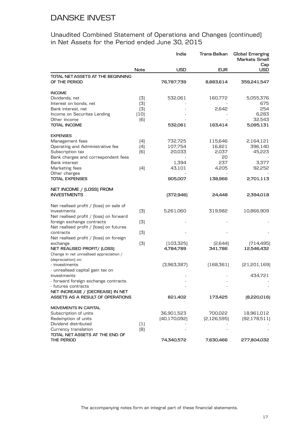|                                                                      |        | India          | Trans-Balkan  | Global Emerging<br>Markets Small |
|----------------------------------------------------------------------|--------|----------------|---------------|----------------------------------|
|                                                                      | Note   | <b>USD</b>     | <b>EUR</b>    | Cap<br><b>USD</b>                |
| TOTAL NET ASSETS AT THE BEGINNING<br>OF THE PERIOD                   |        | 76,787,739     | 8,883,614     | 359,241,547                      |
| <b>INCOME</b>                                                        |        |                |               |                                  |
| Dividends, net                                                       | (3)    | 532,061        | 160,772       | 5,055,376                        |
| Interest on bonds, net                                               | (3)    |                |               | 675                              |
| Bank interest, net                                                   | (3)    |                | 2,642         | 254                              |
| Income on Securites Lending                                          | $[10]$ |                |               | 6,283                            |
| Other income                                                         | (6)    |                |               | 32,543                           |
| <b>TOTAL INCOME</b>                                                  |        | 532,061        | 163,414       | 5,095,131                        |
| <b>EXPENSES</b>                                                      |        |                |               |                                  |
| Management fees                                                      | (4)    | 732,725        | 115,646       | 2,164,121                        |
| Operating and Administrative fee                                     | (4)    | 107,754        | 16,821        | 396,140                          |
| Subscription tax                                                     | [6]    | 20,033         | 2,037         | 45,223                           |
| Bank charges and correspondent fees                                  |        |                | 20            |                                  |
| Bank interest                                                        |        | 1,394          | 237           | 3,377                            |
| Marketing fees                                                       | (4)    | 43,101         | 4,205         | 92,252                           |
| Other charges                                                        |        |                |               |                                  |
| <b>TOTAL EXPENSES</b>                                                |        | 905,007        | 138,966       | 2,701,113                        |
| NET INCOME / (LOSS) FROM                                             |        |                |               |                                  |
| <b>INVESTMENTS</b>                                                   |        | [372,946]      | 24,448        | 2,394,018                        |
| Net realised profit / [loss] on sale of                              |        |                |               |                                  |
| investments                                                          | (3)    | 5,261,060      | 319,982       | 10,866,909                       |
| Net realised profit / [loss] on forward                              |        |                |               |                                  |
| foreign exchange contracts                                           | (3)    |                |               |                                  |
| Net realised profit / [loss] on futures                              |        |                |               |                                  |
| contracts                                                            | (3)    |                |               |                                  |
| Net realised profit / [loss] on foreign                              |        |                |               |                                  |
| exchange                                                             | (3)    | (103, 325)     | [2,644]       | [714, 495]                       |
| NET REALISED PROFIT/ (LOSS)                                          |        | 4,784,789      | 341,786       | 12,546,432                       |
| Change in net unrealised appreciation /                              |        |                |               |                                  |
| (depreciation) on:                                                   |        |                |               |                                  |
| - investments                                                        |        | [3,963,387]    | (168, 361)    | [21,201,169]                     |
| - unrealised capital gain tax on                                     |        |                |               |                                  |
| investments                                                          |        |                |               | 434,721                          |
| - forward foreign exchange contracts                                 |        |                |               |                                  |
| - futures contracts                                                  |        |                |               |                                  |
| NET INCREASE / (DECREASE) IN NET<br>ASSETS AS A RESULT OF OPERATIONS |        | 821,402        | 173,425       | [8,220,016]                      |
| MOVEMENTS IN CAPITAL                                                 |        |                |               |                                  |
| Subscription of units                                                |        | 36,901,523     | 700,022       | 18,961,012                       |
| Redemption of units                                                  |        | [40, 170, 092] | [2, 126, 595] | [92, 178, 511]                   |
| Dividend distributed                                                 | (1)    |                |               |                                  |
| Currency translation                                                 | [8]    |                |               |                                  |
| TOTAL NET ASSETS AT THE END OF                                       |        |                |               |                                  |
| THE PERIOD                                                           |        | 74,340,572     | 7,630,466     | 277,804,032                      |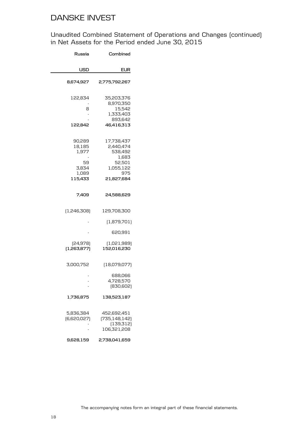| Russia                                                       | Combined                                                                                |
|--------------------------------------------------------------|-----------------------------------------------------------------------------------------|
| USD                                                          | EUR                                                                                     |
| 8,674,927                                                    | 2,775,792,267                                                                           |
| 122,834<br>8<br>122,842                                      | 35,203,376<br>8,970,350<br>15,542<br>1,333,403<br>893,642<br>46,416,313                 |
| 90,289<br>18,185<br>1,977<br>59<br>3,834<br>1,089<br>115,433 | 17,738,437<br>2,440,474<br>538,492<br>1,683<br>52,501<br>1,055,122<br>975<br>21,827,684 |
| 7,409                                                        | 24,588,629                                                                              |
| (1,246,308)                                                  | 129,708,300                                                                             |
|                                                              | (1,879,701)                                                                             |
|                                                              | 620,991                                                                                 |
| [24, 978]<br>(1,263,877)                                     | (1,021,989)<br>152,016,230                                                              |
| 3,000,752                                                    | (18,079,077)                                                                            |
|                                                              | 688,066<br>4,728,570<br>[830, 602]                                                      |
| 1,736,875                                                    | 138,523,187                                                                             |
| 5,836,384<br>[6,620,027]                                     | 452,692,451<br>(735, 148, 142)<br>(139, 312)<br>106,321,208                             |
| 9,628,159                                                    | 2,738,041,659                                                                           |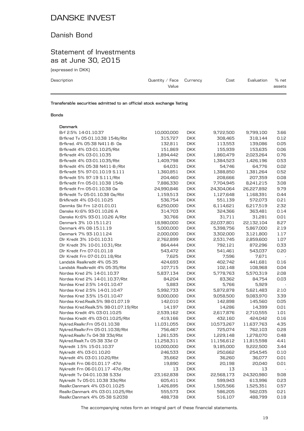### Danish Bond

### Statement of Investments as at June 30, 2015

(expressed in DKK)

| Description | Quantity / Face $C$ urrency | Cost | Evaluation | % net  |
|-------------|-----------------------------|------|------------|--------|
|             | Value                       |      |            | assets |
|             |                             |      |            |        |

**Transferable securities admitted to an official stock exchange listing**

#### **Bonds**

| Denmark                              |            |            |            |            |      |
|--------------------------------------|------------|------------|------------|------------|------|
| Brf 2.5% 14-01.10.37                 | 10,000,000 | <b>DKK</b> | 9,722,500  | 9,799,100  | 3.66 |
| Brfkred Tv 05-01.10.38 154b/Rbt      | 315,727    | <b>DKK</b> | 308,465    | 318,144    | 0.12 |
| Brfkred. 4% 05-38 N411-B- 0a         | 132,811    | <b>DKK</b> | 113,553    | 139,086    | 0.05 |
| Brfkredit 4% 03-01.10.25/Rbt         | 151,869    | <b>DKK</b> | 155,939    | 153,635    | 0.06 |
| Brfkredit 4% 03-01.10.35             | 1,894,442  | <b>DKK</b> | 1,860,479  | 2,023,264  | 0.76 |
| Brfkredit 4% 03-01.10.35/Rbt         | 1,409,798  | <b>DKK</b> | 1,384,523  | 1,426,196  | 0.53 |
| Brfkredit 4% 05-38 N411-B-/Rbt       | 64,031     | <b>DKK</b> | 54,746     | 64,776     | 0.02 |
| Brfkredit 5% 97-01.10.19 S.111       | 1,360,851  | <b>DKK</b> | 1,388,850  | 1,381,264  | 0.52 |
| Brfkredit 5% 97-19 S.111/Rbt         | 204,460    | <b>DKK</b> | 208,666    | 207,359    | 0.08 |
| Brfkredit Frn 05-01.10.38 154b       | 7,886,330  | <b>DKK</b> | 7,704,945  | 8,241,215  | 3.08 |
| Brfkredit Frn 05-01.10.38 Oa         | 24,990,846 | <b>DKK</b> | 24,304,064 | 26,227,892 | 9.79 |
| Brfkredit Tv 05-01.10.38 Oa/Rbt      | 1,159,513  | <b>DKK</b> | 1,127,648  | 1,168,391  | 0.44 |
| Brkfkredit 4% 03-01.10.25            | 536,754    | <b>DKK</b> | 551,139    | 572,073    | 0.21 |
| Danmks Ski Frn 12-01.01.01           | 6,250,000  | <b>DKK</b> | 6,114,621  | 6,217,519  | 2.32 |
| Danske Kr.6% 93-01.10.26 A           | 314,703    | <b>DKK</b> | 324,366    | 363,481    | 0.14 |
| Danske Kr.6% 93-01.10.26 A/Rbt       | 30,766     | <b>DKK</b> | 31,711     | 31,281     | 0.01 |
| Denmark 3% 10-15.11.21               | 18,980,000 | <b>DKK</b> | 22,037,801 | 22,132,104 | 8.27 |
| Denmark 4% 08-15.11.19               | 5,000,000  | <b>DKK</b> | 5,398,756  | 5,867,000  | 2.19 |
| Denmark 7% 93-10.11.24               | 2,000,000  | <b>DKK</b> | 3,302,000  | 3,121,800  | 1.17 |
| Dlr Kredit 3% 10-01.10.31            | 2,762,899  | <b>DKK</b> | 2,531,745  | 2,859,600  | 1.07 |
| Dlr Kredit 3% 10-01.10.31/Rbt        | 864,444    | <b>DKK</b> | 792,121    | 872,296    | 0.33 |
| Dlr Kredit Frn 07-01.01.18           | 543,472    | <b>DKK</b> | 541,461    | 543,037    | 0.20 |
| Dlr Kredit Frn 07-01.01.18/Rbt       | 7,625      | <b>DKK</b> | 7,596      | 7,671      |      |
| Landsbk Realkredit 4% 05-35          | 424,693    | <b>DKK</b> | 402,742    | 441,681    | 0.16 |
| Landsbk Realkredit 4% 05-35/Rbt      | 107,715    | <b>DKK</b> | 102,148    | 108,968    | 0.04 |
| Nordea Kred 2% 14-01.10.37           | 5,837,134  | <b>DKK</b> | 5,778,763  | 5,570,319  | 2.08 |
| Nordea Kred 2% 14-01.10.37/Rbt       | 84,204     | <b>DKK</b> | 83,362     | 84,754     | 0.03 |
| Nordea Kred 2.5% 14-01.10.47         | 5,883      | <b>DKK</b> | 5,766      | 5,929      |      |
| Nordea Kred 2.5% 14-01.10.47         | 5,992,733  | <b>DKK</b> | 5,872,878  | 5,621,483  | 2.10 |
| Nordea Kred 3.5% 15-01.10.47         | 9,000,000  | <b>DKK</b> | 9,058,500  | 9,083,970  | 3.39 |
| Nordea Kred.Realk.5% 98-01.07.19     | 142,010    | <b>DKK</b> | 142,898    | 145,560    | 0.05 |
| Nordea Kred.Realk.5% 98-01.07.19/Rbt | 14,197     | <b>DKK</b> | 14,286     | 14,399     | 0.01 |
| Nordea Kredit 4% 03-01.10.25         | 2,539,162  | <b>DKK</b> | 2,617,876  | 2,710,555  | 1.01 |
| Nordea Kredit 4% 03-01.10.25/Rbt     | 419,166    | <b>DKK</b> | 432,160    | 424,042    | 0.16 |
| Nykred.Realkr.Frn 05-01.10.38        | 11,031,055 | <b>DKK</b> | 10,573,267 | 11,637,763 | 4.35 |
| Nykred.Realkr.Frn 05-01.10.38/Rbt    | 756,467    | <b>DKK</b> | 725,074    | 762,103    | 0.28 |
| Nykred.Realkr.Tv 04-38 33d/Rbt       | 1,261,535  | <b>DKK</b> | 1,229,148  | 1,278,070  | 0.48 |
| Nykred.Realt.Tv 05-38 33d Cf         | 11,258,311 | <b>DKK</b> | 11,156,612 | 11,815,598 | 4.41 |
| Nykredit 1.5% 15-01.10.37            | 10,000,000 | <b>DKK</b> | 9,185,000  | 9,222,500  | 3.44 |
| Nykredit 4% 03-01.10.20              | 246,533    | <b>DKK</b> | 250,662    | 254,545    | 0.10 |
| Nykredit 4% 03-01.10.20/Rbt          | 35,662     | <b>DKK</b> | 36,260     | 36,077     | 0.01 |
| Nykredit Frn 06-01.01.17 -47d-       | 19,890     | <b>DKK</b> | 20,198     | 20,040     | 0.01 |
| Nykredit Frn 06-01.01.17 -47d-/Rbt   | 13         | <b>DKK</b> | 13         | 13         |      |
| Nykredit Tv 04-01.10.38 S.33d        | 23,162,838 | <b>DKK</b> | 22,568,173 | 24,320,980 | 9.08 |
| Nykredit Tv 05-01.10.38 33d/Rbt      | 605,411    | <b>DKK</b> | 599,943    | 613,996    | 0.23 |
| Realkr.Danmark 4% 03-01.10.25        | 1,426,895  | <b>DKK</b> | 1,505,566  | 1,525,351  | 0.57 |
| Realkr.Danmark 4% 03-01.10.25/Rbt    | 555,573    | <b>DKK</b> | 586,205    | 562,035    | 0.21 |
| Realkr.Danmark 4% 05-38 S.2038       | 488,738    | <b>DKK</b> | 516,107    | 488,799    | 0.18 |

The accompanying notes form an integral part of these financial statements.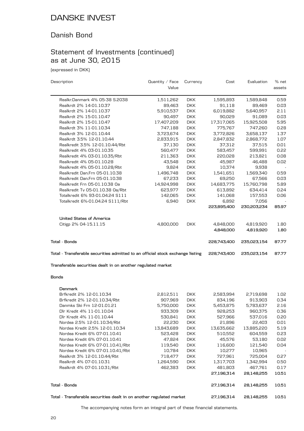### Danish Bond

# Statement of Investments (continued) as at June 30, 2015

(expressed in DKK)

| Description                                                                    | Quantity / Face<br>Value | Currency   | Cost        | Evaluation  | % net<br>assets |
|--------------------------------------------------------------------------------|--------------------------|------------|-------------|-------------|-----------------|
|                                                                                |                          |            |             |             |                 |
| Realkr.Danmark 4% 05-38 S.2038                                                 | 1,511,262                | <b>DKK</b> | 1,595,893   | 1,589,848   | 0.59            |
| Realkrdt 2% 14-01.10.37                                                        | 89,463                   | <b>DKK</b> | 91,118      | 89,469      | 0.03            |
| Realkrdt 2% 14-01.10.37                                                        | 5,910,537                | <b>DKK</b> | 6,019,882   | 5,640,957   | 2.11            |
| Realkrdt 2% 15-01.10.47                                                        | 90,497                   | <b>DKK</b> | 90,029      | 91,089      | 0.03            |
| Realkrdt 2% 15-01.10.47                                                        | 17,407,209               | <b>DKK</b> | 17,317,065  | 15,925,508  | 5.95            |
| Realkrdt 3% 11-01.10.34                                                        | 747,188                  | <b>DKK</b> | 775,767     | 747,260     | 0.28            |
| Realkrdt 3% 12-01.10.44                                                        | 3,723,674                | <b>DKK</b> | 3,772,826   | 3,658,137   | 1.37            |
| Realkrdt 3.5% 12-01.10.44                                                      | 2,833,915                | <b>DKK</b> | 2,847,832   | 2,868,772   | 1.07            |
| Realkredit 3.5% 12-01.10.44/Rbt                                                | 37,130                   | <b>DKK</b> | 37,312      | 37,515      | 0.01            |
| Realkredit 4% 03-01.10.35                                                      | 560,477                  | <b>DKK</b> | 583,457     | 599,991     | 0.22            |
| Realkredit 4% 03-01.10.35/Rbt                                                  | 211,363                  | <b>DKK</b> | 220,028     | 213,821     | 0.08            |
| Realkredit 4% 05-01.10.28                                                      | 43,548                   | <b>DKK</b> | 45,987      | 46,488      | 0.02            |
| Realkredit 4% 05-01.10.28/Rbt                                                  | 9,824                    | <b>DKK</b> | 10,374      | 9,938       |                 |
| Realkredit Dan.Frn 05-01.10.38                                                 | 1,496,748                | <b>DKK</b> | 1,541,651   | 1,569,340   | 0.59            |
| Realkredit Dan.Frn 05-01.10.38                                                 | 67,233                   | <b>DKK</b> | 69,250      | 67,566      | 0.03            |
| Realkredit Frn 05-01.10.38 Oa                                                  | 14,924,998               | <b>DKK</b> | 14,683,775  | 15,760,798  | 5.89            |
| Realkredit Tv 05-01.10.38 Oa/Rbt                                               | 623,977                  | <b>DKK</b> | 613,892     | 634,414     | 0.24            |
| Totalkredit 6% 93-01.04.24 S111                                                | 142,065                  | <b>DKK</b> | 141,068     | 157,553     | 0.06            |
| Totalkredit 6%-01.04.24 S111/Rbt                                               | 6,940                    | <b>DKK</b> | 6,892       | 7,056       |                 |
|                                                                                |                          |            | 223,895,400 | 230,203,234 | 85.97           |
| <b>United States of America</b>                                                |                          |            |             |             |                 |
| Citigp 2% 04-15.11.15                                                          | 4,800,000                | <b>DKK</b> | 4,848,000   | 4,819,920   | 1.80            |
|                                                                                |                          |            | 4,848,000   | 4,819,920   | 1.80            |
| <b>Total - Bonds</b>                                                           |                          |            | 228,743,400 | 235,023,154 | 87.77           |
| Total - Transferable securities admitted to an official stock exchange listing |                          |            | 228,743,400 | 235,023,154 | 87.77           |
| Transferable securities dealt in on another regulated market                   |                          |            |             |             |                 |
| <b>Bonds</b>                                                                   |                          |            |             |             |                 |

| <b>Denmark</b>                                                       |            |            |            |            |        |
|----------------------------------------------------------------------|------------|------------|------------|------------|--------|
| Brfkredit 2% 12-01.10.34                                             | 2,812,511  | <b>DKK</b> | 2,583,994  | 2,719,698  | 1.02   |
| Brfkredit 2% 12-01.10.34/Rbt                                         | 907,969    | DKK.       | 834,196    | 913,903    | 0.34   |
| Danmks Ski Frn 12-01.01.21                                           | 5,750,000  | <b>DKK</b> | 5,453,875  | 5,783,637  | 2.16   |
| Dlr Kredit 4% 11-01.10.04                                            | 933,309    | DKK.       | 928,253    | 960,375    | 0.36   |
| Dlr Kredit 4% 11-01.10.44                                            | 530,841    | DKK.       | 527,966    | 537,016    | 0.20   |
| Nordea 2.5% 12-01.10.34/Rbt                                          | 22,230     | DKK.       | 21,896     | 22,403     | 0.01   |
| Nordea Kredit 2.5% 12-01.10.34                                       | 13,843,689 | DKK.       | 13,635,662 | 13,885,220 | 5.19   |
| Nordea Kredit 6% 07-01.10.41                                         | 523,428    | DKK.       | 510,552    | 604,559    | 0.23   |
| Nordea Kredit 6% 07-01.10.41                                         | 47,824     | <b>DKK</b> | 45,576     | 53,180     | 0.02   |
| Nordea Kredit 6% 07-01.10.41/Rbt                                     | 119,540    | <b>DKK</b> | 116,600    | 121,540    | 0.04   |
| Nordea Kredit 6% 07-01.10.41/Rbt                                     | 10,784     | DKK.       | 10,277     | 10,965     | $\sim$ |
| Realkrdt 3% 12-01.10.44/Rbt                                          | 718,477    | <b>DKK</b> | 727,961    | 725,004    | 0.27   |
| Realkrdt 4% 07-01.10.31                                              | 1,264,590  | <b>DKK</b> | 1,317,703  | 1,342,994  | 0.50   |
| Realkrdt 4% 07-01.10.31/Rbt                                          | 462,383    | DKK.       | 481,803    | 467,761    | 0.17   |
|                                                                      |            |            | 27,196,314 | 28,148,255 | 10.51  |
| Tota1 - Bonds                                                        |            |            | 27,196,314 | 28,148,255 | 10.51  |
| Total - Transferable securities dealt in on another regulated market |            |            | 27,196,314 | 28,148,255 | 10.51  |

The accompanying notes form an integral part of these financial statements.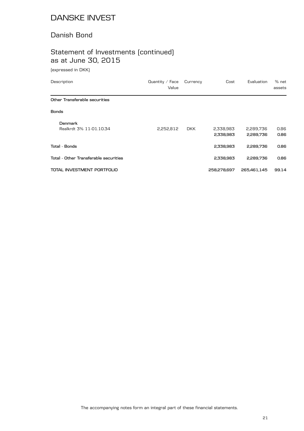### Danish Bond

# Statement of Investments (continued) as at June 30, 2015

(expressed in DKK)

| Description                               | Quantity $\angle$ Face<br>Value | Currency   | Cost                   | Evaluation             | % net<br>assets |
|-------------------------------------------|---------------------------------|------------|------------------------|------------------------|-----------------|
| Other Transferable securities             |                                 |            |                        |                        |                 |
| <b>Bonds</b>                              |                                 |            |                        |                        |                 |
| <b>Denmark</b><br>Realkrdt 3% 11-01.10.34 | 2,252,812                       | <b>DKK</b> | 2,338,983<br>2,338,983 | 2,289,736<br>2,289,736 | 0.86<br>0.86    |
| Total - Bonds                             |                                 |            | 2,338,983              | 2,289,736              | 0.86            |
| Total - Other Transferable securities     |                                 |            | 2,338,983              | 2,289,736              | 0.86            |
| TOTAL INVESTMENT PORTFOLIO                |                                 |            | 258,278,697            | 265,461,145            | 99.14           |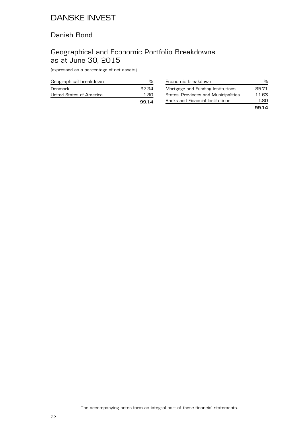#### Danish Bond

### Geographical and Economic Portfolio Breakdowns as at June 30, 2015

(expressed as a percentage of net assets)

| Geographical breakdown   |       |
|--------------------------|-------|
| Denmark                  | 97.34 |
| United States of America | 1 80  |
|                          | 9914  |

| Economic breakdown                   | ℆     |
|--------------------------------------|-------|
| Mortgage and Funding Institutions    | 85.71 |
| States, Provinces and Municipalities | 11.63 |
| Banks and Financial Institutions     | 1.80. |
|                                      | 99.14 |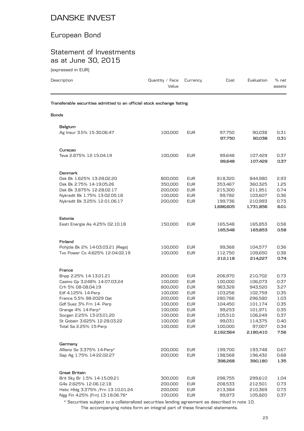### European Bond

### Statement of Investments as at June 30, 2015

(expressed in EUR)

| Description                                                            | Quantity / Face<br>Value | Currency   | Cost                 | Evaluation           | $%$ net<br>assets |
|------------------------------------------------------------------------|--------------------------|------------|----------------------|----------------------|-------------------|
| Transferable securities admitted to an official stock exchange listing |                          |            |                      |                      |                   |
| Bonds                                                                  |                          |            |                      |                      |                   |
| Belgium                                                                |                          |            |                      |                      |                   |
| Ag Insur 3.5% 15-30.06.47                                              | 100,000                  | <b>EUR</b> | 97,750<br>97,750     | 90,038<br>90,038     | 0.31<br>0.31      |
| Curaçao                                                                |                          |            |                      |                      |                   |
| Teva 2.875% 12-15.04.19                                                | 100,000                  | <b>EUR</b> | 99,648<br>99,648     | 107,429<br>107,429   | 0.37<br>0.37      |
| Denmark                                                                |                          |            |                      |                      |                   |
| Dsk Bk 1.625% 13-28.02.20                                              | 800,000                  | <b>EUR</b> | 818,320              | 844,980              | 2.93              |
| Dsk Bk 2.75% 14-19.05.26                                               | 350,000                  | <b>EUR</b> | 353,467              | 360,325              | 1.25              |
| Dsk Bk 3.875% 12-28.02.17                                              | 200,000                  | <b>EUR</b> | 215,300              | 211,951              | 0.74              |
| Nykredit Bk 1.75% 13-02.05.18                                          | 100,000                  | <b>EUR</b> | 99,782               | 103,607              | 0.36              |
| Nykredit Bk 3.25% 12-01.06.17                                          | 200,000                  | <b>EUR</b> | 199,736<br>1,686,605 | 210,993<br>1,731,856 | 0.73<br>6.01      |
| Estonia                                                                |                          |            |                      |                      |                   |
| Eesti Energia As 4.25% 02.10.18                                        | 150,000                  | <b>EUR</b> | 165,548<br>165,548   | 165,853<br>165,853   | 0.58<br>0.58      |
| Finland                                                                |                          |            |                      |                      |                   |
| Pohjola Bk 2% 14-03.03.21 [Regs]                                       | 100,000                  | <b>EUR</b> | 99,368               | 104,577              | 0.36              |
| Tvo Power Co 4.625% 12-04.02.19                                        | 100,000                  | <b>EUR</b> | 112,750<br>212,118   | 109,650<br>214,227   | 0.38<br>0.74      |
| France                                                                 |                          |            |                      |                      |                   |
| Bnpp 2.25% 14-13.01.21                                                 | 200,000                  | <b>EUR</b> | 206,970              | 210,702              | 0.73              |
| Casino Gp 3.248% 14-07.03.24                                           | 100,000                  | <b>EUR</b> | 100,000              | 106,073              | 0.37              |
| Crh 5% 08-08.04.19                                                     | 800,000                  | <b>EUR</b> | 963,328              | 943,520              | 3.27              |
| Edf 4.125% 14-Perp                                                     | 100,000                  | <b>EUR</b> | 103,256              | 102,759              | 0.35              |
| France 5.5% 98-2029 Oat                                                | 200,000                  | <b>EUR</b> | 280,766              | 296,580              | 1.03              |
| Gdf Suez 3% Frn 14- Perp                                               | 100,000                  | <b>EUR</b> | 104,450              | 101,174              | 0.35              |
| Orange 4% 14-Perp*                                                     | 100,000                  | <b>EUR</b> | 99,253               | 101,971              | 0.35              |
| Socgen 2.25% 13-23.01.20                                               | 100,000                  | <b>EUR</b> | 105,510              | 106,249              | 0.37              |
| St Gobain 3.625% 12-28.03.22                                           | 100,000                  | <b>EUR</b> | 99,031               | 114,375              | 0.40              |
| Total Sa 2.25% 15-Perp                                                 | 100,000                  | <b>EUR</b> | 100,000              | 97,007               | 0.34              |
|                                                                        |                          |            | 2,162,564            | 2,180,410            | 7.56              |
| Germany                                                                |                          |            |                      |                      |                   |
| Allianz Se 3.375% 14-Perp*                                             | 200,000                  | <b>EUR</b> | 199,700              | 193,748              | 0.67              |
| Sap Ag 1.75% 14-22.02.27                                               | 200,000                  | <b>EUR</b> | 198,568<br>398,268   | 196,432<br>390,180   | 0.68<br>1.35      |
| <b>Great Britain</b>                                                   |                          |            |                      |                      |                   |
| Brit Sky Br 1.5% 14-15.09.21                                           | 300,000                  | <b>EUR</b> | 298,755              | 299,610              | 1.04              |
| G4s 2.625% 12-06.12.18                                                 | 200,000                  | <b>EUR</b> | 208,533              | 212,501              | 0.73              |
| Hsbc Hldg 3.375% / Frn 13-10.01.24                                     | 200,000                  | <b>EUR</b> | 213,384              | 210,369              | 0.73              |
| Ngg Fin 4.25% [Frn] 13-18.06.76*                                       | 100,000                  | <b>EUR</b> | 99,973               | 105,820              | 0.37              |

The accompanying notes form an integral part of these financial statements. \* Securities subject to a collateralized securities lending agreement as described in note 10.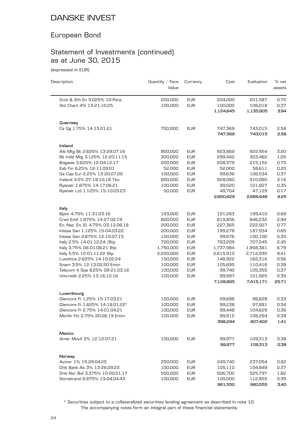### European Bond

# Statement of Investments (continued) as at June 30, 2015

(expressed in EUR)

| Description                        | Quantity / Face<br>Value | Currency   | Cost      | Evaluation | % net<br>assets |
|------------------------------------|--------------------------|------------|-----------|------------|-----------------|
| Scot & Sth En 5.025% 10-Perp       | 200,000                  | <b>EUR</b> | 204,000   | 201,587    | 0.70            |
| Std Chart 4% 13-21.10.25           | 100,000                  | <b>EUR</b> | 100,000   | 106,018    | 0.37            |
|                                    |                          |            | 1,124,645 | 1,135,905  | 3.94            |
| Guernsey                           |                          |            |           |            |                 |
| Cs Gg 1.75% 14-15.01.21            | 700,000                  | <b>EUR</b> | 747,369   | 743,015    | 2.58            |
|                                    |                          |            | 747,369   | 743,015    | 2.58            |
| Ireland                            |                          |            |           |            |                 |
| Aib Mtg Bk 2.625% 13-29.07.16      | 900,000                  | <b>EUR</b> | 923,868   | 922,954    | 3.20            |
| Bk Ireld Mtg 3.125% 12-20.11.15    | 300,000                  | <b>EUR</b> | 299,442   | 303,462    | 1.05            |
| Bogaeis 3.625% 12-04.12.17         | 200,000                  | <b>EUR</b> | 208,379   | 215,152    | 0.75            |
| Esb Fin 6.25% 12-11.09.01          | 52,000                   | <b>EUR</b> | 52,000    | 58,611     | 0.20            |
| Ge Cap Eur 2.25% 13-20.07.20       | 100,000                  | <b>EUR</b> | 99,636    | 106,534    | 0.37            |
| Ireland 4.5% 07-18.10.18 Tbo       | 800,000                  | <b>EUR</b> | 928,080   | 910,980    | 3.16            |
| Ryanair 1.875% 14-17.06.21         | 100,000                  | <b>EUR</b> | 99,520    | 101,827    | 0.35            |
| Ryanair Ltd 1.125% 15-10.03.23     | 50,000                   | <b>EUR</b> | 49,704    | 47,129     | 0.17            |
|                                    |                          |            | 2,660,629 | 2,666,649  | 9.25            |
| ltaly                              |                          |            |           |            |                 |
| Bpim 4.75% 11-31.03.16             | 193,000                  | <b>EUR</b> | 191,263   | 199,410    | 0.69            |
| Cred Emil 1.875% 14-27.02.19       | 800,000                  | <b>EUR</b> | 819,856   | 846,232    | 2.94            |
| En. Naz. En. El. 4.75% 03-12.06.18 | 200,000                  | <b>EUR</b> | 227,365   | 222,927    | 0.77            |
| Intesa San 1.125% 15-04.03.22      | 200,000                  | <b>EUR</b> | 199,278   | 187,934    | 0.65            |
| Intesa San 4.875% 12-10.07.15      | 100,000                  | <b>EUR</b> | 99,676    | 100,100    | 0.35            |
| Italy 2.5% 14-01.12.24 /Btp        | 700,000                  | <b>EUR</b> | 783,209   | 707,245    | 2.45            |
| Italy 3.75% 06-01.08.21 Btp        | 1,750,000                | <b>EUR</b> | 1,737,984 | 1,958,381  | 6.79            |
| Italy 5.5% 12-01.11.22 Btp         | 2,200,000                | <b>EUR</b> | 2,615,910 | 2,712,930  | 9.41            |
| Luxottica 2.625% 14-10.02.24       | 150,000                  | <b>EUR</b> | 148,922   | 162,316    | 0.56            |
| Snam 3.5% 12-13.02.20 Emtn         | 100,000                  | <b>EUR</b> | 105,695   | 110,416    | 0.38            |
| Telecom It Spa 8.25% 09-21.03.16   | 100,000                  | <b>EUR</b> | 99,740    | 105,355    | 0.37            |
| Unicredit 2.25% 13-16.12.16        | 100,000                  | <b>EUR</b> | 99,997    | 101,925    | 0.35            |
|                                    |                          |            | 7,128,895 | 7,415,171  | 25.71           |
| Luxembourg                         |                          |            |           |            |                 |
| Glencore Fi 1.25% 15-17.03.21      | 100,000                  | <b>EUR</b> | 99,696    | 96,628     | 0.33            |
| Glencore Fi 1.625% 14-18.01.22*    | 100,000                  | <b>EUR</b> | 99,238    | 97,881     | 0.34            |
| Glencore Fi 2.75% 14-01.04.21      | 100,000                  | <b>EUR</b> | 99,448    | 104,629    | 0.36            |
| Michln Fin 2.75% 20.06.19 Emtn     | 100,000                  | <b>EUR</b> | 99,912    | 108,264    | 0.38            |
|                                    |                          |            | 398,294   | 407,402    | 1.41            |
| Mexico                             |                          |            |           |            |                 |
| Amer Movil 3% 12-12.07.21          | 100,000                  | <b>EUR</b> | 99,977    | 109,313    | 0.38            |
|                                    |                          |            | 99,977    | 109,313    | 0.38            |
| Norway                             |                          |            |           |            |                 |
| Avinor 1% 15-29.04.25              | 250,000                  | <b>EUR</b> | 249,740   | 237,054    | 0.82            |
| Dnb Bank As 3% 13-26.09.23         | 100,000                  | <b>EUR</b> | 105,110   | 104,849    | 0.37            |
| Dnb Nor Bol 3.375% 10-20.01.17     | 500,000                  | <b>EUR</b> | 506,700   | 525,797    | 1.82            |
| Storebrand 6.875% 13-04.04.43      | 100,000                  | <b>EUR</b> | 100,000   | 112,855    | 0.39            |
|                                    |                          |            | 961,550   | 980,555    | 3.40            |

The accompanying notes form an integral part of these financial statements. \* Securities subject to a collateralized securities lending agreement as described in note 10.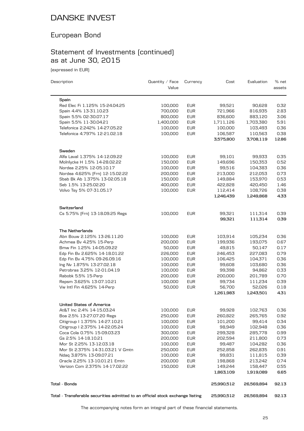### European Bond

# Statement of Investments (continued) as at June 30, 2015

(expressed in EUR)

| Description                                                     | Quantity $\angle$ Face<br>Value | Currency                 | Cost                 | Evaluation           | % net<br>assets |
|-----------------------------------------------------------------|---------------------------------|--------------------------|----------------------|----------------------|-----------------|
| Spain                                                           |                                 |                          |                      |                      |                 |
| Red Elec Fi 1.125% 15-24.04.25                                  | 100,000                         | <b>EUR</b>               | 99,521               | 90,628               | 0.32            |
| Spain 4.4% 13-31.10.23                                          | 700,000                         | <b>EUR</b>               | 721,966              | 816,935              | 2.83            |
| Spain 5.5% 02-30.07.17                                          | 800,000                         | <b>EUR</b>               | 836,600              | 883,120              | 3.06            |
| Spain 5.5% 11-30.04.21                                          | 1,400,000                       | <b>EUR</b>               | 1,711,126            | 1,703,380            | 5.91            |
| Telefonica 2.242% 14-27.05.22                                   | 100,000                         | <b>EUR</b>               | 100,000              | 103,493              | 0.36            |
| Telefonica 4.797% 12-21.02.18                                   | 100,000                         | <b>EUR</b>               | 106,587              | 110,563              | 0.38            |
|                                                                 |                                 |                          | 3,575,800            | 3,708,119            | 12.86           |
| Sweden                                                          |                                 |                          |                      |                      |                 |
| Alfa Laval 1.375% 14-12.09.22                                   | 100,000                         | <b>EUR</b>               | 99,101               | 99,933               | 0.35            |
| Molnlycke H 1.5% 14-28.02.22                                    | 150,000                         | <b>EUR</b>               | 149,696              | 150,353              | 0.52            |
| Nordea 2.25% 12-05.10.17                                        | 100,000                         | <b>EUR</b>               | 99,516               | 104,383              | 0.36            |
| Nordea 4.625% [Frn] 12-15.02.22                                 | 200,000                         | <b>EUR</b>               | 213,000              | 212,053              | 0.73            |
| Sbab Bk Ab 1.375% 13-02.05.18                                   | 150,000                         | <b>EUR</b>               | 149,884              | 153,970              | 0.53            |
| Seb 1.5% 13-25.02.20                                            | 400,000                         | <b>EUR</b>               | 422,828              | 420,450              | 1.46            |
|                                                                 |                                 |                          |                      |                      |                 |
| Volvo Tsy 5% 07-31.05.17                                        | 100,000                         | <b>EUR</b>               | 112,414<br>1,246,439 | 108,726<br>1,249,868 | 0.38<br>4.33    |
| Switzerland                                                     |                                 |                          |                      |                      |                 |
| Cs 5.75% [Frn] 13-18.09.25 Regs                                 | 100,000                         | <b>EUR</b>               | 99,321               | 111,314              | 0.39            |
|                                                                 |                                 |                          | 99,321               | 111,314              | 0.39            |
| <b>The Netherlands</b>                                          |                                 |                          |                      |                      |                 |
| Abn Bouw 2.125% 13-26.11.20                                     | 100,000                         | <b>EUR</b>               | 103,914              | 105,234              | 0.36            |
| Achmea Bv 4.25% 15-Perp                                         | 200,000                         | <b>EUR</b>               | 199,936              | 193,075              | 0.67            |
| Bmw Fin 1.25% 14-05.09.22                                       | 50,000                          | <b>EUR</b>               | 49,815               | 50,147               | 0.17            |
| Edp Fin Bv 2.625% 14-18.01.22                                   | 226,000                         | <b>EUR</b>               | 246,453              | 227,083              | 0.79            |
| Edp Fin Bv 4.75% 09-26.09.16                                    | 100,000                         | <b>EUR</b>               | 106,425              | 104,371              | 0.36            |
| Ing Nv 1.875% 13-27.02.18                                       | 100,000                         | <b>EUR</b>               | 99,608               | 103,680              | 0.36            |
| Petrobras 3.25% 12-01.04.19                                     | 100,000                         | <b>EUR</b>               | 99,398               | 94,862               | 0.33            |
| Rabobk 5.5% 15-Perp                                             | 200,000                         | <b>EUR</b>               | 200,000              | 201,789              | 0.70            |
| Repsm 3.625% 13-07.10.21                                        | 100,000                         | <b>EUR</b>               | 99,734               | 111,234              | 0.39            |
| Vw Intl Fin 4.625% 14-Perp                                      | 50,000                          | <b>EUR</b>               | 56,700               | 52,026               | 0.18            |
|                                                                 |                                 |                          | 1,261,983            | 1,243,501            | 4.31            |
| <b>United States of America</b>                                 |                                 |                          |                      |                      |                 |
| At&T Inc 2.4% 14-15.03.24                                       | 100,000                         | EUR                      | 99,928               | 102,763              | 0.36            |
| Boa 2.5% 13-27.07.20 Regs                                       | 250,000                         | <b>EUR</b>               | 260,822              | 265,765              | 0.92            |
| Citigroup   1.375% 14-27.10.21                                  | 100,000                         | <b>EUR</b>               | 101,200              | 99,414               | 0.34            |
| Citigroup I 2.375% 14-22.05.24                                  | 100,000                         | <b>EUR</b>               | 98,949               | 102,948              | 0.36            |
| Coca Cola 0.75% 15-09.03.23                                     | 300,000                         | <b>EUR</b>               | 299,328              | 285,778              | 0.99            |
| Gs 2.5% 14-18.10.21                                             | 200,000                         | <b>EUR</b>               | 202,594              | 211,800              | 0.73            |
| Mor St 2.25% 13-12.03.18                                        | 100,000                         | <b>EUR</b>               | 99,487               | 104,282              | 0.36            |
| Mor St 2.375% 14-31.03.21 V Gmtn                                | 250,000                         | <b>EUR</b>               | 252,858              | 262,835              | 0.91            |
| Ndaq 3.875% 13-09.07.21                                         | 100,000                         | <b>EUR</b>               | 99,831               | 111,815              | 0.39            |
|                                                                 |                                 |                          |                      |                      | 0.74            |
| Oracle 2.25% 13-10.01.21 Emtn<br>Verizon Com 2.375% 14-17.02.22 | 200,000<br>150,000              | <b>EUR</b><br><b>EUR</b> | 198,868              | 213,242              | 0.55            |
|                                                                 |                                 |                          | 149,244<br>1,863,109 | 158,447<br>1,919,089 | 6.65            |
| Tota1 - Bonds                                                   |                                 |                          | 25,990,512           | 26,569,894           | 92.13           |
|                                                                 |                                 |                          |                      |                      |                 |

**Total - Transferable securities admitted to an official stock exchange listing 25,990,512 26,569,894 92.13**

The accompanying notes form an integral part of these financial statements.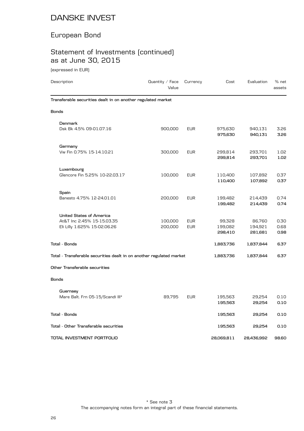### European Bond

# Statement of Investments (continued) as at June 30, 2015

(expressed in EUR)

| Description                                                                                   | Quantity $\angle$ Face<br>Value | Currency                 | Cost                         | Evaluation                   | % net<br>assets      |
|-----------------------------------------------------------------------------------------------|---------------------------------|--------------------------|------------------------------|------------------------------|----------------------|
| Transferable securities dealt in on another regulated market                                  |                                 |                          |                              |                              |                      |
| <b>Bonds</b>                                                                                  |                                 |                          |                              |                              |                      |
| Denmark<br>Dsk Bk 4.5% 09-01.07.16                                                            | 900,000                         | <b>EUR</b>               | 975,630<br>975,630           | 940,131<br>940,131           | 3.26<br>3.26         |
| Germany<br>Vw Fin 0.75% 15-14.10.21                                                           | 300,000                         | <b>EUR</b>               | 299,814<br>299,814           | 293,701<br>293,701           | 1.02<br>1.02         |
| Luxembourg<br>Glencore Fin 5.25% 10-22.03.17                                                  | 100,000                         | <b>EUR</b>               | 110,400<br>110,400           | 107,892<br>107,892           | 0.37<br>0.37         |
| Spain<br>Banesto 4.75% 12-24.01.01                                                            | 200,000                         | <b>EUR</b>               | 199,482<br>199,482           | 214,439<br>214,439           | 0.74<br>0.74         |
| <b>United States of America</b><br>At&T Inc 2.45% 15-15.03.35<br>Eli Lilly 1.625% 15-02.06.26 | 100,000<br>200,000              | <b>EUR</b><br><b>EUR</b> | 99,328<br>199,082<br>298,410 | 86,760<br>194,921<br>281,681 | 0.30<br>0.68<br>0.98 |
| Total - Bonds                                                                                 |                                 |                          | 1,883,736                    | 1,837,844                    | 6.37                 |
| Total - Transferable securities dealt in on another regulated market                          |                                 |                          | 1,883,736                    | 1,837,844                    | 6.37                 |
| Other Transferable securities                                                                 |                                 |                          |                              |                              |                      |
| <b>Bonds</b>                                                                                  |                                 |                          |                              |                              |                      |
| Guernsey<br>Mare Balt. Frn 05-15/Scandi III*                                                  | 89,795                          | <b>EUR</b>               | 195,563<br>195,563           | 29,254<br>29,254             | 0.10<br>0.10         |
| Total - Bonds                                                                                 |                                 |                          | 195,563                      | 29,254                       | 0.10                 |
| Total - Other Transferable securities                                                         |                                 |                          | 195,563                      | 29,254                       | 0.10                 |
| TOTAL INVESTMENT PORTFOLIO                                                                    |                                 |                          | 28,069,811                   | 28,436,992                   | 98.60                |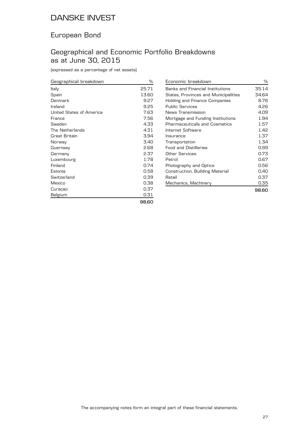### European Bond

### Geographical and Economic Portfolio Breakdowns as at June 30, 2015

(expressed as a percentage of net assets)

| Geographical breakdown   | %     |
|--------------------------|-------|
| Italy                    | 25.71 |
| Spain                    | 13.60 |
| Denmark                  | 9.27  |
| Ireland                  | 9.25  |
| United States of America | 7.63  |
| France                   | 7.56  |
| Sweden                   | 4.33  |
| The Netherlands          | 4.31  |
| Great Britain            | 3.94  |
| Norway                   | 3.40  |
| Guernsey                 | 2.68  |
| Germany                  | 2.37  |
| Luxembourg               | 1.78  |
| Finland                  | 0.74  |
| Estonia                  | 0.58  |
| Switzerland              | 0.39  |
| Mexico                   | 0.38  |
| Curaçao                  | 0.37  |
| Belgium                  | 0.31  |
|                          | oo oc |

| Economic breakdown                   | ℅     |
|--------------------------------------|-------|
| Banks and Financial Institutions     | 35.14 |
| States, Provinces and Municipalities | 34.64 |
| Holding and Finance Companies        | 8.76  |
| <b>Public Services</b>               | 4.26  |
| News Transmission                    | 4.09  |
| Mortgage and Funding Institutions    | 1.94  |
| <b>Pharmaceuticals and Cosmetics</b> | 1.57  |
| Internet Software                    | 1.42  |
| Insurance                            | 1.37  |
| Transportation                       | 1.34  |
| Food and Distilleries                | 0.99  |
| Other Services                       | 0.73  |
| Petrol                               | 0.67  |
| Photography and Optics               | 0.56  |
| Construction, Building Material      | 0.40  |
| Retail                               | 0.37  |
| Mechanics, Machinery                 | 0.35  |
|                                      | 98,60 |

**98.60**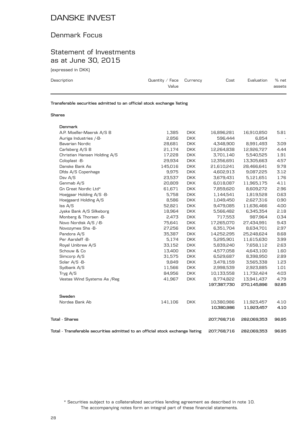#### Denmark Focus

#### Statement of Investments as at June 30, 2015

(expressed in DKK)

| Description | Quantity / Face $C$ urrency<br>Value | Cost | Evaluation | % net<br>assets |
|-------------|--------------------------------------|------|------------|-----------------|
|             |                                      |      |            |                 |

**Transferable securities admitted to an official stock exchange listing**

#### **Shares**

| Denmark                                                                        |         |            |             |             |       |
|--------------------------------------------------------------------------------|---------|------------|-------------|-------------|-------|
| A.P. Moeller-Maersk A/S B                                                      | 1,385   | <b>DKK</b> | 16,896,281  | 16,910,850  | 5.81  |
| Auriga Industries /-B-                                                         | 2,856   | <b>DKK</b> | 596,444     | 6,854       |       |
| Bavarian Nordic                                                                | 28,681  | <b>DKK</b> | 4,348,900   | 8,991,493   | 3.09  |
| Carlsberg A/S B                                                                | 21,174  | <b>DKK</b> | 12,264,838  | 12,926,727  | 4.44  |
| Christian Hansen Holding A/S                                                   | 17,228  | <b>DKK</b> | 3,701,140   | 5,540,525   | 1.91  |
| Coloplast -B-                                                                  | 29,934  | <b>DKK</b> | 12,356,691  | 13,305,663  | 4.57  |
| Danske Bank As                                                                 | 145,016 | <b>DKK</b> | 21,610,241  | 28,466,641  | 9.78  |
| Dfds A/S Copenhage                                                             | 9,975   | <b>DKK</b> | 4,602,913   | 9,087,225   | 3.12  |
| Dsv A/S                                                                        | 23,537  | <b>DKK</b> | 3,679,431   | 5,121,651   | 1.76  |
| Genmab A/S                                                                     | 20,809  | <b>DKK</b> | 6,018,087   | 11,965,175  | 4.11  |
| Gn Great Nordic Ltd*                                                           | 61,671  | <b>DKK</b> | 7,859,620   | 8,609,272   | 2.96  |
| Hoejgaar Holding A/S -B-                                                       | 5,758   | <b>DKK</b> | 1,144,541   | 1,819,528   | 0.63  |
| Hoejgaard Holding A/S                                                          | 8,586   | <b>DKK</b> | 1,049,450   | 2,627,316   | 0.90  |
| Iss A/S                                                                        | 52,821  | <b>DKK</b> | 9,479,085   | 11,636,466  | 4.00  |
| Jyske Bank A/S Silkeborg                                                       | 18,964  | <b>DKK</b> | 5,566,482   | 6,345,354   | 2.18  |
| Monberg & Thorsen -B-                                                          | 2,473   | <b>DKK</b> | 717,553     | 987,964     | 0.34  |
| Novo Nordisk A/S /-B-                                                          | 75,641  | <b>DKK</b> | 17,265,070  | 27,434,991  | 9.43  |
| Novozymes Shs -B-                                                              | 27,256  | <b>DKK</b> | 6,351,704   | 8,634,701   | 2.97  |
| Pandora A/S                                                                    | 35,387  | <b>DKK</b> | 14,252,295  | 25,248,624  | 8.68  |
| Per Aarsleff -B-                                                               | 5,174   | <b>DKK</b> | 5,295,901   | 11,615,630  | 3.99  |
| Royal Unibrew A/S                                                              | 33,152  | <b>DKK</b> | 5,839,240   | 7,658,112   | 2.63  |
| Schouw & Co                                                                    | 13,400  | <b>DKK</b> | 4,577,058   | 4,643,100   | 1.60  |
| Simcorp A/S                                                                    | 31,575  | <b>DKK</b> | 6,529,687   | 8,398,950   | 2.89  |
| Solar A/S -B-                                                                  | 9,849   | <b>DKK</b> | 3,478,159   | 3,565,338   | 1.23  |
| Sydbank A/S                                                                    | 11,566  | <b>DKK</b> | 2,998,539   | 2,923,885   | 1.01  |
| Tryg A/S                                                                       | 84,956  | <b>DKK</b> | 10,133,558  | 11,732,424  | 4.03  |
| Vestas Wind Systems As / Reg                                                   | 41,967  | <b>DKK</b> | 8,774,822   | 13,941,437  | 4.79  |
|                                                                                |         |            | 197,387,730 | 270,145,896 | 92.85 |
| Sweden                                                                         |         |            |             |             |       |
| Nordea Bank Ab                                                                 | 141,106 | <b>DKK</b> | 10,380,986  | 11,923,457  | 4.10  |
|                                                                                |         |            | 10,380,986  | 11,923,457  | 4.10  |
| <b>Total - Shares</b>                                                          |         |            | 207,768,716 | 282,069,353 | 96.95 |
| Total - Transferable securities admitted to an official stock exchange listing |         |            | 207,768,716 | 282,069,353 | 96.95 |

The accompanying notes form an integral part of these financial statements. \* Securities subject to a collateralized securities lending agreement as described in note 10.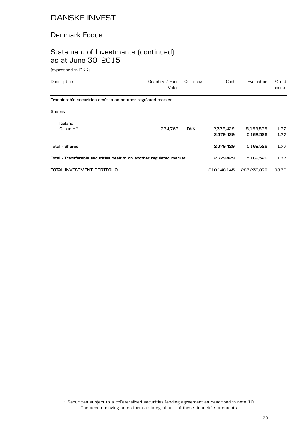### Denmark Focus

### Statement of Investments (continued) as at June 30, 2015

(expressed in DKK)

| Description                                                          | Quantity $\angle$ Face<br>Value | Currency   | Cost                   | Evaluation             | % net<br>assets |
|----------------------------------------------------------------------|---------------------------------|------------|------------------------|------------------------|-----------------|
| Transferable securities dealt in on another regulated market         |                                 |            |                        |                        |                 |
| Shares                                                               |                                 |            |                        |                        |                 |
| Iceland<br>Ossur Hf*                                                 | 224.762                         | <b>DKK</b> | 2,379,429<br>2,379,429 | 5,169,526<br>5,169,526 | 1.77<br>1.77    |
| Total - Shares                                                       |                                 |            | 2,379,429              | 5,169,526              | 1.77            |
| Total - Transferable securities dealt in on another regulated market |                                 |            | 2,379,429              | 5,169,526              | 1.77            |
| TOTAL INVESTMENT PORTFOLIO                                           |                                 |            | 210,148,145            | 287,238,879            | 98.72           |

The accompanying notes form an integral part of these financial statements. \* Securities subject to a collateralized securities lending agreement as described in note 10.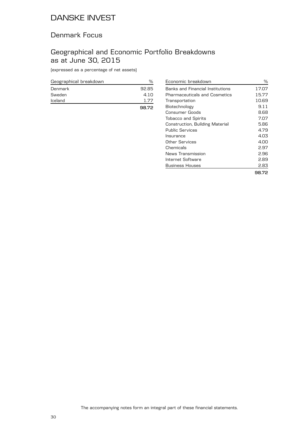#### Denmark Focus

### Geographical and Economic Portfolio Breakdowns as at June 30, 2015

(expressed as a percentage of net assets)

| Geographical breakdown | ℆     |
|------------------------|-------|
| Denmark                | 92.85 |
| Sweden                 | 4.10  |
| Iceland                | 1.77  |
|                        | 98.72 |

| Economic breakdown                      | ℅     |
|-----------------------------------------|-------|
| <b>Banks and Financial Institutions</b> | 17.07 |
| <b>Pharmaceuticals and Cosmetics</b>    | 15.77 |
| Transportation                          | 10.69 |
| Biotechnology                           | 9.11  |
| Consumer Goods                          | 8.68  |
| <b>Tobacco and Spirits</b>              | 7.07  |
| Construction, Building Material         | 5.86  |
| <b>Public Services</b>                  | 4.79  |
| Insurance                               | 4.03  |
| Other Services                          | 4.00  |
| Chemicals                               | 2.97  |
| News Transmission                       | 2.96  |
| Internet Software                       | 2.89  |
| Business Houses                         | 2.83  |
|                                         | 98.72 |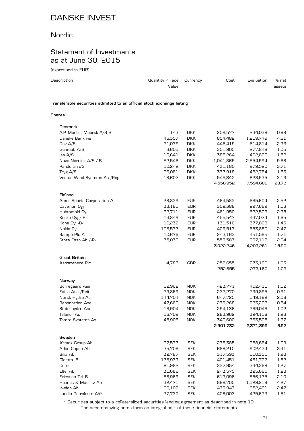### Nordic

### Statement of Investments as at June 30, 2015

(expressed in EUR)

| Description                                                            | Quantity / Face $C$ urrency<br>Value | Cost | Evaluation | $%$ net<br>assets |
|------------------------------------------------------------------------|--------------------------------------|------|------------|-------------------|
| Transferable securities admitted to an official stock exchange listing |                                      |      |            |                   |

#### **Shares**

| Denmark                      |                  |                          |                    |                      |              |
|------------------------------|------------------|--------------------------|--------------------|----------------------|--------------|
| A.P. Moeller-Maersk A/S B    | 143              | <b>DKK</b>               | 209,577            | 234,038              | 0.89         |
| Danske Bank As               | 46,357           | <b>DKK</b>               | 854,482            | 1,219,749            | 4.61         |
| Dsv A/S                      | 21,079           | <b>DKK</b>               | 446,419            | 614,814              | 2.33         |
| Genmab A/S                   | 3,605            | <b>DKK</b>               | 301,905            | 277,848              | 1.05         |
| Iss A/S                      | 13,641           | <b>DKK</b>               | 388,264            | 402,806              | 1.52         |
| Novo Nordisk A/S /-B-        | 52,546           | <b>DKK</b>               | 1,041,865          | 2,554,594            | 9.66         |
| Pandora A/S                  | 10,242           | <b>DKK</b>               | 431,180            | 979,520              | 3.71         |
| Tryg A/S                     | 26,081           | <b>DKK</b>               | 337,918            | 482,784              | 1.83         |
| Vestas Wind Systems As / Reg | 18,607           | <b>DKK</b>               | 545,342            | 828,535              | 3.13         |
|                              |                  |                          | 4,556,952          | 7,594,688            | 28.73        |
| Finland                      |                  |                          |                    |                      |              |
| Amer Sports Corporation A    | 28,839           | <b>EUR</b>               | 464,582            | 665,604              | 2.52         |
| Caverion Oyj                 | 33,185           | <b>EUR</b>               | 302,388            | 297,669              | 1.13         |
| Huhtamaki Oy                 | 22,711           | <b>EUR</b>               | 461,950            | 622,509              | 2.35         |
| Kesko Oyj /-B-               | 13,849           | <b>EUR</b>               | 455,547            | 437,074              | 1.65         |
| Kone Oyj -B-                 | 10,232           | <b>EUR</b>               | 131,516            | 377,868              | 1.43         |
| Nokia Oy                     | 106,577          | <b>EUR</b>               | 409,517            | 653,850              | 2.47         |
| Sampo Plc A                  | 10,676           | <b>EUR</b>               | 243,163            | 451,595              | 1.71         |
| Stora Enso Ab /-R-           | 75,039           | <b>EUR</b>               | 553,583            | 697,112              | 2.64         |
|                              |                  |                          | 3,022,246          | 4,203,281            | 15.90        |
| Great Britain                |                  |                          |                    |                      |              |
| Astrazeneca Plc              | 4,783            | GBP                      | 252,655            | 273,160              | 1.03         |
|                              |                  |                          | 252,655            | 273,160              | 1.03         |
|                              |                  |                          |                    |                      |              |
| Norway<br>Borregaard Asa     | 62,962           | <b>NOK</b>               | 423,771            | 402,411              | 1.52         |
| Entra Asa / Reit             | 29,869           | <b>NOK</b>               | 232,270            | 239,895              | 0.91         |
| Norsk Hydro As               | 144,704          | <b>NOK</b>               | 647,725            | 549,182              | 2.08         |
| Renonorden Asa               | 47,660           | <b>NOK</b>               | 279,268            | 223,202              | 0.84         |
| Statoilhydro Asa             | 16,904           | <b>NOK</b>               | 294,136            | 269,046              | 1.02         |
| Telenor As                   | 16,709           | <b>NOK</b>               | 283,962            | 324,158              | 1.23         |
| Tomra Systems As             | 45,906           | <b>NOK</b>               | 340,600            | 363,505              | 1.37         |
|                              |                  |                          | 2,501,732          | 2,371,399            | 8.97         |
|                              |                  |                          |                    |                      |              |
| Sweden                       |                  |                          |                    |                      |              |
| Alimak Group Ab              | 27,577           | <b>SEK</b>               | 278,385            | 288,664              | 1.09         |
| Atlas Copco Ab               | 35,706           | <b>SEK</b>               | 688,210            | 902,434              | 3.41         |
| Bilia Ab                     | 32,787           | <b>SEK</b>               | 317,593            | 510,355              | 1.93         |
| Cloetta -B-                  | 176,933          | <b>SEK</b>               | 401,451            | 481,727              | 1.82         |
| Coor                         | 81,982           | <b>SEK</b>               | 337,954            | 334,368              | 1.27         |
| Eltel Ab<br>Ericsson Tel. B  | 31,686           | <b>SEK</b>               | 243,575<br>613,096 | 325,660              | 1.23         |
| Hennes & Mauritz Ab          | 58,969<br>32,471 | <b>SEK</b><br><b>SEK</b> | 889,705            | 556,175<br>1,129,218 | 2.10<br>4.27 |
| Inwido Ab                    | 66,102           | SEK                      | 479,947            | 652,491              | 2.47         |
| Lundin Petroleum Ab*         | 27,730           | <b>SEK</b>               | 408,003            | 425,623              | 1.61         |
|                              |                  |                          |                    |                      |              |

The accompanying notes form an integral part of these financial statements. \* Securities subject to a collateralized securities lending agreement as described in note 10.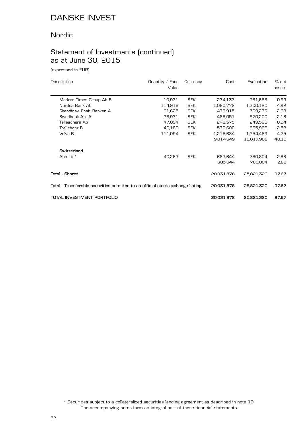#### Nordic

# Statement of Investments (continued) as at June 30, 2015

(expressed in EUR)

| Description                                                                    | Quantity $\angle$ Face<br>Value | Currency   | Cost       | Evaluation | % net<br>assets |
|--------------------------------------------------------------------------------|---------------------------------|------------|------------|------------|-----------------|
| Modern Times Group Ab B                                                        | 10,931                          | <b>SEK</b> | 274,133    | 261,686    | 0.99            |
| Nordea Bank Ab                                                                 | 114,916                         | <b>SEK</b> | 1,080,772  | 1,300,120  | 4.92            |
| Skandinav, Ensk, Banken A                                                      | 61,625                          | <b>SEK</b> | 479,915    | 709,236    | 2.68            |
| Swedbank Ab -A-                                                                | 26,971                          | <b>SEK</b> | 486,051    | 570,200    | 2.16            |
| Teliasonera Ab                                                                 | 47,094                          | <b>SEK</b> | 248,575    | 249,596    | 0.94            |
| Trelleborg B                                                                   | 40,180                          | <b>SEK</b> | 570,600    | 665,966    | 2.52            |
| Volvo B                                                                        | 111,094                         | <b>SEK</b> | 1,216,684  | 1,254,469  | 4.75            |
|                                                                                |                                 |            | 9,014,649  | 10,617,988 | 40.16           |
| Switzerland                                                                    |                                 |            |            |            |                 |
| Abb Ltd*                                                                       | 40,263                          | <b>SEK</b> | 683,644    | 760,804    | 2.88            |
|                                                                                |                                 |            | 683,644    | 760,804    | 2.88            |
| Total - Shares                                                                 |                                 |            | 20,031,878 | 25,821,320 | 97.67           |
| Total - Transferable securities admitted to an official stock exchange listing |                                 |            | 20,031,878 | 25,821,320 | 97.67           |
| TOTAL INVESTMENT PORTFOLIO                                                     |                                 |            | 20,031,878 | 25,821,320 | 97.67           |

The accompanying notes form an integral part of these financial statements. \* Securities subject to a collateralized securities lending agreement as described in note 10.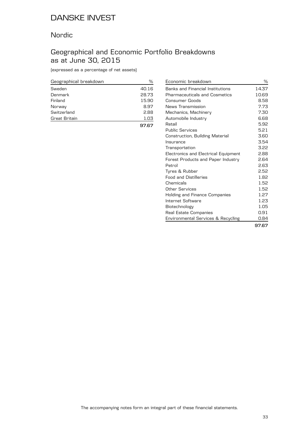#### Nordic

### Geographical and Economic Portfolio Breakdowns as at June 30, 2015

(expressed as a percentage of net assets)

| Geographical breakdown | ℅     |
|------------------------|-------|
| Sweden                 | 40.16 |
| Denmark                | 28.73 |
| Finland                | 15.90 |
| Norway                 | 8.97  |
| Switzerland            | 2.88  |
| Great Britain          | 1.03  |
|                        | 97.67 |

| Economic breakdown                      | ℅     |
|-----------------------------------------|-------|
| <b>Banks and Financial Institutions</b> | 14.37 |
| <b>Pharmaceuticals and Cosmetics</b>    | 10.69 |
| Consumer Goods                          | 8.58  |
| News Transmission                       | 7.73  |
| Mechanics, Machinery                    | 7.30  |
| Automobile Industry                     | 6.68  |
| Retail                                  | 5.92  |
| <b>Public Services</b>                  | 5.21  |
| Construction, Building Material         | 3.60  |
| Insurance                               | 3.54  |
| Transportation                          | 3.22  |
| Electronics and Electrical Equipment    | 2.88  |
| Forest Products and Paper Industry      | 2.64  |
| Petrol                                  | 2.63  |
| Tyres & Rubber                          | 2.52  |
| <b>Food and Distilleries</b>            | 1.82  |
| Chemicals                               | 1.52  |
| Other Services                          | 1.52  |
| Holding and Finance Companies           | 1.27  |
| Internet Software                       | 1.23  |
| Biotechnology                           | 1.05  |
| Real Estate Companies                   | 0.91  |
| Environmental Services & Recycling      | 0.84  |
|                                         | 97.67 |

The accompanying notes form an integral part of these financial statements.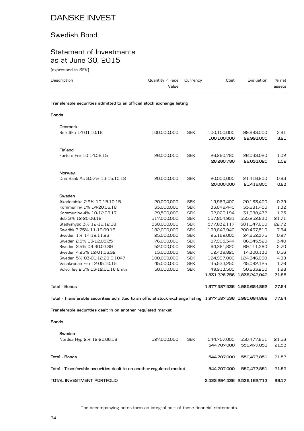#### Swedish Bond

### Statement of Investments as at June 30, 2015

(expressed in SEK)

| Description | Quantity / Face $C$ urrency<br>Value | Cost | Evaluation | $%$ net<br>assets |
|-------------|--------------------------------------|------|------------|-------------------|

#### **Bonds**

| Denmark<br>RelkdtFn 14-01.10.16                                                                                                                                                                                                                                                                                                                                                          | 100,000,000                                                                                                                                                                            | <b>SEK</b>                                                                                                                                                                         | 100,100,000<br>100,100,000                                                                                                                                                             | 99,993,000<br>99,993,000                                                                                                                                                                                              | 3.91<br>3.91                                                                                                    |
|------------------------------------------------------------------------------------------------------------------------------------------------------------------------------------------------------------------------------------------------------------------------------------------------------------------------------------------------------------------------------------------|----------------------------------------------------------------------------------------------------------------------------------------------------------------------------------------|------------------------------------------------------------------------------------------------------------------------------------------------------------------------------------|----------------------------------------------------------------------------------------------------------------------------------------------------------------------------------------|-----------------------------------------------------------------------------------------------------------------------------------------------------------------------------------------------------------------------|-----------------------------------------------------------------------------------------------------------------|
| Finland<br>Fortum Frn 10-14.09.15                                                                                                                                                                                                                                                                                                                                                        | 26,000,000                                                                                                                                                                             | <b>SEK</b>                                                                                                                                                                         | 26,260,780<br>26,260,780                                                                                                                                                               | 26,033,020<br>26,033,020                                                                                                                                                                                              | 1.02<br>1.02                                                                                                    |
| Norway<br>Dnb Bank As 3.07% 13-15.10.18                                                                                                                                                                                                                                                                                                                                                  | 20,000,000                                                                                                                                                                             | <b>SEK</b>                                                                                                                                                                         | 20,000,000<br>20,000,000                                                                                                                                                               | 21,416,800<br>21,416,800                                                                                                                                                                                              | 0.83<br>0.83                                                                                                    |
| Sweden<br>Akademiska 2.9% 10-15.10.15<br>Kommuniny 1% 14-20.06.18<br>Kommuniny 4% 10-12.08.17<br>Seb 3% 12-20.06.18<br>Stadyshypo 3% 12-19.12.18<br>Swedbk 3.75% 11-19.09.18<br>Sweden 1% 14-12.11.26<br>Sweden 2.5% 13-12.05.25<br>Sweden 3.5% 09-30.03.39<br>Sweden 4.25% 12-01.06.32<br>Sweden 5% 03-01.12.20 S.1047<br>Vasakronan Frn 12-05.10.15<br>Volvo Tsy 2.5% 13-12.01.16 Emtn | 20,000,000<br>33,000,000<br>29,500,000<br>517,000,000<br>538,000,000<br>182,000,000<br>25,000,000<br>76,000,000<br>52,000,000<br>13,000,000<br>100,000,000<br>45,000,000<br>50,000,000 | <b>SEK</b><br><b>SEK</b><br><b>SEK</b><br><b>SEK</b><br><b>SEK</b><br><b>SEK</b><br><b>SEK</b><br><b>SEK</b><br><b>SEK</b><br><b>SEK</b><br><b>SEK</b><br><b>SEK</b><br><b>SEK</b> | 19,963,400<br>33,649,440<br>32,020,194<br>557,804,931<br>577,832,117<br>199,643,940<br>25,162,000<br>87,905,344<br>64,361,820<br>12,439,820<br>124,997,000<br>45,533,250<br>49,913,500 | 20,163,400<br>33,681,450<br>31,988,472<br>555,252,830<br>581,147,600<br>200,437,510<br>24,652,375<br>86,945,520<br>69,111,380<br>14,300,130<br>124,846,000<br>45,082,125<br>50,633,250<br>1,831,226,756 1,838,242,042 | 0.79<br>1.32<br>1.25<br>21.71<br>22.72<br>7.84<br>0.97<br>3.40<br>2.70<br>0.56<br>4.88<br>1.76<br>1.98<br>71.88 |
| <b>Total - Bonds</b>                                                                                                                                                                                                                                                                                                                                                                     |                                                                                                                                                                                        |                                                                                                                                                                                    |                                                                                                                                                                                        | 1,977,587,536 1,985,684,862                                                                                                                                                                                           | 77.64                                                                                                           |
| Total - Transferable securities admitted to an official stock exchange listing 1,977,587,536 1,985,684,862                                                                                                                                                                                                                                                                               |                                                                                                                                                                                        |                                                                                                                                                                                    |                                                                                                                                                                                        |                                                                                                                                                                                                                       | 77.64                                                                                                           |
| Transferable securities dealt in on another regulated market                                                                                                                                                                                                                                                                                                                             |                                                                                                                                                                                        |                                                                                                                                                                                    |                                                                                                                                                                                        |                                                                                                                                                                                                                       |                                                                                                                 |
| <b>Bonds</b>                                                                                                                                                                                                                                                                                                                                                                             |                                                                                                                                                                                        |                                                                                                                                                                                    |                                                                                                                                                                                        |                                                                                                                                                                                                                       |                                                                                                                 |
| Sweden<br>Nordea Hyp 2% 12-20.06.18                                                                                                                                                                                                                                                                                                                                                      | 527,000,000                                                                                                                                                                            | <b>SEK</b>                                                                                                                                                                         | 544,707,000<br>544,707,000                                                                                                                                                             | 550,477,851<br>550,477,851                                                                                                                                                                                            | 21.53<br>21.53                                                                                                  |
| <b>Total - Bonds</b>                                                                                                                                                                                                                                                                                                                                                                     |                                                                                                                                                                                        |                                                                                                                                                                                    | 544,707,000                                                                                                                                                                            | 550,477,851                                                                                                                                                                                                           | 21.53                                                                                                           |
| Total - Transferable securities dealt in on another regulated market                                                                                                                                                                                                                                                                                                                     |                                                                                                                                                                                        |                                                                                                                                                                                    | 544,707,000                                                                                                                                                                            | 550,477,851                                                                                                                                                                                                           | 21.53                                                                                                           |

**TOTAL INVESTMENT PORTFOLIO 2,522,294,536 2,536,162,713 99.17**

The accompanying notes form an integral part of these financial statements.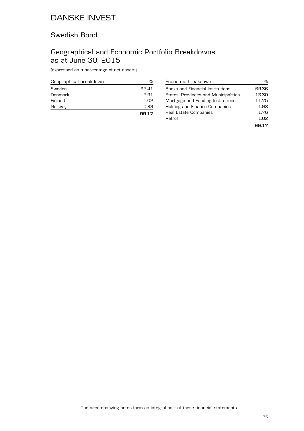### Swedish Bond

### Geographical and Economic Portfolio Breakdowns as at June 30, 2015

(expressed as a percentage of net assets)

| Geographical breakdown | %     |
|------------------------|-------|
| Sweden                 | 93.41 |
| Denmark                | 3.91  |
| Finland                | 1.02  |
| Norway                 | 0.83  |
|                        | 99.17 |

| Economic breakdown                      | %     |
|-----------------------------------------|-------|
| <b>Banks and Financial Institutions</b> | 69.36 |
| States, Provinces and Municipalities    | 13.30 |
| Mortgage and Funding Institutions       | 11.75 |
| Holding and Finance Companies           | 1.98  |
| Real Estate Companies                   | 1.76  |
| Petrol                                  | 1.02  |
|                                         | 9917  |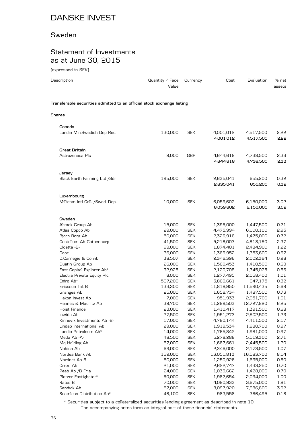#### Sweden

### Statement of Investments as at June 30, 2015

| (expressed in SEK)                                                     |                          |                          |                        |                        |                 |
|------------------------------------------------------------------------|--------------------------|--------------------------|------------------------|------------------------|-----------------|
| Description                                                            | Quantity / Face<br>Value | Currency                 | Cost                   | Evaluation             | % net<br>assets |
| Transferable securities admitted to an official stock exchange listing |                          |                          |                        |                        |                 |
| Shares                                                                 |                          |                          |                        |                        |                 |
| Canada                                                                 |                          |                          |                        |                        |                 |
| Lundin Min.Swedish Dep Rec.                                            | 130,000                  | <b>SEK</b>               | 4,001,012<br>4,001,012 | 4,517,500<br>4,517,500 | 5.55<br>2.22    |
| <b>Great Britain</b>                                                   |                          |                          |                        |                        |                 |
| Astrazeneca Plc                                                        | 9,000                    | <b>GBP</b>               | 4,644,618<br>4,644,618 | 4,738,500<br>4,738,500 | 2.33<br>2.33    |
| Jersey                                                                 |                          |                          |                        |                        |                 |
| Black Earth Farming Ltd /Sdr                                           | 195,000                  | <b>SEK</b>               | 2,635,041<br>2,635,041 | 655,200<br>655,200     | 0.32<br>0.32    |
| Luxembourg                                                             |                          |                          |                        |                        |                 |
| Millicom Intl Cell. / Swed. Dep.                                       | 10,000                   | <b>SEK</b>               | 6,059,602<br>6,059,602 | 6,150,000<br>6,150,000 | 3.02<br>3.02    |
| Sweden                                                                 |                          |                          |                        |                        |                 |
| Alimak Group Ab                                                        | 15,000                   | <b>SEK</b>               | 1,395,000              | 1,447,500              | 0.71            |
| Atlas Copco Ab                                                         | 29,000                   | <b>SEK</b>               | 4,475,994              | 6,000,100              | 2.95            |
| Bjorn Borg Ab                                                          | 50,000                   | <b>SEK</b>               | 2,326,916              | 1,475,000              | 0.72            |
| Castellum Ab Gothenburg                                                | 41,500                   | <b>SEK</b>               | 5,218,007              | 4,818,150              | 2.37            |
| Cloetta -B-                                                            | 99,000                   | <b>SEK</b>               | 1,874,401              | 2,484,900              | 1.22            |
| Coor                                                                   | 36,000                   | <b>SEK</b>               | 1,369,952              | 1,353,600              | 0.67            |
| D.Carnegie & Co Ab                                                     | 38,507                   | <b>SEK</b>               | 2,346,396              | 2,002,364              | 0.98            |
| Dustin Group Ab<br>East Capital Explorer Ab*                           | 26,000<br>32,925         | <b>SEK</b><br><b>SEK</b> | 1,560,453<br>2,120,708 | 1,410,500<br>1,745,025 | 0.69<br>0.86    |
| Electra Private Equity Plc                                             | 8,000                    | <b>SEK</b>               | 1,277,495              | 2,058,400              | 1.01            |
| Eniro Ab*                                                              | 567,200                  | <b>SEK</b>               | 3,860,661              | 647,175                | 0.32            |
| Ericsson Tel. B                                                        | 133,300                  | <b>SEK</b>               | 11,818,950             | 11,590,435             | 5.69            |
| Granges Ab                                                             | 25,000                   | <b>SEK</b>               | 1,658,734              | 1,487,500              | 0.73            |
| Hakon Invest Ab                                                        | 7,000                    | SEK                      | 951,933                | 2,051,700              | 1.01            |
| Hennes & Mauritz Ab                                                    | 39,700                   | <b>SEK</b>               | 11,289,503             | 12,727,820             | 6.25            |
| Hoist Finance                                                          | 23,000                   | <b>SEK</b>               | 1,410,417              | 1,391,500              | 0.68            |
| Inwido Ab                                                              | 27,500                   | <b>SEK</b>               | 1,951,273              | 2,502,500              | 1.23            |
| Kinnevik Investments Ab -B-                                            | 17,000                   | <b>SEK</b>               | 4,780,144              | 4,411,500              | 2.17            |
| Lindab International Ab                                                | 29,000                   | <b>SEK</b>               | 1,919,534              | 1,980,700              | 0.97            |
| Lundin Petroleum Ab*                                                   | 14,000                   | <b>SEK</b>               | 1,765,842              | 1,981,000              | 0.97            |
| Meda Ab -A-                                                            | 48,500                   | <b>SEK</b>               | 5,278,288              | 5,519,300              | 2.71            |
| Mq Holding Ab                                                          | 67,000                   | <b>SEK</b>               | 1,667,661              | 2,445,500              | 1.20            |
| Nobina Ab                                                              | 69,000                   | <b>SEK</b>               | 2,346,000              | 2,173,500              | 1.07            |
| Nordea Bank Ab                                                         | 159,000                  | <b>SEK</b>               | 13,051,813             | 16,583,700             | 8.14            |
| Nordnet Ab B                                                           | 50,000                   | <b>SEK</b>               | 1,250,926              | 1,635,000              | 0.80            |
| Orexo Ab                                                               | 21,000                   | <b>SEK</b>               | 2,622,747              | 1,433,250              | 0.70            |
| Peab Ab /B Fria                                                        | 24,000                   | <b>SEK</b>               | 1,039,662              | 1,428,000              | 0.70            |
| Platzer Fastigheter*                                                   | 60,000                   | <b>SEK</b>               | 1,987,654              | 2,034,000              | 1.00            |

The accompanying notes form an integral part of these financial statements. \* Securities subject to a collateralized securities lending agreement as described in note 10.

Ratos B 70,000 SEK 4,080,933 3,675,000 1.81 Sandvik Ab 87,000 SEK 8,097,920 7,986,600 3.92 Seamless Distribution Ab\* 46,100 SEK 983,558 366,495 0.18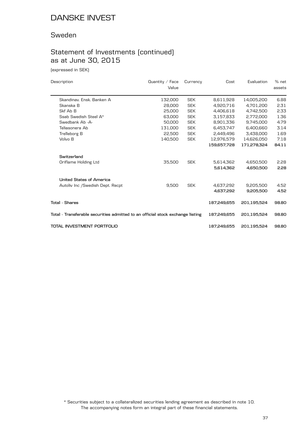#### Sweden

# Statement of Investments (continued) as at June 30, 2015

(expressed in SEK)

| Description                                                                    | Quantity / Face | Currency   | Cost        | Evaluation  | % net  |
|--------------------------------------------------------------------------------|-----------------|------------|-------------|-------------|--------|
|                                                                                | Value           |            |             |             | assets |
| Skandinav, Ensk, Banken A                                                      | 132,000         | <b>SEK</b> | 8,611,928   | 14,005,200  | 6.88   |
| Skanska B                                                                      | 28,000          | <b>SEK</b> | 4.920.716   | 4.701.200   | 2.31   |
| Skf Ab B                                                                       | 25,000          | <b>SEK</b> | 4,406,618   | 4,742,500   | 2.33   |
| Ssab Swedish Steel A*                                                          | 63,000          | <b>SEK</b> | 3,157,833   | 2,772,000   | 1.36   |
| Swedbank Ab -A-                                                                | 50,000          | <b>SEK</b> | 8,901,336   | 9,745,000   | 4.79   |
| Teliasonera Ab                                                                 | 131,000         | <b>SEK</b> | 6,453,747   | 6,400,660   | 3.14   |
| Trelleborg B                                                                   | 22,500          | <b>SEK</b> | 2,449,496   | 3,438,000   | 1.69   |
| Volvo B                                                                        | 140,500         | <b>SEK</b> | 12,976,579  | 14,626,050  | 7.18   |
|                                                                                |                 |            | 159,657,728 | 171,278,324 | 84.11  |
| Switzerland                                                                    |                 |            |             |             |        |
| Oriflame Holding Ltd                                                           | 35,500          | <b>SEK</b> | 5,614,362   | 4,650,500   | 2.28   |
|                                                                                |                 |            | 5,614,362   | 4,650,500   | 2.28   |
| United States of America                                                       |                 |            |             |             |        |
| Autoliv Inc / Swedish Dept. Recpt                                              | 9,500           | <b>SEK</b> | 4,637,292   | 9,205,500   | 4.52   |
|                                                                                |                 |            | 4,637,292   | 9,205,500   | 4.52   |
| Total - Shares                                                                 |                 |            | 187,249,655 | 201,195,524 | 98.80  |
| Total - Transferable securities admitted to an official stock exchange listing |                 |            | 187,249,655 | 201,195,524 | 98.80  |
| TOTAL INVESTMENT PORTFOLIO                                                     |                 |            | 187,249,655 | 201,195,524 | 98.80  |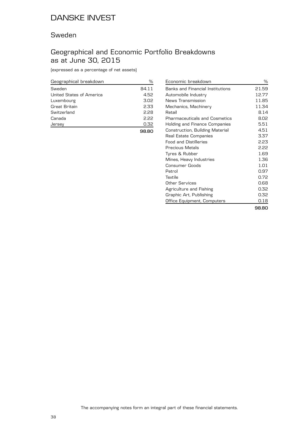### Sweden

### Geographical and Economic Portfolio Breakdowns as at June 30, 2015

| Geographical breakdown   | %     |
|--------------------------|-------|
| Sweden                   | 84.11 |
| United States of America | 4.52  |
| Luxembourg               | 3.02  |
| Great Britain            | 2.33  |
| Switzerland              | 2.28  |
| Canada                   | 2.22  |
| Jersev                   | 0.32  |
|                          |       |

| Economic breakdown                      | ℅     |
|-----------------------------------------|-------|
| <b>Banks and Financial Institutions</b> | 21.59 |
| Automobile Industry                     | 12.77 |
| News Transmission                       | 11.85 |
| Mechanics, Machinery                    | 11.34 |
| Retail                                  | 8.14  |
| <b>Pharmaceuticals and Cosmetics</b>    | 8.02  |
| <b>Holding and Finance Companies</b>    | 5.51  |
| Construction, Building Material         | 4.51  |
| Real Estate Companies                   | 3.37  |
| <b>Food and Distilleries</b>            | 2.23  |
| Precious Metals                         | 2.22  |
| Tyres & Rubber                          | 1.69  |
| Mines, Heavy Industries                 | 1.36  |
| Consumer Goods                          | 1.01  |
| Petrol                                  | 0.97  |
| Textile                                 | 0.72  |
| Other Services                          | 0.68  |
| Agriculture and Fishing                 | 0.32  |
| Graphic Art, Publishing                 | 0.32  |
| Office Equipment, Computers             | 0.18  |
|                                         | 98.80 |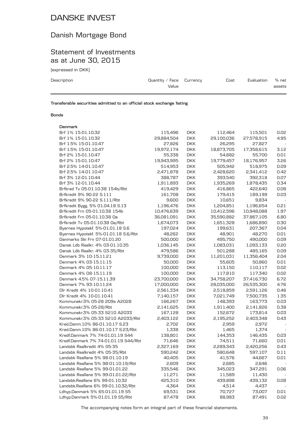# Danish Mortgage Bond

### Statement of Investments as at June 30, 2015

(expressed in DKK)

| Description | Quantity / Face $C$ urrency<br>Value | Cost | Evaluation | % net<br>assets |
|-------------|--------------------------------------|------|------------|-----------------|
|             |                                      |      |            |                 |

**Transferable securities admitted to an official stock exchange listing**

#### **Bonds**

| Denmark                                                                |            |            |            |            |      |
|------------------------------------------------------------------------|------------|------------|------------|------------|------|
| Brf 1% 15-01.10.32                                                     | 115,496    | <b>DKK</b> | 112,464    | 115,501    | 0.02 |
| Brf 1% 15-01.10.32                                                     | 29,884,504 | <b>DKK</b> | 29,100,036 | 27,578,915 | 4.95 |
| Brf 1.5% 15-01.10.47                                                   | 27,826     | <b>DKK</b> | 26,295     | 27,827     |      |
| Brf 1.5% 15-01.10.47                                                   | 19,972,174 | <b>DKK</b> | 18,873,705 | 17,358,615 | 3.12 |
| Brf 2% 15-01.10.47                                                     | 55,338     | <b>DKK</b> | 54,882     | 55,700     | 0.01 |
| Brf 2% 15-01.10.47                                                     | 19,943,995 | <b>DKK</b> | 19,779,457 | 18,176,957 | 3.26 |
| Brf 2.5% 14-01.10.47                                                   | 514,953    | <b>DKK</b> | 505,942    | 518,975    | 0.09 |
| Brf 2.5% 14-01.10.47                                                   | 2,471,878  | <b>DKK</b> | 2,428,620  | 2,341,412  | 0.42 |
| Brf 3% 12-01.10.44                                                     | 388,787    | <b>DKK</b> | 393,540    | 392,318    | 0.07 |
| Brf 3% 12-01.10.44                                                     | 1,911,893  | <b>DKK</b> | 1,935,269  | 1,878,435  | 0.34 |
| Brfkred Tv 05-01.10.38 154b/Rbt                                        | 419,429    | <b>DKK</b> | 416,865    | 422,640    | 0.08 |
| Brfkredit 9% 90-22 S.111                                               | 161,708    | <b>DKK</b> | 179,415    | 189,199    | 0.03 |
| Brfkredit 9% 90-22 S.111/Rbt                                           | 9,600      | <b>DKK</b> | 10,651     | 9,834      |      |
| Brfkredit Bygg. 5% 01.04.18 S.13                                       | 1,196,476  | <b>DKK</b> | 1,204,851  | 1,196,654  | 0.21 |
| Brfkredit Frn 05-01.10.38 154b                                         | 10,476,639 | <b>DKK</b> | 10,412,596 | 10,948,088 | 1.97 |
| Brfkredit Frn 05-01.10.38 Oa                                           | 36,081,091 | <b>DKK</b> | 35,590,882 | 37,867,105 | 6.80 |
| Brfkredit Tv 05-01.10.38 Oa/Rbt                                        | 1,674,073  | <b>DKK</b> | 1,651,328  | 1,686,890  | 0.30 |
| Byernes Hypotekf. 5%-01.01.18 S.6                                      | 197,024    | <b>DKK</b> | 199,631    | 207,367    | 0.04 |
| Byernes Hypotekf. 5%-01.01.18 S.6/Rbt                                  | 48,262     | <b>DKK</b> | 48,901     | 48,270     | 0.01 |
| Danmarks Ski Frn 07-01.01.20                                           | 500,000    | <b>DKK</b> | 495,750    | 490,000    | 0.09 |
| Dansk Ldb Realkr. 4% 03-01.10.35                                       | 1,036,145  | <b>DKK</b> | 1,083,031  | 1,093,133  | 0.20 |
| Dansk Ldb Realkr. 4% 03-35/Rbt                                         | 479,586    | <b>DKK</b> | 501,288    | 485,165    | 0.09 |
| Denmark 3% 10-15.11.21                                                 | 9,739,000  | <b>DKK</b> | 11,201,031 | 11,356,404 | 2.04 |
| Denmark 4% 03-15.11.15                                                 | 50,000     | <b>DKK</b> | 55,605     | 50,860     | 0.01 |
| Denmark 4% 05-10.11.17                                                 | 100,000    | <b>DKK</b> | 113,150    | 110,117    | 0.02 |
| Denmark 4% 08-15.11.19                                                 | 100,000    | <b>DKK</b> | 117,810    | 117,340    | 0.02 |
| Denmark 4.5% 07-15.11.39                                               | 23,700,000 | <b>DKK</b> | 34,758,207 | 37,416,730 | 6.72 |
| Denmark 7% 93-10.11.24                                                 | 17,000,000 | <b>DKK</b> | 28,035,000 | 26,535,300 | 4.76 |
| Dlr Kredit 4% 10-01.10.41                                              | 2,561,334  | <b>DKK</b> | 2,518,859  | 2,591,126  | 0.46 |
| Dlr Kredit 4% 10-01.10.41                                              | 7,140,157  | <b>DKK</b> | 7,021,749  | 7,500,735  | 1.35 |
| Kommunekr.3% 05-28 209s A2028                                          | 166,267    | <b>DKK</b> | 148,393    | 163,773    | 0.03 |
| Kommunekr.3% 05-28/Rbt                                                 | 2,141,625  | <b>DKK</b> | 1,911,400  | 2,141,826  | 0.38 |
| Kommunekr.3% 05-33 S210 A2033                                          | 167,128    | <b>DKK</b> | 152,672    | 173,814    | 0.03 |
| Kommunekr.3% 05-33 S210 A2033/Rbt                                      | 2,403,122  | <b>DKK</b> | 2,195,252  | 2,403,348  | 0.43 |
| Kred.Danm.10% 86-01.10.17 S.23                                         | 2,702      | <b>DKK</b> | 2,959      | 2,972      |      |
| Kred.Danm.10% 86-01.10.17 S.23/Rbt                                     | 1,338      | <b>DKK</b> | 1,465      | 1,374      |      |
| Kredf.Danmark 7% 74-01.01.19 S44                                       | 138,801    | <b>DKK</b> | 144,353    | 146,435    | 0.03 |
| Kredf.Danmark 7% 74-01.01.19 S44/Rbt                                   | 71,646     | <b>DKK</b> | 74,511     | 71,660     | 0.01 |
| Landsbk Realkredit 4% 05-35                                            | 2,327,169  | <b>DKK</b> | 2,289,343  | 2,420,256  | 0.43 |
| Landsbk Realkredit 4% 05-35/Rbt                                        | 590,242    | <b>DKK</b> | 580,648    | 597,107    | 0.11 |
| Landsbk Reallane 5% 98-01.10.19                                        | 40,405     | <b>DKK</b> | 41,576     | 44,667     | 0.01 |
| Landsbk Reallane 5% 98-01.10.19/Rbt                                    | 2,609      | <b>DKK</b> | 2,685      | 2,646      |      |
| Landsbk Reallane 5% 99-01.01.22                                        | 335,546    | <b>DKK</b> | 345,023    | 347,291    | 0.06 |
| Landsbk Reallane 5% 99-01.01.22/Rbt                                    |            |            | 11,589     |            |      |
|                                                                        | 11,271     | <b>DKK</b> |            | 11,430     |      |
| Landsbk.Reallane 6% 99-01.10.32<br>Landsbk.Reallane 6% 99-01.10.32/Rbt | 425,310    | <b>DKK</b> | 439,898    | 439,132    | 0.08 |
|                                                                        | 4,364      | <b>DKK</b> | 4,514      | 4,437      |      |
| Ldhyp.Danmark 5% 65-01.01.19 S5                                        | 69,531     | <b>DKK</b> | 70,727     | 73,007     | 0.01 |
| Ldhyp.Danmark 5%-01.01.19 S5/Rbt                                       | 87,478     | <b>DKK</b> | 88,983     | 87,491     | 0.02 |

The accompanying notes form an integral part of these financial statements.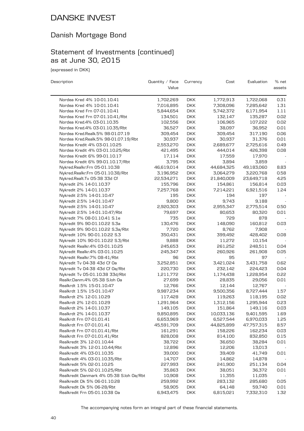### Danish Mortgage Bond

### Statement of Investments (continued) as at June 30, 2015

(expressed in DKK)

| Nordea Kred 4% 10-01.10.41<br>1,702,269<br><b>DKK</b><br>1,772,913<br>1,722,068<br>0.31<br>Nordea Kred 4% 10-01.10.41<br><b>DKK</b><br>7,016,895<br>7,308,096<br>7,285,642<br>1.31<br><b>DKK</b><br>1.11<br>Nordea Kred Frn 07-01.10.41<br>5,844,654<br>5,742,372<br>6,171,954<br>Nordea Kred Frn 07-01.10.41/Rbt<br>134,501<br><b>DKK</b><br>132,147<br>135,287<br>0.02<br><b>DKK</b><br>0.02<br>Nordea Kred.4% 03-01.10.35<br>102,556<br>106,965<br>107,222<br><b>DKK</b><br>0.01<br>Nordea Kred.4% 03-01.10.35/Rbt<br>36,527<br>38,097<br>36,952<br>0.06<br>Nordea Kred.Realk.5% 98-01.07.19<br>309,454<br><b>DKK</b><br>309,454<br>317,190<br>0.01<br>Nordea Kred.Realk.5% 98-01.07.19/Rbt<br>30,937<br><b>DKK</b><br>30,937<br>31,376<br>0.49<br>Nordea Kredit 4% 03-01.10.25<br>2,553,270<br><b>DKK</b><br>2,689,677<br>2,725,616<br>Nordea Kredit 4% 03-01.10.25/Rbt<br><b>DKK</b><br>444,014<br>426,398<br>0.08<br>421,495<br><b>DKK</b><br>17,559<br>17,970<br>Nordea Kredit 6% 99-01.10.17<br>17,114<br>3,795<br><b>DKK</b><br>Nordea Kredit 6% 99-01.10.17/Rbt<br>3,894<br>3,859<br>44,684,325<br>Nykred.Realkr.Frn 05-01.10.38<br>46,619,014<br><b>DKK</b><br>49,183,060<br>8.83<br>Nykred.Realkr.Frn 05-01.10.38/Rbt<br>3,196,952<br><b>DKK</b><br>3,064,279<br>3,220,768<br>0.58<br><b>DKK</b><br>4.25<br>Nykred.Realt.Tv 05-38 33d Cf<br>22,534,271<br>21,840,009<br>23,649,718<br>0.03<br>Nykredit 2% 14-01.10.37<br>155,796<br><b>DKK</b><br>154,861<br>156,814<br><b>DKK</b><br>1.24<br>Nykredit 2% 14-01.10.37<br>7,257,768<br>7,214,221<br>6,921,516<br><b>DKK</b><br>Nykredit 2.5% 14-01.10.47<br>195<br>197<br>194<br>Nykredit 2.5% 14-01.10.47<br>9,800<br><b>DKK</b><br>9,743<br>9,188<br>2,920,303<br>2,955,347<br>2,775,514<br>Nykredit 2.5% 14-01.10.47<br><b>DKK</b><br>0.50<br>79,697<br><b>DKK</b><br>0.01<br>Nykredit 2.5% 14-01.10.47/Rbt<br>80,653<br>80,320<br>Nykredit 7% 08-01.10.41 S.1e<br>735<br><b>DKK</b><br>729<br>878<br><b>DKK</b><br>Nykredit 9% 90-01.10.22 S.3a<br>130,476<br>148,090<br>160,812<br>0.03<br>7,720<br><b>DKK</b><br>Nykredit 9% 90-01.10.22 S.3a/Rbt<br>8,762<br>7,908<br>Nykredit 10% 90-01.10.22 S.3<br>350,431<br><b>DKK</b><br>399,492<br>428,402<br>0.08<br>Nykredit 10% 90-01.10.22 S.3/Rbt<br>9,888<br><b>DKK</b><br>11,272<br>10,154<br>Nykredit Realkr. 4% 03-01.10.25<br><b>DKK</b><br>261,252<br>248,511<br>0.04<br>245,653<br><b>DKK</b><br>0.05<br>Nykredit Realkr.4% 03-01.10.25<br>245,347<br>260,926<br>261,908<br><b>DKK</b><br>Nykredit Realkr.7% 08-41/Rbt<br>96<br>95<br>97<br><b>DKK</b><br>3,252,851<br>3,421,024<br>3,431,758<br>0.62<br>Nykredit Tv 04-38 43d Cf Oa<br>232,142<br>Nykredit Tv 04-38 43d Cf 0a/Rbt<br>220,730<br><b>DKK</b><br>224,423<br>0.04<br>Nykredit Tv 05-01.10.38 33d/Rbt<br><b>DKK</b><br>1,174,438<br>1,228,954<br>0.22<br>1,211,772<br>0.01<br>Realkr.Danm.4% 05-38 S.loh Oa<br>27,699<br><b>DKK</b><br>28,835<br>29,056<br>Realkrdt 1.5% 15-01.10.47<br><b>DKK</b><br>12,144<br>12,767<br>12,766<br><b>DKK</b><br>Realkrdt 1.5% 15-01.10.47<br>9,987,234<br>9,500,356<br>8,727,444<br>1.57<br>Realkrdt 2% 12-01.10.29<br>117,428<br><b>DKK</b><br>0.02<br>119,263<br>118,195<br>Realkrdt 2% 12-01.10.29<br>0.23<br>1,291,964<br><b>DKK</b><br>1,312,156<br>1,295,944<br>0.03<br>Realkrdt 2% 14-01.10.37<br>149,105<br><b>DKK</b><br>151,864<br>149,116<br>Realkrdt 2% 14-01.10.37<br>9,850,895<br>DKK.<br>10,033,136<br>9,401,595<br>1.69<br><b>DKK</b><br>Realkrdt Frn 07-01.01.41<br>6,653,969<br>6,527,544<br>6,970,033<br>1.25<br>Realkrdt Frn 07-01.01.41<br><b>DKK</b><br>8.57<br>45,591,709<br>44,825,899<br>47,757,315<br>Realkrdt Frn 07-01.01.41/Rbt<br><b>DKK</b><br>162,234<br>161,291<br>158,226<br>0.03<br>Realkrdt Frn 07-01.01.41/Rbt<br>828,008<br><b>DKK</b><br>814,100<br>832,850<br>0.15<br>Realkredit 3% 12-01.10.44<br>38,722<br><b>DKK</b><br>36,650<br>0.01<br>38,284<br>Realkredit 3% 12-01.10.44/Rbt<br><b>DKK</b><br>12,896<br>12,206<br>13,013<br>Realkredit 4% 03-01.10.35<br>39,000<br><b>DKK</b><br>39,409<br>41,749<br>$0.01\,$<br>Realkredit 4% 03-01.10.35/Rbt<br>14,707<br><b>DKK</b><br>14,878<br>14,862<br>Realkredit 5% 02-01.10.25<br>227,993<br><b>DKK</b><br>251,134<br>241,900<br>0.04<br>Realkredit 5% 02-01.10.25/Rbt<br>35,863<br><b>DKK</b><br>38,051<br>36,372<br>0.01<br>Realkredit Danmark 4% 05-38 S.loh Oa/Rbt<br>10,908<br><b>DKK</b><br>11,355<br>11,035<br>Realkredit Dk 5% 06-01.10.28<br>259,992<br><b>DKK</b><br>283,132<br>285,680<br>0.05<br>Realkredit Dk 5% 06-28/Rbt<br>58,905<br><b>DKK</b><br>64,148<br>59,740<br>0.01<br>6,943,475 | Description                   | Quantity / Face<br>Value | Currency   | Cost      | Evaluation | % net<br>assets |
|----------------------------------------------------------------------------------------------------------------------------------------------------------------------------------------------------------------------------------------------------------------------------------------------------------------------------------------------------------------------------------------------------------------------------------------------------------------------------------------------------------------------------------------------------------------------------------------------------------------------------------------------------------------------------------------------------------------------------------------------------------------------------------------------------------------------------------------------------------------------------------------------------------------------------------------------------------------------------------------------------------------------------------------------------------------------------------------------------------------------------------------------------------------------------------------------------------------------------------------------------------------------------------------------------------------------------------------------------------------------------------------------------------------------------------------------------------------------------------------------------------------------------------------------------------------------------------------------------------------------------------------------------------------------------------------------------------------------------------------------------------------------------------------------------------------------------------------------------------------------------------------------------------------------------------------------------------------------------------------------------------------------------------------------------------------------------------------------------------------------------------------------------------------------------------------------------------------------------------------------------------------------------------------------------------------------------------------------------------------------------------------------------------------------------------------------------------------------------------------------------------------------------------------------------------------------------------------------------------------------------------------------------------------------------------------------------------------------------------------------------------------------------------------------------------------------------------------------------------------------------------------------------------------------------------------------------------------------------------------------------------------------------------------------------------------------------------------------------------------------------------------------------------------------------------------------------------------------------------------------------------------------------------------------------------------------------------------------------------------------------------------------------------------------------------------------------------------------------------------------------------------------------------------------------------------------------------------------------------------------------------------------------------------------------------------------------------------------------------------------------------------------------------------------------------------------------------------------------------------------------------------------------------------------------------------------------------------------------------------------------------------------------------------------------------------------------------------------------------------------------------------------------------------------------------------------------------------------------------------------------------------------------------------------------------------------------------------------------------------------------------------------------------------------------------------------------------------------------------------------------------------------------------------------------------------------------------------------------------------------|-------------------------------|--------------------------|------------|-----------|------------|-----------------|
|                                                                                                                                                                                                                                                                                                                                                                                                                                                                                                                                                                                                                                                                                                                                                                                                                                                                                                                                                                                                                                                                                                                                                                                                                                                                                                                                                                                                                                                                                                                                                                                                                                                                                                                                                                                                                                                                                                                                                                                                                                                                                                                                                                                                                                                                                                                                                                                                                                                                                                                                                                                                                                                                                                                                                                                                                                                                                                                                                                                                                                                                                                                                                                                                                                                                                                                                                                                                                                                                                                                                                                                                                                                                                                                                                                                                                                                                                                                                                                                                                                                                                                                                                                                                                                                                                                                                                                                                                                                                                                                                                                                                                      |                               |                          |            |           |            |                 |
|                                                                                                                                                                                                                                                                                                                                                                                                                                                                                                                                                                                                                                                                                                                                                                                                                                                                                                                                                                                                                                                                                                                                                                                                                                                                                                                                                                                                                                                                                                                                                                                                                                                                                                                                                                                                                                                                                                                                                                                                                                                                                                                                                                                                                                                                                                                                                                                                                                                                                                                                                                                                                                                                                                                                                                                                                                                                                                                                                                                                                                                                                                                                                                                                                                                                                                                                                                                                                                                                                                                                                                                                                                                                                                                                                                                                                                                                                                                                                                                                                                                                                                                                                                                                                                                                                                                                                                                                                                                                                                                                                                                                                      |                               |                          |            |           |            |                 |
|                                                                                                                                                                                                                                                                                                                                                                                                                                                                                                                                                                                                                                                                                                                                                                                                                                                                                                                                                                                                                                                                                                                                                                                                                                                                                                                                                                                                                                                                                                                                                                                                                                                                                                                                                                                                                                                                                                                                                                                                                                                                                                                                                                                                                                                                                                                                                                                                                                                                                                                                                                                                                                                                                                                                                                                                                                                                                                                                                                                                                                                                                                                                                                                                                                                                                                                                                                                                                                                                                                                                                                                                                                                                                                                                                                                                                                                                                                                                                                                                                                                                                                                                                                                                                                                                                                                                                                                                                                                                                                                                                                                                                      |                               |                          |            |           |            |                 |
|                                                                                                                                                                                                                                                                                                                                                                                                                                                                                                                                                                                                                                                                                                                                                                                                                                                                                                                                                                                                                                                                                                                                                                                                                                                                                                                                                                                                                                                                                                                                                                                                                                                                                                                                                                                                                                                                                                                                                                                                                                                                                                                                                                                                                                                                                                                                                                                                                                                                                                                                                                                                                                                                                                                                                                                                                                                                                                                                                                                                                                                                                                                                                                                                                                                                                                                                                                                                                                                                                                                                                                                                                                                                                                                                                                                                                                                                                                                                                                                                                                                                                                                                                                                                                                                                                                                                                                                                                                                                                                                                                                                                                      |                               |                          |            |           |            |                 |
|                                                                                                                                                                                                                                                                                                                                                                                                                                                                                                                                                                                                                                                                                                                                                                                                                                                                                                                                                                                                                                                                                                                                                                                                                                                                                                                                                                                                                                                                                                                                                                                                                                                                                                                                                                                                                                                                                                                                                                                                                                                                                                                                                                                                                                                                                                                                                                                                                                                                                                                                                                                                                                                                                                                                                                                                                                                                                                                                                                                                                                                                                                                                                                                                                                                                                                                                                                                                                                                                                                                                                                                                                                                                                                                                                                                                                                                                                                                                                                                                                                                                                                                                                                                                                                                                                                                                                                                                                                                                                                                                                                                                                      |                               |                          |            |           |            |                 |
|                                                                                                                                                                                                                                                                                                                                                                                                                                                                                                                                                                                                                                                                                                                                                                                                                                                                                                                                                                                                                                                                                                                                                                                                                                                                                                                                                                                                                                                                                                                                                                                                                                                                                                                                                                                                                                                                                                                                                                                                                                                                                                                                                                                                                                                                                                                                                                                                                                                                                                                                                                                                                                                                                                                                                                                                                                                                                                                                                                                                                                                                                                                                                                                                                                                                                                                                                                                                                                                                                                                                                                                                                                                                                                                                                                                                                                                                                                                                                                                                                                                                                                                                                                                                                                                                                                                                                                                                                                                                                                                                                                                                                      |                               |                          |            |           |            |                 |
|                                                                                                                                                                                                                                                                                                                                                                                                                                                                                                                                                                                                                                                                                                                                                                                                                                                                                                                                                                                                                                                                                                                                                                                                                                                                                                                                                                                                                                                                                                                                                                                                                                                                                                                                                                                                                                                                                                                                                                                                                                                                                                                                                                                                                                                                                                                                                                                                                                                                                                                                                                                                                                                                                                                                                                                                                                                                                                                                                                                                                                                                                                                                                                                                                                                                                                                                                                                                                                                                                                                                                                                                                                                                                                                                                                                                                                                                                                                                                                                                                                                                                                                                                                                                                                                                                                                                                                                                                                                                                                                                                                                                                      |                               |                          |            |           |            |                 |
|                                                                                                                                                                                                                                                                                                                                                                                                                                                                                                                                                                                                                                                                                                                                                                                                                                                                                                                                                                                                                                                                                                                                                                                                                                                                                                                                                                                                                                                                                                                                                                                                                                                                                                                                                                                                                                                                                                                                                                                                                                                                                                                                                                                                                                                                                                                                                                                                                                                                                                                                                                                                                                                                                                                                                                                                                                                                                                                                                                                                                                                                                                                                                                                                                                                                                                                                                                                                                                                                                                                                                                                                                                                                                                                                                                                                                                                                                                                                                                                                                                                                                                                                                                                                                                                                                                                                                                                                                                                                                                                                                                                                                      |                               |                          |            |           |            |                 |
|                                                                                                                                                                                                                                                                                                                                                                                                                                                                                                                                                                                                                                                                                                                                                                                                                                                                                                                                                                                                                                                                                                                                                                                                                                                                                                                                                                                                                                                                                                                                                                                                                                                                                                                                                                                                                                                                                                                                                                                                                                                                                                                                                                                                                                                                                                                                                                                                                                                                                                                                                                                                                                                                                                                                                                                                                                                                                                                                                                                                                                                                                                                                                                                                                                                                                                                                                                                                                                                                                                                                                                                                                                                                                                                                                                                                                                                                                                                                                                                                                                                                                                                                                                                                                                                                                                                                                                                                                                                                                                                                                                                                                      |                               |                          |            |           |            |                 |
|                                                                                                                                                                                                                                                                                                                                                                                                                                                                                                                                                                                                                                                                                                                                                                                                                                                                                                                                                                                                                                                                                                                                                                                                                                                                                                                                                                                                                                                                                                                                                                                                                                                                                                                                                                                                                                                                                                                                                                                                                                                                                                                                                                                                                                                                                                                                                                                                                                                                                                                                                                                                                                                                                                                                                                                                                                                                                                                                                                                                                                                                                                                                                                                                                                                                                                                                                                                                                                                                                                                                                                                                                                                                                                                                                                                                                                                                                                                                                                                                                                                                                                                                                                                                                                                                                                                                                                                                                                                                                                                                                                                                                      |                               |                          |            |           |            |                 |
|                                                                                                                                                                                                                                                                                                                                                                                                                                                                                                                                                                                                                                                                                                                                                                                                                                                                                                                                                                                                                                                                                                                                                                                                                                                                                                                                                                                                                                                                                                                                                                                                                                                                                                                                                                                                                                                                                                                                                                                                                                                                                                                                                                                                                                                                                                                                                                                                                                                                                                                                                                                                                                                                                                                                                                                                                                                                                                                                                                                                                                                                                                                                                                                                                                                                                                                                                                                                                                                                                                                                                                                                                                                                                                                                                                                                                                                                                                                                                                                                                                                                                                                                                                                                                                                                                                                                                                                                                                                                                                                                                                                                                      |                               |                          |            |           |            |                 |
|                                                                                                                                                                                                                                                                                                                                                                                                                                                                                                                                                                                                                                                                                                                                                                                                                                                                                                                                                                                                                                                                                                                                                                                                                                                                                                                                                                                                                                                                                                                                                                                                                                                                                                                                                                                                                                                                                                                                                                                                                                                                                                                                                                                                                                                                                                                                                                                                                                                                                                                                                                                                                                                                                                                                                                                                                                                                                                                                                                                                                                                                                                                                                                                                                                                                                                                                                                                                                                                                                                                                                                                                                                                                                                                                                                                                                                                                                                                                                                                                                                                                                                                                                                                                                                                                                                                                                                                                                                                                                                                                                                                                                      |                               |                          |            |           |            |                 |
|                                                                                                                                                                                                                                                                                                                                                                                                                                                                                                                                                                                                                                                                                                                                                                                                                                                                                                                                                                                                                                                                                                                                                                                                                                                                                                                                                                                                                                                                                                                                                                                                                                                                                                                                                                                                                                                                                                                                                                                                                                                                                                                                                                                                                                                                                                                                                                                                                                                                                                                                                                                                                                                                                                                                                                                                                                                                                                                                                                                                                                                                                                                                                                                                                                                                                                                                                                                                                                                                                                                                                                                                                                                                                                                                                                                                                                                                                                                                                                                                                                                                                                                                                                                                                                                                                                                                                                                                                                                                                                                                                                                                                      |                               |                          |            |           |            |                 |
|                                                                                                                                                                                                                                                                                                                                                                                                                                                                                                                                                                                                                                                                                                                                                                                                                                                                                                                                                                                                                                                                                                                                                                                                                                                                                                                                                                                                                                                                                                                                                                                                                                                                                                                                                                                                                                                                                                                                                                                                                                                                                                                                                                                                                                                                                                                                                                                                                                                                                                                                                                                                                                                                                                                                                                                                                                                                                                                                                                                                                                                                                                                                                                                                                                                                                                                                                                                                                                                                                                                                                                                                                                                                                                                                                                                                                                                                                                                                                                                                                                                                                                                                                                                                                                                                                                                                                                                                                                                                                                                                                                                                                      |                               |                          |            |           |            |                 |
|                                                                                                                                                                                                                                                                                                                                                                                                                                                                                                                                                                                                                                                                                                                                                                                                                                                                                                                                                                                                                                                                                                                                                                                                                                                                                                                                                                                                                                                                                                                                                                                                                                                                                                                                                                                                                                                                                                                                                                                                                                                                                                                                                                                                                                                                                                                                                                                                                                                                                                                                                                                                                                                                                                                                                                                                                                                                                                                                                                                                                                                                                                                                                                                                                                                                                                                                                                                                                                                                                                                                                                                                                                                                                                                                                                                                                                                                                                                                                                                                                                                                                                                                                                                                                                                                                                                                                                                                                                                                                                                                                                                                                      |                               |                          |            |           |            |                 |
|                                                                                                                                                                                                                                                                                                                                                                                                                                                                                                                                                                                                                                                                                                                                                                                                                                                                                                                                                                                                                                                                                                                                                                                                                                                                                                                                                                                                                                                                                                                                                                                                                                                                                                                                                                                                                                                                                                                                                                                                                                                                                                                                                                                                                                                                                                                                                                                                                                                                                                                                                                                                                                                                                                                                                                                                                                                                                                                                                                                                                                                                                                                                                                                                                                                                                                                                                                                                                                                                                                                                                                                                                                                                                                                                                                                                                                                                                                                                                                                                                                                                                                                                                                                                                                                                                                                                                                                                                                                                                                                                                                                                                      |                               |                          |            |           |            |                 |
|                                                                                                                                                                                                                                                                                                                                                                                                                                                                                                                                                                                                                                                                                                                                                                                                                                                                                                                                                                                                                                                                                                                                                                                                                                                                                                                                                                                                                                                                                                                                                                                                                                                                                                                                                                                                                                                                                                                                                                                                                                                                                                                                                                                                                                                                                                                                                                                                                                                                                                                                                                                                                                                                                                                                                                                                                                                                                                                                                                                                                                                                                                                                                                                                                                                                                                                                                                                                                                                                                                                                                                                                                                                                                                                                                                                                                                                                                                                                                                                                                                                                                                                                                                                                                                                                                                                                                                                                                                                                                                                                                                                                                      |                               |                          |            |           |            |                 |
|                                                                                                                                                                                                                                                                                                                                                                                                                                                                                                                                                                                                                                                                                                                                                                                                                                                                                                                                                                                                                                                                                                                                                                                                                                                                                                                                                                                                                                                                                                                                                                                                                                                                                                                                                                                                                                                                                                                                                                                                                                                                                                                                                                                                                                                                                                                                                                                                                                                                                                                                                                                                                                                                                                                                                                                                                                                                                                                                                                                                                                                                                                                                                                                                                                                                                                                                                                                                                                                                                                                                                                                                                                                                                                                                                                                                                                                                                                                                                                                                                                                                                                                                                                                                                                                                                                                                                                                                                                                                                                                                                                                                                      |                               |                          |            |           |            |                 |
|                                                                                                                                                                                                                                                                                                                                                                                                                                                                                                                                                                                                                                                                                                                                                                                                                                                                                                                                                                                                                                                                                                                                                                                                                                                                                                                                                                                                                                                                                                                                                                                                                                                                                                                                                                                                                                                                                                                                                                                                                                                                                                                                                                                                                                                                                                                                                                                                                                                                                                                                                                                                                                                                                                                                                                                                                                                                                                                                                                                                                                                                                                                                                                                                                                                                                                                                                                                                                                                                                                                                                                                                                                                                                                                                                                                                                                                                                                                                                                                                                                                                                                                                                                                                                                                                                                                                                                                                                                                                                                                                                                                                                      |                               |                          |            |           |            |                 |
|                                                                                                                                                                                                                                                                                                                                                                                                                                                                                                                                                                                                                                                                                                                                                                                                                                                                                                                                                                                                                                                                                                                                                                                                                                                                                                                                                                                                                                                                                                                                                                                                                                                                                                                                                                                                                                                                                                                                                                                                                                                                                                                                                                                                                                                                                                                                                                                                                                                                                                                                                                                                                                                                                                                                                                                                                                                                                                                                                                                                                                                                                                                                                                                                                                                                                                                                                                                                                                                                                                                                                                                                                                                                                                                                                                                                                                                                                                                                                                                                                                                                                                                                                                                                                                                                                                                                                                                                                                                                                                                                                                                                                      |                               |                          |            |           |            |                 |
|                                                                                                                                                                                                                                                                                                                                                                                                                                                                                                                                                                                                                                                                                                                                                                                                                                                                                                                                                                                                                                                                                                                                                                                                                                                                                                                                                                                                                                                                                                                                                                                                                                                                                                                                                                                                                                                                                                                                                                                                                                                                                                                                                                                                                                                                                                                                                                                                                                                                                                                                                                                                                                                                                                                                                                                                                                                                                                                                                                                                                                                                                                                                                                                                                                                                                                                                                                                                                                                                                                                                                                                                                                                                                                                                                                                                                                                                                                                                                                                                                                                                                                                                                                                                                                                                                                                                                                                                                                                                                                                                                                                                                      |                               |                          |            |           |            |                 |
|                                                                                                                                                                                                                                                                                                                                                                                                                                                                                                                                                                                                                                                                                                                                                                                                                                                                                                                                                                                                                                                                                                                                                                                                                                                                                                                                                                                                                                                                                                                                                                                                                                                                                                                                                                                                                                                                                                                                                                                                                                                                                                                                                                                                                                                                                                                                                                                                                                                                                                                                                                                                                                                                                                                                                                                                                                                                                                                                                                                                                                                                                                                                                                                                                                                                                                                                                                                                                                                                                                                                                                                                                                                                                                                                                                                                                                                                                                                                                                                                                                                                                                                                                                                                                                                                                                                                                                                                                                                                                                                                                                                                                      |                               |                          |            |           |            |                 |
|                                                                                                                                                                                                                                                                                                                                                                                                                                                                                                                                                                                                                                                                                                                                                                                                                                                                                                                                                                                                                                                                                                                                                                                                                                                                                                                                                                                                                                                                                                                                                                                                                                                                                                                                                                                                                                                                                                                                                                                                                                                                                                                                                                                                                                                                                                                                                                                                                                                                                                                                                                                                                                                                                                                                                                                                                                                                                                                                                                                                                                                                                                                                                                                                                                                                                                                                                                                                                                                                                                                                                                                                                                                                                                                                                                                                                                                                                                                                                                                                                                                                                                                                                                                                                                                                                                                                                                                                                                                                                                                                                                                                                      |                               |                          |            |           |            |                 |
|                                                                                                                                                                                                                                                                                                                                                                                                                                                                                                                                                                                                                                                                                                                                                                                                                                                                                                                                                                                                                                                                                                                                                                                                                                                                                                                                                                                                                                                                                                                                                                                                                                                                                                                                                                                                                                                                                                                                                                                                                                                                                                                                                                                                                                                                                                                                                                                                                                                                                                                                                                                                                                                                                                                                                                                                                                                                                                                                                                                                                                                                                                                                                                                                                                                                                                                                                                                                                                                                                                                                                                                                                                                                                                                                                                                                                                                                                                                                                                                                                                                                                                                                                                                                                                                                                                                                                                                                                                                                                                                                                                                                                      |                               |                          |            |           |            |                 |
|                                                                                                                                                                                                                                                                                                                                                                                                                                                                                                                                                                                                                                                                                                                                                                                                                                                                                                                                                                                                                                                                                                                                                                                                                                                                                                                                                                                                                                                                                                                                                                                                                                                                                                                                                                                                                                                                                                                                                                                                                                                                                                                                                                                                                                                                                                                                                                                                                                                                                                                                                                                                                                                                                                                                                                                                                                                                                                                                                                                                                                                                                                                                                                                                                                                                                                                                                                                                                                                                                                                                                                                                                                                                                                                                                                                                                                                                                                                                                                                                                                                                                                                                                                                                                                                                                                                                                                                                                                                                                                                                                                                                                      |                               |                          |            |           |            |                 |
|                                                                                                                                                                                                                                                                                                                                                                                                                                                                                                                                                                                                                                                                                                                                                                                                                                                                                                                                                                                                                                                                                                                                                                                                                                                                                                                                                                                                                                                                                                                                                                                                                                                                                                                                                                                                                                                                                                                                                                                                                                                                                                                                                                                                                                                                                                                                                                                                                                                                                                                                                                                                                                                                                                                                                                                                                                                                                                                                                                                                                                                                                                                                                                                                                                                                                                                                                                                                                                                                                                                                                                                                                                                                                                                                                                                                                                                                                                                                                                                                                                                                                                                                                                                                                                                                                                                                                                                                                                                                                                                                                                                                                      |                               |                          |            |           |            |                 |
|                                                                                                                                                                                                                                                                                                                                                                                                                                                                                                                                                                                                                                                                                                                                                                                                                                                                                                                                                                                                                                                                                                                                                                                                                                                                                                                                                                                                                                                                                                                                                                                                                                                                                                                                                                                                                                                                                                                                                                                                                                                                                                                                                                                                                                                                                                                                                                                                                                                                                                                                                                                                                                                                                                                                                                                                                                                                                                                                                                                                                                                                                                                                                                                                                                                                                                                                                                                                                                                                                                                                                                                                                                                                                                                                                                                                                                                                                                                                                                                                                                                                                                                                                                                                                                                                                                                                                                                                                                                                                                                                                                                                                      |                               |                          |            |           |            |                 |
|                                                                                                                                                                                                                                                                                                                                                                                                                                                                                                                                                                                                                                                                                                                                                                                                                                                                                                                                                                                                                                                                                                                                                                                                                                                                                                                                                                                                                                                                                                                                                                                                                                                                                                                                                                                                                                                                                                                                                                                                                                                                                                                                                                                                                                                                                                                                                                                                                                                                                                                                                                                                                                                                                                                                                                                                                                                                                                                                                                                                                                                                                                                                                                                                                                                                                                                                                                                                                                                                                                                                                                                                                                                                                                                                                                                                                                                                                                                                                                                                                                                                                                                                                                                                                                                                                                                                                                                                                                                                                                                                                                                                                      |                               |                          |            |           |            |                 |
|                                                                                                                                                                                                                                                                                                                                                                                                                                                                                                                                                                                                                                                                                                                                                                                                                                                                                                                                                                                                                                                                                                                                                                                                                                                                                                                                                                                                                                                                                                                                                                                                                                                                                                                                                                                                                                                                                                                                                                                                                                                                                                                                                                                                                                                                                                                                                                                                                                                                                                                                                                                                                                                                                                                                                                                                                                                                                                                                                                                                                                                                                                                                                                                                                                                                                                                                                                                                                                                                                                                                                                                                                                                                                                                                                                                                                                                                                                                                                                                                                                                                                                                                                                                                                                                                                                                                                                                                                                                                                                                                                                                                                      |                               |                          |            |           |            |                 |
|                                                                                                                                                                                                                                                                                                                                                                                                                                                                                                                                                                                                                                                                                                                                                                                                                                                                                                                                                                                                                                                                                                                                                                                                                                                                                                                                                                                                                                                                                                                                                                                                                                                                                                                                                                                                                                                                                                                                                                                                                                                                                                                                                                                                                                                                                                                                                                                                                                                                                                                                                                                                                                                                                                                                                                                                                                                                                                                                                                                                                                                                                                                                                                                                                                                                                                                                                                                                                                                                                                                                                                                                                                                                                                                                                                                                                                                                                                                                                                                                                                                                                                                                                                                                                                                                                                                                                                                                                                                                                                                                                                                                                      |                               |                          |            |           |            |                 |
|                                                                                                                                                                                                                                                                                                                                                                                                                                                                                                                                                                                                                                                                                                                                                                                                                                                                                                                                                                                                                                                                                                                                                                                                                                                                                                                                                                                                                                                                                                                                                                                                                                                                                                                                                                                                                                                                                                                                                                                                                                                                                                                                                                                                                                                                                                                                                                                                                                                                                                                                                                                                                                                                                                                                                                                                                                                                                                                                                                                                                                                                                                                                                                                                                                                                                                                                                                                                                                                                                                                                                                                                                                                                                                                                                                                                                                                                                                                                                                                                                                                                                                                                                                                                                                                                                                                                                                                                                                                                                                                                                                                                                      |                               |                          |            |           |            |                 |
|                                                                                                                                                                                                                                                                                                                                                                                                                                                                                                                                                                                                                                                                                                                                                                                                                                                                                                                                                                                                                                                                                                                                                                                                                                                                                                                                                                                                                                                                                                                                                                                                                                                                                                                                                                                                                                                                                                                                                                                                                                                                                                                                                                                                                                                                                                                                                                                                                                                                                                                                                                                                                                                                                                                                                                                                                                                                                                                                                                                                                                                                                                                                                                                                                                                                                                                                                                                                                                                                                                                                                                                                                                                                                                                                                                                                                                                                                                                                                                                                                                                                                                                                                                                                                                                                                                                                                                                                                                                                                                                                                                                                                      |                               |                          |            |           |            |                 |
|                                                                                                                                                                                                                                                                                                                                                                                                                                                                                                                                                                                                                                                                                                                                                                                                                                                                                                                                                                                                                                                                                                                                                                                                                                                                                                                                                                                                                                                                                                                                                                                                                                                                                                                                                                                                                                                                                                                                                                                                                                                                                                                                                                                                                                                                                                                                                                                                                                                                                                                                                                                                                                                                                                                                                                                                                                                                                                                                                                                                                                                                                                                                                                                                                                                                                                                                                                                                                                                                                                                                                                                                                                                                                                                                                                                                                                                                                                                                                                                                                                                                                                                                                                                                                                                                                                                                                                                                                                                                                                                                                                                                                      |                               |                          |            |           |            |                 |
|                                                                                                                                                                                                                                                                                                                                                                                                                                                                                                                                                                                                                                                                                                                                                                                                                                                                                                                                                                                                                                                                                                                                                                                                                                                                                                                                                                                                                                                                                                                                                                                                                                                                                                                                                                                                                                                                                                                                                                                                                                                                                                                                                                                                                                                                                                                                                                                                                                                                                                                                                                                                                                                                                                                                                                                                                                                                                                                                                                                                                                                                                                                                                                                                                                                                                                                                                                                                                                                                                                                                                                                                                                                                                                                                                                                                                                                                                                                                                                                                                                                                                                                                                                                                                                                                                                                                                                                                                                                                                                                                                                                                                      |                               |                          |            |           |            |                 |
|                                                                                                                                                                                                                                                                                                                                                                                                                                                                                                                                                                                                                                                                                                                                                                                                                                                                                                                                                                                                                                                                                                                                                                                                                                                                                                                                                                                                                                                                                                                                                                                                                                                                                                                                                                                                                                                                                                                                                                                                                                                                                                                                                                                                                                                                                                                                                                                                                                                                                                                                                                                                                                                                                                                                                                                                                                                                                                                                                                                                                                                                                                                                                                                                                                                                                                                                                                                                                                                                                                                                                                                                                                                                                                                                                                                                                                                                                                                                                                                                                                                                                                                                                                                                                                                                                                                                                                                                                                                                                                                                                                                                                      |                               |                          |            |           |            |                 |
|                                                                                                                                                                                                                                                                                                                                                                                                                                                                                                                                                                                                                                                                                                                                                                                                                                                                                                                                                                                                                                                                                                                                                                                                                                                                                                                                                                                                                                                                                                                                                                                                                                                                                                                                                                                                                                                                                                                                                                                                                                                                                                                                                                                                                                                                                                                                                                                                                                                                                                                                                                                                                                                                                                                                                                                                                                                                                                                                                                                                                                                                                                                                                                                                                                                                                                                                                                                                                                                                                                                                                                                                                                                                                                                                                                                                                                                                                                                                                                                                                                                                                                                                                                                                                                                                                                                                                                                                                                                                                                                                                                                                                      |                               |                          |            |           |            |                 |
|                                                                                                                                                                                                                                                                                                                                                                                                                                                                                                                                                                                                                                                                                                                                                                                                                                                                                                                                                                                                                                                                                                                                                                                                                                                                                                                                                                                                                                                                                                                                                                                                                                                                                                                                                                                                                                                                                                                                                                                                                                                                                                                                                                                                                                                                                                                                                                                                                                                                                                                                                                                                                                                                                                                                                                                                                                                                                                                                                                                                                                                                                                                                                                                                                                                                                                                                                                                                                                                                                                                                                                                                                                                                                                                                                                                                                                                                                                                                                                                                                                                                                                                                                                                                                                                                                                                                                                                                                                                                                                                                                                                                                      |                               |                          |            |           |            |                 |
|                                                                                                                                                                                                                                                                                                                                                                                                                                                                                                                                                                                                                                                                                                                                                                                                                                                                                                                                                                                                                                                                                                                                                                                                                                                                                                                                                                                                                                                                                                                                                                                                                                                                                                                                                                                                                                                                                                                                                                                                                                                                                                                                                                                                                                                                                                                                                                                                                                                                                                                                                                                                                                                                                                                                                                                                                                                                                                                                                                                                                                                                                                                                                                                                                                                                                                                                                                                                                                                                                                                                                                                                                                                                                                                                                                                                                                                                                                                                                                                                                                                                                                                                                                                                                                                                                                                                                                                                                                                                                                                                                                                                                      |                               |                          |            |           |            |                 |
|                                                                                                                                                                                                                                                                                                                                                                                                                                                                                                                                                                                                                                                                                                                                                                                                                                                                                                                                                                                                                                                                                                                                                                                                                                                                                                                                                                                                                                                                                                                                                                                                                                                                                                                                                                                                                                                                                                                                                                                                                                                                                                                                                                                                                                                                                                                                                                                                                                                                                                                                                                                                                                                                                                                                                                                                                                                                                                                                                                                                                                                                                                                                                                                                                                                                                                                                                                                                                                                                                                                                                                                                                                                                                                                                                                                                                                                                                                                                                                                                                                                                                                                                                                                                                                                                                                                                                                                                                                                                                                                                                                                                                      |                               |                          |            |           |            |                 |
|                                                                                                                                                                                                                                                                                                                                                                                                                                                                                                                                                                                                                                                                                                                                                                                                                                                                                                                                                                                                                                                                                                                                                                                                                                                                                                                                                                                                                                                                                                                                                                                                                                                                                                                                                                                                                                                                                                                                                                                                                                                                                                                                                                                                                                                                                                                                                                                                                                                                                                                                                                                                                                                                                                                                                                                                                                                                                                                                                                                                                                                                                                                                                                                                                                                                                                                                                                                                                                                                                                                                                                                                                                                                                                                                                                                                                                                                                                                                                                                                                                                                                                                                                                                                                                                                                                                                                                                                                                                                                                                                                                                                                      |                               |                          |            |           |            |                 |
|                                                                                                                                                                                                                                                                                                                                                                                                                                                                                                                                                                                                                                                                                                                                                                                                                                                                                                                                                                                                                                                                                                                                                                                                                                                                                                                                                                                                                                                                                                                                                                                                                                                                                                                                                                                                                                                                                                                                                                                                                                                                                                                                                                                                                                                                                                                                                                                                                                                                                                                                                                                                                                                                                                                                                                                                                                                                                                                                                                                                                                                                                                                                                                                                                                                                                                                                                                                                                                                                                                                                                                                                                                                                                                                                                                                                                                                                                                                                                                                                                                                                                                                                                                                                                                                                                                                                                                                                                                                                                                                                                                                                                      |                               |                          |            |           |            |                 |
|                                                                                                                                                                                                                                                                                                                                                                                                                                                                                                                                                                                                                                                                                                                                                                                                                                                                                                                                                                                                                                                                                                                                                                                                                                                                                                                                                                                                                                                                                                                                                                                                                                                                                                                                                                                                                                                                                                                                                                                                                                                                                                                                                                                                                                                                                                                                                                                                                                                                                                                                                                                                                                                                                                                                                                                                                                                                                                                                                                                                                                                                                                                                                                                                                                                                                                                                                                                                                                                                                                                                                                                                                                                                                                                                                                                                                                                                                                                                                                                                                                                                                                                                                                                                                                                                                                                                                                                                                                                                                                                                                                                                                      |                               |                          |            |           |            |                 |
|                                                                                                                                                                                                                                                                                                                                                                                                                                                                                                                                                                                                                                                                                                                                                                                                                                                                                                                                                                                                                                                                                                                                                                                                                                                                                                                                                                                                                                                                                                                                                                                                                                                                                                                                                                                                                                                                                                                                                                                                                                                                                                                                                                                                                                                                                                                                                                                                                                                                                                                                                                                                                                                                                                                                                                                                                                                                                                                                                                                                                                                                                                                                                                                                                                                                                                                                                                                                                                                                                                                                                                                                                                                                                                                                                                                                                                                                                                                                                                                                                                                                                                                                                                                                                                                                                                                                                                                                                                                                                                                                                                                                                      |                               |                          |            |           |            |                 |
|                                                                                                                                                                                                                                                                                                                                                                                                                                                                                                                                                                                                                                                                                                                                                                                                                                                                                                                                                                                                                                                                                                                                                                                                                                                                                                                                                                                                                                                                                                                                                                                                                                                                                                                                                                                                                                                                                                                                                                                                                                                                                                                                                                                                                                                                                                                                                                                                                                                                                                                                                                                                                                                                                                                                                                                                                                                                                                                                                                                                                                                                                                                                                                                                                                                                                                                                                                                                                                                                                                                                                                                                                                                                                                                                                                                                                                                                                                                                                                                                                                                                                                                                                                                                                                                                                                                                                                                                                                                                                                                                                                                                                      |                               |                          |            |           |            |                 |
|                                                                                                                                                                                                                                                                                                                                                                                                                                                                                                                                                                                                                                                                                                                                                                                                                                                                                                                                                                                                                                                                                                                                                                                                                                                                                                                                                                                                                                                                                                                                                                                                                                                                                                                                                                                                                                                                                                                                                                                                                                                                                                                                                                                                                                                                                                                                                                                                                                                                                                                                                                                                                                                                                                                                                                                                                                                                                                                                                                                                                                                                                                                                                                                                                                                                                                                                                                                                                                                                                                                                                                                                                                                                                                                                                                                                                                                                                                                                                                                                                                                                                                                                                                                                                                                                                                                                                                                                                                                                                                                                                                                                                      |                               |                          |            |           |            |                 |
|                                                                                                                                                                                                                                                                                                                                                                                                                                                                                                                                                                                                                                                                                                                                                                                                                                                                                                                                                                                                                                                                                                                                                                                                                                                                                                                                                                                                                                                                                                                                                                                                                                                                                                                                                                                                                                                                                                                                                                                                                                                                                                                                                                                                                                                                                                                                                                                                                                                                                                                                                                                                                                                                                                                                                                                                                                                                                                                                                                                                                                                                                                                                                                                                                                                                                                                                                                                                                                                                                                                                                                                                                                                                                                                                                                                                                                                                                                                                                                                                                                                                                                                                                                                                                                                                                                                                                                                                                                                                                                                                                                                                                      |                               |                          |            |           |            |                 |
|                                                                                                                                                                                                                                                                                                                                                                                                                                                                                                                                                                                                                                                                                                                                                                                                                                                                                                                                                                                                                                                                                                                                                                                                                                                                                                                                                                                                                                                                                                                                                                                                                                                                                                                                                                                                                                                                                                                                                                                                                                                                                                                                                                                                                                                                                                                                                                                                                                                                                                                                                                                                                                                                                                                                                                                                                                                                                                                                                                                                                                                                                                                                                                                                                                                                                                                                                                                                                                                                                                                                                                                                                                                                                                                                                                                                                                                                                                                                                                                                                                                                                                                                                                                                                                                                                                                                                                                                                                                                                                                                                                                                                      |                               |                          |            |           |            |                 |
|                                                                                                                                                                                                                                                                                                                                                                                                                                                                                                                                                                                                                                                                                                                                                                                                                                                                                                                                                                                                                                                                                                                                                                                                                                                                                                                                                                                                                                                                                                                                                                                                                                                                                                                                                                                                                                                                                                                                                                                                                                                                                                                                                                                                                                                                                                                                                                                                                                                                                                                                                                                                                                                                                                                                                                                                                                                                                                                                                                                                                                                                                                                                                                                                                                                                                                                                                                                                                                                                                                                                                                                                                                                                                                                                                                                                                                                                                                                                                                                                                                                                                                                                                                                                                                                                                                                                                                                                                                                                                                                                                                                                                      |                               |                          |            |           |            |                 |
|                                                                                                                                                                                                                                                                                                                                                                                                                                                                                                                                                                                                                                                                                                                                                                                                                                                                                                                                                                                                                                                                                                                                                                                                                                                                                                                                                                                                                                                                                                                                                                                                                                                                                                                                                                                                                                                                                                                                                                                                                                                                                                                                                                                                                                                                                                                                                                                                                                                                                                                                                                                                                                                                                                                                                                                                                                                                                                                                                                                                                                                                                                                                                                                                                                                                                                                                                                                                                                                                                                                                                                                                                                                                                                                                                                                                                                                                                                                                                                                                                                                                                                                                                                                                                                                                                                                                                                                                                                                                                                                                                                                                                      |                               |                          |            |           |            |                 |
|                                                                                                                                                                                                                                                                                                                                                                                                                                                                                                                                                                                                                                                                                                                                                                                                                                                                                                                                                                                                                                                                                                                                                                                                                                                                                                                                                                                                                                                                                                                                                                                                                                                                                                                                                                                                                                                                                                                                                                                                                                                                                                                                                                                                                                                                                                                                                                                                                                                                                                                                                                                                                                                                                                                                                                                                                                                                                                                                                                                                                                                                                                                                                                                                                                                                                                                                                                                                                                                                                                                                                                                                                                                                                                                                                                                                                                                                                                                                                                                                                                                                                                                                                                                                                                                                                                                                                                                                                                                                                                                                                                                                                      |                               |                          |            |           |            |                 |
|                                                                                                                                                                                                                                                                                                                                                                                                                                                                                                                                                                                                                                                                                                                                                                                                                                                                                                                                                                                                                                                                                                                                                                                                                                                                                                                                                                                                                                                                                                                                                                                                                                                                                                                                                                                                                                                                                                                                                                                                                                                                                                                                                                                                                                                                                                                                                                                                                                                                                                                                                                                                                                                                                                                                                                                                                                                                                                                                                                                                                                                                                                                                                                                                                                                                                                                                                                                                                                                                                                                                                                                                                                                                                                                                                                                                                                                                                                                                                                                                                                                                                                                                                                                                                                                                                                                                                                                                                                                                                                                                                                                                                      |                               |                          |            |           |            |                 |
|                                                                                                                                                                                                                                                                                                                                                                                                                                                                                                                                                                                                                                                                                                                                                                                                                                                                                                                                                                                                                                                                                                                                                                                                                                                                                                                                                                                                                                                                                                                                                                                                                                                                                                                                                                                                                                                                                                                                                                                                                                                                                                                                                                                                                                                                                                                                                                                                                                                                                                                                                                                                                                                                                                                                                                                                                                                                                                                                                                                                                                                                                                                                                                                                                                                                                                                                                                                                                                                                                                                                                                                                                                                                                                                                                                                                                                                                                                                                                                                                                                                                                                                                                                                                                                                                                                                                                                                                                                                                                                                                                                                                                      |                               |                          |            |           |            |                 |
|                                                                                                                                                                                                                                                                                                                                                                                                                                                                                                                                                                                                                                                                                                                                                                                                                                                                                                                                                                                                                                                                                                                                                                                                                                                                                                                                                                                                                                                                                                                                                                                                                                                                                                                                                                                                                                                                                                                                                                                                                                                                                                                                                                                                                                                                                                                                                                                                                                                                                                                                                                                                                                                                                                                                                                                                                                                                                                                                                                                                                                                                                                                                                                                                                                                                                                                                                                                                                                                                                                                                                                                                                                                                                                                                                                                                                                                                                                                                                                                                                                                                                                                                                                                                                                                                                                                                                                                                                                                                                                                                                                                                                      |                               |                          |            |           |            |                 |
|                                                                                                                                                                                                                                                                                                                                                                                                                                                                                                                                                                                                                                                                                                                                                                                                                                                                                                                                                                                                                                                                                                                                                                                                                                                                                                                                                                                                                                                                                                                                                                                                                                                                                                                                                                                                                                                                                                                                                                                                                                                                                                                                                                                                                                                                                                                                                                                                                                                                                                                                                                                                                                                                                                                                                                                                                                                                                                                                                                                                                                                                                                                                                                                                                                                                                                                                                                                                                                                                                                                                                                                                                                                                                                                                                                                                                                                                                                                                                                                                                                                                                                                                                                                                                                                                                                                                                                                                                                                                                                                                                                                                                      | Realkredit Frn 05-01.10.38 Oa |                          | <b>DKK</b> | 6,815,021 | 7,332,310  | 1.32            |

The accompanying notes form an integral part of these financial statements.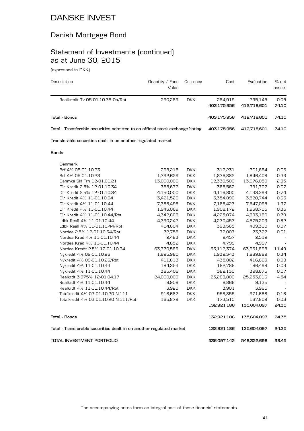### Danish Mortgage Bond

# Statement of Investments (continued) as at June 30, 2015

(expressed in DKK)

| Description                                                                    | Quantity $\angle$ Face<br>Value | Currency   | Cost                   | Evaluation             | % net<br>assets |
|--------------------------------------------------------------------------------|---------------------------------|------------|------------------------|------------------------|-----------------|
| Realkredit Tv 05-01.10.38 Oa/Rbt                                               | 290.289                         | <b>DKK</b> | 284.919<br>403.175.956 | 295.145<br>412.718.601 | 0.05<br>74.10   |
| Total - Bonds                                                                  |                                 |            | 403.175.956            | 412.718.601            | 74.10           |
| Total - Transferable securities admitted to an official stock exchange listing |                                 |            | 403.175.956            | 412.718.601            | 74.10           |
| Transferable securities dealt in on another regulated market                   |                                 |            |                        |                        |                 |

#### **Bonds**

| Denmark                                                              |            |            |             |             |                          |
|----------------------------------------------------------------------|------------|------------|-------------|-------------|--------------------------|
| Brf 4% 05-01.10.23                                                   | 298,215    | <b>DKK</b> | 312,231     | 301,684     | 0.06                     |
| Brf 4% 05-01.10.23                                                   | 1,792,629  | <b>DKK</b> | 1,876,882   | 1,846,408   | 0.33                     |
| Danmks Ski Frn 12-01.01.21                                           | 13,000,000 | <b>DKK</b> | 12,330,500  | 13,076,050  | 2.35                     |
| Dlr Kredit 2.5% 12-01.10.34                                          | 388,672    | <b>DKK</b> | 385.562     | 391,707     | 0.07                     |
| Dlr Kredit 2.5% 12-01.10.34                                          | 4,150,000  | <b>DKK</b> | 4,116,800   | 4,133,399   | 0.74                     |
| Dlr Kredit 4% 11-01.10.04                                            | 3,421,520  | <b>DKK</b> | 3,354,890   | 3,520,744   | 0.63                     |
| Dlr Kredit 4% 11-01.10.44                                            | 7,388,498  | <b>DKK</b> | 7,188,427   | 7,647,095   | 1.37                     |
| Dlr Kredit 4% 11-01.10.44                                            | 1,946,069  | <b>DKK</b> | 1,908,172   | 1,968,705   | 0.35                     |
| Dlr Kredit 4% 11-01.10.44/Rbt                                        | 4,342,668  | <b>DKK</b> | 4,225,074   | 4,393,180   | 0.79                     |
| Ldbk Reall 4% 11-01.10.44                                            | 4,390,242  | <b>DKK</b> | 4,270,453   | 4,575,203   | 0.82                     |
| Ldbk Reall 4% 11-01.10.44/Rbt                                        | 404,604    | <b>DKK</b> | 393,565     | 409,310     | 0.07                     |
| Nordea 2.5% 12-01.10.34/Rbt                                          | 72,758     | <b>DKK</b> | 72,007      | 73,327      | 0.01                     |
| Nordea Kred 4% 11-01.10.44                                           | 2,483      | <b>DKK</b> | 2,457       | 2,512       |                          |
| Nordea Kred 4% 11-01.10.44                                           | 4,852      | <b>DKK</b> | 4,799       | 4,997       | $\overline{\phantom{a}}$ |
| Nordea Kredit 2.5% 12-01.10.34                                       | 63,770,586 | <b>DKK</b> | 63,112,374  | 63,961,898  | 11.49                    |
| Nykredit 4% 09-01.10.26                                              | 1,825,980  | <b>DKK</b> | 1,932,343   | 1,889,889   | 0.34                     |
| Nykredit 4% 09-01.10.26/Rbt                                          | 411,813    | <b>DKK</b> | 435,802     | 416,603     | 0.08                     |
| Nykredit 4% 11-01.10.44                                              | 184,354    | <b>DKK</b> | 182,786     | 186,498     | 0.03                     |
| Nykredit 4% 11-01.10.44                                              | 385,406    | <b>DKK</b> | 382,130     | 398,675     | 0.07                     |
| Realkrdt 3.375% 12-01.04.17                                          | 24,000,000 | <b>DKK</b> | 25,288,800  | 25,253,616  | 4.54                     |
| Realkrdt 4% 11-01.10.44                                              | 8,908      | <b>DKK</b> | 8,866       | 9,135       |                          |
| Realkrdt 4% 11-01.10.44/Rbt                                          | 3,920      | <b>DKK</b> | 3,901       | 3,965       |                          |
| Totalkredit 4% 03-01.10.20 N.111                                     | 916,687    | <b>DKK</b> | 958,855     | 971,688     | 0.18                     |
| Totalkredit 4% 03-01.10.20 N.111/Rbt                                 | 165,879    | <b>DKK</b> | 173,510     | 167,809     | 0.03                     |
|                                                                      |            |            | 132,921,186 | 135,604,097 | 24.35                    |
| <b>Total - Bonds</b>                                                 |            |            | 132,921,186 | 135,604,097 | 24.35                    |
| Total - Transferable securities dealt in on another regulated market |            |            | 132,921,186 | 135,604,097 | 24.35                    |
| TOTAL INVESTMENT PORTFOLIO                                           |            |            | 536,097,142 | 548,322,698 | 98.45                    |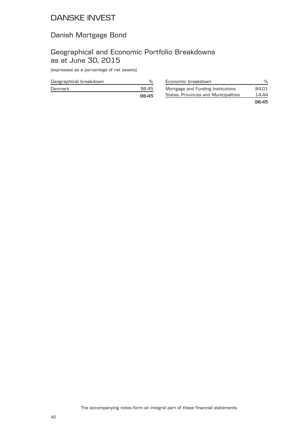# Danish Mortgage Bond

### Geographical and Economic Portfolio Breakdowns as at June 30, 2015

| Geographical breakdown |       |
|------------------------|-------|
| Denmark                | 98.45 |
|                        | 98.45 |

| Economic breakdown                   | %     |
|--------------------------------------|-------|
| Mortgage and Funding Institutions    | 84.01 |
| States, Provinces and Municipalities | 14.44 |
|                                      | 9845  |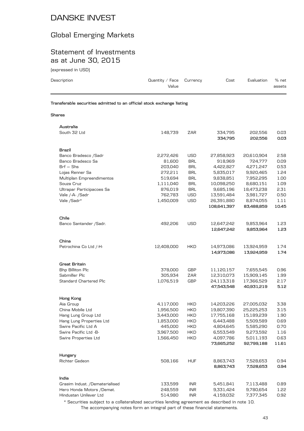### Global Emerging Markets

#### Statement of Investments as at June 30, 2015

(expressed in USD)

| Description                                                            | Quantity / Face<br>Value | Currency   | Cost               | Evaluation         | % net<br>assets |
|------------------------------------------------------------------------|--------------------------|------------|--------------------|--------------------|-----------------|
| Transferable securities admitted to an official stock exchange listing |                          |            |                    |                    |                 |
| Shares                                                                 |                          |            |                    |                    |                 |
| Australia                                                              |                          |            |                    |                    |                 |
| South 32 Ltd                                                           | 148,739                  | ZAR        | 334,795<br>334,795 | 202,556<br>202,556 | 0.03<br>0.03    |
| Brazil                                                                 |                          |            |                    |                    |                 |
| Banco Bradesco / Sadr                                                  | 2,272,426                | <b>USD</b> | 27,858,923         | 20,610,904         | 2.58            |
| Banco Bradesco Sa                                                      | 81,600                   | BRL        | 918,969            | 724,777            | 0.09            |
| $Brf - Shs$                                                            | 203,040                  | BRL        | 4,422,827          | 4,271,247          | 0.53            |
| Lojas Renner Sa                                                        | 272,211                  | <b>BRL</b> | 5,835,017          | 9,920,465          | 1.24            |
| Multiplan Empreendimentos                                              | 519,694                  | <b>BRL</b> | 9,838,851          | 7,952,295          | 1.00            |
| Souza Cruz                                                             | 1,111,040                | <b>BRL</b> | 10,098,250         | 8,680,151          | 1.09            |
| Ultrapar Participacoes Sa                                              | 876,019                  | <b>BRL</b> | 9,685,196          | 18,473,238         | 2.31            |
| Vale /-A-/Sadr                                                         | 762,783                  | <b>USD</b> | 13,591,484         | 3,981,727          | 0.50            |
| Vale /Sadr*                                                            | 1,450,009                | <b>USD</b> | 26,391,880         | 8,874,055          | 1.11            |
|                                                                        |                          |            | 108,641,397        | 83,488,859         | 10.45           |
|                                                                        |                          |            |                    |                    |                 |
| Chile                                                                  |                          |            |                    |                    |                 |
| Banco Santander / Sadr.                                                | 492,206                  | <b>USD</b> | 12,647,242         | 9,853,964          | 1.23            |
|                                                                        |                          |            | 12,647,242         | 9,853,964          | 1.23            |
|                                                                        |                          |            |                    |                    |                 |
| China                                                                  |                          |            |                    |                    |                 |
| Petrochina Co Ltd /-H-                                                 | 12,408,000               | HKD        | 14,973,086         | 13,924,959         | 1.74            |
|                                                                        |                          |            | 14,973,086         | 13,924,959         | 1.74            |
| Great Britain                                                          |                          |            |                    |                    |                 |
| Bhp Billiton Plc                                                       | 378,000                  | GBP        | 11,120,157         | 7,655,545          | 0.96            |
| Sabmiller Plc                                                          | 305,934                  | ZAR        | 12,310,073         | 15,909,145         | 1.99            |
| <b>Standard Chartered Plc</b>                                          | 1,076,519                | GBP        | 24,113,318         | 17,366,529         | 2.17            |
|                                                                        |                          |            | 47,543,548         | 40,931,219         | 5.12            |
|                                                                        |                          |            |                    |                    |                 |
| Hong Kong                                                              |                          |            |                    |                    |                 |
| Aia Group                                                              | 4,117,000                | <b>HKD</b> | 14,203,226         | 27,005,032         | 3.38            |
| China Mobile Ltd                                                       | 1,956,500                | <b>HKD</b> | 19,807,390         | 25,225,253         | 3.15            |
| Hang Lung Group Ltd                                                    | 3,443,000                | HKD        | 17,755,168         | 15,189,239         | 1.90            |
| Hang Lung Properties Ltd                                               | 1,853,000                | <b>HKD</b> | 6,443,488          | 5,509,589          | 0.69            |
| Swire Pacific Ltd A                                                    | 445,000                  | HKD        | 4,804,645          | 5,585,290          | 0.70            |
| Swire Pacific Ltd -B-                                                  | 3,967,500                | HKD        | 6,553,549          | 9,273,592          | 1.16            |
| <b>Swire Properties Ltd</b>                                            | 1,566,450                | <b>HKD</b> | 4,097,786          | 5,011,193          | 0.63            |
|                                                                        |                          |            | 73,665,252         | 92,799,188         | 11.61           |
| Hungary                                                                |                          |            |                    |                    |                 |
| Richter Gedeon                                                         | 508,166                  | <b>HUF</b> | 8,863,743          | 7,528,653          | 0.94            |
|                                                                        |                          |            | 8,863,743          | 7,528,653          | 0.94            |
|                                                                        |                          |            |                    |                    |                 |
| India<br>Grasim Indust. /Dematerialised                                | 133,599                  | <b>INR</b> | 5,451,841          | 7,113,488          | 0.89            |
| Hero Honda Motors /Demat.                                              | 248,559                  | <b>INR</b> | 9,331,424          | 9,780,654          | 1.22            |
|                                                                        |                          |            |                    |                    |                 |

The accompanying notes form an integral part of these financial statements. \* Securities subject to a collateralized securities lending agreement as described in note 10.

Hindustan Unilever Ltd 514,980 INR 4,159,032 7,377,345 0.92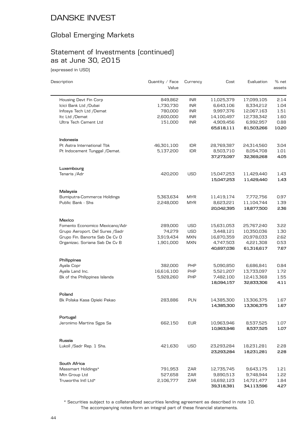### Global Emerging Markets

### Statement of Investments (continued) as at June 30, 2015

(expressed in USD)

| Description                        | Quantity / Face<br>Value | Currency   | Cost       | Evaluation | % net<br>assets |
|------------------------------------|--------------------------|------------|------------|------------|-----------------|
| Housing Devt Fin Corp              | 849,862                  | <b>INR</b> | 11,025,379 | 17,099,105 | 2.14            |
| Icici Bank Ltd / Dubai             | 1,730,730                | <b>INR</b> | 6,643,106  | 8,334,212  | 1.04            |
| Infosys Tech Ltd /Demat            | 780,000                  | <b>INR</b> | 9,997,376  | 12,067,163 | 1.51            |
| Itc Ltd /Demat                     | 2,600,000                | <b>INR</b> | 14,100,497 | 12,738,342 | 1.60            |
| Ultra Tech Cement Ltd              | 151,000                  | <b>INR</b> | 4,909,456  | 6,992,957  | 0.88            |
|                                    |                          |            | 65,618,111 | 81,503,266 | 10.20           |
| Indonesia                          |                          |            |            |            |                 |
| Pt Astra International Tbk         | 46,301,100               | <b>IDR</b> | 28,769,387 | 24,314,560 | 3.04            |
| Pt Indocement Tunggal /Demat.      | 5,137,200                | <b>IDR</b> | 8,503,710  | 8,054,708  | 1.01            |
|                                    |                          |            | 37,273,097 | 32,369,268 | 4.05            |
| Luxembourg                         |                          |            |            |            |                 |
| Tenaris / Adr                      | 420,200                  | <b>USD</b> | 15,047,253 | 11,429,440 | 1.43            |
|                                    |                          |            | 15,047,253 | 11,429,440 | 1.43            |
| Malaysia                           |                          |            |            |            |                 |
| <b>Bumiputra-Commerce Holdings</b> | 5,363,634                | <b>MYR</b> | 11,419,174 | 7,772,756  | 0.97            |
| Public Bank - Shs                  | 2,248,000                | <b>MYR</b> | 8,623,221  | 11,104,744 | 1.39            |
|                                    |                          |            | 20,042,395 | 18,877,500 | 2.36            |
| Mexico                             |                          |            |            |            |                 |
| Fomento Economico Mexicano/Adr     | 289,000                  | <b>USD</b> | 15,631,053 | 25,767,240 | 3.22            |
| Grupo Aeroport. Del Sures /Sadr    | 74,279                   | <b>USD</b> | 3,448,121  | 10,350,036 | 1.30            |
| Grupo Fin. Banorte Sab De Cv O     | 3,919,434                | <b>MXN</b> | 16,870,359 | 20,978,033 | 2.62            |
| Organizac. Soriana Sab De Cv B     | 1,901,000                | <b>MXN</b> | 4,747,503  | 4,221,308  | 0.53            |
|                                    |                          |            | 40,697,036 | 61,316,617 | 7.67            |
| Philippines                        |                          |            |            |            |                 |
| Ayala Copr                         | 382,000                  | PHP        | 5,090,850  | 6,686,841  | 0.84            |
| Ayala Land Inc.                    | 16,616,100               | PHP        | 5,521,207  | 13,733,097 | 1.72            |
| Bk of the Philippines Islands      | 5,928,260                | PHP        | 7,482,100  | 12,413,368 | 1.55            |
|                                    |                          |            | 18,094,157 | 32,833,306 | 4.11            |
| Poland                             |                          |            |            |            |                 |
| Bk Polska Kasa Opieki Pekao        | 283,886                  | <b>PLN</b> | 14,385,300 | 13,306,375 | 1.67            |
|                                    |                          |            | 14,385,300 | 13,306,375 | 1.67            |
| Portugal                           |                          |            |            |            |                 |
| Jeronimo Martins Sgps Sa           | 662,150                  | <b>EUR</b> | 10,963,946 | 8,537,525  | 1.07            |
|                                    |                          |            | 10,963,946 | 8,537,525  | 1.07            |
| Russia                             |                          |            |            |            |                 |
| Lukoil /Sadr Rep. 1 Shs.           | 421,630                  | USD        | 23,293,284 | 18,231,281 | 2.28            |
|                                    |                          |            | 23,293,284 | 18,231,281 | 2.28            |
| South Africa                       |                          |            |            |            |                 |
| Massmart Holdings*                 | 791,953                  | ZAR        | 12,735,745 | 9,643,175  | 1.21            |
| Mtn Group Ltd                      | 527,658                  | ZAR        | 9,890,513  | 9,748,944  | 1.22            |
| Truworths Intl Ltd*                | 2,106,777                | ZAR        | 16,692,123 | 14,721,477 | 1.84            |
|                                    |                          |            | 39,318,381 | 34,113,596 | 4.27            |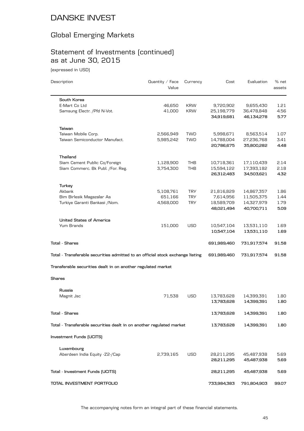# Global Emerging Markets

# Statement of Investments (continued) as at June 30, 2015

(expressed in USD)

| Description                                                                    | Quantity / Face<br>Value | Currency   | Cost        | Evaluation  | % net<br>assets |
|--------------------------------------------------------------------------------|--------------------------|------------|-------------|-------------|-----------------|
| South Korea                                                                    |                          |            |             |             |                 |
| E-Mart Co Ltd                                                                  | 46,650                   | <b>KRW</b> | 9,720,902   | 9,655,430   | 1.21            |
| Samsung Electr. / Pfd N-Vot.                                                   | 41,000                   | <b>KRW</b> | 25,198,779  | 36,478,848  | 4.56            |
|                                                                                |                          |            | 34,919,681  | 46,134,278  | 5.77            |
| Taiwan                                                                         |                          |            |             |             |                 |
| Taiwan Mobile Corp.                                                            | 2,566,949                | TWD        | 5,998,671   | 8,563,514   | 1.07            |
| Taiwan Semiconductor Manufact.                                                 | 5,985,242                | <b>TWD</b> | 14,788,004  | 27,236,768  | 3.41            |
|                                                                                |                          |            | 20,786,675  | 35,800,282  | 4.48            |
| Thailand                                                                       |                          |            |             |             |                 |
| Siam Cement Public Co/Foreign                                                  | 1,128,900                | <b>THB</b> | 10,718,361  | 17,110,439  | 2.14            |
| Siam Commerc. Bk Publ. /For. Reg.                                              | 3,754,300                | THB        | 15,594,122  | 17,393,182  | 2.18            |
|                                                                                |                          |            | 26,312,483  | 34,503,621  | 4.32            |
| Turkey                                                                         |                          |            |             |             |                 |
| Akbank                                                                         | 5,108,761                | <b>TRY</b> | 21,816,829  | 14,867,357  | 1.86            |
| Bim Birlesik Magazalar As                                                      | 651,166                  | <b>TRY</b> | 7,614,956   | 11,505,375  | 1.44            |
| Turkiye Garanti Bankasi / Nom.                                                 | 4,568,000                | <b>TRY</b> | 18,589,709  | 14,327,979  | 1.79            |
|                                                                                |                          |            | 48,021,494  | 40,700,711  | 5.09            |
| <b>United States of America</b>                                                |                          |            |             |             |                 |
| Yum Brands                                                                     | 151,000                  | <b>USD</b> | 10,547,104  | 13,531,110  | 1.69            |
|                                                                                |                          |            | 10,547,104  | 13,531,110  | 1.69            |
| <b>Total - Shares</b>                                                          |                          |            | 691,989,460 | 731,917,574 | 91.58           |
| Total - Transferable securities admitted to an official stock exchange listing |                          |            | 691,989,460 | 731,917,574 | 91.58           |
| Transferable securities dealt in on another regulated market                   |                          |            |             |             |                 |
| <b>Shares</b>                                                                  |                          |            |             |             |                 |
| Russia                                                                         |                          |            |             |             |                 |
| Magnit Jsc                                                                     | 71,538                   | <b>USD</b> | 13,783,628  | 14,399,391  | 1.80            |
|                                                                                |                          |            | 13,783,628  | 14,399,391  | 1.80            |
| <b>Total - Shares</b>                                                          |                          |            | 13,783,628  | 14,399,391  | 1.80            |
| Total - Transferable securities dealt in on another regulated market           |                          |            | 13,783,628  | 14,399,391  | 1.80            |
| Investment Funds (UCITS)                                                       |                          |            |             |             |                 |
| Luxembourg                                                                     |                          |            |             |             |                 |
| Aberdeen India Equity -Z2-/Cap                                                 | 2,739,165                | <b>USD</b> | 28,211,295  | 45,487,938  | 5.69            |
|                                                                                |                          |            | 28,211,295  | 45,487,938  | 5.69            |
| Total - Investment Funds (UCITS)                                               |                          |            | 28,211,295  | 45,487,938  | 5.69            |
| TOTAL INVESTMENT PORTFOLIO                                                     |                          |            | 733,984,383 | 791,804,903 | 99.07           |

The accompanying notes form an integral part of these financial statements.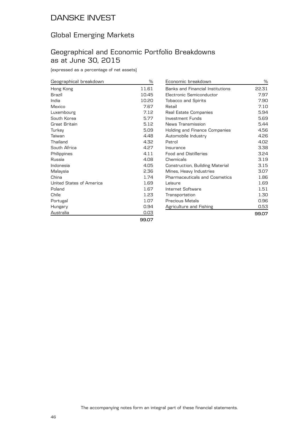### Global Emerging Markets

#### Geographical and Economic Portfolio Breakdowns as at June 30, 2015

(expressed as a percentage of net assets)

| Geographical breakdown   | %     |
|--------------------------|-------|
| Hong Kong                | 11.61 |
| Brazil                   | 10.45 |
| India                    | 10.20 |
| Mexico                   | 7.67  |
| Luxembourg               | 7.12  |
| South Korea              | 5.77  |
| Great Britain            | 5.12  |
| Turkey                   | 5.09  |
| Taiwan                   | 4.48  |
| Thailand                 | 4.32  |
| South Africa             | 4.27  |
| Philippines              | 4.11  |
| Russia                   | 4.08  |
| Indonesia                | 4.05  |
| Malaysia                 | 2.36  |
| China                    | 1.74  |
| United States of America | 1.69  |
| Poland                   | 1.67  |
| Chile                    | 1.23  |
| Portugal                 | 1.07  |
| Hungary                  | 0.94  |
| Australia                | 0.03  |
|                          | 00.QQ |

| Economic breakdown                      | ℅     |
|-----------------------------------------|-------|
| <b>Banks and Financial Institutions</b> | 22.31 |
| Flectronic Semiconductor                | 7.97  |
| <b>Tobacco and Spirits</b>              | 7.90  |
| Retail                                  | 7.10  |
| Real Estate Companies                   | 5.94  |
| Investment Funds                        | 5.69  |
| News Transmission                       | 5.44  |
| <b>Holding and Finance Companies</b>    | 4.56  |
| Automobile Industry                     | 4.26  |
| Petrol                                  | 4.02  |
| Insurance                               | 3.38  |
| Food and Distilleries                   | 3.24  |
| Chemicals                               | 3.19  |
| Construction, Building Material         | 3.15  |
| Mines, Heavy Industries                 | 3.07  |
| Pharmaceuticals and Cosmetics           | 1.86  |
| Leisure                                 | 1.69  |
| Internet Software                       | 1.51  |
| Transportation                          | 1.30  |
| Precious Metals                         | 0.96  |
| Agriculture and Fishing                 | 0.53  |
|                                         | 99.07 |

**99.07**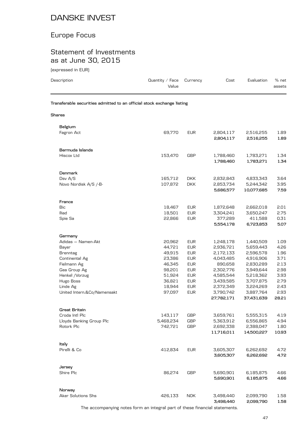# Europe Focus

### Statement of Investments as at June 30, 2015

(expressed in EUR)

| Description                                                            | Quantity / Face<br>Value | Currency                 | Cost                    | Evaluation              | % net<br>assets |
|------------------------------------------------------------------------|--------------------------|--------------------------|-------------------------|-------------------------|-----------------|
| Transferable securities admitted to an official stock exchange listing |                          |                          |                         |                         |                 |
| <b>Shares</b>                                                          |                          |                          |                         |                         |                 |
| Belgium                                                                |                          |                          |                         |                         |                 |
| Fagron Act                                                             | 69,770                   | <b>EUR</b>               | 2,804,117<br>2,804,117  | 2,516,255<br>2,516,255  | 1.89<br>1.89    |
| Bermuda Islands                                                        |                          |                          |                         |                         |                 |
| Hiscox Ltd                                                             | 153,470                  | <b>GBP</b>               | 1,788,460<br>1,788,460  | 1,783,271<br>1,783,271  | 1.34<br>1.34    |
| <b>Denmark</b>                                                         |                          |                          |                         |                         |                 |
| Dsv A/S                                                                | 165,712                  | <b>DKK</b>               | 2,832,843               | 4,833,343               | 3.64            |
| Novo Nordisk A/S /-B-                                                  | 107,872                  | <b>DKK</b>               | 2,853,734<br>5,686,577  | 5,244,342<br>10,077,685 | 3.95<br>7.59    |
| France                                                                 |                          |                          |                         |                         |                 |
| Bic                                                                    | 18,467                   | <b>EUR</b>               | 1,872,648               | 2,662,018               | 2.01            |
| lliad                                                                  | 18,501                   | <b>EUR</b>               | 3,304,241               | 3,650,247               | 2.75            |
| Spie Sa                                                                | 22,866                   | <b>EUR</b>               | 377,289<br>5,554,178    | 411,588<br>6,723,853    | 0.31<br>5.07    |
| Germany                                                                |                          |                          |                         |                         |                 |
| Adidas - Namen-Akt                                                     | 20,962                   | <b>EUR</b>               | 1,248,178               | 1,440,509               | 1.09            |
| Bayer                                                                  | 44,721                   | <b>EUR</b>               | 2,936,721               | 5,659,443               | 4.26            |
| <b>Brenntag</b>                                                        | 49,915                   | <b>EUR</b>               | 2,172,133               | 2,596,578               | 1.96            |
| Continental Ag                                                         | 23,386                   | <b>EUR</b>               | 4,043,485               | 4,916,906               | 3.71            |
| Fielmann Ag                                                            | 46,345                   | <b>EUR</b>               | 890,658                 | 2,830,289               | 2.13            |
| Gea Group Ag                                                           | 98,201                   | <b>EUR</b>               | 2,302,776               | 3,949,644               | 2.98            |
| Henkel /Vorzug                                                         | 51,924                   | <b>EUR</b>               | 4,585,544               | 5,218,362               | 3.93            |
| Hugo Boss<br>Linde Ag                                                  | 36,821<br>18,944         | <b>EUR</b><br><b>EUR</b> | 3,439,585               | 3,707,875<br>3,224,269  | 2.79<br>2.43    |
| United Intern.&Co/Namensakt                                            | 97,097                   | <b>EUR</b>               | 2,372,349<br>3,790,742  | 3,887,764               | 2.93            |
|                                                                        |                          |                          | 27,782,171              | 37,431,639              | 28.21           |
| <b>Great Britain</b>                                                   |                          |                          |                         |                         |                 |
| Croda Intl Plc                                                         | 143,117                  | <b>GBP</b>               | 3,659,761               | 5,555,315               | 4.19            |
| Lloyds Banking Group Plc                                               | 5,468,234                | GBP                      | 5,363,912               | 6,556,865               | 4.94            |
| Rotork Plc                                                             | 742,721                  | GBP                      | 2,692,338<br>11,716,011 | 2,388,047<br>14,500,227 | 1.80<br>10.93   |
| Italy                                                                  |                          |                          |                         |                         |                 |
| Pirelli & Co                                                           | 412,834                  | <b>EUR</b>               | 3,605,307<br>3,605,307  | 6,262,692<br>6,262,692  | 4.72<br>4.72    |
|                                                                        |                          |                          |                         |                         |                 |
| Jersey                                                                 |                          |                          |                         |                         |                 |
| Shire Plc                                                              | 86,274                   | <b>GBP</b>               | 5,690,901<br>5,690,901  | 6,185,875<br>6,185,875  | 4.66<br>4.66    |
| Norway                                                                 |                          |                          |                         |                         |                 |
| <b>Aker Solutions Shs</b>                                              | 426,133                  | <b>NOK</b>               | 3,498,440<br>3,498,440  | 2,099,790<br>2,099,790  | 1.58<br>1.58    |

The accompanying notes form an integral part of these financial statements.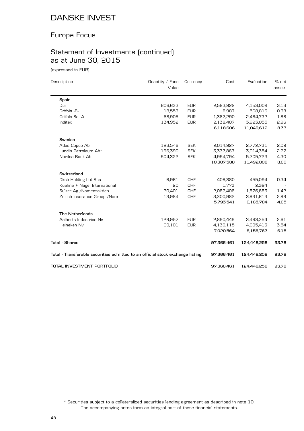### Europe Focus

# Statement of Investments (continued) as at June 30, 2015

(expressed in EUR)

| Description                                                                    | Quantity / Face | Currency   | Cost       | Evaluation  | % net  |
|--------------------------------------------------------------------------------|-----------------|------------|------------|-------------|--------|
|                                                                                | Value           |            |            |             | assets |
| Spain                                                                          |                 |            |            |             |        |
| Dia                                                                            | 606,633         | <b>EUR</b> | 2,583,922  | 4,153,009   | 3.13   |
| Grifols -B-                                                                    | 18,553          | <b>EUR</b> | 8,987      | 508,816     | 0.38   |
| Grifols Sa -A-                                                                 | 68,905          | <b>EUR</b> | 1,387,290  | 2,464,732   | 1.86   |
| Inditex                                                                        | 134,952         | <b>EUR</b> | 2,138,407  | 3,923,055   | 2.96   |
|                                                                                |                 |            | 6,118,606  | 11,049,612  | 8.33   |
| Sweden                                                                         |                 |            |            |             |        |
| Atlas Copco Ab                                                                 | 123,546         | <b>SEK</b> | 2,014,927  | 2,772,731   | 2.09   |
| Lundin Petroleum Ab*                                                           | 196,390         | <b>SEK</b> | 3,337,867  | 3,014,354   | 2.27   |
| Nordea Bank Ab                                                                 | 504,322         | <b>SEK</b> | 4,954,794  | 5,705,723   | 4.30   |
|                                                                                |                 |            | 10,307,588 | 11,492,808  | 8.66   |
| Switzerland                                                                    |                 |            |            |             |        |
| Dksh Holding Ltd Shs                                                           | 6,961           | <b>CHF</b> | 408,380    | 455,094     | 0.34   |
| Kuehne + Nagel International                                                   | 20              | <b>CHF</b> | 1,773      | 2,394       |        |
| Sulzer Ag /Namensaktien                                                        | 20,401          | <b>CHF</b> | 2,082,406  | 1,876,683   | 1.42   |
| Zurich Insurance Group / Nam                                                   | 13,984          | <b>CHF</b> | 3,300,982  | 3,831,613   | 2.89   |
|                                                                                |                 |            | 5,793,541  | 6,165,784   | 4.65   |
| <b>The Netherlands</b>                                                         |                 |            |            |             |        |
| Aalberts Industries Nv                                                         | 129,957         | <b>EUR</b> | 2,890,449  | 3,463,354   | 2.61   |
| Heineken Nv                                                                    | 69,101          | <b>EUR</b> | 4,130,115  | 4,695,413   | 3.54   |
|                                                                                |                 |            | 7,020,564  | 8,158,767   | 6.15   |
| <b>Total - Shares</b>                                                          |                 |            | 97,366,461 | 124,448,258 | 93.78  |
| Total - Transferable securities admitted to an official stock exchange listing |                 |            | 97,366,461 | 124,448,258 | 93.78  |
| TOTAL INVESTMENT PORTFOLIO                                                     |                 |            | 97,366,461 | 124,448,258 | 93.78  |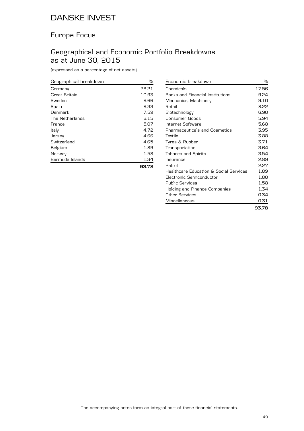### Europe Focus

### Geographical and Economic Portfolio Breakdowns as at June 30, 2015

| Geographical breakdown | ℅     |
|------------------------|-------|
| Germany                | 28.21 |
| Great Britain          | 10.93 |
| Sweden                 | 8.66  |
| Spain                  | 8.33  |
| Denmark                | 7.59  |
| The Netherlands        | 6.15  |
| France                 | 5.07  |
| Italy                  | 4.72  |
| Jersey                 | 4.66  |
| Switzerland            | 4.65  |
| Belgium                | 1.89  |
| Norway                 | 1.58  |
| Bermuda Islands        | 1.34  |
|                        | 93.78 |

| Economic breakdown                      | ℅            |
|-----------------------------------------|--------------|
| Chemicals                               | 17.56        |
| <b>Banks and Financial Institutions</b> | 9.24         |
| Mechanics, Machinery                    | $9.1 \Omega$ |
| Retail                                  | 8.22         |
| Biotechnology                           | 6.90         |
| Consumer Goods                          | 5.94         |
| Internet Software                       | 5.68         |
| <b>Pharmaceuticals and Cosmetics</b>    | 3.95         |
| Textile                                 | 3.88         |
| Tyres & Rubber                          | 3.71         |
| Transportation                          | 3.64         |
| <b>Tobacco and Spirits</b>              | 3.54         |
| Insurance                               | 2.89         |
| Petrol                                  | 2.27         |
| Healthcare Education & Social Services  | 1.89         |
| Electronic Semiconductor                | 1.80         |
| <b>Public Services</b>                  | 1.58         |
| Holding and Finance Companies           | 1.34         |
| Other Services                          | 0.34         |
| Miscellaneous                           | 0.31         |
|                                         | 93.78        |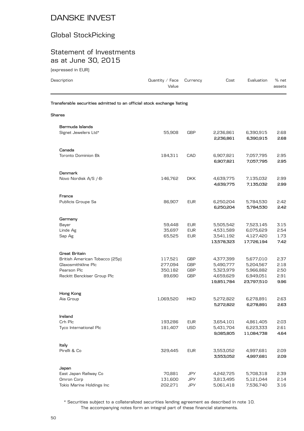### Global StockPicking

### Statement of Investments as at June 30, 2015

| (expressed in EUR)                                                     |                          |                          |                         |                         |                 |
|------------------------------------------------------------------------|--------------------------|--------------------------|-------------------------|-------------------------|-----------------|
| Description                                                            | Quantity / Face<br>Value | Currency                 | Cost                    | Evaluation              | % net<br>assets |
| Transferable securities admitted to an official stock exchange listing |                          |                          |                         |                         |                 |
| Shares                                                                 |                          |                          |                         |                         |                 |
| Bermuda Islands                                                        |                          |                          |                         |                         |                 |
| Signet Jewelers Ltd*                                                   | 55,908                   | GBP                      | 2,236,861<br>2,236,861  | 6,390,915<br>6,390,915  | 2.68<br>2.68    |
|                                                                        |                          |                          |                         |                         |                 |
| Canada                                                                 |                          |                          |                         |                         |                 |
| <b>Toronto Dominion Bk</b>                                             | 184,311                  | CAD                      | 6,907,821               | 7,057,795               | 2.95            |
|                                                                        |                          |                          | 6,907,821               | 7,057,795               | 2.95            |
| <b>Denmark</b>                                                         |                          |                          |                         |                         |                 |
| Novo Nordisk A/S /-B-                                                  | 146,762                  | <b>DKK</b>               | 4,639,775               | 7,135,032               | 2.99            |
|                                                                        |                          |                          | 4,639,775               | 7,135,032               | 2.99            |
| France                                                                 |                          |                          |                         |                         |                 |
| Publicis Groupe Sa                                                     | 86,907                   | <b>EUR</b>               | 6,250,204               | 5,784,530               | 2.42            |
|                                                                        |                          |                          | 6,250,204               | 5,784,530               | 2.42            |
| Germany                                                                |                          |                          |                         |                         |                 |
| Bayer                                                                  | 59,448                   | <b>EUR</b>               | 5,505,542               | 7,523,145               | 3.15            |
| Linde Ag                                                               | 35,697                   | <b>EUR</b>               | 4,531,589               | 6,075,629               | 2.54            |
| Sap Ag                                                                 | 65,525                   | <b>EUR</b>               | 3,541,192<br>13,578,323 | 4,127,420<br>17,726,194 | 1.73<br>7.42    |
|                                                                        |                          |                          |                         |                         |                 |
| <b>Great Britain</b>                                                   |                          |                          |                         |                         |                 |
| British American Tobacco (25p)                                         | 117,521                  | GBP                      | 4,377,399               | 5,677,010               | 2.37            |
| Glaxosmithkline Plc<br>Pearson Plc                                     | 277,094                  | <b>GBP</b>               | 5,490,777               | 5,204,567<br>5,966,882  | 2.18            |
| Reckitt Benckiser Group Plc                                            | 350,182<br>89,690        | <b>GBP</b><br><b>GBP</b> | 5,323,979<br>4,659,629  | 6,949,051               | 2.50<br>2.91    |
|                                                                        |                          |                          | 19,851,784              | 23,797,510              | 9.96            |
|                                                                        |                          |                          |                         |                         |                 |
| Hong Kong<br>Aia Group                                                 | 1,069,520                | <b>HKD</b>               | 5,272,822               | 6,278,891               | 2.63            |
|                                                                        |                          |                          | 5,272,822               | 6,278,891               | 2.63            |
| Ireland                                                                |                          |                          |                         |                         |                 |
| Crh Plc                                                                | 193,286                  | <b>EUR</b>               | 3,654,101               | 4,861,405               | 2.03            |
| Tyco International Plc                                                 | 181,407                  | <b>USD</b>               | 5,431,704               | 6,223,333               | 2.61            |
|                                                                        |                          |                          | 9,085,805               | 11,084,738              | 4.64            |
| Italy                                                                  |                          |                          |                         |                         |                 |
| Pirelli & Co                                                           | 329,445                  | <b>EUR</b>               | 3,553,052               | 4,997,681               | 2.09            |
|                                                                        |                          |                          | 3,553,052               | 4,997,681               | 2.09            |
| Japan                                                                  |                          |                          |                         |                         |                 |
| East Japan Railway Co                                                  | 70,881                   | JPY                      | 4,242,725               | 5,708,318               | 2.39            |
| Omron Corp                                                             | 131,600                  | JPY                      | 3,813,495               | 5,121,044               | 2.14            |

The accompanying notes form an integral part of these financial statements. \* Securities subject to a collateralized securities lending agreement as described in note 10.

Tokio Marine Holdings Inc 202,271 JPY 5,061,418 7,536,740 3.16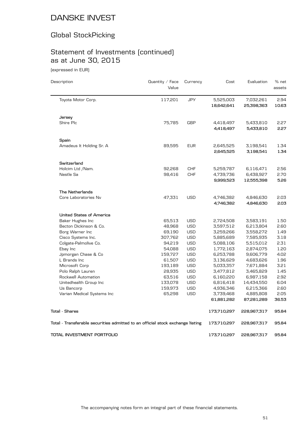# Global StockPicking

# Statement of Investments (continued) as at June 30, 2015

(expressed in EUR)

| Description                                                                    | Quantity / Face<br>Value | Currency   | Cost        | Evaluation  | % net<br>assets |
|--------------------------------------------------------------------------------|--------------------------|------------|-------------|-------------|-----------------|
| Toyota Motor Corp.                                                             | 117,201                  | <b>JPY</b> | 5,525,003   | 7,032,261   | 2.94            |
|                                                                                |                          |            | 18,642,641  | 25,398,363  | 10.63           |
| Jersey                                                                         |                          |            |             |             |                 |
| Shire Plc                                                                      | 75,785                   | <b>GBP</b> | 4,418,497   | 5,433,810   | 2.27            |
|                                                                                |                          |            | 4,418,497   | 5,433,810   | 2.27            |
| Spain                                                                          |                          |            |             |             |                 |
| Amadeus It Holding Sr. A                                                       | 89,595                   | <b>EUR</b> | 2,645,525   | 3,198,541   | 1.34            |
|                                                                                |                          |            | 2,645,525   | 3,198,541   | 1.34            |
| Switzerland                                                                    |                          |            |             |             |                 |
| Holcim Ltd /Nam.                                                               | 92,268                   | CHF        | 5,259,787   | 6,116,471   | 2.56            |
| Nestle Sa                                                                      | 98,416                   | <b>CHF</b> | 4,739,736   | 6,438,927   | 2.70            |
|                                                                                |                          |            | 9,999,523   | 12,555,398  | 5.26            |
| <b>The Netherlands</b>                                                         |                          |            |             |             |                 |
| Core Laboratories Nv                                                           | 47,331                   | <b>USD</b> | 4,746,382   | 4,846,630   | 2.03            |
|                                                                                |                          |            | 4,746,382   | 4,846,630   | 2.03            |
| <b>United States of America</b>                                                |                          |            |             |             |                 |
| Baker Hughes Inc                                                               | 65,513                   | <b>USD</b> | 2,724,508   | 3,583,191   | 1.50            |
| Becton Dickinson & Co.                                                         | 48,968                   | <b>USD</b> | 3,597,512   | 6,213,804   | 2.60            |
| Borg Warner Inc                                                                | 69,190                   | <b>USD</b> | 3,259,266   | 3,558,272   | 1.49            |
| Cisco Systems Inc.                                                             | 307,762                  | <b>USD</b> | 5,885,689   | 7,585,935   | 3.18            |
| Colgate-Palmolive Co.                                                          | 94,219                   | <b>USD</b> | 5,088,106   | 5,515,012   | 2.31            |
| Ebay Inc                                                                       | 54,088                   | <b>USD</b> | 1,772,163   | 2,874,075   | 1.20            |
| Jpmorgan Chase & Co                                                            | 159,727                  | <b>USD</b> | 6,253,788   | 9,606,779   | 4.02            |
| L Brands Inc                                                                   | 61,507                   | <b>USD</b> | 3,136,629   | 4,683,626   | 1.96            |
| Microsoft Corp                                                                 | 193,189                  | <b>USD</b> | 5,033,357   | 7,671,884   | 3.21            |
| Polo Ralph Lauren                                                              | 28,935                   | <b>USD</b> | 3,477,812   | 3,465,829   | 1.45            |
| Rockwell Automation                                                            | 63,516                   | <b>USD</b> | 6,160,220   | 6,987,158   | 2.92            |
| Unitedhealth Group Inc                                                         | 133,078                  | <b>USD</b> | 6,816,418   | 14,434,550  | 6.04            |
| Us Bancorp                                                                     | 159,973                  | <b>USD</b> | 4,936,346   | 6,215,366   | 2.60            |
| Varian Medical Systems Inc                                                     | 65,298                   | <b>USD</b> | 3,739,468   | 4,885,808   | 2.05            |
|                                                                                |                          |            | 61,881,282  | 87,281,289  | 36.53           |
| <b>Total - Shares</b>                                                          |                          |            | 173,710,297 | 228,967,317 | 95.84           |
| Total - Transferable securities admitted to an official stock exchange listing |                          |            | 173,710,297 | 228,967,317 | 95.84           |
| TOTAL INVESTMENT PORTFOLIO                                                     |                          |            | 173,710,297 | 228,967,317 | 95.84           |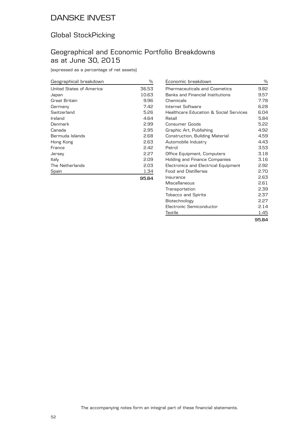### Global StockPicking

### Geographical and Economic Portfolio Breakdowns as at June 30, 2015

(expressed as a percentage of net assets)

| Geographical breakdown   | ℅     |
|--------------------------|-------|
| United States of America | 36.53 |
| Japan                    | 10.63 |
| Great Britain            | 9.96  |
| Germany                  | 7.42  |
| Switzerland              | 5.26  |
| Ireland                  | 4.64  |
| Denmark                  | 2.99  |
| Canada                   | 2.95  |
| Bermuda Islands          | 2.68  |
| Hong Kong                | 2.63  |
| France                   | 2.42  |
| Jersey                   | 2.27  |
| Italy                    | 2.09  |
| The Netherlands          | 2.03  |
| Spain                    | 1.34  |
|                          | 95.84 |

| Economic breakdown                     | %     |
|----------------------------------------|-------|
| <b>Pharmaceuticals and Cosmetics</b>   | 9.82  |
| Banks and Financial Institutions       | 9.57  |
| Chemicals                              | 7.78  |
| Internet Software                      | 6.28  |
| Healthcare Education & Social Services | 6.04  |
| Retail                                 | 5.84  |
| Consumer Goods                         | 5.22  |
| Graphic Art, Publishing                | 4.92  |
| Construction, Building Material        | 4.59  |
| Automobile Industry                    | 4.43  |
| Petrol                                 | 3.53  |
| Office Equipment, Computers            | 3.18  |
| <b>Holding and Finance Companies</b>   | 3.16  |
| Electronics and Electrical Equipment   | 2.92  |
| <b>Food and Distilleries</b>           | 2.70  |
| Insurance                              | 2.63  |
| Miscellaneous                          | 2.61  |
| Transportation                         | 2.39  |
| <b>Tobacco and Spirits</b>             | 2.37  |
| Biotechnology                          | 2.27  |
| Electronic Semiconductor               | 2.14  |
| Textile                                | 1.45  |
|                                        | 95.84 |

The accompanying notes form an integral part of these financial statements.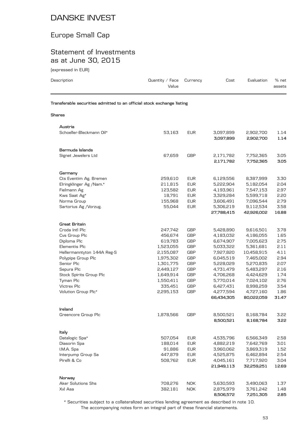### Europe Small Cap

### Statement of Investments as at June 30, 2015

(expressed in EUR)

| Description                                                            | Quantity / Face<br>Value | Currency   | Cost                    | Evaluation              | % net<br>assets |
|------------------------------------------------------------------------|--------------------------|------------|-------------------------|-------------------------|-----------------|
| Transferable securities admitted to an official stock exchange listing |                          |            |                         |                         |                 |
| Shares                                                                 |                          |            |                         |                         |                 |
| Austria                                                                |                          |            |                         |                         |                 |
| Schoeller-Bleckmann Oil*                                               | 53,163                   | <b>EUR</b> | 3,097,899<br>3,097,899  | 2,902,700<br>2,902,700  | 1.14<br>1.14    |
| Bermuda Islands                                                        |                          |            |                         |                         |                 |
| Signet Jewelers Ltd                                                    | 67,659                   | GBP        | 2,171,782<br>2,171,782  | 7,752,365<br>7,752,365  | 3.05<br>3.05    |
| Germany                                                                |                          |            |                         |                         |                 |
| Cts Eventim Ag. Bremen                                                 | 259,610                  | <b>EUR</b> | 6,129,556               | 8,387,999               | 3.30            |
| Elringklinger Ag /Nam.*                                                | 211,815                  | <b>EUR</b> | 5,222,904               | 5,182,054               | 2.04            |
| Fielmann Ag                                                            | 123,582                  | <b>EUR</b> | 4,193,961               | 7,547,153               | 2.97            |
| Kws Saat Ag*                                                           | 18,791                   | <b>EUR</b> | 3,329,284               | 5,599,718               | 2.20            |
| Norma Group                                                            | 155,968                  | <b>EUR</b> | 3,606,491               | 7,096,544               | 2.79            |
| Sartorius Ag / Vorzug.                                                 | 55,044                   | <b>EUR</b> | 5,306,219<br>27,788,415 | 9,112,534<br>42,926,002 | 3.58<br>16.88   |
| <b>Great Britain</b>                                                   |                          |            |                         |                         |                 |
| Croda Intl Plc                                                         | 247,742                  | GBP        | 5,428,890               | 9,616,501               | 3.78            |
| Cvs Group Plc                                                          | 456,674                  | GBP        | 4,183,032               | 4,186,055               | 1.65            |
| Diploma Plc                                                            | 619,783                  | <b>GBP</b> | 6,674,907               | 7,005,623               | 2.75            |
| Elementis Plc                                                          | 1,523,055                | <b>GBP</b> | 5,033,322               | 5,361,681               | 2.11            |
| Hellermanntyton 144A Reg-S                                             | 2,155,087                | <b>GBP</b> | 7,927,820               | 10,458,915              | 4.11            |
| Polypipe Group Plc                                                     | 1,975,302                | GBP        | 6,045,519               | 7,465,002               | 2.94            |
| Senior Plc                                                             | 1,301,775                | <b>GBP</b> | 5,228,029               | 5,270,835               | 2.07            |
| Sepura Plc                                                             | 2,449,127                | <b>GBP</b> | 4,731,479               | 5,483,297               | 2.16            |
| Stock Spirits Group Plc                                                | 1,649,914                | <b>GBP</b> | 4,706,268               | 4,424,629               | 1.74            |
| Tyman Plc                                                              | 1,550,411                | <b>GBP</b> | 5,770,014               | 7,024,102               | 2.76            |
| Victrex Plc                                                            | 335,451                  | <b>GBP</b> | 6,427,431               | 8,998,259               | 3.54            |
| Volution Group Plc*                                                    | 2,295,153                | GBP        | 4,277,594<br>66,434,305 | 4,727,160<br>80,022,059 | 1.86<br>31.47   |
| Ireland                                                                |                          |            |                         |                         |                 |
| Greencore Group Plc                                                    | 1,878,566                | GBP        | 8,500,521<br>8,500,521  | 8,168,784<br>8,168,784  | 3.22<br>3.22    |
| Italy                                                                  |                          |            |                         |                         |                 |
| Datalogic Spa*                                                         | 507,054                  | <b>EUR</b> | 4,535,796               | 6,566,349               | 2.58            |
| Diasorin Spa                                                           | 188,014                  | <b>EUR</b> | 4,882,219               | 7,642,769               | 3.01            |
| I.M.A. Spa                                                             | 91,886                   | <b>EUR</b> | 3,960,062               | 3,869,319               | 1.52            |
| Interpump Group Sa                                                     | 447,879                  | <b>EUR</b> | 4,525,875               | 6,462,894               | 2.54            |
| Pirelli & Co                                                           | 508,762                  | <b>EUR</b> | 4,045,161               | 7,717,920               | 3.04            |
|                                                                        |                          |            | 21,949,113              | 32,259,251              | 12.69           |
| Norway                                                                 |                          |            |                         |                         |                 |
| Aker Solutions Shs                                                     | 708,276                  | <b>NOK</b> | 5,630,593               | 3,490,063               | 1.37            |
| Xxl Asa                                                                | 382,181                  | <b>NOK</b> | 2,875,979<br>8,506,572  | 3,761,242<br>7,251,305  | 1.48<br>2.85    |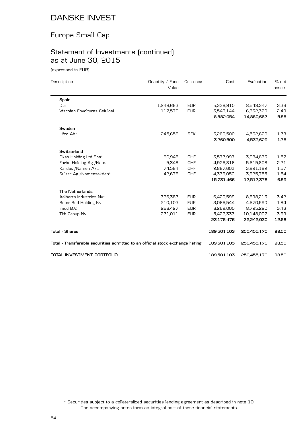### Europe Small Cap

# Statement of Investments (continued) as at June 30, 2015

(expressed in EUR)

| Description                                                                    | Quantity $/$ Face<br>Value | Currency   | Cost        | Evaluation  | % net<br>assets |
|--------------------------------------------------------------------------------|----------------------------|------------|-------------|-------------|-----------------|
| Spain                                                                          |                            |            |             |             |                 |
| Dia                                                                            | 1,248,663                  | <b>EUR</b> | 5,338,910   | 8,548,347   | 3.36            |
| Viscofan Envolturas Celulosi                                                   | 117,570                    | <b>EUR</b> | 3,543,144   | 6,332,320   | 2.49            |
|                                                                                |                            |            | 8,882,054   | 14,880,667  | 5.85            |
| Sweden                                                                         |                            |            |             |             |                 |
| Lifco Ab*                                                                      | 245,656                    | <b>SEK</b> | 3,260,500   | 4,532,629   | 1.78            |
|                                                                                |                            |            | 3,260,500   | 4,532,629   | 1.78            |
| Switzerland                                                                    |                            |            |             |             |                 |
| Dksh Holding Ltd Shs*                                                          | 60,948                     | <b>CHF</b> | 3,577,997   | 3,984,633   | 1.57            |
| Forbo Holding Ag /Nam.                                                         | 5,348                      | <b>CHF</b> | 4,926,816   | 5,615,808   | 2.21            |
| Kardex / Namen Akt.                                                            | 74,584                     | <b>CHF</b> | 2,887,603   | 3,991,182   | 1.57            |
| Sulzer Ag /Namensaktien*                                                       | 42,676                     | <b>CHF</b> | 4,339,050   | 3,925,755   | 1.54            |
|                                                                                |                            |            | 15,731,466  | 17,517,378  | 6.89            |
| <b>The Netherlands</b>                                                         |                            |            |             |             |                 |
| Aalberts Industries Nv*                                                        | 326,387                    | <b>EUR</b> | 6,420,599   | 8,698,213   | 3.42            |
| Beter Bed Holding Nv                                                           | 210,103                    | <b>EUR</b> | 3,066,544   | 4,670,590   | 1.84            |
| Imcd B.V.                                                                      | 268,427                    | <b>EUR</b> | 8,269,000   | 8,725,220   | 3.43            |
| Tkh Group Nv                                                                   | 271,011                    | <b>EUR</b> | 5,422,333   | 10,148,007  | 3.99            |
|                                                                                |                            |            | 23,178,476  | 32,242,030  | 12.68           |
| <b>Total - Shares</b>                                                          |                            |            | 189,501,103 | 250,455,170 | 98.50           |
| Total - Transferable securities admitted to an official stock exchange listing |                            |            | 189,501,103 | 250,455,170 | 98.50           |
| TOTAL INVESTMENT PORTFOLIO                                                     |                            |            | 189,501,103 | 250,455,170 | 98.50           |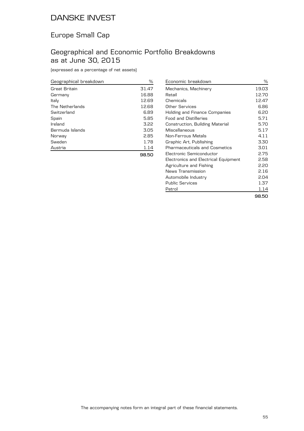### Europe Small Cap

### Geographical and Economic Portfolio Breakdowns as at June 30, 2015

| Geographical breakdown | ℅     |
|------------------------|-------|
| Great Britain          | 31.47 |
| Germany                | 16.88 |
| Italy                  | 12.69 |
| The Netherlands        | 12.68 |
| Switzerland            | 6.89  |
| Spain                  | 5.85  |
| Ireland                | 3.22  |
| Bermuda Islands        | 3.05  |
| Norway                 | 2.85  |
| Sweden                 | 1.78  |
| Austria                | 1.14  |
|                        | 98.50 |

| Economic breakdown                   | ℅     |
|--------------------------------------|-------|
| Mechanics, Machinery                 | 19.03 |
| Retail                               | 12.70 |
| Chemicals                            | 12.47 |
| Other Services                       | 6.86  |
| Holding and Finance Companies        | 6.20  |
| <b>Food and Distilleries</b>         | 5.71  |
| Construction, Building Material      | 5.70  |
| Miscellaneous                        | 5.17  |
| Non-Ferrous Metals                   | 4.11  |
| Graphic Art, Publishing              | 3.30  |
| Pharmaceuticals and Cosmetics        | 3.01  |
| Electronic Semiconductor             | 2.75  |
| Electronics and Electrical Equipment | 2.58  |
| Agriculture and Fishing              | 2.20  |
| News Transmission                    | 2.16  |
| Automobile Industry                  | 2.04  |
| <b>Public Services</b>               | 1.37  |
| Petrol                               | 1.14  |
|                                      | 98.50 |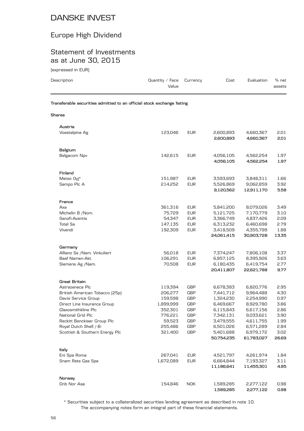# Europe High Dividend

### Statement of Investments as at June 30, 2015

| (expressed in EUR)                                                     |                          |                          |                                     |                                      |                      |
|------------------------------------------------------------------------|--------------------------|--------------------------|-------------------------------------|--------------------------------------|----------------------|
| Description                                                            | Quantity / Face<br>Value | Currency                 | Cost                                | Evaluation                           | % net<br>assets      |
| Transferable securities admitted to an official stock exchange listing |                          |                          |                                     |                                      |                      |
| Shares                                                                 |                          |                          |                                     |                                      |                      |
| Austria                                                                |                          |                          |                                     |                                      |                      |
| Voestalpine Ag                                                         | 123,046                  | <b>EUR</b>               | 2,600,893<br>2,600,893              | 4,660,367<br>4,660,367               | 2.01<br>2.01         |
| Belgium                                                                |                          |                          |                                     |                                      |                      |
| Belgacom Npv                                                           | 142,615                  | <b>EUR</b>               | 4,056,105<br>4,056,105              | 4,562,254<br>4,562,254               | 1.97<br>1.97         |
| Finland                                                                |                          |                          |                                     |                                      |                      |
| Metso Oyj*<br>Sampo Plc A                                              | 151,987<br>214,252       | <b>EUR</b><br><b>EUR</b> | 3,593,693<br>5,526,869<br>9,120,562 | 3,848,311<br>9,062,859<br>12,911,170 | 1.66<br>3.92<br>5.58 |
| France                                                                 |                          |                          |                                     |                                      |                      |
| Axa                                                                    | 361,316                  | <b>EUR</b>               | 5,841,200                           | 8,079,026                            | 3.49                 |
| Michelin B /Nom.                                                       | 75,729                   | <b>EUR</b>               | 5,121,725                           | 7,170,779                            | 3.10                 |
| Sanofi-Aventis                                                         | 54,347                   | <b>EUR</b><br><b>EUR</b> | 3,366,749                           | 4,837,426                            | 2.09<br>2.79         |
| Total Sa<br>Vivendi                                                    | 147,135<br>192,309       | <b>EUR</b>               | 6,313,232<br>3,418,509              | 6,460,698<br>4,355,799               | 1.88                 |
|                                                                        |                          |                          | 24,061,415                          | 30,903,728                           | 13.35                |
| Germany                                                                |                          |                          |                                     |                                      |                      |
| Allianz Se / Nam. Vinkuliert                                           | 56,018                   | <b>EUR</b>               | 7,374,247                           | 7,806,108                            | 3.37                 |
| Basf Namen-Akt.                                                        | 106,291                  | <b>EUR</b>               | 6,857,125                           | 8,395,926                            | 3.63                 |
| Siemens Ag /Nam.                                                       | 70,508                   | <b>EUR</b>               | 6,180,435<br>20,411,807             | 6,419,754<br>22,621,788              | 2.77<br>9.77         |
| Great Britain                                                          |                          |                          |                                     |                                      |                      |
| Astrazeneca Plc                                                        | 119,394                  | GBP                      | 6,678,383                           | 6,820,776                            | 2.95                 |
| British American Tobacco (25p)                                         | 206,277                  | <b>GBP</b>               | 7,441,712                           | 9,964,488                            | 4.30                 |
| Davis Service Group                                                    | 159,598                  | <b>GBP</b>               | 1,324,230                           | 2,254,990                            | 0.97                 |
| Direct Line Insurance Group                                            | 1,899,999                | <b>GBP</b>               | 6,469,667                           | 8,929,780                            | 3.86                 |
| Glaxosmithkline Plc                                                    | 352,301                  | GBP                      | 6,115,843                           | 6,617,156                            | 2.86                 |
| National Grid Plc                                                      | 776,221                  | GBP                      | 7,342,131                           | 9,033,621                            | 3.90                 |
| Reckitt Benckiser Group Plc                                            | 59,523                   | GBP                      | 3,479,555<br>6,501,026              | 4,611,755                            | 1.99                 |
| Royal Dutch Shell /-B-<br>Scottish & Southern Energy Plc               | 255,486<br>321,400       | GBP<br>GBP               | 5,401,688                           | 6,571,289<br>6,979,172               | 2.84<br>3.02         |
|                                                                        |                          |                          | 50,754,235                          | 61,783,027                           | 26.69                |
| Italy                                                                  |                          |                          |                                     |                                      |                      |
| Eni Spa Roma                                                           | 267,041                  | <b>EUR</b>               | 4,521,797                           | 4,261,974                            | 1.84                 |
| Snam Rete Gas Spa                                                      | 1,672,089                | <b>EUR</b>               | 6,664,844                           | 7,193,327                            | 3.11                 |
|                                                                        |                          |                          | 11,186,641                          | 11,455,301                           | 4.95                 |

| Norway      |         |     |           |           |      |
|-------------|---------|-----|-----------|-----------|------|
| Dnb Nor Asa | 154.846 | NOK | 1.589.285 | 2,277,122 | 0.98 |
|             |         |     | 1.589.285 | 2,277,122 | 0.98 |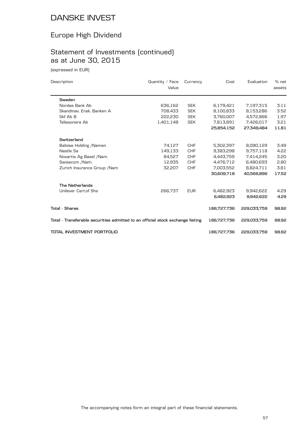# Europe High Dividend

# Statement of Investments (continued) as at June 30, 2015

(expressed in EUR)

| Description                                                                    | Quantity / Face<br>Value | Currency   | Cost        | Evaluation  | % net<br>assets |
|--------------------------------------------------------------------------------|--------------------------|------------|-------------|-------------|-----------------|
| Sweden                                                                         |                          |            |             |             |                 |
| Nordea Bank Ab                                                                 | 636,162                  | <b>SEK</b> | 6,179,421   | 7,197,315   | 3.11            |
| Skandinav, Ensk, Banken A                                                      | 708,433                  | <b>SEK</b> | 8,100,833   | 8,153,286   | 3.52            |
| Skf Ab B                                                                       | 222,230                  | <b>SEK</b> | 3,760,007   | 4,572,866   | 1.97            |
| Teliasonera Ab                                                                 | 1,401,148                | <b>SEK</b> | 7,813,891   | 7,426,017   | 3.21            |
|                                                                                |                          |            | 25,854,152  | 27.349.484  | 11.81           |
| Switzerland                                                                    |                          |            |             |             |                 |
| Baloise Holding / Namen                                                        | 74,127                   | <b>CHF</b> | 5,302,397   | 8,090,129   | 3.49            |
| Nestle Sa                                                                      | 149,133                  | <b>CHF</b> | 9,383,298   | 9,757,118   | 4.22            |
| Novartis Ag Basel / Nam.                                                       | 84,527                   | <b>CHF</b> | 4,443,759   | 7,414,245   | 3.20            |
| Swisscom /Nam.                                                                 | 12,935                   | <b>CHF</b> | 4,476,712   | 6,480,693   | 2.80            |
| Zurich Insurance Group / Nam                                                   | 32,207                   | <b>CHF</b> | 7,003,552   | 8,824,711   | 3.81            |
|                                                                                |                          |            | 30,609,718  | 40,566,896  | 17.52           |
| <b>The Netherlands</b>                                                         |                          |            |             |             |                 |
| Unilever Cert.of Shs                                                           | 266,737                  | <b>EUR</b> | 6,482,923   | 9,942,622   | 4.29            |
|                                                                                |                          |            | 6,482,923   | 9,942,622   | 4.29            |
| <b>Total - Shares</b>                                                          |                          |            | 186,727,736 | 229,033,759 | 98.92           |
| Total - Transferable securities admitted to an official stock exchange listing |                          |            | 186,727,736 | 229,033,759 | 98.92           |
| TOTAL INVESTMENT PORTFOLIO                                                     |                          |            | 186,727,736 | 229,033,759 | 98.92           |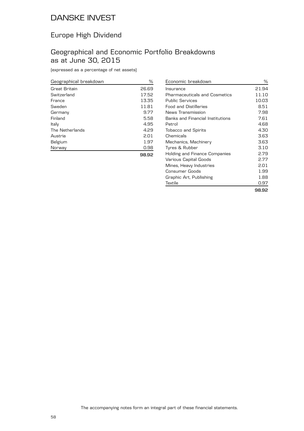### Europe High Dividend

### Geographical and Economic Portfolio Breakdowns as at June 30, 2015

| Geographical breakdown | %     |
|------------------------|-------|
| Great Britain          | 26.69 |
| Switzerland            | 17.52 |
| France                 | 13.35 |
| Sweden                 | 11.81 |
| Germany                | 9.77  |
| Finland                | 5.58  |
| Italy                  | 4.95  |
| The Netherlands        | 4.29  |
| Austria                | 2.01  |
| Belgium                | 1.97  |
| Norway                 | 0.98  |
|                        | 98.92 |

| Economic breakdown                   | ℅     |
|--------------------------------------|-------|
| Insurance                            | 21.94 |
| <b>Pharmaceuticals and Cosmetics</b> | 11.10 |
| Public Services                      | 10.03 |
| <b>Food and Distilleries</b>         | 8.51  |
| News Transmission                    | 7.98  |
| Banks and Financial Institutions     | 7.61  |
| Petrol                               | 4.68  |
| <b>Tobacco and Spirits</b>           | 4.30  |
| Chemicals                            | 3.63  |
| Mechanics, Machinery                 | 3.63  |
| Tyres & Rubber                       | 3.10  |
| Holding and Finance Companies        | 2.79  |
| Various Capital Goods                | 2.77  |
| Mines, Heavy Industries              | 2.01  |
| Consumer Goods                       | 1.99  |
| Graphic Art, Publishing              | 1.88  |
| Textile                              | 0.97  |
|                                      | 98.92 |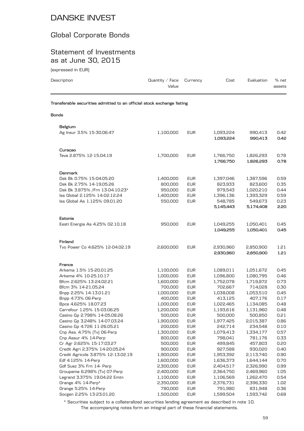### Global Corporate Bonds

### Statement of Investments as at June 30, 2015

(expressed in EUR)

| (expressed in EUR)                                                     |                          |            |           |            |                 |
|------------------------------------------------------------------------|--------------------------|------------|-----------|------------|-----------------|
| Description                                                            | Quantity / Face<br>Value | Currency   | Cost      | Evaluation | % net<br>assets |
| Transferable securities admitted to an official stock exchange listing |                          |            |           |            |                 |
| <b>Bonds</b>                                                           |                          |            |           |            |                 |
| Belgium                                                                |                          |            |           |            |                 |
| Ag Insur 3.5% 15-30.06.47                                              | 1,100,000                | <b>EUR</b> | 1,093,224 | 990,413    | 0.42            |
|                                                                        |                          |            | 1,093,224 | 990,413    | 0.42            |
| Curaçao                                                                |                          |            |           |            |                 |
| Teva 2.875% 12-15.04.19                                                | 1,700,000                | <b>EUR</b> | 1,766,750 | 1,826,293  | 0.78            |
|                                                                        |                          |            | 1,766,750 | 1,826,293  | 0.78            |
| Denmark                                                                |                          |            |           |            |                 |
| Dsk Bk 0.75% 15-04.05.20                                               | 1,400,000                | <b>EUR</b> | 1,397,046 | 1,387,596  | 0.59            |
| Dsk Bk 2.75% 14-19.05.26                                               | 800,000                  | <b>EUR</b> | 823,933   | 823,600    | 0.35            |
| Dsk Bk 3.875% / Frn 13-04.10.23*                                       | 950,000                  | <b>EUR</b> | 979,543   | 1,020,210  | 0.44            |
| Iss Global 2.125% 14-02.12.24                                          | 1,400,000                | <b>EUR</b> | 1,396,136 | 1,393,329  | 0.59            |
| Iss Global As 1.125% 09.01.20                                          | 550,000                  | <b>EUR</b> | 548,785   | 549,673    | 0.23            |
|                                                                        |                          |            | 5,145,443 | 5,174,408  | 2.20            |
|                                                                        |                          |            |           |            |                 |
| Estonia<br>Eesti Energia As 4.25% 02.10.18                             | 950,000                  | <b>EUR</b> | 1,049,255 | 1,050,401  | 0.45            |
|                                                                        |                          |            | 1,049,255 | 1,050,401  | 0.45            |
|                                                                        |                          |            |           |            |                 |
| Finland                                                                |                          |            |           |            |                 |
| Tvo Power Co 4.625% 12-04.02.19                                        | 2,600,000                | <b>EUR</b> | 2,930,960 | 2,850,900  | 1.21            |
|                                                                        |                          |            | 2,930,960 | 2,850,900  | 1.21            |
| France                                                                 |                          |            |           |            |                 |
| Arkema 1.5% 15-20.01.25                                                | 1,100,000                | <b>EUR</b> | 1,089,011 | 1,051,672  | 0.45            |
| Arkema 4% 10-25.10.17                                                  | 1,000,000                | <b>EUR</b> | 1,096,800 | 1,080,795  | 0.46            |
| Bfcm 2.625% 13-24.02.21                                                | 1,600,000                | <b>EUR</b> | 1,752,078 | 1,719,872  | 0.73            |
| Bfcm 3% 14-21.05.24                                                    | 700,000                  | <b>EUR</b> | 702,667   | 714,028    | 0.30            |
| Bnpp 2.25% 14-13.01.21                                                 | 1,000,000                | <b>EUR</b> | 1,038,008 | 1,053,510  | 0.45            |
| Bnpp 4.73% 06-Perp                                                     | 400,000                  | <b>EUR</b> | 413,125   | 407,176    | 0.17            |
| Bpce 4.625% 18.07.23                                                   | 1,000,000                | <b>EUR</b> | 1,022,465 | 1,134,085  | 0.48            |
| Carrefour 1.25% 15-03.06.25                                            | 1,200,000                | <b>EUR</b> | 1,193,616 | 1,131,960  | 0.48            |
| Casino Gp 2.798% 14-05.08.26                                           | 500,000                  | <b>EUR</b> | 500,000   | 500,850    | 0.21            |
| Casino Gp 3.248% 14-07.03.24                                           | 1,900,000                | <b>EUR</b> | 1,977,425 | 2,015,387  | 0.86            |
| Casino Gp 4.726 11-26.05.21                                            | 200,000                  | <b>EUR</b> | 242,714   | 234,548    | 0.10            |
| Cnp Ass. 4.75% (Tv) 06-Perp                                            | 1,300,000                | <b>EUR</b> | 1,079,413 | 1,334,177  | 0.57            |
| Cnp Assur 4% 14-Perp                                                   | 800,000                  | <b>EUR</b> | 798,041   | 781,176    | 0.33            |
| Cr Agr 2.625% 15-17.03.27                                              | 500,000                  | <b>EUR</b> | 499,845   | 457,803    | 0.20            |
| Credit Agri 2.375% 14-20.05.24                                         | 900,000                  | <b>EUR</b> | 927,588   | 930,020    | 0.40            |
| Credit Agricole 3.875% 12-13.02.19                                     | 1,900,000                | <b>EUR</b> | 1,953,392 | 2,113,740  | 0.90            |
| Edf 4.125% 14-Perp                                                     | 1,600,000                | <b>EUR</b> | 1,636,373 | 1,644,144  | 0.70            |
| Gdf Suez 3% Frn 14- Perp                                               | 2,300,000                | <b>EUR</b> | 2,404,517 | 2,326,990  | 0.99            |
| Groupama 6.298% [Tv] 07-Perp                                           | 2,400,000                | <b>EUR</b> | 2,364,750 | 2,469,960  | 1.05            |
| Legrand 3.375% 19.04.22 Emtn                                           | 1,100,000                | <b>EUR</b> | 1,106,569 | 1,262,470  | 0.54            |
| Orange 4% 14-Perp*                                                     | 2,350,000                | <b>EUR</b> | 2,376,731 | 2,396,330  | 1.02            |
| Orange 5.25% 14-Perp                                                   | 780,000                  | <b>EUR</b> | 791,980   | 831,948    | 0.36            |

The accompanying notes form an integral part of these financial statements. \* Securities subject to a collateralized securities lending agreement as described in note 10.

Socgen 2.25% 13-23.01.20 1,500,000 EUR 1,599,504 1,593,742 0.68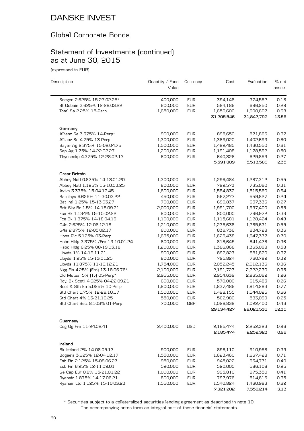### Global Corporate Bonds

### Statement of Investments (continued) as at June 30, 2015

(expressed in EUR)

| Description                        | Quantity $\angle$ Face<br>Value | Currency   | Cost                    | Evaluation              | % net<br>assets |
|------------------------------------|---------------------------------|------------|-------------------------|-------------------------|-----------------|
| Socgen 2.625% 15-27.02.25*         | 400,000                         | <b>EUR</b> | 394,148                 | 374,552                 | 0.16            |
| St Gobain 3.625% 12-28.03.22       | 600,000                         | <b>EUR</b> | 594,186                 | 686,250                 | 0.29            |
| Total Sa 2.25% 15-Perp             | 1,650,000                       | <b>EUR</b> | 1,650,600               | 1,600,607               | 0.68            |
|                                    |                                 |            | 31,205,546              | 31,847,792              | 13.56           |
| Germany                            |                                 |            |                         |                         |                 |
| Allianz Se 3.375% 14-Perp*         | 900,000                         | <b>EUR</b> | 898,650                 | 871,866                 | 0.37            |
| Allianz Se 4.75% 13-Perp           | 1,300,000                       | <b>EUR</b> | 1,369,020               | 1,402,693               | 0.60            |
| Bayer Ag 2.375% 15-02.04.75        | 1,500,000                       | <b>EUR</b> | 1,492,485               | 1,430,550               | 0.61            |
| Sap Ag 1.75% 14-22.02.27           | 1,200,000                       | <b>EUR</b> | 1,191,408               | 1,178,592               | 0.50            |
| Thyssenkp 4.375% 12-28.02.17       | 600,000                         | <b>EUR</b> | 640,326                 | 629,859                 | 0.27            |
|                                    |                                 |            | 5,591,889               | 5,513,560               | 2.35            |
| Great Britain                      |                                 |            |                         |                         |                 |
| Abbey Natl 0.875% 14-13.01.20      | 1,300,000                       | <b>EUR</b> | 1,296,484               | 1,287,312               | 0.55            |
| Abbey Natl 1.125% 15-10.03.25      | 800,000                         | <b>EUR</b> | 792,573                 | 735,060                 | 0.31            |
| Aviva 3.375% 15-04.12.45           | 1,600,000                       | <b>EUR</b> | 1,584,832               | 1,515,560               | 0.64            |
| Barclays 6.625% 11-30.03.22        | 450,000                         | <b>EUR</b> | 567,277                 | 559,827                 | 0.24            |
| Bat Intl 1.25% 15-13.03.27         | 700,000                         | <b>EUR</b> | 690,837                 | 637,336                 | 0.27            |
| Brit Sky Br 1.5% 14-15.09.21       | 2,000,000                       | <b>EUR</b> | 1,991,700               | 1,997,400               | 0.85            |
| Fce Bk 1.134% 15-10.02.22          | 800,000                         | <b>EUR</b> | 800,000                 | 766,972                 | 0.33            |
| Fce Bk 1.875% 14-18.04.19          | 1,100,000                       | <b>EUR</b> | 1,115,681               | 1,128,424               | 0.48            |
| G4s 2.625% 12-06.12.18             | 1,210,000                       | <b>EUR</b> | 1,235,638               | 1,285,631               | 0.55            |
| G4s 2.875% 12-05.02.17             | 800,000                         | <b>EUR</b> | 839,736                 | 834,728                 | 0.36            |
| Hbos Plc 5.125% 03-Perp            | 1,635,000                       | <b>EUR</b> | 1,629,438               | 1,647,377               | 0.70            |
| Hsbc Hldg 3.375% / Frn 13-10.01.24 | 800,000                         | <b>EUR</b> | 818,645                 | 841,476                 | 0.36            |
| Hsbc Hldg 6.25% 08-19.03.18        | 1,200,000                       | <b>EUR</b> | 1,386,868               | 1,363,098               | 0.58            |
| Lloyds 1% 14-19.11.21              | 900,000                         | <b>EUR</b> | 892,827                 | 881,820                 | 0.37            |
| Lloyds 1.25% 15-13.01.25           | 800,000                         | <b>EUR</b> | 795,824                 | 760,792                 | 0.32            |
| Lloyds 11.875% 11-16.12.21         | 1,754,000                       | <b>EUR</b> | 2,052,245               | 2,012,136               | 0.86            |
| Ngg Fin 4.25% [Frn] 13-18.06.76*   | 2,100,000                       | <b>EUR</b> | 2,191,723               | 2,222,230               | 0.95            |
| Old Mutual 5% (Tv) 05-Perp*        | 2,955,000                       | <b>EUR</b> | 2,954,639               | 2,965,062               | 1.26            |
| Roy. Bk Scotl. 4.625% 04-22.09.21  | 600,000                         | <b>EUR</b> | 570,000                 | 615,483                 | 0.26            |
| Scot & Sth En 5.025% 10-Perp       | 1,800,000                       | <b>EUR</b> | 1,837,486               | 1,814,283               | 0.77            |
| Std Chart 1.75% 12-29.10.17        | 1,500,000                       | <b>EUR</b> | 1,498,155               | 1,544,025               | 0.66            |
| Std Chart 4% 13-21.10.25           | 550,000                         | <b>EUR</b> | 562,980                 | 583,099                 | 0.25            |
| Std Chart Sec. 8.103% 01-Perp      | 700,000                         | <b>GBP</b> | 1,028,839<br>29,134,427 | 1,022,400<br>29,021,531 | 0.43<br>12.35   |
| Guernsey                           |                                 |            |                         |                         |                 |
| Csg Gg Frn 11-24.02.41             | 2,400,000                       | <b>USD</b> | 2,185,474               | 2,252,323               | 0.96            |
|                                    |                                 |            | 2,185,474               | 2,252,323               | 0.96            |
| Ireland                            |                                 |            |                         |                         |                 |
| Bk Ireland 2% 14-08.05.17          | 900,000                         | <b>EUR</b> | 898,110                 | 910,958                 | 0.39            |
| Bogaeis 3.625% 12-04.12.17         | 1,550,000                       | <b>EUR</b> | 1,623,460               | 1,667,428               | 0.71            |
| Esb Fin 2.125% 15-08.06.27         | 950,000                         | <b>EUR</b> | 945,022                 | 934,771                 | 0.40            |
| Esb Fin 6.25% 12-11.09.01          | 520,000                         | <b>EUR</b> | 520,000                 | 586,108                 | 0.25            |
| Ge Cap Eur 0.8% 15-21.01.22        | 1,000,000                       | <b>EUR</b> | 995,810                 | 975,350                 | 0.41            |
| Ryanair 1.875% 14-17.06.21         | 800,000                         | <b>EUR</b> | 797,976                 | 814,616                 | 0.35            |
| Ryanair Ltd 1.125% 15-10.03.23     | 1,550,000                       | <b>EUR</b> | 1,540,824               | 1,460,983               | 0.62            |
|                                    |                                 |            | 7,321,202               | 7,350,214               | 3.13            |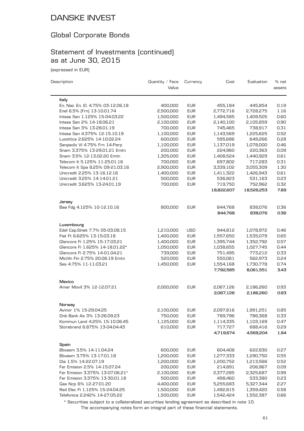### Global Corporate Bonds

### Statement of Investments (continued) as at June 30, 2015

(expressed in EUR)

| Description                         | Quantity $\angle$ Face<br>Value | Currency   | Cost                   | Evaluation             | % net<br>assets |
|-------------------------------------|---------------------------------|------------|------------------------|------------------------|-----------------|
| ltaly                               |                                 |            |                        |                        |                 |
| En. Naz. En. El. 4.75% 03-12.06.18  | 400,000                         | <b>EUR</b> | 455,184                | 445,854                | 0.19            |
| Enel 6.5% [Frn] 13-10.01.74         | 2,500,000                       | <b>EUR</b> | 2,772,716              | 2,728,275              | 1.16            |
| Intesa San 1.125% 15-04.03.22       | 1,500,000                       | <b>EUR</b> | 1,494,585              | 1,409,505              | 0.60            |
| Intesa San 2% 14-18.06.21           | 2,100,000                       | <b>EUR</b> | 2,140,100              | 2,105,859              | 0.90            |
| Intesa San 3% 13-28.01.19           | 700,000                         | <b>EUR</b> | 745,465                | 738,917                | 0.31            |
| Intesa San 4.375% 12-15.10.19       | 1,100,000                       | <b>EUR</b> | 1,143,569              | 1,225,625              | 0.52            |
| Luxottica 2.625% 14-10.02.24        | 600,000                         | <b>EUR</b> | 595,686                | 649,266                | 0.28            |
| Sanpaolo VI 4.75% Frn 14-Perp       | 1,100,000                       | <b>EUR</b> | 1,137,019              | 1,078,000              | 0.46            |
| Snam 3.375% 13-29.01.21 Emtn        | 200,000                         | <b>EUR</b> | 224,960                | 220,363                | 0.09            |
| Snam 3.5% 12-13.02.20 Emtn          | 1,305,000                       | <b>EUR</b> | 1,408,524              | 1,440,929              | 0.61            |
| Telecom It 5.125% 11-25.01.16       | 700,000                         | <b>EUR</b> | 697,802                | 717,283                | 0.31            |
| Telecom It Spa 8.25% 09-21.03.16    | 2,900,000                       | <b>EUR</b> | 3,339,102              | 3,055,309              | 1.30            |
| Unicredit 2.25% 13-16.12.16         | 1,400,000                       | <b>EUR</b> | 1,411,322              | 1,426,943              | 0.61            |
| Unicredit 3.25% 14-14.01.21         | 500,000                         | <b>EUR</b> | 536,823                | 531,163                | 0.23            |
| Unicredit 3.625% 13-24.01.19        | 700,000                         | <b>EUR</b> | 719,750                | 752,962                | 0.32            |
|                                     |                                 |            | 18,822,607             | 18,526,253             | 7.89            |
| Jersey                              |                                 |            |                        |                        |                 |
| Baa Fdg 4.125% 10-12.10.16          | 800,000                         | <b>EUR</b> | 844,768<br>844,768     | 838,076<br>838,076     | 0.36<br>0.36    |
|                                     |                                 |            |                        |                        |                 |
| Luxembourg                          |                                 |            |                        |                        |                 |
| Edel Cap.Sinek 7.7% 05-03.08.15     | 1,210,000                       | <b>USD</b> | 944,812                | 1,078,972              | 0.46            |
| Fiat Ft 6.625% 13-15.03.18          | 1,400,000                       | <b>EUR</b> | 1,557,650              | 1,535,079              | 0.65            |
| Glencore Fi 1.25% 15-17.03.21       | 1,400,000                       | <b>EUR</b> | 1,395,744              | 1,352,792              | 0.57            |
| Glencore Fi 1.625% 14-18.01.22*     | 1,050,000                       | <b>EUR</b> | 1,038,655              | 1,027,745              | 0.44            |
| Glencore Fi 2.75% 14-01.04.21       | 739,000                         | <b>EUR</b> | 751,495                | 773,212                | 0.33            |
| Michln Fin 2.75% 20.06.19 Emtn      | 520,000                         | <b>EUR</b> | 550,061                | 562,973                | 0.24            |
| Ses 4.75% 11-11.03.21               | 1,450,000                       | <b>EUR</b> | 1,554,168<br>7,792,585 | 1,730,778<br>8,061,551 | 0.74<br>3.43    |
|                                     |                                 |            |                        |                        |                 |
| Mexico<br>Amer Movil 3% 12-12.07.21 | 2,000,000                       | <b>EUR</b> | 2,067,126              | 2,186,260              | 0.93            |
|                                     |                                 |            | 2,067,126              | 2,186,260              | 0.93            |
|                                     |                                 |            |                        |                        |                 |
| Norway                              |                                 |            |                        |                        |                 |
| Avinor 1% 15-29.04.25               | 2,100,000                       | <b>EUR</b> | 2,097,816              | 1,991,251              | 0.85            |
| Dnb Bank As 3% 13-26.09.23          | 750,000                         | <b>EUR</b> | 789,796                | 786,368                | 0.33            |
| Kommun Land 4.25% 15-10.06.45       | 1,125,000                       | <b>EUR</b> | 1,114,335              | 1,103,169              | 0.47            |
| Storebrand 6.875% 13-04.04.43       | 610,000                         | <b>EUR</b> | 717,727                | 688,416                | 0.29            |
|                                     |                                 |            | 4,719,674              | 4,569,204              | 1.94            |
| Spain                               |                                 |            |                        |                        |                 |
| Bbvasm 3.5% 14-11.04.24             | 600,000                         | <b>EUR</b> | 604,408                | 622,830                | 0.27            |
| Bbvasm 3.75% 13-17.01.18            | 1,200,000                       | <b>EUR</b> | 1,277,333              | 1,290,750              | 0.55            |
| Dia 1.5% 14-22.07.19                | 1,200,000                       | <b>EUR</b> | 1,200,752              | 1,213,566              | 0.52            |
| Fer Emision 2.5% 14-15.07.24        | 200,000                         | <b>EUR</b> | 214,891                | 206,967                | 0.09            |
| Fer Emision 3.375% 13-07.06.21*     | 2,100,000                       | <b>EUR</b> | 2,377,285              | 2,325,687              | 0.99            |
| Fer Emision 3.375% 13-30.01.18      | 500,000                         | <b>EUR</b> | 498,460                | 533,380                | 0.23            |
| Gas Ncp 6% 12-27.01.20              | 4,400,000                       | <b>EUR</b> | 5,255,683              | 5,327,344              | 2.27            |
| Red Elec Fi 1.125% 15-24.04.25      | 1,500,000                       | <b>EUR</b> | 1,492,815              | 1,359,420              | 0.58            |
| Telefonica 2.242% 14-27.05.22       | 1,500,000                       | <b>EUR</b> | 1,542,424              | 1,552,387              | 0.66            |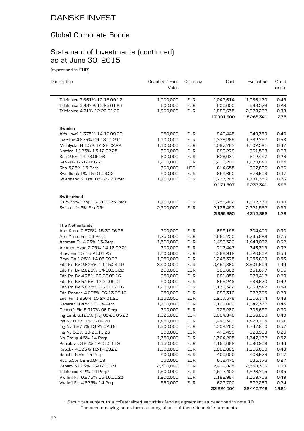### Global Corporate Bonds

### Statement of Investments (continued) as at June 30, 2015

(expressed in EUR)

| Description                                                   | Quantity $\angle$ Face<br>Value | Currency                 | Cost                 | Evaluation             | % net<br>assets |
|---------------------------------------------------------------|---------------------------------|--------------------------|----------------------|------------------------|-----------------|
|                                                               |                                 |                          |                      |                        |                 |
| Telefonica 3.661% 10-18.09.17                                 | 1,000,000                       | <b>EUR</b>               | 1,043,614            | 1,066,170              | 0.45            |
| Telefonica 3.987% 13-23.01.23                                 | 600,000                         | <b>EUR</b>               | 600,000              | 688,578                | 0.29            |
| Telefonica 4.71% 12-20.01.20                                  | 1,800,000                       | <b>EUR</b>               | 1,883,635            | 2,078,262              | 0.88            |
|                                                               |                                 |                          | 17,991,300           | 18,265,341             | 7.78            |
| Sweden                                                        |                                 |                          |                      |                        |                 |
| Alfa Laval 1.375% 14-12.09.22                                 | 950,000                         | <b>EUR</b>               | 946,445              | 949,359                | 0.40            |
| Investor 4.875% 09-18.11.21*                                  | 1,100,000                       | <b>EUR</b>               | 1,336,265            | 1,362,757              | 0.58            |
| Molnlycke H 1.5% 14-28.02.22                                  | 1,100,000                       | <b>EUR</b>               | 1,097,767            | 1,102,591              | 0.47            |
| Nordea 1.125% 15-12.02.25                                     | 700,000                         | <b>EUR</b>               | 699,279              | 661,598                | 0.28            |
| Seb 2.5% 14-28.05.26                                          | 600,000                         | <b>EUR</b>               | 626,031              | 612,447                | 0.26            |
| Seb 4% 12-12.09.22                                            | 1,200,000                       | <b>EUR</b>               | 1,219,200            | 1,278,840              | 0.55            |
| Shb 5.25% 15-Perp                                             | 700,000                         | <b>USD</b>               | 614,655              | 607,890                | 0.26            |
| Swedbank 1% 15-01.06.22                                       | 900,000                         | <b>EUR</b>               | 894,690              | 876,506                | 0.37            |
| Swedbank 3 [Frn] 05.12.22 Emtn                                | 1,700,000                       | <b>EUR</b>               | 1,737,265            | 1,781,353              | 0.76            |
|                                                               |                                 |                          | 9,171,597            | 9,233,341              | 3.93            |
| Switzerland                                                   |                                 |                          |                      |                        |                 |
| Cs 5.75% [Frn] 13-18.09.25 Regs                               | 1,700,000                       | <b>EUR</b>               | 1,758,402            | 1,892,330              | 0.80            |
| Swiss Life 5% Frn 05*                                         | 2,300,000                       | <b>EUR</b>               | 2,138,493            | 2,321,562              | 0.99            |
|                                                               |                                 |                          | 3,896,895            | 4,213,892              | 1.79            |
| <b>The Netherlands</b>                                        |                                 |                          |                      |                        |                 |
| Abn Amro 2.875% 15-30.06.25                                   | 700,000                         | <b>EUR</b>               | 699,195              | 704,400                | 0.30            |
| Abn Amro Frn 06-Perp.                                         | 1,750,000                       | <b>EUR</b>               | 1,681,750            | 1,765,829              | 0.75            |
| Achmea Bv 4.25% 15-Perp                                       | 1,500,000                       | <b>EUR</b>               | 1,499,520            | 1,448,062              | 0.62            |
| Achmea Hypo 2.75% 14-18.02.21                                 | 700,000                         | <b>EUR</b>               | 717,447              | 743,319                | 0.32            |
| Bmw Fin 1% 15-21.01.25                                        | 1,400,000                       | <b>EUR</b>               | 1,388,912            | 1,320,802              | 0.56            |
| Bmw Fin 1.25% 14-05.09.22                                     | 1,250,000                       | <b>EUR</b>               | 1,245,375            | 1,253,669              | 0.53            |
| Edp Fin Bv 2.625% 14-15.04.19                                 | 3,400,000                       | <b>EUR</b>               | 3,451,860            | 3,501,609              | 1.49            |
| Edp Fin Bv 2.625% 14-18.01.22                                 | 350,000                         | <b>EUR</b>               | 380,663              | 351,677                | 0.15            |
| Edp Fin Bv 4.75% 09-26.09.16                                  | 650,000                         | <b>EUR</b>               | 691,858              | 678,412                | 0.29            |
| Edp Fin Bv 5.75% 12-21.09.01                                  | 900,000                         | <b>EUR</b>               | 895,248              | 986,670                | 0.42            |
| Edp Fin Bv 5.875% 11-01.02.16                                 | 1,230,000                       | <b>EUR</b>               | 1,179,322            | 1,268,542              | 0.54            |
| Edp Finance 4.625% 06-13.06.16<br>Enel Fin 1.966% 15-27.01.25 | 650,000                         | <b>EUR</b>               | 682,310              | 672,305                | 0.29            |
|                                                               | 1,150,000                       | <b>EUR</b>               | 1,217,578            | 1,116,144              | 0.48            |
| Generali Fi 4.596% 14-Perp<br>Generali Fin 5.317% 06-Perp     | 1,100,000<br>700,000            | <b>EUR</b><br><b>EUR</b> | 1,100,000<br>725,280 | 1,047,337<br>708,697   | 0.45<br>0.30    |
| Ing Bank 6.125% (Tv) 08-29.05.23                              | 1,025,000                       | <b>EUR</b>               | 1,064,848            |                        | 0.49            |
| Ing Nv 0.7% 15-16.04.20                                       | 1,450,000                       | <b>EUR</b>               | 1,446,361            | 1,156,810<br>1,429,105 | 0.61            |
| Ing Nv 1.875% 13-27.02.18                                     | 1,300,000                       | <b>EUR</b>               | 1,309,760            | 1,347,840              | 0.57            |
| Ing Nv 3.5% 13-21.11.23                                       | 500,000                         | EUR                      | 479,459              | 528,958                | 0.23            |
| Nn Group 4.5% 14-Perp                                         | 1,350,000                       | <b>EUR</b>               | 1,364,205            | 1,347,172              | 0.57            |
| Petrobras 3.25% 12-01.04.19                                   | 1,150,000                       | <b>EUR</b>               | 1,165,082            | 1,090,919              | 0.46            |
| Rabobk 4.125% 12-14.09.22                                     | 1,000,000                       | EUR                      | 1,082,085            | 1,116,610              | 0.48            |
| Rabobk 5.5% 15-Perp                                           | 400,000                         | <b>EUR</b>               | 400,000              | 403,578                | 0.17            |
| Rbs 5.5% 09-20.04.19                                          | 550,000                         | <b>EUR</b>               | 618,475              | 635,176                | 0.27            |
| Repsm 3.625% 13-07.10.21                                      | 2,300,000                       | <b>EUR</b>               | 2,411,825            | 2,558,393              | 1.09            |
| Telefonica 4.2% 14-Perp*                                      | 1,500,000                       | <b>EUR</b>               | 1,513,402            | 1,526,715              | 0.65            |
| Vw Intl Fin 0.875% 15-16.01.23                                | 1,200,000                       | <b>EUR</b>               | 1,188,984            | 1,159,716              | 0.49            |
| Vw Intl Fin 4.625% 14-Perp                                    | 550,000                         | <b>EUR</b>               | 623,700              | 572,283                | 0.24            |
|                                                               |                                 |                          | 32,224,504           | 32,440,749             | 13.81           |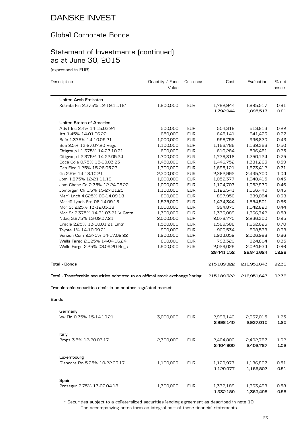### Global Corporate Bonds

### Statement of Investments (continued) as at June 30, 2015

(expressed in EUR)

| Description                                                                    | Quantity / Face<br>Value | Currency   | Cost                    | Evaluation              | % net<br>assets |
|--------------------------------------------------------------------------------|--------------------------|------------|-------------------------|-------------------------|-----------------|
| <b>United Arab Emirates</b>                                                    |                          |            |                         |                         |                 |
| Xstrata Fin 2.375% 12-19.11.18*                                                | 1,800,000                | <b>EUR</b> | 1,792,944<br>1,792,944  | 1,895,517<br>1,895,517  | 0.81<br>0.81    |
| <b>United States of America</b>                                                |                          |            |                         |                         |                 |
| At&T Inc 2.4% 14-15.03.24                                                      | 500,000                  | <b>EUR</b> | 504,318                 | 513,813                 | 0.22            |
| Att 1.45% 14-01.06.22                                                          | 650,000                  | <b>EUR</b> | 648,141                 | 641,423                 | 0.27            |
| Bafc 1.375% 14-10.09.21                                                        | 1,000,000                | <b>EUR</b> | 998,758                 | 996,870                 | 0.43            |
| Boa 2.5% 13-27.07.20 Regs                                                      | 1,100,000                | <b>EUR</b> | 1,166,786               | 1,169,366               | 0.50            |
| Citigroup   1.375% 14-27.10.21                                                 | 600,000                  | <b>EUR</b> | 610,284                 | 596,481                 | 0.25            |
| Citigroup   2.375% 14-22.05.24                                                 | 1,700,000                | <b>EUR</b> | 1,736,818               | 1,750,124               | 0.75            |
| Coca Cola 0.75% 15-09.03.23                                                    | 1,450,000                | <b>EUR</b> | 1,446,752               | 1,381,263               | 0.59            |
| Gen Elec 1.25% 15-26.05.23                                                     | 1,700,000                | <b>EUR</b> | 1,695,121               | 1,673,412               | 0.71            |
| Gs 2.5% 14-18.10.21                                                            | 2,300,000                | <b>EUR</b> | 2,362,992               | 2,435,700               | 1.04            |
| Jpm 1.875% 12-21.11.19                                                         | 1,000,000                | <b>EUR</b> | 1,052,377               | 1,048,415               | 0.45            |
| Jpm Chase Co 2.75% 12-24.08.22                                                 | 1,000,000                | <b>EUR</b> | 1,104,707               | 1,082,970               | 0.46            |
| Jpmorgan Ch 1.5% 15-27.01.25                                                   | 1,100,000                | <b>EUR</b> | 1,126,541               | 1,056,440               | 0.45            |
| Meril Lnch 4.625% 06-14.09.18                                                  | 800,000                  | <b>EUR</b> | 897,956                 | 889,084                 | 0.38            |
| Merrill Lynch Frn 06-14.09.18                                                  | 1,575,000                | <b>EUR</b> | 1,434,344               | 1,554,501               | 0.66            |
| Mor St 2.25% 13-12.03.18                                                       | 1,000,000                | <b>EUR</b> | 994,870                 | 1,042,820               | 0.44            |
| Mor St 2.375% 14-31.03.21 V Gmtn                                               | 1,300,000                | <b>EUR</b> | 1,336,089               | 1,366,742               | 0.58            |
| Ndaq 3.875% 13-09.07.21                                                        | 2,000,000                | <b>EUR</b> | 2,078,775               | 2,236,300               | 0.95            |
| Oracle 2.25% 13-10.01.21 Emtn                                                  | 1,550,000                | <b>EUR</b> | 1,589,588               | 1,652,626               | 0.70            |
|                                                                                |                          |            |                         |                         |                 |
| Toyota 1% 14-10.09.21                                                          | 900,000                  | <b>EUR</b> | 900,534                 | 898,538                 | 0.38            |
| Verizon Com 2.375% 14-17.02.22                                                 | 1,900,000                | <b>EUR</b> | 1,933,052               | 2,006,998               | 0.86            |
| Wells Fargo 2.125% 14-04.06.24                                                 | 800,000                  | <b>EUR</b> | 793,320                 | 824,804                 | 0.35            |
| Wells Fargo 2.25% 03.09.20 Regs                                                | 1,900,000                | <b>EUR</b> | 2,029,029<br>28,441,152 | 2,024,934<br>28,843,624 | 0.86<br>12.28   |
| <b>Total - Bonds</b>                                                           |                          |            | 215,189,322             | 216,951,643             | 92.36           |
| Total - Transferable securities admitted to an official stock exchange listing |                          |            | 215,189,322             | 216,951,643             | 92.36           |
|                                                                                |                          |            |                         |                         |                 |
| Transferable securities dealt in on another regulated market                   |                          |            |                         |                         |                 |
| <b>Bonds</b>                                                                   |                          |            |                         |                         |                 |
| Germany                                                                        |                          |            |                         |                         |                 |
| Vw Fin 0.75% 15-14.10.21                                                       | 3,000,000                | <b>EUR</b> | 2,998,140               | 2,937,015               | 1.25            |
|                                                                                |                          |            | 2,998,140               | 2,937,015               | 1.25            |
| Italy                                                                          |                          |            |                         |                         |                 |
| Bmps 3.5% 12-20.03.17                                                          | 2,300,000                | <b>EUR</b> | 2,404,800               | 2,402,787               | 1.02            |
|                                                                                |                          |            | 2,404,800               | 2,402,787               | 1.02            |
| Luxembourg                                                                     |                          |            |                         |                         |                 |
| Glencore Fin 5.25% 10-22.03.17                                                 | 1,100,000                | <b>EUR</b> | 1,129,977               | 1,186,807               | 0.51            |
|                                                                                |                          |            | 1,129,977               | 1,186,807               | 0.51            |
| Spain                                                                          |                          |            |                         |                         |                 |
| Prosegur 2.75% 13-02.04.18                                                     | 1,300,000                | <b>EUR</b> | 1,332,189               | 1,363,498               | 0.58            |
|                                                                                |                          |            | 1,332,189               | 1,363,498               | 0.58            |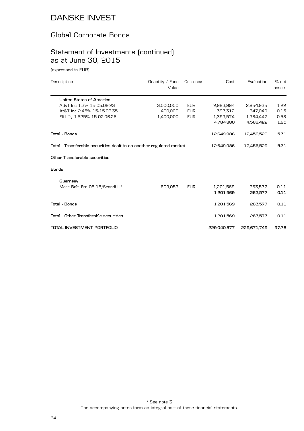### Global Corporate Bonds

### Statement of Investments (continued) as at June 30, 2015

(expressed in EUR)

| Description                                                          | Quantity $\angle$ Face<br>Value | Currency   | Cost        | Evaluation  | % net<br>assets |
|----------------------------------------------------------------------|---------------------------------|------------|-------------|-------------|-----------------|
| <b>United States of America</b>                                      |                                 |            |             |             |                 |
| At&T Inc 1.3% 15-05.09.23                                            | 3,000,000                       | <b>EUR</b> | 2,993,994   | 2,854,935   | 1.22            |
| At&T Inc 2.45% 15-15.03.35                                           | 400,000                         | <b>EUR</b> | 397,312     | 347.040     | 0.15            |
| Eli Lilly 1.625% 15-02.06.26                                         | 1,400,000                       | <b>EUR</b> | 1,393,574   | 1,364,447   | 0.58            |
|                                                                      |                                 |            | 4,784,880   | 4,566,422   | 1.95            |
| <b>Total - Bonds</b>                                                 |                                 |            | 12,649,986  | 12,456,529  | 5.31            |
| Total - Transferable securities dealt in on another regulated market |                                 |            | 12,649,986  | 12,456,529  | 5.31            |
| Other Transferable securities                                        |                                 |            |             |             |                 |
| <b>Bonds</b>                                                         |                                 |            |             |             |                 |
| Guernsey                                                             |                                 |            |             |             |                 |
| Mare Balt. Frn 05-15/Scandi III*                                     | 809.053                         | <b>EUR</b> | 1,201,569   | 263,577     | 0.11            |
|                                                                      |                                 |            | 1,201,569   | 263,577     | 0.11            |
| <b>Total - Bonds</b>                                                 |                                 |            | 1,201,569   | 263,577     | 0.11            |
| Total - Other Transferable securities                                |                                 |            | 1,201,569   | 263,577     | 0.11            |
| TOTAL INVESTMENT PORTFOLIO                                           |                                 |            | 229,040.877 | 229,671,749 | 97.78           |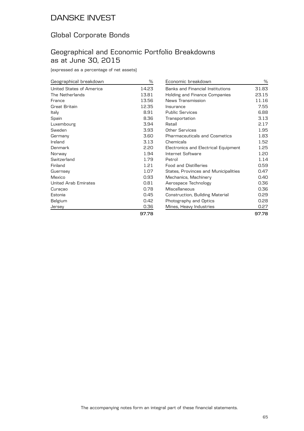### Global Corporate Bonds

### Geographical and Economic Portfolio Breakdowns as at June 30, 2015

| Geographical breakdown      | %     |
|-----------------------------|-------|
| United States of America    | 14.23 |
| The Netherlands             | 13.81 |
| France                      | 13.56 |
| Great Britain               | 12.35 |
| Italy                       | 8.91  |
| Spain                       | 8.36  |
| Luxembourg                  | 3.94  |
| Sweden                      | 3.93  |
| Germany                     | 3.60  |
| Ireland                     | 3.13  |
| Denmark                     | 2.20  |
| Norway                      | 1.94  |
| Switzerland                 | 1.79  |
| Finland                     | 1.21  |
| Guernsey                    | 1.07  |
| Mexico                      | 0.93  |
| <b>United Arab Emirates</b> | 0.81  |
| Curaçao                     | 0.78  |
| Estonia                     | 0.45  |
| Belgium                     | 0.42  |
| Jersey                      | 0.36  |
|                             | 97.78 |

| Economic breakdown                          | ℅     |
|---------------------------------------------|-------|
| <b>Banks and Financial Institutions</b>     | 31.83 |
| Holding and Finance Companies               | 23.15 |
| News Transmission                           | 11.16 |
| Insurance                                   | 7.55  |
| <b>Public Services</b>                      | 6.88  |
| Transportation                              | 3.13  |
| Retail                                      | 2.17  |
| Other Services                              | 1.95  |
| <b>Pharmaceuticals and Cosmetics</b>        | 1.83  |
| Chemicals                                   | 1.52  |
| Electronics and Electrical Equipment        | 1.25  |
| Internet Software                           | 1.20  |
| Petrol                                      | 1.14  |
| <b>Food and Distilleries</b>                | 0.59  |
| <b>States, Provinces and Municipalities</b> | 0.47  |
| Mechanics, Machinery                        | 0.40  |
| Aerospace Technology                        | 0.36  |
| Miscellaneous                               | 0.36  |
| Construction, Building Material             | 0.29  |
| Photography and Optics                      | 0.28  |
| Mines, Heavy Industries                     | 0.27  |
|                                             | 97.78 |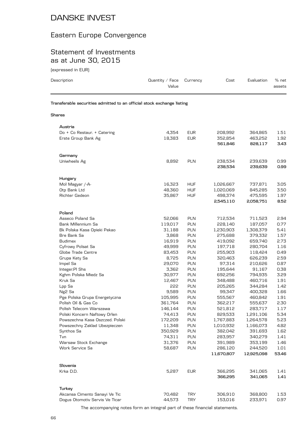### Eastern Europe Convergence

### Statement of Investments as at June 30, 2015

(expressed in EUR)

| Description                                                            | Quantity $\angle$ Face<br>Value | Currency                 | Cost               | Evaluation         | % net<br>assets |
|------------------------------------------------------------------------|---------------------------------|--------------------------|--------------------|--------------------|-----------------|
| Transferable securities admitted to an official stock exchange listing |                                 |                          |                    |                    |                 |
| Shares                                                                 |                                 |                          |                    |                    |                 |
| Austria                                                                |                                 |                          |                    |                    |                 |
| Do + Co Restaur. + Catering                                            | 4,354                           | <b>EUR</b>               | 208,992            | 364,865            | 1.51            |
| Erste Group Bank Ag                                                    | 18,383                          | <b>EUR</b>               | 352,854            | 463,252            | 1.92            |
|                                                                        |                                 |                          | 561,846            | 828,117            | 3.43            |
| Germany                                                                |                                 |                          |                    |                    |                 |
| Uniwheels Ag                                                           | 8,892                           | <b>PLN</b>               | 238,534            | 239,639            | 0.99            |
|                                                                        |                                 |                          | 238,534            | 239,639            | 0.99            |
| Hungary                                                                |                                 |                          |                    |                    |                 |
| Mol Magyar /-A-                                                        | 16,323                          | <b>HUF</b>               | 1,026,667          | 737,871            | 3.05            |
| Otp Bank Ltd                                                           | 48,360                          | <b>HUF</b>               | 1,020,069          | 845,285            | 3.50            |
| Richter Gedeon                                                         | 35,867                          | <b>HUF</b>               | 498,374            | 475,595            | 1.97            |
|                                                                        |                                 |                          | 2,545,110          | 2,058,751          | 8.52            |
| Poland                                                                 |                                 |                          |                    |                    |                 |
| Asseco Poland Sa                                                       | 52,066                          | <b>PLN</b>               | 712,534            | 711,523            | 2.94            |
| Bank Millennium Sa                                                     | 119,017                         | PLN                      | 228,140            | 187,057            | 0.77            |
| Bk Polska Kasa Opieki Pekao                                            | 31,188                          | PLN                      | 1,230,903          | 1,308,379          | 5.41            |
| Bre Bank Sa                                                            | 3,868                           | <b>PLN</b>               | 275,688            | 379,332            | 1.57            |
| <b>Budimex</b>                                                         | 16,919                          | PLN                      | 419,092            | 659,740            | 2.73            |
| Cyfrowy Polsat Sa                                                      | 49,999                          | <b>PLN</b>               | 197,718            | 280,704            | 1.16            |
| Globe Trade Centre                                                     | 83,453                          | <b>PLN</b>               | 255,903            | 118,424            | 0.49            |
| Grupa Kety Sa                                                          | 8,725                           | PLN                      | 320,463            | 626,239            | 2.59            |
| Impel Sa                                                               | 29,070                          | <b>PLN</b>               | 97,314             | 210,626            | 0.87            |
| Integer.PI Shs                                                         | 3,362                           | PLN                      | 195,644            | 91,167             | 0.38            |
| Kghm Polska Miedz Sa                                                   | 30,977                          | <b>PLN</b>               | 692,256            | 794,935            | 3.29            |
| Kruk Sa                                                                | 12,467<br>555                   | <b>PLN</b><br><b>PLN</b> | 348,488            | 460,716            | 1.91<br>1.42    |
| Lpp Sa                                                                 | 9,589                           | <b>PLN</b>               | 205,265<br>99,347  | 344,284<br>400,328 | 1.66            |
| Ng <sub>2</sub> Sa                                                     | 105,995                         | <b>PLN</b>               |                    |                    | 1.91            |
| Pge Polska Grupa Energetyczna<br>Polish Oil & Gas Co                   | 361,764                         | PLN                      | 555,567<br>362,217 | 460,842<br>555,637 | 2.30            |
| Polish Telecom Warszawa                                                | 146,144                         | PLN                      | 521,812            | 283,717            | 1.17            |
| Polski Koncern Naftowy Orlen                                           | 74,413                          | <b>PLN</b>               | 829,533            | 1,291,106          | 5.34            |
| Powszechna Kasa Oszczed. Polski                                        | 172,209                         | <b>PLN</b>               | 1,767,883          | 1,264,578          | 5.23            |
| Powszechny Zaklad Ubezpieczen                                          | 11,348                          | <b>PLN</b>               | 1,010,932          | 1,166,073          | 4.82            |
| Synthos Sa                                                             | 350,929                         | PLN                      | 382,042            | 391,693            | 1.62            |
| Tvn                                                                    | 74,311                          | <b>PLN</b>               | 283,957            | 340,279            | 1.41            |
| Warsaw Stock Exchange                                                  | 31,376                          | <b>PLN</b>               | 391,989            | 353,199            | 1.46            |
| Work Service Sa                                                        | 58,687                          | <b>PLN</b>               | 286,120            | 244,520            | 1.01            |
|                                                                        |                                 |                          | 11,670,807         | 12,925,098         | 53.46           |
| Slovenia                                                               |                                 |                          |                    |                    |                 |
| Krka D.D.                                                              | 5,287                           | <b>EUR</b>               | 366,295            | 341,065            | 1.41            |
|                                                                        |                                 |                          | 366,295            | 341,065            | 1.41            |
|                                                                        |                                 |                          |                    |                    |                 |
| Turkey                                                                 |                                 |                          |                    |                    |                 |

The accompanying notes form an integral part of these financial statements. Dogus Otomotiv Servis Ve Ticar 44,573 TRY 153,016 233,971 0.97

Akcansa Cimento Sanayi Ve Tic **70,482** TRY 306,910 368,800 1.53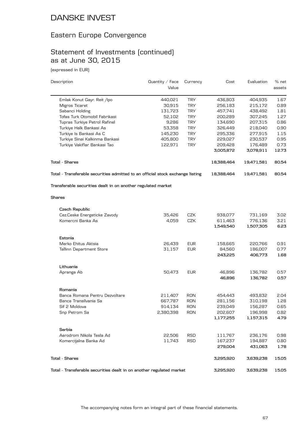### Eastern Europe Convergence

# Statement of Investments (continued) as at June 30, 2015

(expressed in EUR)

| Description                                                                    | Quantity $\angle$ Face | Currency   | Cost                 | Evaluation           | % net        |
|--------------------------------------------------------------------------------|------------------------|------------|----------------------|----------------------|--------------|
|                                                                                | Value                  |            |                      |                      | assets       |
| Emlak Konut Gayr. Reit /lpo                                                    | 440,021                | <b>TRY</b> | 436,803              | 404,935              | 1.67         |
| Migros Ticaret                                                                 | 30,915                 | <b>TRY</b> | 256,183              | 215,172              | 0.89         |
| Sabanci Holding                                                                | 131,723                | <b>TRY</b> | 457,741              | 438,492              | 1.81         |
| Tofas Turk Otomobil Fabrikasi                                                  | 52,102                 | <b>TRY</b> | 200,289              | 307,245              | 1.27         |
| Tupras Turkiye Petrol Rafinel                                                  | 9,286                  | <b>TRY</b> | 134,690              | 207,315              | 0.86         |
| Turkiye Halk Bankasi As                                                        | 53,358                 | <b>TRY</b> | 326,449              | 218,040              | 0.90         |
| Turkiye Is Bankasi As C                                                        | 145,230                | <b>TRY</b> | 295,336              | 277,915              | 1.15         |
| Turkiye Sinai Kalkinma Bankasi                                                 | 405,800                | <b>TRY</b> | 229,027              | 230,537              | 0.95         |
| Turkiye Vakiflar Bankasi Tao                                                   | 122,971                | <b>TRY</b> | 209,428              | 176,489              | 0.73         |
|                                                                                |                        |            | 3,005,872            | 3,078,911            | 12.73        |
| Total - Shares                                                                 |                        |            | 18,388,464           | 19,471,581           | 80.54        |
| Total - Transferable securities admitted to an official stock exchange listing |                        |            | 18,388,464           | 19,471,581           | 80.54        |
| Transferable securities dealt in on another regulated market<br>Shares         |                        |            |                      |                      |              |
|                                                                                |                        |            |                      |                      |              |
| Czech Republic                                                                 |                        |            |                      |                      |              |
| Cez.Ceske Energeticke Zavody                                                   | 35,426                 | <b>CZK</b> | 938,077              | 731,169              | 3.02         |
| Komercni Banka As                                                              | 4,059                  | CZK        | 611,463              | 776,136              | 3.21         |
|                                                                                |                        |            | 1,549,540            | 1,507,305            | 6.23         |
| Estonia                                                                        |                        |            |                      |                      |              |
| Merko Ehitus Aktsia                                                            | 26,439                 | <b>EUR</b> | 158,665              | 220,766              | 0.91         |
| <b>Tallinn Department Store</b>                                                | 31,157                 | <b>EUR</b> | 84,560               | 186,007              | 0.77         |
|                                                                                |                        |            | 243,225              | 406,773              | 1.68         |
| Lithuania                                                                      |                        |            |                      |                      |              |
| Apranga Ab                                                                     | 50,473                 | <b>EUR</b> | 46,896               | 136,782              | 0.57         |
|                                                                                |                        |            | 46,896               | 136,782              | 0.57         |
| Romania                                                                        |                        |            |                      |                      |              |
| Banca Romana Pentru Dezvoltare                                                 | 211,407                | <b>RON</b> | 454,443              | 493,832              | 2.04         |
| Banca Transilvania Sa                                                          | 667,787                | <b>RON</b> | 281,156              | 310,198              | 1.28         |
|                                                                                |                        |            |                      |                      |              |
| Sif 2 Moldova                                                                  | 914,134                | <b>RON</b> | 239,049              | 156,287              | 0.65         |
| Snp Petrom Sa                                                                  | 2,380,398              | RON        | 202,607<br>1,177,255 | 196,998<br>1,157,315 | 0.82<br>4.79 |
|                                                                                |                        |            |                      |                      |              |
| Serbia                                                                         |                        |            |                      |                      |              |
| Aerodrom Nikola Tesla Ad                                                       | 22,506                 | <b>RSD</b> | 111,767              | 236,176              | 0.98         |
| Komercijalna Banka Ad                                                          | 11,743                 | <b>RSD</b> | 167,237              | 194,887              | 0.80         |
|                                                                                |                        |            | 279,004              | 431,063              | 1.78         |
| <b>Total - Shares</b>                                                          |                        |            | 3,295,920            | 3,639,238            | 15.05        |
| Total - Transferable securities dealt in on another regulated market           |                        |            | 3,295,920            | 3,639,238            | 15.05        |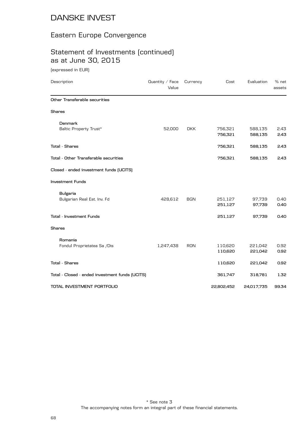### Eastern Europe Convergence

# Statement of Investments (continued) as at June 30, 2015

(expressed in EUR)

| Description                                     | Quantity / Face<br>Value | Currency   | Cost       | Evaluation | % net<br>assets |
|-------------------------------------------------|--------------------------|------------|------------|------------|-----------------|
| Other Transferable securities                   |                          |            |            |            |                 |
| <b>Shares</b>                                   |                          |            |            |            |                 |
| Denmark                                         |                          |            |            |            |                 |
| Baltic Property Trust*                          | 52,000                   | <b>DKK</b> | 756,321    | 588,135    | 2.43            |
|                                                 |                          |            | 756,321    | 588,135    | 2.43            |
| <b>Total - Shares</b>                           |                          |            | 756,321    | 588,135    | 2.43            |
| Total - Other Transferable securities           |                          |            | 756,321    | 588,135    | 2.43            |
| Closed - ended investment funds (UCITS)         |                          |            |            |            |                 |
| <b>Investment Funds</b>                         |                          |            |            |            |                 |
| <b>Bulgaria</b>                                 |                          |            |            |            |                 |
| Bulgarian Real Est. Inv. Fd                     | 428,612                  | <b>BGN</b> | 251,127    | 97,739     | 0.40            |
|                                                 |                          |            | 251,127    | 97,739     | 0.40            |
| Total - Investment Funds                        |                          |            | 251,127    | 97,739     | 0.40            |
| <b>Shares</b>                                   |                          |            |            |            |                 |
| Romania                                         |                          |            |            |            |                 |
| Fondul Proprietatea Sa /Dis                     | 1,247,438                | <b>RON</b> | 110,620    | 221,042    | 0.92            |
|                                                 |                          |            | 110,620    | 221,042    | 0.92            |
| <b>Total - Shares</b>                           |                          |            | 110,620    | 221,042    | 0.92            |
| Total - Closed - ended investment funds (UCITS) |                          |            | 361,747    | 318,781    | 1.32            |
| TOTAL INVESTMENT PORTFOLIO                      |                          |            | 22,802,452 | 24,017,735 | 99.34           |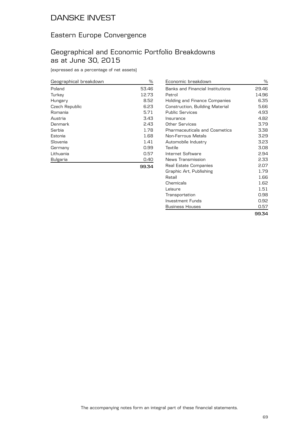### Eastern Europe Convergence

### Geographical and Economic Portfolio Breakdowns as at June 30, 2015

| Geographical breakdown | ℅     |
|------------------------|-------|
| Poland                 | 53.46 |
| Turkey                 | 12.73 |
| Hungary                | 8.52  |
| Czech Republic         | 6.23  |
| Romania                | 5.71  |
| Austria                | 3.43  |
| Denmark                | 2.43  |
| Serbia                 | 1.78  |
| Estonia                | 1.68  |
| Slovenia               | 1.41  |
| Germany                | 0.99  |
| Lithuania              | 0.57  |
| Bulgaria               | 0.40  |
|                        |       |

| Economic breakdown                   | ℅     |
|--------------------------------------|-------|
| Banks and Financial Institutions     | 29.46 |
| Petrol                               | 14.96 |
| Holding and Finance Companies        | 6.35  |
| Construction, Building Material      | 5.66  |
| <b>Public Services</b>               | 4.93  |
| Insurance                            | 4.82  |
| Other Services                       | 3.79  |
| <b>Pharmaceuticals and Cosmetics</b> | 3.38  |
| Non-Ferrous Metals                   | 3.29  |
| Automobile Industry                  | 3.23  |
| Textile                              | 3.08  |
| Internet Software                    | 2.94  |
| News Transmission                    | 2.33  |
| Real Estate Companies                | 2.07  |
| Graphic Art, Publishing              | 1.79  |
| Retail                               | 1.66  |
| Chemicals                            | 1.62  |
| Leisure                              | 1.51  |
| Transportation                       | 0.98  |
| Investment Funds                     | 0.92  |
| <b>Business Houses</b>               | 0.57  |
|                                      | 99.34 |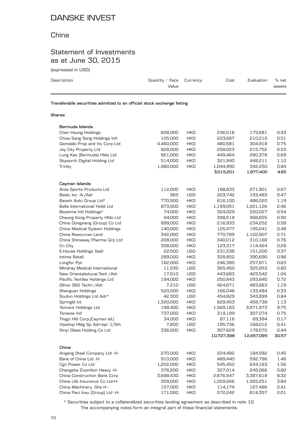### China

### Statement of Investments as at June 30, 2015

(expressed in USD)

| Description                                                            | Quantity / Face $C$ urrency<br>Value | Cost | Evaluation | % net<br>assets |
|------------------------------------------------------------------------|--------------------------------------|------|------------|-----------------|
| Transferable securities admitted to an official stock exchange listing |                                      |      |            |                 |

#### **Shares**

| Bermuda Islands                 |           |            |            |            |       |
|---------------------------------|-----------|------------|------------|------------|-------|
| Chen Hsong Holdings             | 608,000   | <b>HKD</b> | 236,516    | 175,681    | 0.43  |
| Chow Sang Sang Holdings Intl    | 105,000   | <b>HKD</b> | 223,687    | 210,210    | 0.51  |
| Gemdale Prop and Inv Corp Ltd   | 4,460,000 | <b>HKD</b> | 480,581    | 304,918    | 0.75  |
| Joy City Property Ltd           | 828,000   | <b>HKD</b> | 258,023    | 215,752    | 0.53  |
| Lung Kee (Bermuda) Hids Ltd     | 921,000   | <b>HKD</b> | 449.464    | 280,378    | 0.69  |
| Skyworth Digital Holding Ltd    | 514,000   | <b>HKD</b> | 321,940    | 448,211    | 1.10  |
| Trinity                         | 1,980,000 | <b>HKD</b> | 1,044,990  | 342,250    | 0.84  |
|                                 |           |            | 3,015,201  | 1,977,400  | 4.85  |
| Cayman Islands                  |           |            |            |            |       |
| Anta Sports Products Ltd        | 112,000   | <b>HKD</b> | 188,833    | 271,901    | 0.67  |
| Baidu Inc - A-/ Adr             | 965       | <b>USD</b> | 203,742    | 193,483    | 0.47  |
| Baoxin Auto Group Ltd*          | 770,500   | <b>HKD</b> | 616,100    | 486,020    | 1.19  |
| Belle International Holdi Ltd   | 873,000   | <b>HKD</b> | 1,199,051  | 1,001,126  | 2.46  |
| Biostime Intl Holdings*         | 74,000    | <b>HKD</b> | 324,029    | 220,027    | 0.54  |
| Cheung Kong Property Hids Ltd   | 44,000    | <b>HKD</b> | 398,519    | 366,655    | 0.90  |
| China Dongxiang (Group) Co Ltd  | 899,000   | <b>HKD</b> | 216,933    | 234,252    | 0.58  |
| China Medical System Holdings   | 140,000   | <b>HKD</b> | 125,477    | 195,041    | 0.48  |
| China Resources Land            | 342,000   | <b>HKD</b> | 770,789    | 1,102,907  | 2.71  |
| China Shineway Pharma Grp Ltd   | 208,000   | <b>HKD</b> | 340,012    | 310,166    | 0.76  |
| Cn City                         | 308,000   | <b>HKD</b> | 123,317    | 114,424    | 0.28  |
| E-House Holdings Sadr           | 22,500    | <b>USD</b> | 231,536    | 151,200    | 0.37  |
| Intime Retail                   | 289,000   | <b>HKD</b> | 328,852    | 390,690    | 0.96  |
| Longfor Ppt                     | 162,000   | <b>HKD</b> | 246,380    | 257,871    | 0.63  |
| Mindray Medical International   | 11,530    | <b>USD</b> | 365,450    | 325,953    | 0.80  |
| New Orientaleducat.Tech / Adr   | 17,910    | <b>USD</b> | 443,683    | 425,542    | 1.04  |
| Pacific Textiles Holdings Ltd   | 184,000   | <b>HKD</b> | 250,843    | 293,840    | 0.72  |
| Qihoo 360 Techn / Adr           | 7,210     | <b>USD</b> | 424,671    | 483,863    | 1.19  |
| Shenguan Holdings               | 520,000   | <b>HKD</b> | 166,046    | 133,484    | 0.33  |
| Soufun Holdings Ltd Adr*        | 42,300    | <b>USD</b> | 454,829    | 343,899    | 0.84  |
| Springld Int                    | 1,320,000 | <b>HKD</b> | 829,453    | 459,738    | 1.13  |
| <b>Tencent Holdings Ltd</b>     | 198,400   | <b>HKD</b> | 1,569,183  | 3,971,973  | 9.75  |
| Tenwow Intl                     | 737,000   | <b>HKD</b> | 319,189    | 307,074    | 0.75  |
| Tingyi Hld Corp. [Cayman Isl.]  | 34,000    | <b>HKD</b> | 87,116     | 69,384     | 0.17  |
| Vipshop Hldg Sp Adrrepr 1/5th   | 7,800     | <b>USD</b> | 195,736    | 168,012    | 0.41  |
| Xinyi Glass Holding Co Ltd      | 336,000   | <b>HKD</b> | 307,629    | 178,570    | 0.44  |
|                                 |           |            | 10,727,398 | 12,457,095 | 30.57 |
| China                           |           |            |            |            |       |
| Angang Steel Company Ltd -H-    | 270,000   | <b>HKD</b> | 224,492    | 184,592    | 0.45  |
| Bank of China Ltd -H-           | 910,000   | <b>HKD</b> | 489,440    | 592,796    | 1.46  |
| Cgn Power Co Ltd                | 1,202,000 | <b>HKD</b> | 545,450    | 634,163    | 1.56  |
| Changsha Zoomlion Heavy -H-     | 376,200   | <b>HKD</b> | 327,914    | 245,066    | 0.60  |
| China Construction Bank Corp    | 3,688,430 | <b>HKD</b> | 2,676,547  | 3,387,618  | 8.32  |
| China Life Insurance Co Ltd-H-  | 359,000   | <b>HKD</b> | 1,059,266  | 1,565,251  | 3.84  |
| China Machinery -Shs H -        | 157,000   | <b>HKD</b> | 114,174    | 167,486    | 0.41  |
| China Paci Insu (Group) Ltd -H- | 171,000   | <b>HKD</b> | 572,242    | 818,357    | 2.01  |
|                                 |           |            |            |            |       |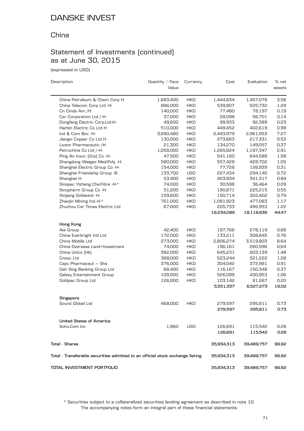### China

# Statement of Investments (continued) as at June 30, 2015

(expressed in USD)

| Description                                                                    | Quantity / Face<br>Value | Currency   | Cost       | Evaluation | % net<br>assets |
|--------------------------------------------------------------------------------|--------------------------|------------|------------|------------|-----------------|
| China Petroleum & Chem Corp H                                                  | 1,683,400                | <b>HKD</b> | 1,444,834  | 1,457,078  | 3.58            |
| China Telecom Corp Ltd -H-                                                     | 886,000                  | <b>HKD</b> | 539,807    | 525,732    | 1.29            |
| Cn Cinda Am /H                                                                 | 140,000                  | <b>HKD</b> | 77,480     | 78,197     | 0.19            |
| Csr Corporation Ltd /-H-                                                       | 37,000                   | <b>HKD</b> | 28,098     | 56,701     | 0.14            |
| Dongfang Electric Corp.Ltd-H-                                                  | 49,600                   | <b>HKD</b> | 99,933     | 92,389     | 0.23            |
| Harbin Electric Co Ltd H                                                       | 510,000                  | <b>HKD</b> | 449,452    | 402,619    | 0.99            |
| Ind & Com Boc -H-                                                              | 3,690,480                | <b>HKD</b> | 2,443,979  | 2,961,053  | 7.27            |
| Jiangxi Copper Co Ltd H                                                        | 130,000                  | <b>HKD</b> | 273,663    | 217,331    | 0.53            |
| Livzon Pharmaceutic /H                                                         | 21,300                   | <b>HKD</b> | 134,270    | 149,057    | 0.37            |
| Petrochina Co Ltd /-H-                                                         | 1,058,000                | <b>HKD</b> | 1,265,624  | 1,187,347  | 2.91            |
| Ping An Insur. (Grp) Co -H-                                                    | 47,500                   | <b>HKD</b> | 541,160    | 644,588    | 1.58            |
| Shangdong Weigao Med.Poly -H-                                                  | 580,000                  | <b>HKD</b> | 557,429    | 428,702    | 1.05            |
| Shanghai Electric Group Co -H-                                                 | 154,000                  | <b>HKD</b> | 77,728     | 126,939    | 0.31            |
| Shanghai Friendship Group -B-                                                  | 133,700                  | <b>USD</b> | 227,434    | 294,140    | 0.72            |
| Shanghai H                                                                     | 53,400                   | <b>HKD</b> | 403,834    | 341,317    | 0.84            |
| Sinopec Yizheng Che.Fibre -H-*                                                 | 74,000                   | <b>HKD</b> | 30,598     | 36,464     | 0.09            |
| Sinopharm Group Co -H-                                                         | 51,200                   | <b>HKD</b> | 190,871    | 225,215    | 0.55            |
| Xinjiang Goldwind -H-                                                          | 159,600                  | <b>HKD</b> | 150,714    | 322,402    | 0.79            |
| Zhaojin Mining Ind.-H-*                                                        | 761,000                  | <b>HKD</b> | 1,081,923  | 477,083    | 1.17            |
| Zhuzhou Csr Times Electric Ltd                                                 | 67,000                   | <b>HKD</b> | 205,733    | 496,953    | 1.22            |
|                                                                                |                          |            | 16,234,089 | 18,116,636 | 44.47           |
| Hong Kong                                                                      |                          |            |            |            |                 |
| Aia Group                                                                      | 42,400                   | <b>HKD</b> | 197,766    | 278,119    | 0.68            |
| China Everbright Intl Ltd                                                      | 172,000                  | <b>HKD</b> | 133,211    | 308,845    | 0.76            |
| China Mobile Ltd                                                               | 273,000                  | <b>HKD</b> | 2,806,274  | 3,519,803  | 8.64            |
| China Overseas Land+Investment                                                 | 74,000                   | <b>HKD</b> | 196,161    | 260,596    | 0.64            |
| China Unico (Hk)                                                               | 382,000                  | <b>HKD</b> | 645,231    | 603,139    | 1.48            |
| Cnooc Ltd                                                                      | 368,000                  | <b>HKD</b> | 523,244    | 521,222    | 1.28            |
| Cspc Pharmaceut - Shs                                                          | 376,000                  | <b>HKD</b> | 304,042    | 372,981    | 0.91            |
| Dah Sing Banking Group Ltd                                                     | 68,400                   | <b>HKD</b> | 116,167    | 150,348    | 0.37            |
| Galaxy Entertainment Group                                                     | 109,000                  | <b>HKD</b> | 526,099    | 430,953    | 1.06            |
| Goldpac Group Ltd                                                              | 126,000                  | <b>HKD</b> | 103,142    | 81,267     | 0.20            |
|                                                                                |                          |            | 5,551,337  | 6,527,273  | 16.02           |
| Singapore                                                                      |                          |            |            |            |                 |
| Sound Global Ltd                                                               | 468,000                  | <b>HKD</b> | 279,597    | 295,811    | 0.73            |
|                                                                                |                          |            | 279,597    | 295,811    | 0.73            |
| <b>United States of America</b>                                                |                          |            |            |            |                 |
| Sohu.Com Inc                                                                   | 1,960                    | <b>USD</b> | 126,691    | 115,542    | 0.28            |
|                                                                                |                          |            | 126,691    | 115,542    | 0.28            |
| <b>Total - Shares</b>                                                          | 35,934,313               | 39,489,757 | 96.92      |            |                 |
| Total - Transferable securities admitted to an official stock exchange listing | 35,934,313               | 39,489,757 | 96.92      |            |                 |
| TOTAL INVESTMENT PORTFOLIO                                                     |                          |            | 35,934,313 | 39,489,757 | 96.92           |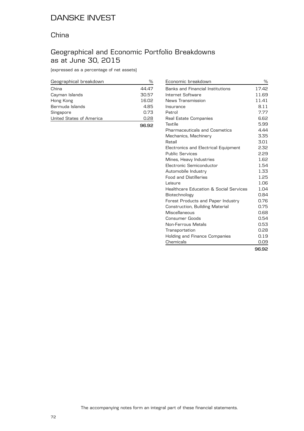### China

### Geographical and Economic Portfolio Breakdowns as at June 30, 2015

| Geographical breakdown   | %     |
|--------------------------|-------|
| China                    | 44.47 |
| Cayman Islands           | 30.57 |
| Hong Kong                | 16.02 |
| Bermuda Islands          | 4.85  |
| Singapore                | 0.73  |
| United States of America | 0.28  |
|                          | 96.92 |

| Economic breakdown                      | %     |
|-----------------------------------------|-------|
|                                         |       |
| <b>Banks and Financial Institutions</b> | 17.42 |
| Internet Software                       | 11.69 |
| News Transmission                       | 11.41 |
| Insurance                               | 8.11  |
| Petrol                                  | 7.77  |
| Real Estate Companies                   | 6.62  |
| Textile                                 | 5.99  |
| <b>Pharmaceuticals and Cosmetics</b>    | 4.44  |
| Mechanics, Machinery                    | 3.35  |
| Retail                                  | 3.01  |
| Electronics and Electrical Equipment    | 2.32  |
| <b>Public Services</b>                  | 2.29  |
| Mines, Heavy Industries                 | 1.62  |
| Electronic Semiconductor                | 1.54  |
| Automobile Industry                     | 1.33  |
| <b>Food and Distilleries</b>            | 1.25  |
| Leisure                                 | 1.06  |
| Healthcare Education & Social Services  | 1.04  |
| Biotechnology                           | 0.84  |
| Forest Products and Paper Industry      | 0.76  |
| <b>Construction, Building Material</b>  | 0.75  |
| Miscellaneous                           | 0.68  |
| Consumer Goods                          | 0.54  |
| Non-Ferrous Metals                      | 0.53  |
| Transportation                          | 0.28  |
| Holding and Finance Companies           | 0.19  |
| Chemicals                               | 0.09  |
|                                         | 96.92 |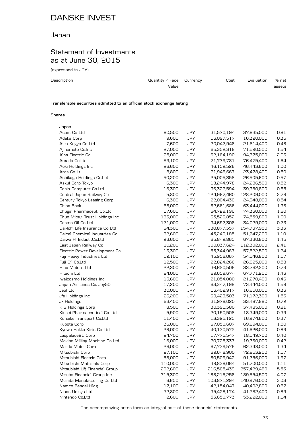## Japan

## Statement of Investments as at June 30, 2015

(expressed in JPY)

| Description | Quantity / Face $C$ urrency<br>Value | Cost | Evaluation | % net<br>assets |
|-------------|--------------------------------------|------|------------|-----------------|
|             |                                      |      |            |                 |

**Transferable securities admitted to an official stock exchange listing**

#### **Shares**

| Japan                          |         |            |             |             |      |
|--------------------------------|---------|------------|-------------|-------------|------|
| Acom Co Ltd                    | 80,500  | JPY        | 31,570,194  | 37,835,000  | 0.81 |
| Adeka Corp                     | 9,600   | <b>JPY</b> | 16,097,517  | 16,320,000  | 0.35 |
| Aica Kogyo Co Ltd              | 7,600   | JPY        | 20,047,948  | 21,614,400  | 0.46 |
| Ajinomoto Co.Inc               | 27,000  | JPY        | 65,352,318  | 71,590,500  | 1.54 |
| Alps Electric Co               | 25,000  | <b>JPY</b> | 62,164,190  | 94,375,000  | 2.03 |
| Amada Co.Ltd                   | 59,100  | <b>JPY</b> | 71,779,781  | 76,475,400  | 1.64 |
| Aoki Holdings Inc              | 26,600  | JPY        | 46,152,526  | 46,443,600  | 1.00 |
| Arcs Co Lt                     | 8,800   | <b>JPY</b> | 21,946,667  | 23,478,400  | 0.50 |
| Ashikaga Holdings Co.Ltd       | 50,200  | <b>JPY</b> | 25,005,358  | 26,505,600  | 0.57 |
| Askul Corp Tokyo               | 6,300   | JPY        | 18,244,978  | 24,286,500  | 0.52 |
| Casio Computer Co.Ltd          | 16,300  | <b>JPY</b> | 36,322,594  | 39,380,800  | 0.85 |
| Central Japan Railway Co       | 5,800   | <b>JPY</b> | 124,967,460 | 128,209,000 | 2.76 |
| Century Tokyo Leasing Corp     | 6,300   | JPY        | 22,004,436  | 24,948,000  | 0.54 |
| Chiba Bank                     | 68,000  | <b>JPY</b> | 62,661,686  | 63,444,000  | 1.36 |
| Chugai Pharmaceut. Co.Ltd      | 17,600  | JPY        | 64,729,196  | 74,360,000  | 1.60 |
| Chuo Mitsui Trust Holdings Inc | 133,000 | JPY        | 65,526,852  | 74,559,800  | 1.60 |
| Cosmo Oil Co Ltd               | 171,000 | <b>JPY</b> | 34,697,308  | 34,029,000  | 0.73 |
| Dai-Ichi Life Insurance Co Ltd | 64,300  | JPY        | 130,877,357 | 154,737,950 | 3.33 |
| Daicel Chemical Industries Co. | 32,600  | JPY        | 45,240,185  | 51,247,200  | 1.10 |
| Daiwa H. Industr.Co.Ltd        | 23,600  | <b>JPY</b> | 65,842,860  | 67,330,800  | 1.45 |
| East Japan Railway Co          | 10,200  | <b>JPY</b> | 100,037,624 | 112,302,000 | 2.41 |
| Electric Power Development Co  | 13,300  | JPY        | 55,344,967  | 57,522,500  | 1.24 |
| Fuji Heavy Industries Ltd      | 12,100  | <b>JPY</b> | 45,956,067  | 54,546,800  | 1.17 |
| Fuji Oil Co.Ltd                | 12,500  | JPY        | 22,824,266  | 26,825,000  | 0.58 |
| Hino Motors Ltd                | 22,300  | JPY        | 36,620,509  | 33,762,200  | 0.73 |
| Hitachi Ltd                    | 84,000  | <b>JPY</b> | 69,659,674  | 67,771,200  | 1.46 |
| Iwaicosmo Holdings Inc         | 13,600  | JPY        | 21,054,080  | 21,270,400  | 0.46 |
| Japan Air Lines Co. Jpy50      | 17,200  | JPY        | 63,347,199  | 73,444,000  | 1.58 |
| Jeol Ltd                       | 30,000  | <b>JPY</b> | 16,402,917  | 16,650,000  | 0.36 |
| Jfe Holdings Inc               | 26,200  | <b>JPY</b> | 69,423,503  | 71,172,300  | 1.53 |
| Jx Holdings                    | 63,400  | JPY        | 31,978,020  | 33,487,880  | 0.72 |
| K S Holdings Corp              | 8,500   | JPY        | 30,391,380  | 37,485,000  | 0.81 |
| Kissei Pharmaceutical Co Ltd   | 5,900   | JPY        | 20,150,508  | 18,349,000  | 0.39 |
| Konoike Transport Co.Ltd       | 11,400  | JPY        | 13,325,125  | 16,974,600  | 0.37 |
| Kubota Corp                    | 36,000  | <b>JPY</b> | 67,050,607  | 69,894,000  | 1.50 |
| Kyowa Hakko Kirin Co Ltd       | 26,000  | JPY        | 40,130,572  | 41,626,000  | 0.89 |
| Leopalace21 Corp               | 24,700  | JPY        | 17,775,547  | 18,549,700  | 0.40 |
| Makino Milling Machine Co Ltd  | 16,000  | <b>JPY</b> | 20,725,337  | 19,760,000  | 0.42 |
| Mazda Motor Corp               | 26,000  | JPY        | 67,739,579  | 62,348,000  | 1.34 |
| Mitsubishi Corp                | 27,100  | JPY        | 69,648,900  | 72,953,200  | 1.57 |
| Mitsubishi Electric Corp       | 58,000  | <b>JPY</b> | 80,509,942  | 91,756,000  | 1.97 |
| Mitsubishi Materials Corp      | 110,000 | JPY        | 48,838,064  | 51,700,000  | 1.11 |
| Mitsubishi Ufj Financial Group | 292,600 | JPY        | 216,565,439 | 257,429,480 | 5.53 |
| Mizuho Financial Group Inc     | 715,300 | <b>JPY</b> | 188,215,258 | 189,554,500 | 4.07 |
| Murata Manufacturing Co Ltd    | 6,600   | <b>JPY</b> | 103,871,294 | 140,976,000 | 3.03 |
| Namco Bandai Hldg              | 17,100  | JPY        | 42,154,047  | 40,492,800  | 0.87 |
| Nihon Unisys Ltd               | 32,800  | JPY        | 35,428,174  | 41,262,400  | 0.89 |
| Nintendo Co.Ltd                | 2,600   | JPY        | 53,650,773  | 53,222,000  | 1.14 |
|                                |         |            |             |             |      |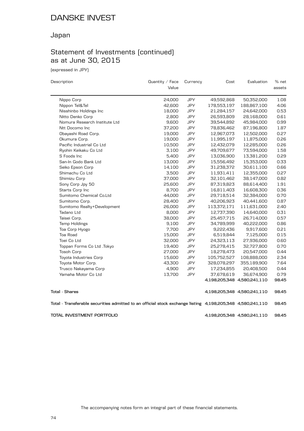## Japan

# Statement of Investments (continued) as at June 30, 2015

(expressed in JPY)

| Description                                                                                                | Quantity / Face | Currency   | Cost        | Evaluation                  | % net  |
|------------------------------------------------------------------------------------------------------------|-----------------|------------|-------------|-----------------------------|--------|
|                                                                                                            | Value           |            |             |                             | assets |
| Nippo Corp                                                                                                 | 24,000          | JPY        | 49,592,868  | 50,352,000                  | 1.08   |
| Nippon Tel&Tel                                                                                             | 42,600          | JPY        | 178,553,197 | 188,867,100                 | 4.06   |
| Nisshinbo Holdings Inc                                                                                     | 18,000          | JPY        | 21,284,157  | 24,642,000                  | 0.53   |
| Nitto Denko Corp                                                                                           | 2,800           | JPY        | 26,593,809  | 28,168,000                  | 0.61   |
| Nomura Research Institute Ltd                                                                              | 9,600           | <b>JPY</b> | 39,544,892  | 45,984,000                  | 0.99   |
| Ntt Docomo Inc                                                                                             | 37,200          | <b>JPY</b> | 78,836,462  | 87,196,800                  | 1.87   |
| Obayashi Road Corp.                                                                                        | 19,000          | JPY        | 12,967,073  | 12,502,000                  | 0.27   |
| Okumura Corp.                                                                                              | 19,000          | <b>JPY</b> | 11,995,197  | 11,875,000                  | 0.26   |
| Pacific Industrial Co Ltd                                                                                  | 10,500          | JPY        | 12,432,079  | 12,285,000                  | 0.26   |
| Ryohin Keikaku Co Ltd                                                                                      | 3,100           | JPY        | 49,709,677  | 73,594,000                  | 1.58   |
| S Foods Inc                                                                                                | 5,400           | JPY        | 13,036,900  | 13,381,200                  | 0.29   |
| San-In Godo Bank Ltd                                                                                       | 13,000          | <b>JPY</b> | 15,556,492  | 15,353,000                  | 0.33   |
| Seiko Epson Corp                                                                                           | 14,100          | JPY        | 31,238,372  | 30,611,100                  | 0.66   |
| Shimachu Co Ltd                                                                                            | 3,500           | <b>JPY</b> | 11,931,411  | 12,355,000                  | 0.27   |
| Shimizu Corp                                                                                               | 37,000          | <b>JPY</b> | 32,101,462  | 38,147,000                  | 0.82   |
| Sony Corp Jpy 50                                                                                           | 25,600          | JPY        | 87,319,823  | 88,614,400                  | 1.91   |
| Starts Corp Inc                                                                                            | 8,700           | JPY        | 16,811,403  | 16,608,300                  | 0.36   |
| Sumitomo Chemical Co.Ltd                                                                                   | 44,000          | <b>JPY</b> | 29,718,514  | 32,384,000                  | 0.70   |
| Sumitomo Corp.                                                                                             | 28,400          | JPY        | 40,206,923  | 40,441,600                  | 0.87   |
| Sumitomo Realty+Development                                                                                | 26,000          | <b>JPY</b> | 113,372,171 | 111,631,000                 | 2.40   |
| Tadano Ltd                                                                                                 | 8,000           | JPY        | 12,737,390  | 14,640,000                  | 0.31   |
| Taisei Corp.                                                                                               | 38,000          | JPY        | 25,457,715  | 26,714,000                  | 0.57   |
| Temp Holdings                                                                                              | 9,100           | <b>JPY</b> | 34,789,999  | 40,222,000                  | 0.86   |
| Toa Corp Hyogo                                                                                             | 7,700           | <b>JPY</b> | 9,222,436   | 9,917,600                   | 0.21   |
| Toa Road                                                                                                   | 15,000          | JPY        | 6,519,844   | 7,125,000                   | 0.15   |
| Toei Co Ltd                                                                                                | 32,000          | JPY        | 24,323,113  | 27,936,000                  | 0.60   |
| Toppan Forms Co Ltd .Tokyo                                                                                 | 19,400          | JPY        | 25,278,415  | 32,727,800                  | 0.70   |
| <b>Tosoh Corp</b>                                                                                          | 27,000          | JPY        | 18,278,473  | 20,547,000                  | 0.44   |
| Toyota Industries Corp                                                                                     | 15,600          | JPY        | 105,752,527 | 108,888,000                 | 2.34   |
| Toyota Motor Corp.                                                                                         | 43,300          | JPY        | 328,078,297 | 355,189,900                 | 7.64   |
| Trusco Nakayama Corp                                                                                       | 4,900           | <b>JPY</b> | 17,234,855  | 20,408,500                  | 0.44   |
| Yamaha Motor Co Ltd                                                                                        | 13,700          | <b>JPY</b> | 37,678,619  | 36,674,900                  | 0.79   |
|                                                                                                            |                 |            |             | 4,198,205,348 4,580,241,110 | 98.45  |
| <b>Total - Shares</b>                                                                                      |                 |            |             | 4,198,205,348 4,580,241,110 | 98.45  |
| Total - Transferable securities admitted to an official stock exchange listing 4,198,205,348 4,580,241,110 |                 |            |             |                             | 98.45  |
| TOTAL INVESTMENT PORTFOLIO                                                                                 |                 |            |             | 4,198,205,348 4,580,241,110 | 98.45  |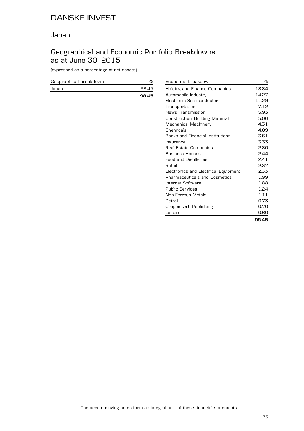## Japan

## Geographical and Economic Portfolio Breakdowns as at June 30, 2015

(expressed as a percentage of net assets)

| Geographical breakdown |       |
|------------------------|-------|
| Japan                  | 98.45 |
|                        | 98.45 |

| Economic breakdown                   | ℅     |
|--------------------------------------|-------|
| Holding and Finance Companies        | 18.84 |
| Automobile Industry                  | 14.27 |
| Flectronic Semiconductor             | 11.29 |
| Transportation                       | 7.12  |
| News Transmission                    | 5.93  |
| Construction, Building Material      | 5.06  |
| Mechanics, Machinery                 | 4.31  |
| Chemicals                            | 4.09  |
| Banks and Financial Institutions     | 3.61  |
| Insurance                            | 3.33  |
| Real Estate Companies                | 2.80  |
| <b>Business Houses</b>               | 2.44  |
| <b>Food and Distilleries</b>         | 2.41  |
| Retail                               | 2.37  |
| Electronics and Electrical Equipment | 2.33  |
| Pharmaceuticals and Cosmetics        | 1.99  |
| Internet Software                    | 1.88  |
| <b>Public Services</b>               | 1.24  |
| Non-Ferrous Metals                   | 1.11  |
| Petrol                               | 0.73  |
| Graphic Art, Publishing              | 0.70  |
| Leisure                              | 0.60  |
|                                      | 98.45 |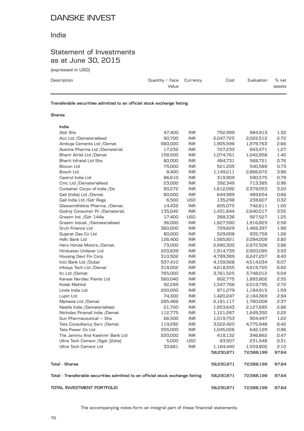### India

## Statement of Investments as at June 30, 2015

(expressed in USD)

| Description                                                                                                               | Quantity / Face $C$ urrency<br>Value | Cost | Evaluation | % net<br>assets |
|---------------------------------------------------------------------------------------------------------------------------|--------------------------------------|------|------------|-----------------|
| ______<br>the contract of the contract of the contract of the contract of the contract of the contract of the contract of | ____                                 |      |            |                 |

**Transferable securities admitted to an official stock exchange listing**

#### **Shares**

| TOTAL INVESTMENT PORTFOLIO                                                     |         |            | 58,230,871 | 72,588,199 | 97.64 |
|--------------------------------------------------------------------------------|---------|------------|------------|------------|-------|
| Total - Transferable securities admitted to an official stock exchange listing |         |            | 58,230,871 | 72,588,199 | 97.64 |
| <b>Total - Shares</b>                                                          |         |            | 58,230,871 | 72,588,199 | 97.64 |
|                                                                                |         |            | 58,230,871 | 72,588,199 | 97.64 |
| Ultra Tech Cement Ltd                                                          | 33,681  | <b>INR</b> | 1,164,440  | 1,559,800  | 2.10  |
| Ultra Tech Cement / Sgdr [2shs]                                                | 5,000   | <b>USD</b> | 83.507     | 231,548    | 0.31  |
| The Jammu And Kashmir Bank Ltd                                                 | 220,000 | <b>INR</b> | 418,132    | 346,862    | 0.47  |
| Tata Power Co Ltd                                                              | 555,000 | <b>INR</b> | 1,045,026  | 642,129    | 0.86  |
| Tata Consultancy Serv / Demat.                                                 | 119,292 | <b>INR</b> | 3,522,420  | 4,775,948  | 6.42  |
| Sun Pharmaceutical - Shs                                                       | 66,500  | <b>INR</b> | 1,019,753  | 904,447    | 1.22  |
| Nicholas Piramal India /Demat.                                                 | 112,775 | <b>INR</b> | 1,121,287  | 1,649,350  | 2.22  |
| Nestle India /Dematerialised                                                   | 21,700  | <b>INR</b> | 1,953,643  | 2,127,685  | 2.86  |
| Mphasis Ltd /Demat.                                                            | 285,466 | <b>INR</b> | 2,181,117  | 1,760,008  | 2.37  |
| Lupin Ltd                                                                      | 74,300  | <b>INR</b> | 1,420,247  | 2,184,369  | 2.94  |
| Linde India Ltd                                                                | 200,000 | <b>INR</b> | 871,279    | 1,184,915  | 1.59  |
| Kotak Mahind                                                                   | 92,289  | <b>INR</b> | 1,547,766  | 2,019,795  | 2.72  |
| Kansai Nerolac Paints Ltd                                                      | 560,040 | <b>INR</b> | 802,775    | 1,893,802  | 2.55  |
| Itc Ltd /Demat                                                                 | 765,000 | <b>INR</b> | 3,761,525  | 3,748,012  | 5.04  |
| Infosys Tech Ltd /Demat                                                        | 318,002 | <b>INR</b> | 4,618,555  | 4,919,720  | 6.62  |
| Icici Bank Ltd /Dubai                                                          | 937,410 | <b>INR</b> | 4,159,568  | 4,514,034  | 6.07  |
| Housing Devt Fin Corp                                                          | 310,502 | <b>INR</b> | 4,789,389  | 6,247,257  | 8.40  |
| Hindustan Unilever Ltd                                                         | 203,839 | <b>INR</b> | 1,914,739  | 2,920,095  | 3.93  |
| Hero Honda Motors /Demat.                                                      | 73,000  | <b>INR</b> | 2,990,300  | 2,872,508  | 3.86  |
| Hdfc Bank Ltd                                                                  | 126,400 | <b>INR</b> | 1,565,821  | 2,094,009  | 2.82  |
| Gujarat Gas Co Ltd                                                             | 80,000  | <b>INR</b> | 529,008    | 935,758    | 1.26  |
| Gruh Finance Ltd                                                               | 360,000 | <b>INR</b> | 729,629    | 1,468,397  | 1.98  |
| Grasim Indust. /Dematerialised                                                 | 36,000  | <b>INR</b> | 1,827,590  | 1,916,823  | 2.58  |
| Grasim Ind. / Gdr 144a                                                         | 17,400  | <b>USD</b> | 388,336    | 927,527    | 1.25  |
| Godrej Consumer Pr / Dematerial.                                               | 135,042 | <b>INR</b> | 1,431,844  | 2,640,017  | 3.55  |
| Glaxosmithkline Pharma. /Demat.                                                | 14,432  | <b>INR</b> | 605,075    | 742,611    | 1.00  |
| Gail India Ltd / Gdr Regs                                                      | 6,500   | <b>USD</b> | 135,298    | 238,607    | 0.32  |
| Gail (India) Ltd /Demat.                                                       | 80,000  | <b>INR</b> | 644,989    | 489,654    | 0.66  |
| Container Corpn of India /Ds                                                   | 90,272  | <b>INR</b> | 1,612,092  | 2,379,053  | 3.20  |
| Cmc Ltd /Dematerialised                                                        | 23,000  | <b>INR</b> | 392,349    | 713,385    | 0.96  |
| Castrol India Ltd                                                              | 86,610  | <b>INR</b> | 319,909    | 590,575    | 0.79  |
| Bosch Ltd                                                                      | 8,400   | <b>INR</b> | 1,149,211  | 2,866,672  | 3.86  |
| Biocon Ltd                                                                     | 75,000  | <b>INR</b> | 521,205    | 540,589    | 0.73  |
| Bharti Infratel Ltd Shs                                                        | 80,000  | <b>INR</b> | 484,731    | 568,721    | 0.76  |
| Bharti Airtel Ltd /Demat                                                       | 158,500 | <b>INR</b> | 1,074,761  | 1,042,858  | 1.40  |
| Aventis Pharma Ltd /Dematerial.                                                | 17,232  | <b>INR</b> | 727,233    | 943,471    | 1.27  |
| Ambuja Cements Ltd /Demat.                                                     | 560,000 | <b>INR</b> | 1,905,598  | 1,979,763  | 2.66  |
| Acc Ltd /Dematerialised                                                        | 90,700  | <b>INR</b> | 2,047,725  | 2,022,512  | 2.72  |
| Abb Shs                                                                        | 47,400  | <b>INR</b> | 752,999    | 984,913    | 1.32  |
| India                                                                          |         |            |            |            |       |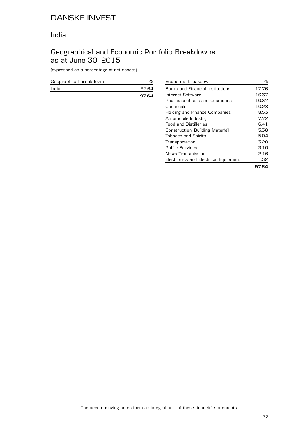### India

## Geographical and Economic Portfolio Breakdowns as at June 30, 2015

(expressed as a percentage of net assets)

| Geographical breakdown |       |
|------------------------|-------|
| India                  | 97.64 |
|                        | 97.64 |

| Economic breakdown                   | ℅     |
|--------------------------------------|-------|
| Banks and Financial Institutions     | 17.76 |
| Internet Software                    | 16.37 |
| <b>Pharmaceuticals and Cosmetics</b> | 10.37 |
| Chemicals                            | 10.28 |
| Holding and Finance Companies        | 8.53  |
| Automobile Industry                  | 7.72  |
| <b>Food and Distilleries</b>         | 6.41  |
| Construction, Building Material      | 5.38  |
| <b>Tobacco and Spirits</b>           | 5.04  |
| Transportation                       | 3.20  |
| <b>Public Services</b>               | 3.10  |
| News Transmission                    | 2.16  |
| Electronics and Electrical Equipment | 1.32  |
|                                      | 97.64 |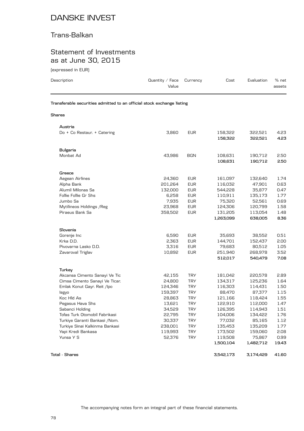## Trans-Balkan

### Statement of Investments as at June 30, 2015

(expressed in EUR)

| Description                                                                          | Quantity $\angle$ Face<br>Value       | Currency                                             | Cost                                     | Evaluation                             | $%$ net<br>assets            |
|--------------------------------------------------------------------------------------|---------------------------------------|------------------------------------------------------|------------------------------------------|----------------------------------------|------------------------------|
| Transferable securities admitted to an official stock exchange listing               |                                       |                                                      |                                          |                                        |                              |
| <b>Shares</b>                                                                        |                                       |                                                      |                                          |                                        |                              |
| Austria<br>Do + Co Restaur. + Catering                                               | 3,860                                 | <b>EUR</b>                                           | 158,322<br>158.322                       | 322,521<br>322.521                     | 4.23<br>4.23                 |
| <b>Bulgaria</b><br>Monbat Ad                                                         | 43,986                                | <b>BGN</b>                                           | 108,631<br>108,631                       | 190,712<br>190,712                     | 2.50<br>2.50                 |
| Greece<br>Aegean Airlines<br>Alpha Bank<br>Alumil Milonas Sa<br>Follie Follie Gr Shs | 24,360<br>201,264<br>132,000<br>6,258 | <b>EUR</b><br><b>EUR</b><br><b>EUR</b><br><b>EUR</b> | 161,097<br>116,032<br>544.228<br>110,911 | 132,640<br>47,901<br>35.877<br>135,173 | 1.74<br>0.63<br>0.47<br>1.77 |
| Jumbo Sa<br>Mytilineos Holdings / Reg<br>Piraeus Bank Sa                             | 7,935<br>23.968<br>358,502            | <b>EUR</b><br><b>EUR</b><br><b>EUR</b>               | 75,320<br>124,306<br>131,205             | 52,561<br>120,799<br>113,054           | 0.69<br>1.58<br>1.48         |

|                                |         |            | 1,263,099 | 638,005   | 8.36  |
|--------------------------------|---------|------------|-----------|-----------|-------|
|                                |         |            |           |           |       |
| Slovenia                       |         |            |           |           |       |
| Gorenje Inc                    | 6,590   | <b>EUR</b> | 35,693    | 38,552    | 0.51  |
| Krka D.D.                      | 2,363   | <b>EUR</b> | 144.701   | 152,437   | 2.00  |
| Pivovarna Lasko D.D.           | 3,316   | <b>EUR</b> | 79,683    | 80,512    | 1.05  |
|                                |         | <b>EUR</b> |           |           | 3.52  |
| Zavaroval Triglav              | 10,892  |            | 251,940   | 268,978   |       |
|                                |         |            | 512,017   | 540,479   | 7.08  |
|                                |         |            |           |           |       |
| Turkey                         |         |            |           |           |       |
| Akcansa Cimento Sanayi Ve Tic  | 42,155  | <b>TRY</b> | 181,042   | 220,578   | 2.89  |
| Cimsa Cimento Sanayi Ve Ticar. | 24,800  | <b>TRY</b> | 134,317   | 125,236   | 1.64  |
| Emlak Konut Gayr. Reit /Ipo    | 124,346 | <b>TRY</b> | 116,303   | 114.431   | 1.50  |
| Isgyo                          | 159,397 | <b>TRY</b> | 88,470    | 87,377    | 1.15  |
| Koc Hld As                     | 28,863  | <b>TRY</b> | 121,166   | 118,424   | 1.55  |
| Pegasus Hava Shs               | 13,621  | <b>TRY</b> | 122,910   | 112,000   | 1.47  |
| Sabanci Holding                | 34,529  | <b>TRY</b> | 126,395   | 114,943   | 1.51  |
| Tofas Turk Otomobil Fabrikasi  | 22,795  | <b>TRY</b> | 104,006   | 134,422   | 1.76  |
| Turkiye Garanti Bankasi / Nom. | 30,337  | <b>TRY</b> | 77,032    | 85,165    | 1.12  |
| Turkiye Sinai Kalkinma Bankasi | 238,001 | <b>TRY</b> | 135,453   | 135,209   | 1.77  |
| Yapi Kredi Bankasa             | 119,993 | <b>TRY</b> | 173,502   | 159,060   | 2.08  |
| Yunsa Y S                      | 52,376  | <b>TRY</b> | 119,508   | 75,867    | 0.99  |
|                                |         |            | 1,500,104 | 1,482,712 | 19.43 |
|                                |         |            |           |           |       |

**Total - Shares 3,542,173 3,174,429 41.60**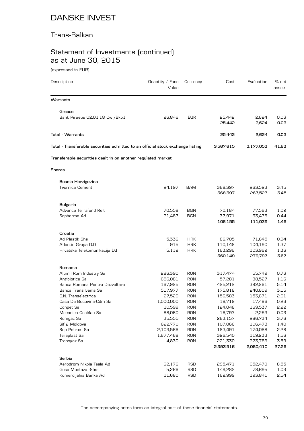### Trans-Balkan

# Statement of Investments (continued) as at June 30, 2015

(expressed in EUR)

| Description                                                                    | Quantity / Face<br>Value | Currency                 | Cost               | Evaluation         | % net<br>assets |
|--------------------------------------------------------------------------------|--------------------------|--------------------------|--------------------|--------------------|-----------------|
| Warrants                                                                       |                          |                          |                    |                    |                 |
| Greece                                                                         |                          |                          |                    |                    |                 |
| Bank Piraeus 02.01.18 Cw / Bkp1                                                | 26,846                   | <b>EUR</b>               | 25,442<br>25,442   | 2,624<br>2,624     | 0.03<br>0.03    |
| <b>Total - Warrants</b>                                                        |                          |                          | 25,442             | 2,624              | 0.03            |
| Total - Transferable securities admitted to an official stock exchange listing |                          |                          | 3,567,615          | 3,177,053          | 41.63           |
| Transferable securities dealt in on another regulated market                   |                          |                          |                    |                    |                 |
| <b>Shares</b>                                                                  |                          |                          |                    |                    |                 |
| Bosnia Herzigovina                                                             |                          |                          |                    |                    |                 |
| <b>Tvornica Cement</b>                                                         | 24,197                   | <b>BAM</b>               | 368,397<br>368,397 | 263,523<br>263,523 | 3.45<br>3.45    |
| <b>Bulgaria</b>                                                                |                          |                          |                    |                    |                 |
| Advance Terrafund Reit                                                         | 70,558                   | <b>BGN</b>               | 70,184             | 77,563             | 1.02            |
| Sopharma Ad                                                                    | 21,467                   | <b>BGN</b>               | 37,971             | 33,476             | 0.44            |
|                                                                                |                          |                          | 108,155            | 111,039            | 1.46            |
| Croatia                                                                        |                          |                          |                    |                    |                 |
| Ad Plastik Shs                                                                 | 5,336                    | <b>HRK</b>               | 86,705             | 71,645             | 0.94            |
| Atlantic Grupa D.D                                                             | 915                      | <b>HRK</b>               | 110,148            | 104,190            | 1.37            |
| Hrvatska Telekomunikacija Dd                                                   | 5,112                    | <b>HRK</b>               | 163,296<br>360,149 | 103,962<br>279,797 | 1.36<br>3.67    |
| Romania                                                                        |                          |                          |                    |                    |                 |
| Alumil Rom Industry Sa                                                         | 286,390                  | <b>RON</b>               | 317,474            | 55,749             | 0.73            |
| Antibiotice Sa                                                                 | 686,081                  | <b>RON</b>               | 57,281             | 88,527             | 1.16            |
| Banca Romana Pentru Dezvoltare                                                 | 167,925                  | <b>RON</b>               | 425,212            | 392,261            | 5.14            |
| Banca Transilvania Sa                                                          | 517,977                  | <b>RON</b>               | 175,818            | 240,609            | 3.15            |
| C.N. Transelectrica                                                            | 27,520                   | <b>RON</b>               | 156,583            | 153,671            | 2.01            |
| Casa De Bucovina-Cdm Sa                                                        | 1,000,000                | <b>RON</b>               | 18,719             | 17,486             | 0.23            |
| Conpet Sa                                                                      | 10,599                   | <b>RON</b>               | 124,048            | 169,537            | 2.22            |
| Mecanica Ceahlau Sa                                                            | 88,060                   | <b>RON</b><br><b>RON</b> | 16,797             | 2,253              | 0.03            |
| Romgaz Sa<br>Sif 2 Moldova                                                     | 35,555<br>622,770        | <b>RON</b>               | 263,157<br>107,066 | 286,734<br>106,473 | 3.76<br>1.40    |
| Snp Petrom Sa                                                                  | 2,103,566                | <b>RON</b>               | 183,491            | 174,088            | 2.28            |
| Teraplast Sa                                                                   | 1,677,468                | <b>RON</b>               | 326,540            | 119,233            | 1.56            |
| Transgaz Sa                                                                    | 4,830                    | <b>RON</b>               | 221,330            | 273,789            | 3.59            |
|                                                                                |                          |                          | 2,393,516          | 2,080,410          | 27.26           |
| Serbia                                                                         |                          |                          |                    |                    |                 |
| Aerodrom Nikola Tesla Ad                                                       | 62,176                   | <b>RSD</b>               | 295,471            | 652,470            | 8.55            |
| Gosa Montaza -Shs-                                                             | 5,266                    | <b>RSD</b>               | 149,282            | 78,695             | 1.03            |
| Komercijalna Banka Ad                                                          | 11,680                   | <b>RSD</b>               | 162,999            | 193,841            | 2.54            |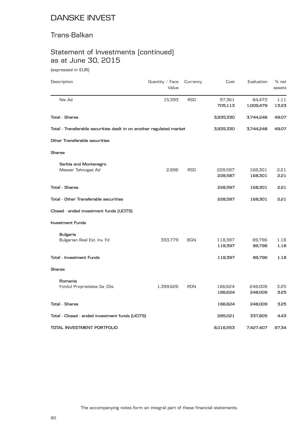### Trans-Balkan

# Statement of Investments (continued) as at June 30, 2015

(expressed in EUR)

| Description                                                          | Quantity / Face<br>Value | Currency   | Cost      | Evaluation | % net<br>assets |
|----------------------------------------------------------------------|--------------------------|------------|-----------|------------|-----------------|
| Nis Ad                                                               | 15,393                   | <b>RSD</b> | 97,361    | 84,473     | 1.11            |
|                                                                      |                          |            | 705,113   | 1,009,479  | 13.23           |
| <b>Total - Shares</b>                                                |                          |            | 3,935,330 | 3,744,248  | 49.07           |
| Total - Transferable securities dealt in on another regulated market |                          |            | 3,935,330 | 3,744,248  | 49.07           |
| Other Transferable securities                                        |                          |            |           |            |                 |
| Shares                                                               |                          |            |           |            |                 |
| Serbia and Montenegro                                                |                          |            |           |            |                 |
| Messer Tehnogas Ad                                                   | 2,896                    | <b>RSD</b> | 228,587   | 168,301    | 2.21            |
|                                                                      |                          |            | 228,587   | 168,301    | 2.21            |
| <b>Total - Shares</b>                                                |                          |            | 228,587   | 168,301    | 2.21            |
| Total - Other Transferable securities                                |                          |            | 228,587   | 168,301    | 2.21            |
| Closed - ended investment funds (UCITS)                              |                          |            |           |            |                 |
| Investment Funds                                                     |                          |            |           |            |                 |
| <b>Bulgaria</b>                                                      |                          |            |           |            |                 |
| Bulgarian Real Est. Inv. Fd                                          | 393,779                  | BGN        | 118,397   | 89,796     | 1.18            |
|                                                                      |                          |            | 118,397   | 89,796     | 1.18            |
| Total - Investment Funds                                             |                          |            | 118,397   | 89,796     | 1.18            |
| Shares                                                               |                          |            |           |            |                 |
| Romania                                                              |                          |            |           |            |                 |
| Fondul Proprietatea Sa /Dis                                          | 1,399,626                | <b>RON</b> | 166,624   | 248,009    | 3.25            |
|                                                                      |                          |            | 166,624   | 248,009    | 3.25            |
| <b>Total - Shares</b>                                                |                          |            | 166,624   | 248,009    | 3.25            |
| Total - Closed - ended investment funds (UCITS)                      |                          |            | 285,021   | 337,805    | 4.43            |
| TOTAL INVESTMENT PORTFOLIO                                           |                          |            | 8,016,553 | 7,427,407  | 97.34           |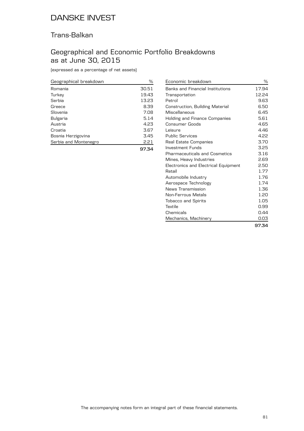## Trans-Balkan

## Geographical and Economic Portfolio Breakdowns as at June 30, 2015

(expressed as a percentage of net assets)

| Geographical breakdown | ℅     |
|------------------------|-------|
| Romania                | 30.51 |
| Turkey                 | 19.43 |
| Serbia                 | 13.23 |
| Greece                 | 8.39  |
| Slovenia               | 7.08  |
| <b>Bulgaria</b>        | 5.14  |
| Austria                | 4.23  |
| Croatia                | 3.67  |
| Bosnia Herzigovina     | 3.45  |
| Serbia and Montenegro  | 2.21  |
|                        | 97.34 |

| Economic breakdown                   | ℅     |
|--------------------------------------|-------|
| Banks and Financial Institutions     | 17.94 |
| Transportation                       | 12.24 |
| Petrol                               | 9.63  |
| Construction, Building Material      | 6.50  |
| Miscellaneous                        | 6.45  |
| Holding and Finance Companies        | 5.61  |
| Consumer Goods                       | 4.65  |
| Leisure                              | 4.46  |
| <b>Public Services</b>               | 4.22  |
| Real Estate Companies                | 3.70  |
| Investment Funds                     | 3.25  |
| <b>Pharmaceuticals and Cosmetics</b> | 3.16  |
| Mines, Heavy Industries              | 2.69  |
| Electronics and Electrical Equipment | 2.50  |
| Retail                               | 1.77  |
| Automobile Industry                  | 1.76  |
| Aerospace Technology                 | 1.74  |
| News Transmission                    | 1.36  |
| Non-Ferrous Metals                   | 1.20  |
| <b>Tobacco and Spirits</b>           | 1.05  |
| Textile                              | 0.99  |
| Chemicals                            | 0.44  |
| Mechanics, Machinery                 | 0.03  |
|                                      | 97.34 |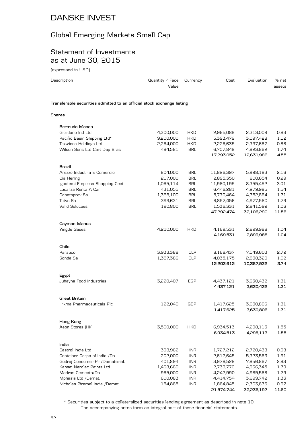### Global Emerging Markets Small Cap

### Statement of Investments as at June 30, 2015

| (expressed in USD)                                                     |                                 |                          |                        |                        |                 |  |  |
|------------------------------------------------------------------------|---------------------------------|--------------------------|------------------------|------------------------|-----------------|--|--|
| Description                                                            | Quantity $\angle$ Face<br>Value | Currency                 | Cost                   | Evaluation             | % net<br>assets |  |  |
| Transferable securities admitted to an official stock exchange listing |                                 |                          |                        |                        |                 |  |  |
| <b>Shares</b>                                                          |                                 |                          |                        |                        |                 |  |  |
| Bermuda Islands                                                        |                                 |                          |                        |                        |                 |  |  |
| Giordano Intl Ltd                                                      | 4,300,000                       | <b>HKD</b>               | 2,965,089              | 2,313,009              | 0.83            |  |  |
| Pacific Basin Shipping Ltd*                                            | 9,200,000                       | <b>HKD</b>               | 5,393,479              | 3,097,428              | 1.12            |  |  |
| Texwinca Holdings Ltd                                                  | 2,264,000                       | HKD                      | 2,226,635              | 2,397,687              | 0.86            |  |  |
| Wilson Sons Ltd Cert Dep Bras                                          | 484,581                         | <b>BRL</b>               | 6,707,849              | 4,823,862              | 1.74            |  |  |
|                                                                        |                                 |                          | 17,293,052             | 12,631,986             | 4.55            |  |  |
| Brazil                                                                 |                                 |                          |                        |                        |                 |  |  |
| Arezzo Industria E Comercio                                            | 804,000                         | <b>BRL</b>               | 11,826,397             | 5,998,183              | 2.16            |  |  |
| Cia Hering                                                             | 207,000                         | <b>BRL</b>               | 2,895,350              | 800,654                | 0.29            |  |  |
| Iguatemi Empresa Shopping Cent                                         | 1,065,114                       | <b>BRL</b>               | 11,960,195             | 8,355,452              | 3.01            |  |  |
| Localiza Renta A Car                                                   | 431,055                         | <b>BRL</b>               | 6,446,281              | 4,279,985              | 1.54            |  |  |
| Odontoprev Sa                                                          | 1,368,100                       | <b>BRL</b>               | 5,770,464              | 4,752,864              | 1.71            |  |  |
| <b>Totvs Sa</b>                                                        | 399,631                         | <b>BRL</b>               | 6,857,456              | 4,977,560              | 1.79            |  |  |
| <b>Valid Solucoes</b>                                                  | 190,800                         | <b>BRL</b>               | 1,536,331              | 2,941,592              | 1.06            |  |  |
|                                                                        |                                 |                          | 47,292,474             | 32,106,290             | 11.56           |  |  |
| Cayman Islands                                                         |                                 |                          |                        |                        |                 |  |  |
| <b>Yingde Gases</b>                                                    | 4,210,000                       | <b>HKD</b>               | 4,169,531              | 2,899,988              | 1.04            |  |  |
|                                                                        |                                 |                          | 4,169,531              | 2,899,988              | 1.04            |  |  |
| Chile                                                                  |                                 |                          |                        |                        |                 |  |  |
| Parauco                                                                | 3,933,388                       | <b>CLP</b>               | 8,168,437              | 7,549,603              | 2.72            |  |  |
| Sonda Sa                                                               | 1,387,386                       | <b>CLP</b>               | 4,035,175              | 2,838,329              | 1.02            |  |  |
|                                                                        |                                 |                          | 12,203,612             | 10,387,932             | 3.74            |  |  |
|                                                                        |                                 |                          |                        |                        |                 |  |  |
| Egypt<br>Juhayna Food Industries                                       | 3,220,407                       | EGP                      | 4,437,121              | 3,630,432              | 1.31            |  |  |
|                                                                        |                                 |                          | 4,437,121              | 3,630,432              | 1.31            |  |  |
|                                                                        |                                 |                          |                        |                        |                 |  |  |
| Great Britain                                                          |                                 |                          |                        |                        |                 |  |  |
| Hikma Pharmaceuticals Plc                                              | 122,040                         | <b>GBP</b>               | 1,417,625<br>1,417,625 | 3,630,806<br>3,630,806 | 1.31<br>1.31    |  |  |
|                                                                        |                                 |                          |                        |                        |                 |  |  |
| Hong Kong<br>Aeon Stores (Hk)                                          | 3,500,000                       | <b>HKD</b>               |                        |                        |                 |  |  |
|                                                                        |                                 |                          | 6,934,513<br>6,934,513 | 4,298,113<br>4,298,113 | 1.55<br>1.55    |  |  |
|                                                                        |                                 |                          |                        |                        |                 |  |  |
| India                                                                  |                                 |                          |                        |                        |                 |  |  |
| Castrol India Ltd                                                      | 398,962                         | <b>INR</b>               | 1,727,212              | 2,720,438              | 0.98            |  |  |
| Container Corpn of India /Ds                                           | 202,000<br>401,894              | <b>INR</b>               | 2,612,645              | 5,323,563<br>7,856,867 | 1.91            |  |  |
| Godrej Consumer Pr /Dematerial.<br>Kansai Nerolac Paints Ltd           | 1,468,660                       | <b>INR</b><br><b>INR</b> | 3,978,528<br>2,733,770 | 4,966,345              | 2.83<br>1.79    |  |  |
|                                                                        |                                 |                          |                        |                        |                 |  |  |

The accompanying notes form an integral part of these financial statements. \* Securities subject to a collateralized securities lending agreement as described in note 10.

Kansai Nerolac Paints Ltd 1,468,660 INR 2,733,770 4,966,345 1.79

Mphasis Ltd /Demat. 600,083 INR 4,414,754 3,699,742 1.33 Nicholas Piramal India /Demat. 184,865 INR 1,864,845 2,703,676 0.97

**21,574,744 32,236,197 11.60**

Madras Cements/Ds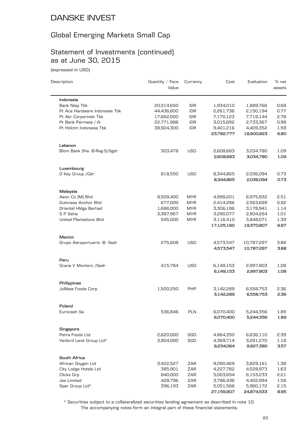## Global Emerging Markets Small Cap

# Statement of Investments (continued) as at June 30, 2015

(expressed in USD)

| Description                   | Quantity / Face<br>Value | Currency   | Cost                   | Evaluation               | % net<br>assets |
|-------------------------------|--------------------------|------------|------------------------|--------------------------|-----------------|
| Indonesia                     |                          |            |                        |                          |                 |
| <b>Bank Nisp Tbk</b>          | 20,314,650               | <b>IDR</b> | 1,934,010              | 1,889,766                | 0.68            |
| Pt Ace Hardware Indonesia Tbk | 44,436,600               | <b>IDR</b> | 2,261,736              | 2,150,194                | 0.77            |
| Pt Akr Corporindo Tbk         | 17,662,000               | <b>IDR</b> | 7,170,123              | 7,718,144                | 2.78            |
| Pt Bank Permata /-A-          | 22,771,986               | <b>IDR</b> | 3,015,692              | 2,733,367                | 0.98            |
| Pt Holcim Indonesia Tbk       | 38,924,300               | <b>IDR</b> | 9,401,216              | 4,409,352                | 1.59            |
|                               |                          |            | 23,782,777             | 18,900,823               | 6.80            |
| Lebanon                       |                          |            |                        |                          |                 |
| Blom Bank Shs - B-Reg-S/Sgdr  | 303,478                  | USD        | 2,608,683              | 3,034,780                | 1.09            |
|                               |                          |            | 2,608,683              | 3,034,780                | 1.09            |
| Luxembourg                    |                          |            |                        |                          |                 |
| O Key Group / Gdr             | 818,550                  | USD        | 8,344,865              | 2,036,094                | 0.73            |
|                               |                          |            | 8,344,865              | 2,036,094                | 0.73            |
| Malaysia                      |                          |            |                        |                          |                 |
| Aeon Co [M] Bhd               | 8,509,400                | <b>MYR</b> | 4,998,201              | 6,975,832                | 2.51            |
| Guinness Anchor Bhd           | 677,000                  | <b>MYR</b> | 2,414,286              | 2,563,699                | 0.92            |
| Oriental HIdgs Berhad         | 1,686,000                | <b>MYR</b> | 3,306,186              | 3,178,941                | 1.14            |
| S P Setia                     | 3,387,967                | <b>MYR</b> | 3,290,077              | 2,804,264                | 1.01            |
| <b>United Plantations Bhd</b> | 545,000                  | <b>MYR</b> | 3,116,410              | 3,848,071                | 1.39            |
|                               |                          |            | 17,125,160             | 19,370,807               | 6.97            |
| Mexico                        |                          |            |                        |                          |                 |
| Grupo Aeroportuario - B- Sadr | 275,608                  | <b>USD</b> | 4,573,547<br>4,573,547 | 10,787,297<br>10,787,297 | 3.88<br>3.88    |
| Peru                          |                          |            |                        |                          |                 |
| Grana Y Montero / Sadr        | 415,784                  | <b>USD</b> | 6,149,153              | 2,997,803                | 1.08            |
|                               |                          |            | 6,149,153              | 2,997,803                | 1.08            |
| Philippines                   |                          |            |                        |                          |                 |
| Jollibee Foods Corp.          | 1,500,250                | PHP        | 3,142,289              | 6,558,753                | 2.36            |
|                               |                          |            | 3,142,289              | 6,558,753                | 2.36            |
| Poland                        |                          |            |                        |                          |                 |
| Eurocash Sa                   | 536,846                  | <b>PLN</b> | 6,070,400              | 5,244,356                | 1.89            |
|                               |                          |            | 6,070,400              | 5,244,356                | 1.89            |
| Singapore                     |                          |            |                        |                          |                 |
| Petra Foods Ltd               | 2,620,000                | SGD        | 4,864,350              | 6,636,110                | 2.39            |
| Yanlord Land Group Ltd*       | 3,904,000                | SGD        | 4,369,714              | 3,291,270                | 1.18            |
|                               |                          |            | 9,234,064              | 9,927,380                | 3.57            |
| South Africa                  |                          |            |                        |                          |                 |
| African Oxygen Ltd            | 3,422,527                | ZAR        | 9,090,469              | 3,829,161                | 1.38            |
| City Lodge Hotels Ltd         | 385,901                  | ZAR        | 4,227,782              | 4,528,973                | 1.63            |
| Clicks Grp                    | 840,000                  | ZAR        | 5,003,654              | 6,153,233                | 2.21            |
| <b>Jse Limited</b>            | 428,796                  | ZAR        | 3,786,436              | 4,402,994                | 1.58            |
| Spar Group Ltd*               | 396,193                  | ZAR        | 5,051,566              | 5,960,172                | 2.15            |
|                               |                          |            | 27,159,907             | 24,874,533               | 8.95            |

The accompanying notes form an integral part of these financial statements. \* Securities subject to a collateralized securities lending agreement as described in note 10.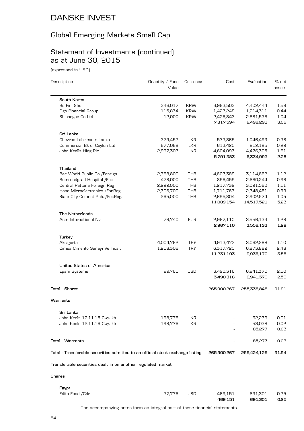## Global Emerging Markets Small Cap

# Statement of Investments (continued) as at June 30, 2015

(expressed in USD)

| Description                                                                    | Quantity / Face<br>Value | Currency   | Cost        | Evaluation  | % net<br>assets |
|--------------------------------------------------------------------------------|--------------------------|------------|-------------|-------------|-----------------|
| South Korea                                                                    |                          |            |             |             |                 |
| <b>Bs Finl Shs</b>                                                             | 346,017                  | <b>KRW</b> | 3,963,503   | 4,402,444   | 1.58            |
| Dgb Financial Group                                                            | 115,834                  | <b>KRW</b> | 1,427,248   | 1,214,311   | 0.44            |
| Shinsegae Co Ltd                                                               | 12,000                   | <b>KRW</b> | 2,426,843   | 2,881,536   | 1.04            |
|                                                                                |                          |            | 7,817,594   | 8,498,291   | 3.06            |
| Sri Lanka                                                                      |                          |            |             |             |                 |
| Chevron Lubricants Lanka                                                       | 379,452                  | <b>LKR</b> | 573,865     | 1,046,493   | 0.38            |
| Commercial Bk of Ceylon Ltd                                                    | 677,068                  | <b>LKR</b> | 613,425     | 812,195     | 0.29            |
| John Keells Hldg Plc                                                           | 2,937,307                | <b>LKR</b> | 4,604,093   | 4,476,305   | 1.61            |
|                                                                                |                          |            | 5,791,383   | 6,334,993   | 2.28            |
| Thailand                                                                       |                          |            |             |             |                 |
| Bec World Public Co /Foreign                                                   | 2,768,800                | THB        | 4,607,389   | 3,114,662   | 1.12            |
| Bumrundgrad Hospital /For.                                                     | 478,000                  | <b>THB</b> | 856,459     | 2,660,244   | 0.96            |
| Central Pattana Foreign Reg                                                    | 2,222,000                | <b>THB</b> | 1,217,739   | 3,091,560   | 1.11            |
| Hana Microelectronics /For.Reg                                                 | 2,306,700                | <b>THB</b> | 1,711,763   | 2,748,481   | 0.99            |
| Siam City Cement Pub. /For.Reg.                                                | 265,000                  | <b>THB</b> | 2,695,804   | 2,902,574   | 1.05            |
|                                                                                |                          |            | 11,089,154  | 14,517,521  | 5.23            |
| The Netherlands                                                                |                          |            |             |             |                 |
| Asm International Nv                                                           | 76,740                   | <b>EUR</b> | 2,967,110   | 3,556,133   | 1.28            |
|                                                                                |                          |            | 2,967,110   | 3,556,133   | 1.28            |
| Turkey                                                                         |                          |            |             |             |                 |
| Aksigorta                                                                      | 4,004,762                | <b>TRY</b> | 4,913,473   | 3,062,288   | 1.10            |
| Cimsa Cimento Sanayi Ve Ticar.                                                 | 1,218,306                | <b>TRY</b> | 6,317,720   | 6,873,882   | 2.48            |
|                                                                                |                          |            | 11,231,193  | 9,936,170   | 3.58            |
| <b>United States of America</b>                                                |                          |            |             |             |                 |
| Epam Systems                                                                   | 99,761                   | USD        | 3,490,316   | 6,941,370   | 2.50            |
|                                                                                |                          |            | 3,490,316   | 6,941,370   | 2.50            |
| <b>Total - Shares</b>                                                          |                          |            | 265,900,267 | 255,338,848 | 91.91           |
| Warrants                                                                       |                          |            |             |             |                 |
|                                                                                |                          |            |             |             |                 |
| Sri Lanka                                                                      |                          |            |             |             |                 |
| John Keels 12.11.15 Cw/Jkh                                                     | 198,776                  | <b>LKR</b> |             | 32,239      | 0.01            |
| John Keels 12.11.16 Cw/Jkh                                                     | 198,776                  | LKR        |             | 53,038      | 0.02            |
|                                                                                |                          |            |             | 85,277      | 0.03            |
| Total - Warrants                                                               |                          |            |             | 85,277      | 0.03            |
| Total - Transferable securities admitted to an official stock exchange listing |                          |            | 265,900,267 | 255,424,125 | 91.94           |
| Transferable securities dealt in on another regulated market                   |                          |            |             |             |                 |
| Shares                                                                         |                          |            |             |             |                 |
|                                                                                |                          |            |             |             |                 |
| Egypt                                                                          |                          |            |             |             |                 |
| Edita Food / Gdr                                                               | 37,776                   | USD        | 469,151     | 691,301     | 0.25            |

**469,151 691,301 0.25**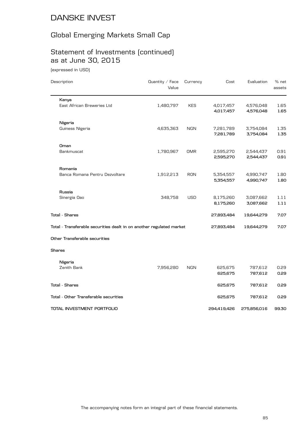# Global Emerging Markets Small Cap

# Statement of Investments (continued) as at June 30, 2015

(expressed in USD)

| Description                                                          | Quantity / Face<br>Value | Currency   | Cost                   | Evaluation             | $%$ net<br>assets |
|----------------------------------------------------------------------|--------------------------|------------|------------------------|------------------------|-------------------|
| Kenya                                                                |                          |            |                        |                        |                   |
| East African Breweries Ltd                                           | 1,480,797                | <b>KES</b> | 4,017,457<br>4,017,457 | 4,576,048<br>4,576,048 | 1.65<br>1.65      |
| Nigeria                                                              |                          |            |                        |                        |                   |
| Guiness Nigeria                                                      | 4,635,363                | <b>NGN</b> | 7,281,789<br>7,281,789 | 3,754,084<br>3,754,084 | 1.35<br>1.35      |
| Oman                                                                 |                          |            |                        |                        |                   |
| Bankmuscat                                                           | 1,780,967                | <b>OMR</b> | 2,595,270<br>2,595,270 | 2,544,437<br>2,544,437 | 0.91<br>0.91      |
| Romania                                                              |                          |            |                        |                        |                   |
| Banca Romana Pentru Dezvoltare                                       | 1,912,213                | <b>RON</b> | 5,354,557<br>5,354,557 | 4,990,747<br>4,990,747 | 1.80<br>1.80      |
| Russia                                                               |                          |            |                        |                        |                   |
| Sinergia Oao                                                         | 348,758                  | <b>USD</b> | 8,175,260<br>8,175,260 | 3,087,662<br>3,087,662 | 1.11<br>1.11      |
| <b>Total - Shares</b>                                                |                          |            | 27,893,484             | 19,644,279             | 7.07              |
| Total - Transferable securities dealt in on another regulated market |                          |            | 27,893,484             | 19,644,279             | 7.07              |
| Other Transferable securities                                        |                          |            |                        |                        |                   |
| Shares                                                               |                          |            |                        |                        |                   |
| Nigeria                                                              |                          |            |                        |                        |                   |
| Zenith Bank                                                          | 7,956,280                | <b>NGN</b> | 625,675<br>625,675     | 787,612<br>787,612     | 0.29<br>0.29      |
| Total - Shares                                                       |                          |            | 625,675                | 787,612                | 0.29              |
| Total - Other Transferable securities                                |                          |            | 625,675                | 787,612                | 0.29              |
| TOTAL INVESTMENT PORTFOLIO                                           |                          |            | 294,419,426            | 275,856,016            | 99.30             |
|                                                                      |                          |            |                        |                        |                   |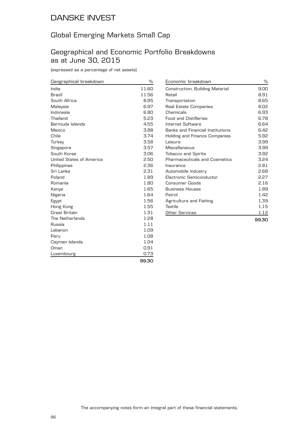## Global Emerging Markets Small Cap

### Geographical and Economic Portfolio Breakdowns as at June 30, 2015

(expressed as a percentage of net assets)

| Geographical breakdown   | %     | Econor         |
|--------------------------|-------|----------------|
| India                    | 11.60 | Constru        |
| Brazil                   | 11.56 | Retail         |
| South Africa             | 8.95  | <b>Transpr</b> |
| Malaysia                 | 6.97  | Real Es        |
| Indonesia                | 6.80  | Chemic         |
| Thailand                 | 5.23  | Food ar        |
| Bermuda Islands          | 4.55  | Interne        |
| Mexico                   | 3.88  | Banks          |
| Chile                    | 3.74  | Holding        |
| Turkey                   | 3.58  | Leisure        |
| Singapore                | 3.57  | Miscell        |
| South Korea              | 3.06  | Tobacc         |
| United States of America | 2.50  | Pharma         |
| Philippines              | 2.36  | Insurar        |
| Sri Lanka                | 2.31  | Automo         |
| Poland                   | 1.89  | Electro        |
| Romania                  | 1.80  | Consur         |
| Kenya                    | 1.65  | <b>Busines</b> |
| Nigeria                  | 1.64  | Petrol         |
| Egypt                    | 1.56  | Agricul        |
| Hong Kong                | 1.55  | Textile        |
| <b>Great Britain</b>     | 1.31  | Other S        |
| The Netherlands          | 1.28  |                |
| Russia                   | 1.11  |                |
| Lebanon                  | 1.09  |                |
| Peru                     | 1.08  |                |
| Cayman Islands           | 1.04  |                |
| Oman                     | 0.91  |                |
| Luxembourg               | 0.73  |                |
|                          | 99.30 |                |

| Economic breakdown                      | ℅     |
|-----------------------------------------|-------|
| Construction, Building Material         | 9.00  |
| Retail                                  | 8.91  |
| Transportation                          | 8.65  |
| Real Estate Companies                   | 8.02  |
| Chemicals                               | 6.93  |
| <b>Food and Distilleries</b>            | 6.78  |
| Internet Software                       | 6.64  |
| <b>Banks and Financial Institutions</b> | 6.42  |
| Holding and Finance Companies           | 5.92  |
| Leisure                                 | 3.99  |
| Miscellaneous                           | 3.99  |
| <b>Tobacco and Spirits</b>              | 3.92  |
| Pharmaceuticals and Cosmetics           | 3.24  |
| Insurance                               | 2.81  |
| Automobile Industry                     | 2.68  |
| Flectronic Semiconductor                | 2.27  |
| Consumer Goods                          | 2.16  |
| <b>Business Houses</b>                  | 1.89  |
| Petrol                                  | 1.42  |
| Agriculture and Fishing                 | 1.39  |
| Textile                                 | 1.15  |
| <b>Other Services</b>                   | 1.12  |
|                                         | 99.30 |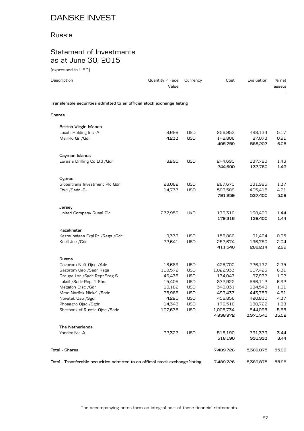### Russia

## Statement of Investments as at June 30, 2015

(expressed in USD)

| levhi esseg ili dan l<br>Description                                   | Quantity / Face<br>Value | Currency                 | Cost                 | Evaluation        | % net<br>assets |
|------------------------------------------------------------------------|--------------------------|--------------------------|----------------------|-------------------|-----------------|
| Transferable securities admitted to an official stock exchange listing |                          |                          |                      |                   |                 |
| Shares                                                                 |                          |                          |                      |                   |                 |
| <b>British Virgin Islands</b>                                          |                          |                          |                      |                   |                 |
| Luxoft Holding Inc -A-                                                 | 8,698                    | <b>USD</b>               | 256,953              | 498,134           | 5.17            |
| Mail.Ru Gr /Gdr                                                        | 4,233                    | <b>USD</b>               | 148,806              | 87,073            | 0.91            |
|                                                                        |                          |                          | 405,759              | 585,207           | 6.08            |
| Cayman Islands                                                         |                          |                          |                      |                   |                 |
| Eurasia Drilling Co Ltd / Gdr                                          | 8,295                    | <b>USD</b>               | 244,690              | 137,780           | 1.43            |
|                                                                        |                          |                          | 244,690              | 137,780           | 1.43            |
| Cyprus                                                                 |                          |                          |                      |                   |                 |
| Globaltrans Investment Plc Gdr                                         | 28,082                   | <b>USD</b>               | 287,670              | 131,985           | 1.37            |
| Qiwi /Sadr -B-                                                         | 14,737                   | <b>USD</b>               | 503,589              | 405,415           | 4.21            |
|                                                                        |                          |                          | 791,259              | 537,400           | 5.58            |
| Jersey                                                                 |                          |                          |                      |                   |                 |
| United Company Rusal Plc                                               | 277,956                  | <b>HKD</b>               | 179,316              | 138,400           | 1.44            |
|                                                                        |                          |                          | 179,316              | 138,400           | 1.44            |
| Kazakhstan                                                             |                          |                          |                      |                   |                 |
| Kazmunaigas Expl.Pr / Regs / Gdr                                       | 9,333                    | <b>USD</b>               | 158,866              | 91,464            | 0.95            |
| Kcell Jsc / Gdr                                                        | 22,641                   | <b>USD</b>               | 252,674              | 196,750           | 2.04            |
|                                                                        |                          |                          | 411,540              | 288,214           | 2.99            |
| Russia                                                                 |                          |                          |                      |                   |                 |
| Gazprom Neft Ojsc / Adr                                                | 18,689                   | USD                      | 426,700              | 226,137           | 2.35            |
| Gazprom Oao /Sadr Regs<br>Groupe Lsr /Sgdr Repr.Sreg S                 | 119,572<br>46,438        | <b>USD</b><br><b>USD</b> | 1,022,933<br>134,047 | 607,426<br>97,932 | 6.31<br>1.02    |
| Lukoil / Sadr Rep. 1 Shs.                                              | 15,405                   | <b>USD</b>               | 872,922              | 666,112           | 6.92            |
| Megafon Ojsc / Gdr                                                     | 13,182                   | <b>USD</b>               | 349,831              | 184,548           | 1.91            |
| Mmc Norilsk Nickel /Sadr                                               | 25,966                   | USD                      | 493,433              | 443,759           | 4.61            |
| Novatek Oao /Sgdr                                                      | 4,225                    | <b>USD</b>               | 456,856              | 420,810           | 4.37            |
| Phosagro Ojsc /Sgdr                                                    | 14,343                   | <b>USD</b>               | 176,516              | 180,722           | 1.88            |
| Sberbank of Russia Ojsc /Sadr                                          | 107,635                  | <b>USD</b>               | 1,005,734            | 544,095           | 5.65            |
|                                                                        |                          |                          | 4,938,972            | 3,371,541         | 35.02           |
| The Netherlands                                                        |                          |                          |                      |                   |                 |
| Yandex Nv -A-                                                          | 22,327                   | <b>USD</b>               | 518,190              | 331,333           | 3.44            |
|                                                                        |                          |                          | 518,190              | 331,333           | 3.44            |
| <b>Total - Shares</b>                                                  |                          |                          | 7,489,726            | 5,389,875         | 55.98           |
|                                                                        |                          |                          |                      |                   |                 |

**Total - Transferable securities admitted to an official stock exchange listing 7,489,726 5,389,875 55.98**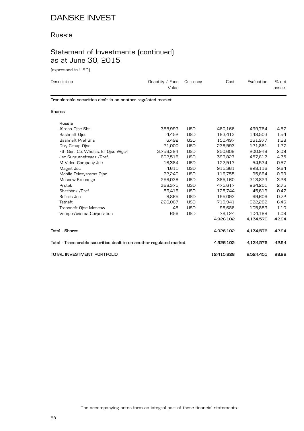### Russia

# Statement of Investments (continued) as at June 30, 2015

(expressed in USD)

| Description                                                  | Quantity $/$ Face<br>Value | Currency   | Cost    | Evaluation | % net<br>assets |
|--------------------------------------------------------------|----------------------------|------------|---------|------------|-----------------|
| Transferable securities dealt in on another regulated market |                            |            |         |            |                 |
| <b>Shares</b>                                                |                            |            |         |            |                 |
| Russia<br>Alrosa Cjsc Shs                                    | 385,993                    | <b>USD</b> | 460.166 | 439.764    | 4.57            |

| Alrosa Cjsc Shs                                                      | 385,993   | USD        | 460,166    | 439,764   | 4.57  |
|----------------------------------------------------------------------|-----------|------------|------------|-----------|-------|
| Bashneft Ojsc                                                        | 4,452     | <b>USD</b> | 193,413    | 148,503   | 1.54  |
| Bashneft Pref Shs                                                    | 6,492     | <b>USD</b> | 150,497    | 161,977   | 1.68  |
| Dixy Group Ojsc                                                      | 21,000    | <b>USD</b> | 238,593    | 121,881   | 1.27  |
| Fth Gen. Co. Wholes. El. Ojsc Wgc4                                   | 3,756,394 | <b>USD</b> | 250,608    | 200,948   | 2.09  |
| Jsc Surgutneftegaz / Pref.                                           | 602,518   | <b>USD</b> | 393,827    | 457,617   | 4.75  |
| M Video Company Jsc                                                  | 16,384    | <b>USD</b> | 127,517    | 54,534    | 0.57  |
| Magnit Jsc                                                           | 4,611     | <b>USD</b> | 915,361    | 928,116   | 9.64  |
| Mobile Telesystems Ojsc                                              | 22,240    | <b>USD</b> | 116,755    | 95,664    | 0.99  |
| Moscow Exchange                                                      | 256,038   | <b>USD</b> | 385,160    | 313,823   | 3.26  |
| Protek                                                               | 368,375   | <b>USD</b> | 475,617    | 264,201   | 2.75  |
| Sberbank / Pref.                                                     | 53,416    | <b>USD</b> | 125,744    | 45,619    | 0.47  |
| Sollers Jsc                                                          | 8,865     | <b>USD</b> | 195,093    | 69,606    | 0.72  |
| Tatneft                                                              | 220,067   | <b>USD</b> | 719,941    | 622,282   | 6.46  |
| Transneft Ojsc Moscow                                                | 45        | <b>USD</b> | 98,686     | 105,853   | 1.10  |
| Vsmpo-Avisma Corporation                                             | 656       | <b>USD</b> | 79,124     | 104,188   | 1.08  |
|                                                                      |           |            | 4,926,102  | 4,134,576 | 42.94 |
| Total - Shares                                                       |           |            | 4,926,102  | 4,134,576 | 42.94 |
| Total - Transferable securities dealt in on another regulated market | 4,926,102 | 4,134,576  | 42.94      |           |       |
| TOTAL INVESTMENT PORTFOLIO                                           |           |            | 12,415,828 | 9,524,451 | 98.92 |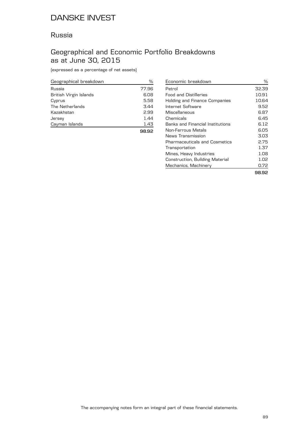### Russia

## Geographical and Economic Portfolio Breakdowns as at June 30, 2015

(expressed as a percentage of net assets)

| Geographical breakdown | %     |
|------------------------|-------|
| Russia                 | 77.96 |
| British Virgin Islands | 6.08  |
| Cyprus                 | 5.58  |
| The Netherlands        | 3.44  |
| Kazakhstan             | 2.99  |
| Jersey                 | 1.44  |
| Cayman Islands         | 1.43  |
|                        |       |

| Economic breakdown                      | ℅     |
|-----------------------------------------|-------|
| Petrol                                  | 32.39 |
| <b>Food and Distilleries</b>            | 10.91 |
| <b>Holding and Finance Companies</b>    | 10.64 |
| Internet Software                       | 9.52  |
| Miscellaneous                           | 6.87  |
| Chemicals                               | 6.45  |
| <b>Banks and Financial Institutions</b> | 6.12  |
| Non-Ferrous Metals                      | 6.05  |
| News Transmission                       | 3.03  |
| Pharmaceuticals and Cosmetics           | 2.75  |
| Transportation                          | 1.37  |
| Mines, Heavy Industries                 | 1.08  |
| Construction, Building Material         | 1.02  |
| Mechanics, Machinery                    | 0.72  |
|                                         | 98.92 |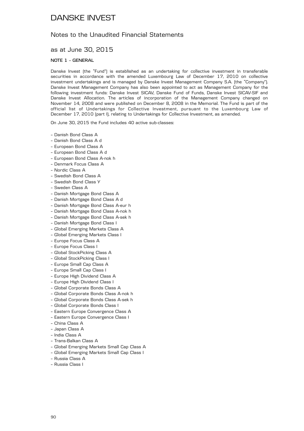### Notes to the Unaudited Financial Statements

### as at June 30, 2015

#### **NOTE 1 – GENERAL**

Danske Invest (the "Fund") is established as an undertaking for collective investment in transferable securities in accordance with the amended Luxembourg Law of December 17, 2010 on collective investment undertakings and is managed by Danske Invest Management Company S.A. (the "Company"). Danske Invest Management Company has also been appointed to act as Management Company for the following investment funds: Danske Invest SICAV, Danske Fund of Funds, Danske Invest SICAV-SIF and Danske Invest Allocation. The articles of incorporation of the Management Company changed on November 14, 2008 and were published on December 8, 2008 in the Memorial. The Fund is part of the official list of Undertakings for Collective Investment, pursuant to the Luxembourg Law of December 17, 2010 (part I), relating to Undertakings for Collective Investment, as amended.

On June 30, 2015 the Fund includes 40 active sub-classes:

- Danish Bond Class A
- Danish Bond Class A d
- European Bond Class A
- European Bond Class A d
- European Bond Class A-nok h
- Denmark Focus Class A
- Nordic Class A
- Swedish Bond Class A
- Swedish Bond Class Y
- Sweden Class A
- Danish Mortgage Bond Class A
- Danish Mortgage Bond Class A d
- Danish Mortgage Bond Class A-eur h
- Danish Mortgage Bond Class A-nok h
- Danish Mortgage Bond Class A-sek h
- Danish Mortgage Bond Class I
- Global Emerging Markets Class A
- Global Emerging Markets Class I
- Europe Focus Class A
- Europe Focus Class I
- Global StockPicking Class A
- Global StockPicking Class I
- Europe Small Cap Class A
- Europe Small Cap Class I
- Europe High Dividend Class A
- Europe High Dividend Class I
- Global Corporate Bonds Class A
- Global Corporate Bonds Class A-nok h
- Global Corporate Bonds Class A-sek h
- Global Corporate Bonds Class I
- Eastern Europe Convergence Class A
- Eastern Europe Convergence Class I
- China Class A
- Japan Class A
- India Class A
- Trans-Balkan Class A
- Global Emerging Markets Small Cap Class A
- Global Emerging Markets Small Cap Class I
- Russia Class A
- Russia Class I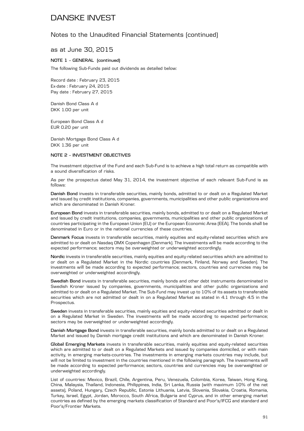### Notes to the Unaudited Financial Statements (continued)

### as at June 30, 2015

#### **NOTE 1 – GENERAL (continued)**

The following Sub-Funds paid out dividends as detailed below:

Record date : February 23, 2015 Ex-date : February 24, 2015 Pay date : February 27, 2015

Danish Bond Class A d DKK 1.00 per unit

European Bond Class A d EUR 0.20 per unit

Danish Mortgage Bond Class A d DKK 1.36 per unit

#### **NOTE 2 – INVESTMENT OBJECTIVES**

The investment objective of the Fund and each Sub-Fund is to achieve a high total return as compatible with a sound diversification of risks.

As per the prospectus dated May 31, 2014, the investment objective of each relevant Sub-Fund is as follows:

**Danish Bond** invests in transferable securities, mainly bonds, admitted to or dealt on a Regulated Market and issued by credit institutions, companies, governments, municipalities and other public organizations and which are denominated in Danish Kroner.

**European Bond** invests in transferable securities, mainly bonds, admitted to or dealt on a Regulated Market and issued by credit institutions, companies, governments, municipalities and other public organizations of countries participating in the European Union (EU) or the European Economic Area (EEA). The bonds shall be denominated in Euro or in the national currencies of these countries.

**Denmark Focus** invests in transferable securities, mainly equities and equity-related securities which are admitted to or dealt on Nasdaq OMX Copenhagen (Denmark). The investments will be made according to the expected performance; sectors may be overweighted or underweighted accordingly.

**Nordic** invests in transferable securities, mainly equities and equity-related securities which are admitted to or dealt on a Regulated Market in the Nordic countries (Denmark, Finland, Norway and Sweden). The investments will be made according to expected performance; sectors, countries and currencies may be overweighted or underweighted accordingly.

**Swedish Bond** invests in transferable securities, mainly bonds and other debt instruments denominated in Swedish Kroner issued by companies, governments, municipalities and other public organizations and admitted to or dealt on a Regulated Market. The Sub-Fund may invest up to 10% of its assets to transferable securities which are not admitted or dealt in on a Regulated Market as stated in 4.1 through 4.5 in the Prospectus.

**Sweden** invests in transferable securities, mainly equities and equity-related securities admitted or dealt in on a Regulated Market in Sweden. The investments will be made according to expected performance; sectors may be overweighted or underweighted accordingly.

**Danish Mortgage Bond** invests in transferable securities, mainly bonds admitted to or dealt on a Regulated Market and issued by Danish mortgage credit institutions and which are denominated in Danish Kroner.

**Global Emerging Markets** invests in transferable securities, mainly equities and equity-related securities which are admitted to or dealt on a Regulated Markets and issued by companies domiciled, or with main activity, in emerging markets-countries. The investments in emerging markets countries may include, but will not be limited to investment in the countries mentioned in the following paragraph. The investments will be made according to expected performance; sectors, countries and currencies may be overweighted or underweighted accordingly.

List of countries: Mexico, Brazil, Chile, Argentina, Peru, Venezuela, Colombia, Korea, Taiwan, Hong Kong, China, Malaysia, Thailand, Indonesia, Philippines, India, Sri Lanka, Russia (with maximum 10% of the net assets), Poland, Hungary, Czech Republic, Estonia Lithuania, Latvia, Slovenia, Slovakia, Croatia, Romania, Turkey, Israel, Egypt, Jordan, Morocco, South Africa, Bulgaria and Cyprus, and in other emerging market countries as defined by the emerging markets classification of Standard and Poor's/IFCG and standard and Poor's/Frontier Markets.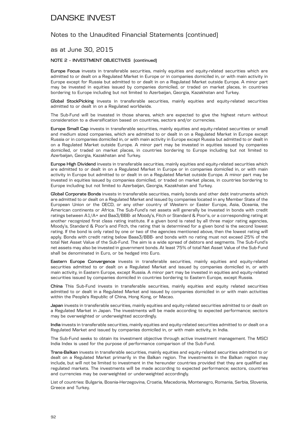### Notes to the Unaudited Financial Statements (continued)

### as at June 30, 2015

#### **NOTE 2 – INVESTMENT OBJECTIVES (continued)**

**Europe Focus** invests in transferable securities, mainly equities and equity-related securities which are admitted to or dealt on a Regulated Market in Europe or in companies domiciled in, or with main activity in Europe except for Russia but admitted to or dealt in on a Regulated Market outside Europe. A minor part may be invested in equities issued by companies domiciled, or traded on market places, in countries bordering to Europe including but not limited to Azerbaijan, Georgia, Kazakhstan and Turkey.

**Global StockPicking** invests in transferable securities, mainly equities and equity-related securities admitted to or dealt in on a Regulated worldwide.

The Sub-Fund will be invested in those shares, which are expected to give the highest return without consideration to a diversification based on countries, sectors and/or currencies.

**Europe Small Cap** invests in transferable securities, mainly equities and equity-related securities or small and medium sized companies, which are admitted to or dealt in on a Regulated Market in Europe except Russia or in companies domiciled in, or with main activity in Europe except Russia but admitted to or dealt in on a Regulated Market outside Europe. A minor part may be invested in equities issued by companies domiciled, or traded on market places, in countries bordering to Europe including but not limited to Azerbaijan, Georgia, Kazakhstan and Turkey.

**Europe High Dividend** invests in transferable securities, mainly equities and equity-related securities which are admitted to or dealt in on a Regulated Market in Europe or in companies domiciled in, or with main activity in Europe but admitted to or dealt in on a Regulated Market outside Europe. A minor part may be invested in equities issued by companies domiciled, or traded on market places, in countries bordering to Europe including but not limited to Azerbaijan, Georgia, Kazakhstan and Turkey.

**Global Corporate Bonds** invests in transferable securities, mainly bonds and other debt instruments which are admitted to or dealt on a Regulated Market and issued by companies located in any Member State of the European Union or the OECD, or any other country of Western or Easter Europe, Asia, Oceania, the American continents or Africa. The Sub-Fund's net assets will generally be invested in bonds with credit ratings between A1/A+ and Baa3/BBB- at Moody's, Fitch or Standard & Poor's, or a corresponding rating at another recognized first class rating institute. If a given bond is rated by all three major rating agencies, Moody's, Standard & Poor's and Fitch, the rating that is determined for a given bond is the second lowest rating. If the bond is only rated by one or two of the agencies mentioned above, then the lowest rating will apply. Bonds with credit rating below Baaa3/BBB- and bonds with no rating must not exceed 25% of the total Net Asset Value of the Sub-Fund. The aim is a wide spread of debtors and segments. The Sub-Fund's net assets may also be invested in government bonds. At least 75% of total Net Asset Value of the Sub-Fund shall be denominated in Euro, or be hedged into Euro.

**Eastern Europe Convergence** invests in transferable securities, mainly equities and equity-related securities admitted to or dealt on a Regulated Market and issued by companies domiciled in, or with main activity, in Eastern Europe, except Russia. A minor part may be invested in equities and equity-related securities issued by companies domiciled in countries bordering to Eastern Europe, except Russia.

**China** This Sub-Fund invests in transferable securities, mainly equities and equity related securities admitted to or dealt in a Regulated Market and issued by companies domiciled in or with main activities within the People's Republic of China, Hong Kong, or Macao.

**Japan** invests in transferable securities, mainly equities and equity-related securities admitted to or dealt on a Regulated Market in Japan. The investments will be made according to expected performance; sectors may be overweighted or underweighted accordingly.

**India** invests in transferable securities, mainly equities and equity-related securities admitted to or dealt on a Regulated Market and issued by companies domiciled in, or with main activity, in India.

The Sub-Fund seeks to obtain its investment objective through active investment management. The MSCI India Index is used for the purpose of performance comparison of the Sub-Fund.

**Trans-Balkan** invests in transferable securities, mainly equities and equity-related securities admitted to or dealt on a Regulated Market primarily in the Balkan region. The investments in the Balkan region may include, but will not be limited to investment in the hereunder countries provided that they are qualified as regulated markets. The investments will be made according to expected performance; sectors, countries and currencies may be overweighted or underweighted accordingly.

List of countries: Bulgaria, Bosnia-Herzegovina, Croatia, Macedonia, Montenegro, Romania, Serbia, Slovenia, Greece and Turkey.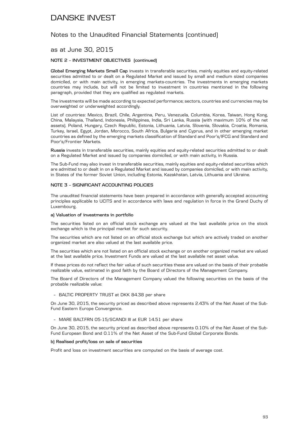### Notes to the Unaudited Financial Statements (continued)

### as at June 30, 2015

#### **NOTE 2 – INVESTMENT OBJECTIVES (continued)**

Global Emerging Markets Small Cap invests in transferable securities, mainly equities and equity-related securities admitted to or dealt on a Regulated Market and issued by small and medium sized companies domiciled, or with main activity, in emerging markets-countries. The investments in emerging markets countries may include, but will not be limited to investment in countries mentioned in the following paragraph, provided that they are qualified as regulated markets.

The investments will be made according to expected performance; sectors, countries and currencies may be overweighted or underweighted accordingly.

List of countries: Mexico, Brazil, Chile, Argentina, Peru, Venezuela, Columbia, Korea, Taiwan, Hong Kong, China, Malaysia, Thailand, Indonesia, Philippines, India, Sri Lanka, Russia (with maximum 10% of the net assets). Poland, Hungary, Czech Republic, Estonia, Lithuania, Latvia, Slovenia, Slovakia, Croatia, Romania, Turkey, Israel, Egypt, Jordan, Morocco, South Africa, Bulgaria and Cyprus, and in other emerging market countries as defined by the emerging markets classification of Standard and Poor's/IFCG and Standard and Poor's/Frontier Markets.

**Russia** invests in transferable securities, mainly equities and equity-related securities admitted to or dealt on a Regulated Market and issued by companies domiciled, or with main activity, in Russia.

The Sub-Fund may also invest in transferable securities, mainly equities and equity-related securities which are admitted to or dealt in on a Regulated Market and issued by companies domiciled, or with main activity, in States of the former Soviet Union, including Estonia, Kazakhstan, Latvia, Lithuania and Ukraine.

#### **NOTE 3 – SIGNIFICANT ACCOUNTING POLICIES**

The unaudited financial statements have been prepared in accordance with generally accepted accounting principles applicable to UCITS and in accordance with laws and regulation in force in the Grand Duchy of Luxembourg.

#### **a) Valuation of investments in portfolio**

The securities listed on an official stock exchange are valued at the last available price on the stock exchange which is the principal market for such security.

The securities which are not listed on an official stock exchange but which are actively traded on another organized market are also valued at the last available price.

The securities which are not listed on an official stock exchange or on another organized market are valued at the last available price. Investment Funds are valued at the last available net asset value.

If these prices do not reflect the fair value of such securities these are valued on the basis of their probable realizable value, estimated in good faith by the Board of Directors of the Management Company.

The Board of Directors of the Management Company valued the following securities on the basis of the probable realizable value:

#### – BALTIC PROPERTY TRUST at DKK 84.38 per share

On June 30, 2015, the security priced as described above represents 2.43% of the Net Asset of the Sub-Fund Eastern Europe Convergence.

#### – MARE BALT.FRN 05-15/SCANDI III at EUR 14.51 per share

On June 30, 2015, the security priced as described above represents 0.10% of the Net Asset of the Sub-Fund European Bond and 0.11% of the Net Asset of the Sub-Fund Global Corporate Bonds.

#### **b) Realised profit/loss on sale of securities**

Profit and loss on investment securities are computed on the basis of average cost.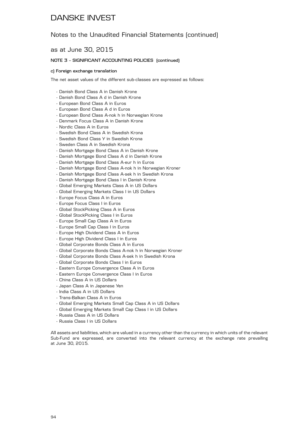### Notes to the Unaudited Financial Statements (continued)

### as at June 30, 2015

#### **NOTE 3 – SIGNIFICANT ACCOUNTING POLICIES (continued)**

#### **c) Foreign exchange translation**

The net asset values of the different sub-classes are expressed as follows:

- Danish Bond Class A in Danish Krone
- Danish Bond Class A d in Danish Krone
- European Bond Class A in Euros
- European Bond Class A d in Euros
- European Bond Class A-nok h in Norwegian Krone
- Denmark Focus Class A in Danish Krone
- Nordic Class A in Euros
- Swedish Bond Class A in Swedish Krona
- Swedish Bond Class Y in Swedish Krona
- Sweden Class A in Swedish Krona
- Danish Mortgage Bond Class A in Danish Krone
- Danish Mortgage Bond Class A d in Danish Krone
- Danish Mortgage Bond Class A-eur h in Euros
- Danish Mortgage Bond Class A-nok h in Norwegian Kroner
- Danish Mortgage Bond Class A-sek h in Swedish Krona
- Danish Mortgage Bond Class I in Danish Krone
- Global Emerging Markets Class A in US Dollars
- Global Emerging Markets Class I in US Dollars
- Europe Focus Class A in Euros
- Europe Focus Class I in Euros
- Global StockPicking Class A in Euros
- Global StockPicking Class I in Euros
- Europe Small Cap Class A in Euros
- Europe Small Cap Class I in Euros
- Europe High Dividend Class A in Euros
- Europe High Dividend Class I in Euros
- Global Corporate Bonds Class A in Euros
- Global Corporate Bonds Class A-nok h in Norwegian Kroner
- Global Corporate Bonds Class A-sek h in Swedish Krona
- Global Corporate Bonds Class I in Euros
- Eastern Europe Convergence Class A in Euros
- Eastern Europe Convergence Class I in Euros
- China Class A in US Dollars
- Japan Class A in Japanese Yen
- India Class A in US Dollars
- Trans-Balkan Class A in Euros
- Global Emerging Markets Small Cap Class A in US Dollars
- Global Emerging Markets Small Cap Class I in US Dollars
- Russia Class A in US Dollars
- Russia Class I in US Dollars

All assets and liabilities, which are valued in a currency other than the currency in which units of the relevant Sub-Fund are expressed, are converted into the relevant currency at the exchange rate prevailing at June 30, 2015.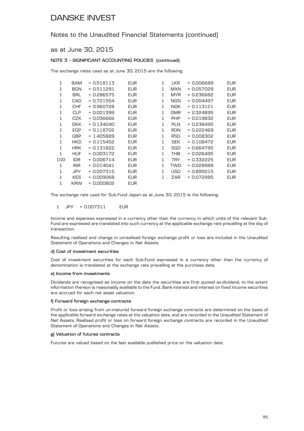### Notes to the Unaudited Financial Statements (continued)

### as at June 30, 2015

#### **NOTE 3 – SIGNIFICANT ACCOUNTING POLICIES (continued)**

The exchange rates used as at June 30, 2015 are the following:

| 1   | BAM        | $= 0.518113$ | <b>EUR</b> | 1 | <b>LKR</b> | = 0.006689   | <b>EUR</b> |
|-----|------------|--------------|------------|---|------------|--------------|------------|
| 1   | <b>BGN</b> | $= 0.511291$ | <b>EUR</b> | 1 | <b>MXN</b> | $= 0.057029$ | EUR        |
| 1   | <b>BRL</b> | = 0.286575   | <b>EUR</b> | 1 | MYR.       | = 0.236682   | <b>EUR</b> |
| 1   | CAD        | $= 0.721554$ | <b>EUR</b> | 1 | <b>NGN</b> | = 0.004497   | EUR        |
| 1   | <b>CHF</b> | $= 0.960728$ | <b>EUR</b> | 1 | NOK.       | $= 0.113121$ | <b>EUR</b> |
| 1   | <b>CLP</b> | $= 0.001399$ | <b>EUR</b> | 1 | <b>OMR</b> | $= 2.324895$ | <b>EUR</b> |
| 1   | CZK        | - 0.036666   | <b>EUR</b> | 1 | <b>PHP</b> | $= 0.019832$ | <b>EUR</b> |
| 1   | <b>DKK</b> | $= 0.134040$ | <b>EUR</b> | 1 | PLN        | $= 0.238495$ | <b>EUR</b> |
| 1   | EGP        | $= 0.118702$ | <b>EUR</b> | 1 | <b>RON</b> | = 0.222469   | <b>EUR</b> |
| 1   | <b>GBP</b> | $= 1.405889$ | <b>EUR</b> | 1 | RSD        | = 0.008302   | <b>EUR</b> |
| 1   | <b>HKD</b> | $= 0.115452$ | <b>EUR</b> | 1 | <b>SEK</b> | $= 0.108472$ | <b>EUR</b> |
| 1   | <b>HRK</b> | $= 0.131622$ | <b>EUR</b> | 1 | SGD        | = 0.664795   | <b>EUR</b> |
| 1   | HUF        | $= 0.003172$ | <b>EUR</b> | 1 | <b>THB</b> | $= 0.026495$ | <b>EUR</b> |
| 100 | <b>IDR</b> | $= 0.006714$ | <b>EUR</b> | 1 | <b>TRY</b> | $= 0.332225$ | <b>EUR</b> |
| 1   | INR        | $= 0.014041$ | <b>EUR</b> | 1 | <b>TWD</b> | $= 0.028989$ | <b>EUR</b> |
| 1   | <b>JPY</b> | $= 0.007315$ | EUR        | 1 | USD        | = 0.895015   | <b>EUR</b> |
| 1   | <b>KES</b> | $= 0.009068$ | <b>EUR</b> | 1 | ZAR        | $= 0.072985$ | <b>EUR</b> |
| 1   | <b>KRW</b> | $= 0.000802$ | <b>EUR</b> |   |            |              |            |

The exchange rate used for Sub-Fund Japan as at June 30, 2015 is the following:

#### 1 JPY = 0.007311 EUR

Income and expenses expressed in a currency other than the currency in which units of the relevant Sub-Fund are expressed are translated into such currency at the applicable exchange rate prevailing at the day of transaction.

Resulting realised and change in unrealised foreign exchange profit or loss are included in the Unaudited Statement of Operations and Changes in Net Assets.

#### **d) Cost of investment securities**

Cost of investment securities for each Sub-Fund expressed in a currency other than the currency of denomination is translated at the exchange rate prevailing at the purchase date.

#### **e) Income from investments**

Dividends are recognised as income on the date the securities are first quoted ex-dividend, to the extent information thereon is reasonably available to the Fund. Bank interest and interest on fixed income securities are accrued for each net asset valuation.

#### **f) Forward foreign exchange contracts**

Profit or loss arising from un-matured forward foreign exchange contracts are determined on the basis of the applicable forward exchange rates at the valuation date, and are recorded in the Unaudited Statement of Net Assets. Realised profit or loss on forward foreign exchange contracts are recorded in the Unaudited Statement of Operations and Changes in Net Assets.

#### **g) Valuation of futures contracts**

Futures are valued based on the last available published price on the valuation date.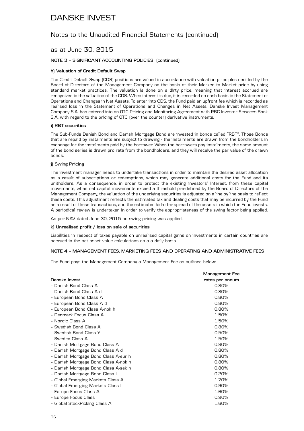### Notes to the Unaudited Financial Statements (continued)

### as at June 30, 2015

#### **NOTE 3 – SIGNIFICANT ACCOUNTING POLICIES (continued)**

#### **h) Valuation of Credit Default Swap**

The Credit Default Swap (CDS) positions are valued in accordance with valuation principles decided by the Board of Directors of the Management Company on the basis of their Marked to Market price by using standard market practices. The valuation is done on a dirty price, meaning that interest accrued are recognized in the valuation of the CDS. When interest is due, it is recorded on cash basis in the Statement of Operations and Changes in Net Assets. To enter into CDS, the Fund paid an upfront fee which is recorded as realised loss in the Statement of Operations and Changes in Net Assets. Danske Invest Management Company S.A. has entered into an OTC Pricing and Monitoring Agreement with RBC Investor Services Bank S.A. with regard to the pricing of OTC (over the counter) derivative instruments.

#### **i) RBT securities**

The Sub-Funds Danish Bond and Danish Mortgage Bond are invested in bonds called "RBT". Those Bonds that are repaid by instalments are subject to drawing - the instalments are drawn from the bondholders in exchange for the instalments paid by the borrower. When the borrowers pay instalments, the same amount of the bond series is drawn pro rata from the bondholders, and they will receive the par value of the drawn bonds.

#### **j) Swing Pricing**

The investment manager needs to undertake transactions in order to maintain the desired asset allocation as a result of subscriptions or redemptions, which may generate additional costs for the Fund and its unitholders. As a consequence, in order to protect the existing investors' interest, from these capital movements, when net capital movements exceed a threshold pre-defined by the Board of Directors of the Management Company, the valuation of the underlying securities is adjusted on a line by line basis to reflect these costs. This adjustment reflects the estimated tax and dealing costs that may be incurred by the Fund as a result of these transactions, and the estimated bid-offer spread of the assets in which the Fund invests. A periodical review is undertaken in order to verify the appropriateness of the swing factor being applied.

As per NAV dated June 30, 2015 no swing pricing was applied.

#### **k) Unrealised profit / loss on sale of securities**

Liabilities in respect of taxes payable on unrealised capital gains on investments in certain countries are accrued in the net asset value calculations on a a daily basis.

#### **NOTE 4 – MANAGEMENT FEES, MARKETING FEES AND OPERATING AND ADMINISTRATIVE FEES**

The Fund pays the Management Company a Management Fee as outlined below:

|                                      | Management Fee  |
|--------------------------------------|-----------------|
| Danske Invest                        | rates per annum |
| - Danish Bond Class A                | 0.80%           |
| - Danish Bond Class A d              | 0.80%           |
| - European Bond Class A              | 0.80%           |
| - European Bond Class A d            | 0.80%           |
| - European Bond Class A-nok h        | 0.80%           |
| - Denmark Focus Class A              | 1.50%           |
| - Nordic Class A                     | 1.50%           |
| - Swedish Bond Class A               | 0.80%           |
| - Swedish Bond Class Y               | 0.50%           |
| - Sweden Class A                     | 1.50%           |
| - Danish Mortgage Bond Class A       | 0.80%           |
| - Danish Mortgage Bond Class A d     | 0.80%           |
| - Danish Mortgage Bond Class A-eur h | 0.80%           |
| - Danish Mortgage Bond Class A-nok h | 0.80%           |
| - Danish Mortgage Bond Class A-sek h | 0.80%           |
| - Danish Mortgage Bond Class I       | 0.20%           |
| - Global Emerging Markets Class A    | 1.70%           |
| - Global Emerging Markets Class I    | $0.90\%$        |
| - Europe Focus Class A               | 1.60%           |
| - Europe Focus Class I               | 0.90%           |
| - Global StockPicking Class A        | 1.60%           |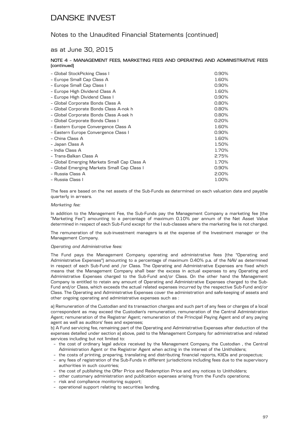### Notes to the Unaudited Financial Statements (continued)

### as at June 30, 2015

#### **NOTE 4 – MANAGEMENT FEES, MARKETING FEES AND OPERATING AND ADMINISTRATIVE FEES (continued)**

| - Global StockPicking Class I               | 0.90%    |
|---------------------------------------------|----------|
| - Europe Small Cap Class A                  | 1.60%    |
| - Europe Small Cap Class I                  | 0.90%    |
| - Europe High Dividend Class A              | 1.60%    |
| - Europe High Dividend Class I              | 0.90%    |
| - Global Corporate Bonds Class A            | 0.80%    |
| - Global Corporate Bonds Class A-nok h      | $0.80\%$ |
| - Global Corporate Bonds Class A-sek h      | 0.80%    |
| - Global Corporate Bonds Class I            | 0.20%    |
| - Eastern Europe Convergence Class A        | 1.60%    |
| - Eastern Europe Convergence Class I        | 0.90%    |
| - China Class A                             | 1.60%    |
| - Japan Class A                             | 1.50%    |
| - India Class A                             | 1.70%    |
| - Trans-Balkan Class A                      | 2.75%    |
| - Global Emerging Markets Small Cap Class A | 1.70%    |
| - Global Emerging Markets Small Cap Class I | 0.90%    |
| - Russia Class A                            | 2.00%    |
| - Russia Class I                            | 1.00%    |

The fees are based on the net assets of the Sub-Funds as determined on each valuation date and payable quarterly in arrears.

#### *Marketing fee:*

In addition to the Management Fee, the Sub-Funds pay the Management Company a marketing fee (the "Marketing Fee") amounting to a percentage of maximum 0.10% per annum of the Net Asset Value determined in respect of each Sub-Fund except for the I sub-classes where the marketing fee is not charged.

The remuneration of the sub-investment managers is at the expense of the Investment manager or the Management Company.

#### *Operating and Administrative fees:*

The Fund pays the Management Company operating and administrative fees (the "Operating and Administrative Expenses") amounting to a percentage of maximum 0.40% p.a. of the NAV as determined in respect of each Sub-Fund and /or Class. The Operating and Administrative Expenses are fixed which means that the Management Company shall bear the excess in actual expenses to any Operating and Administrative Expenses charged to the Sub-Fund and/or Class. On the other hand the Management Company is entitled to retain any amount of Operating and Administrative Expenses charged to the Sub-Fund and/or Class, which exceeds the actual related expenses incurred by the respective Sub-Fund and/or Class. The Operating and Administrative Expenses cover the administration and safe-keeping of assets and other ongoing operating and administrative expenses such as :

a) Remuneration of the Custodian and its transaction charges and such part of any fees or charges of a local correspondent as may exceed the Custodian's remuneration, remuneration of the Central Administration Agent; remuneration of the Registrar Agent; remuneration of the Principal Paying Agent and of any paying agent as well as auditors' fees and expenses;

b) A Fund servicing fee, remaining part of the Operating and Administrative Expenses after deduction of the expenses detailed under section a) above, paid to the Management Company for administrative and related services including but not limited to:

- the cost of ordinary legal advice received by the Management Company, the Custodian , the Central Administration Agent or the Registrar Agent when acting in the interest of the Unitholders;
- the costs of printing, preparing, translating and distributing financial reports, KIIDs and prospectus;
- any fees of registration of the Sub-Funds in different jurisdictions including fees due to the supervisory authorities in such countries;
- the cost of publishing the Offer Price and Redemption Price and any notices to Unitholders;
- other customary administration and publication expenses arising from the Fund's operations;
- risk and compliance monitoring support;
- operational support relating to securities lending.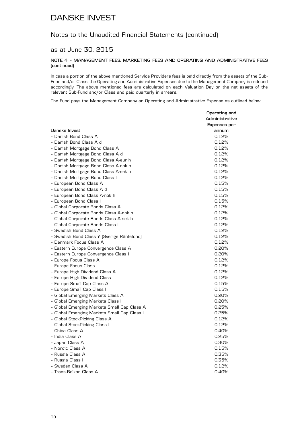### Notes to the Unaudited Financial Statements (continued)

### as at June 30, 2015

#### **NOTE 4 – MANAGEMENT FEES, MARKETING FEES AND OPERATING AND ADMINISTRATIVE FEES (continued)**

In case a portion of the above mentioned Service Providers fees is paid directly from the assets of the Sub-Fund and/or Class, the Operating and Administrative Expenses due to the Management Company is reduced accordingly. The above mentioned fees are calculated on each Valuation Day on the net assets of the relevant Sub-Fund and/or Class and paid quarterly in arrears.

The Fund pays the Management Company an Operating and Administrative Expense as outlined below:

|                                             | Operating and         |
|---------------------------------------------|-----------------------|
|                                             | Administrative        |
| Danske Invest                               | Expenses per<br>annum |
| - Danish Bond Class A                       | 0.12%                 |
| - Danish Bond Class A d                     | 0.12%                 |
| - Danish Mortgage Bond Class A              | 0.12%                 |
| - Danish Mortgage Bond Class A d            | 0.12%                 |
| - Danish Mortgage Bond Class A-eur h        | 0.12%                 |
| - Danish Mortgage Bond Class A-nok h        | 0.12%                 |
| - Danish Mortgage Bond Class A-sek h        | 0.12%                 |
| - Danish Mortgage Bond Class I              | 0.12%                 |
| - European Bond Class A                     | 0.15%                 |
| - European Bond Class A d                   | 0.15%                 |
| - European Bond Class A-nok h               | 0.15%                 |
| - European Bond Class I                     | 0.15%                 |
| - Global Corporate Bonds Class A            | 0.12%                 |
| - Global Corporate Bonds Class A-nok h      | 0.12%                 |
| - Global Corporate Bonds Class A-sek h      | 0.12%                 |
| - Global Corporate Bonds Class I            | 0.12%                 |
| - Swedish Bond Class A                      | 0.12%                 |
| - Swedish Bond Class Y (Sverige Räntefond)  | 0.12%                 |
| - Denmark Focus Class A                     | 0.12%                 |
| - Eastern Europe Convergence Class A        | 0.20%                 |
| - Eastern Europe Convergence Class I        | 0.20%                 |
| - Europe Focus Class A                      | 0.12%                 |
| - Europe Focus Class I                      | 0.12%                 |
| - Europe High Dividend Class A              | 0.12%                 |
| - Europe High Dividend Class I              | 0.12%                 |
| - Europe Small Cap Class A                  | 0.15%                 |
| - Europe Small Cap Class I                  | 0.15%                 |
| - Global Emerging Markets Class A           | 0.20%                 |
| - Global Emerging Markets Class I           | 0.20%                 |
| - Global Emerging Markets Small Cap Class A | 0.25%                 |
| - Global Emerging Markets Small Cap Class I | 0.25%                 |
| - Global StockPicking Class A               | 0.12%                 |
| - Global StockPicking Class I               | 0.12%                 |
| - China Class A                             | 0.40%                 |
| - India Class A                             | 0.25%                 |
| - Japan Class A                             | 0.30%                 |
| - Nordic Class A                            | 0.15%                 |
| - Russia Class A                            | 0.35%                 |
| - Russia Class I                            | 0.35%                 |
| - Sweden Class A                            | 0.12%                 |
| - Trans-Balkan Class A                      | 0.40%                 |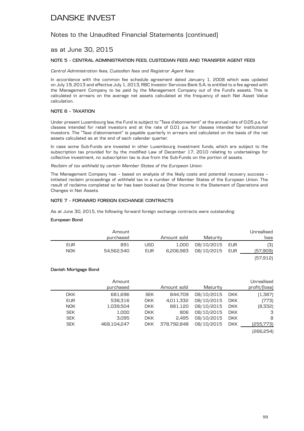### Notes to the Unaudited Financial Statements (continued)

### as at June 30, 2015

#### **NOTE 5 – CENTRAL ADMINISTRATION FEES, CUSTODIAN FEES AND TRANSFER AGENT FEES**

*Central Administration fees, Custodian fees and Registrar Agent fees:*

In accordance with the common fee schedule agreement dated January 1, 2008 which was updated on July 19, 2013 and effective July 1, 2013, RBC Investor Services Bank S.A. is entitled to a fee agreed with the Management Company to be paid by the Management Company out of the Fund's assets. This is calculated in arrears on the average net assets calculated at the frequency of each Net Asset Value calculation.

#### **NOTE 6 – TAXATION**

Under present Luxembourg law, the Fund is subject to "Taxe d'abonnement" at the annual rate of 0.05 p.a. for classes intended for retail investors and at the rate of 0.01 p.a. for classes intended for institutional investors. The "Taxe d'abonnement" is payable quarterly in arrears and calculated on the basis of the net assets calculated as at the end of each calendar quarter.

In case some Sub-Funds are invested in other Luxembourg investment funds, which are subject to the subscription tax provided for by the modified Law of December 17, 2010 relating to undertakings for collective investment, no subscription tax is due from the Sub-Funds on the portion of assets.

*Reclaim of tax withheld by certain Member States of the European Union:*

The Management Company has – based on analysis of the likely costs and potential recovery success – initiated reclaim proceedings of withheld tax in a number of Member States of the European Union. The result of reclaims completed so far has been booked as Other Income in the Statement of Operations and Changes in Net Assets.

#### **NOTE 7 – FORWARD FOREIGN EXCHANGE CONTRACTS**

As at June 30, 2015, the following forward foreign exchange contracts were outstanding:

#### **European Bond**

| Unrealised |                |             |            | Amount     |            |
|------------|----------------|-------------|------------|------------|------------|
| loss       | Maturity       | Amount sold |            | purchased  |            |
| [3]        | 08/10/2015 EUR | 1,000       | <b>USD</b> | 891        | EUR        |
| (57,909)   | 08/10/2015 EUR | 6,206,983   | EUR        | 54,562,540 | <b>NOK</b> |
| (57, 912)  |                |             |            |            |            |

#### **Danish Mortgage Bond**

| Unrealised    |            |            |             |            | Amount      |            |
|---------------|------------|------------|-------------|------------|-------------|------------|
| profit/(loss) |            | Maturity   | Amount sold |            | purchased   |            |
| (1,387)       | <b>DKK</b> | 08/10/2015 | 844.709     | <b>SEK</b> | 681,696     | <b>DKK</b> |
| (773)         | <b>DKK</b> | 08/10/2015 | 4,011,332   | <b>DKK</b> | 538.316     | <b>EUR</b> |
| [8,332]       | <b>DKK</b> | 08/10/2015 | 881.120     | <b>DKK</b> | 1.039.504   | <b>NOK</b> |
| 3             | <b>DKK</b> | 08/10/2015 | 806         | DKK.       | 1,000       | <b>SEK</b> |
| 8             | <b>DKK</b> | 08/10/2015 | 2.495       | <b>DKK</b> | 3.095       | <b>SEK</b> |
| (255,773)     | <b>DKK</b> | 08/10/2015 | 378.792.848 | <b>DKK</b> | 468.104.247 | <b>SEK</b> |
| 10000000      |            |            |             |            |             |            |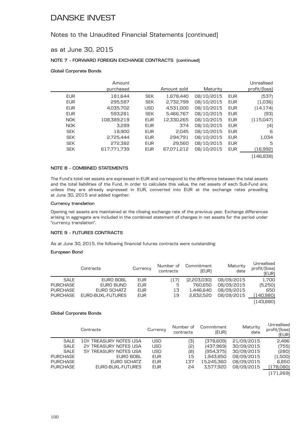### Notes to the Unaudited Financial Statements (continued)

### as at June 30, 2015

#### **NOTE 7 – FORWARD FOREIGN EXCHANGE CONTRACTS (continued)**

#### **Global Corporate Bonds**

|            | Amount      |            |             |            |            | Unrealised    |
|------------|-------------|------------|-------------|------------|------------|---------------|
|            | purchased   |            | Amount sold | Maturity   |            | profit/[loss] |
| <b>EUR</b> | 181.644     | <b>SEK</b> | 1,678,440   | 08/10/2015 | <b>EUR</b> | (537)         |
| <b>EUR</b> | 295.587     | <b>SEK</b> | 2.732.799   | 08/10/2015 | <b>EUR</b> | (1,036)       |
| <b>EUR</b> | 4,035,702   | <b>USD</b> | 4,531,000   | 08/10/2015 | <b>EUR</b> | [14, 174]     |
| <b>EUR</b> | 593.281     | <b>SEK</b> | 5,466,767   | 08/10/2015 | <b>EUR</b> | (93)          |
| NOK.       | 108,389,219 | <b>EUR</b> | 12,330,265  | 08/10/2015 | <b>EUR</b> | (115,047)     |
| <b>NOK</b> | 3.289       | <b>EUR</b> | 374         | 08/10/2015 | <b>EUR</b> | (4)           |
| <b>SEK</b> | 18,900      | <b>EUR</b> | 2,045       | 08/10/2015 | <b>EUR</b> | 6             |
| <b>SEK</b> | 2,725,444   | <b>EUR</b> | 294.791     | 08/10/2015 | <b>EUR</b> | 1,034         |
| <b>SEK</b> | 272,382     | <b>EUR</b> | 29,560      | 08/10/2015 | <b>EUR</b> | 5             |
| <b>SEK</b> | 617.771.739 | <b>EUR</b> | 67,071,212  | 08/10/2015 | <b>EUR</b> | (16,992)      |
|            |             |            |             |            |            | (146, 838)    |

#### **NOTE 8 – COMBINED STATEMENTS**

The Fund's total net assets are expressed in EUR and correspond to the difference between the total assets and the total liabilities of the Fund. In order to calculate this value, the net assets of each Sub-Fund are, unless they are already expressed in EUR, converted into EUR at the exchange rates prevailing at June 30, 2015 and added together.

#### **Currency translation**

Opening net assets are maintained at the closing exchange rate of the previous year. Exchange differences arising in aggregate are included in the combined statement of changes in net assets for the period under "currency translation".

### **NOTE 9 – FUTURES CONTRACTS**

As at June 30, 2015, the following financial futures contracts were outstanding:

#### **European Bond**

|                 | Contracts         | Currency   | Number of<br>contracts | Commitment<br>(EUR) | Maturity<br>date | Unrealised<br>profit/(loss)<br>(EUR) |
|-----------------|-------------------|------------|------------------------|---------------------|------------------|--------------------------------------|
| SALE            | EURO BOBL         | <b>EUR</b> | [17]                   | [2,203,030]         | 08/09/2015       | 1,700                                |
| <b>PURCHASE</b> | EURO BUND         | <b>EUR</b> | 5                      | 760,650             | 08/09/2015       | (5,250)                              |
| <b>PURCHASE</b> | EURO SCHATZ       | <b>EUR</b> | 13                     | 1.446.640           | 08/09/2015       | 650                                  |
| <b>PURCHASE</b> | EURO-BUXL-FUTURES | <b>EUR</b> | 19                     | 2.832.520           | 08/09/2015       | (140,980)                            |
|                 |                   |            |                        |                     |                  | (143,880)                            |

#### **Global Corporate Bonds**

|                 | Contracts              | Currency   | Number of<br>contracts | Commitment<br>(EUR) | Maturity<br>date | ulii caliscu<br>profit/(loss)<br>(EUR) |
|-----------------|------------------------|------------|------------------------|---------------------|------------------|----------------------------------------|
| SALE            | 10Y TREASURY NOTES USA | <b>USD</b> | (3)                    | (378,609)           | 21/09/2015       | 2,496                                  |
| <b>SALE</b>     | 2Y TREASURY NOTES USA  | <b>USD</b> | (2)                    | (437,969)           | 30/09/2015       | (755)                                  |
| SALE            | 5Y TREASURY NOTES USA  | <b>USD</b> | (8)                    | [954, 375]          | 30/09/2015       | (280)                                  |
| <b>PURCHASE</b> | EURO BOBL              | EUR        | 15                     | 1,943,850           | 08/09/2015       | (1,500)                                |
| <b>PURCHASE</b> | EURO SCHATZ            | <b>EUR</b> | 137                    | 15,245,360          | 08/09/2015       | 6,850                                  |
| <b>PURCHASE</b> | EURO-BUXL-FUTURES      | <b>EUR</b> | 24                     | 3.577.920           | 08/09/2015       | (178,080)                              |
|                 |                        |            |                        |                     |                  | (171,269)                              |

Unrealised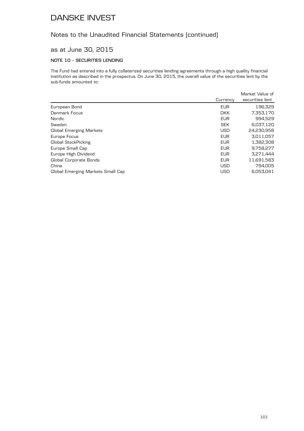## Notes to the Unaudited Financial Statements (continued)

### as at June 30, 2015

### **NOTE 10 – SECURITIES LENDING**

The Fund had entered into a fully collaterized securities lending agreements through a high quality financial institution as described in the prospectus. On June 30, 2015, the overall value of the securities lent by the sub-funds amounted to:

|                                   |            | Market Value of |
|-----------------------------------|------------|-----------------|
|                                   | Currency   | securities lent |
| European Bond                     | <b>EUR</b> | 196,329         |
| Denmark Focus                     | <b>DKK</b> | 7,353,170       |
| Nordic                            | <b>EUR</b> | 994,529         |
| Sweden                            | <b>SEK</b> | 6,037,120       |
| Global Emerging Markets           | <b>USD</b> | 24,230,958      |
| Europe Focus                      | <b>EUR</b> | 3,011,057       |
| Global StockPicking               | <b>EUR</b> | 1,382,308       |
| Europe Small Cap                  | <b>EUR</b> | 9,758,277       |
| Europe High Dividend              | <b>EUR</b> | 3,271,444       |
| Global Corporate Bonds            | <b>EUR</b> | 11,691,583      |
| China                             | <b>USD</b> | 794.005         |
| Global Emerging Markets Small Cap | <b>USD</b> | 6.053.041       |
|                                   |            |                 |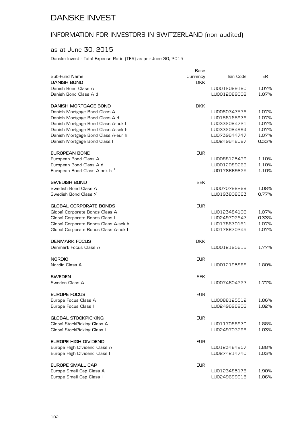## INFORMATION FOR INVESTORS IN SWITZERLAND (non audited)

### as at June 30, 2015

Danske Invest - Total Expense Ratio (TER) as per June 30, 2015

|                                       | Base       |              |       |
|---------------------------------------|------------|--------------|-------|
| Sub-Fund Name                         | Currency   | Isin Code    | TER   |
| DANISH BOND                           | <b>DKK</b> |              |       |
| Danish Bond Class A                   |            | LU0012089180 | 1.07% |
| Danish Bond Class A d                 |            | LU0012089008 | 1.07% |
| DANISH MORTGAGE BOND                  | <b>DKK</b> |              |       |
| Danish Mortgage Bond Class A          |            | LU0080347536 | 1.07% |
| Danish Mortgage Bond Class A d        |            | LU0158165976 | 1.07% |
| Danish Mortgage Bond Class A-nok h    |            | LU0332084721 | 1.07% |
| Danish Mortgage Bond Class A-sek h    |            | LU0332084994 | 1.07% |
| Danish Mortgage Bond Class A-eur h    |            | LU0739644747 | 1.07% |
| Danish Mortgage Bond Class I          |            | LU0249648097 | 0.33% |
| EUROPEAN BOND                         | <b>EUR</b> |              |       |
| European Bond Class A                 |            | LU0088125439 | 1.10% |
| European Bond Class A d               |            | LU0012089263 | 1.10% |
| European Bond Class A-nok h $\,$ $^1$ |            | LU0178669825 | 1.10% |
|                                       |            |              |       |
| SWEDISH BOND<br>Swedish Bond Class A  | <b>SEK</b> |              | 1.08% |
|                                       |            | LU0070798268 |       |
| Swedish Bond Class Y                  |            | LU0193808663 | 0.77% |
| GLOBAL CORPORATE BONDS                | <b>EUR</b> |              |       |
| Global Corporate Bonds Class A        |            | LU0123484106 | 1.07% |
| Global Corporate Bonds Class I        |            | LU0249702647 | 0.33% |
| Global Corporate Bonds Class A-sek h  |            | LU0178670161 | 1.07% |
| Global Corporate Bonds Class A-nok h  |            | LU0178670245 | 1.07% |
| <b>DENMARK FOCUS</b>                  | <b>DKK</b> |              |       |
| Denmark Focus Class A                 |            | LU0012195615 | 1.77% |
| NORDIC                                | <b>EUR</b> |              |       |
| Nordic Class A                        |            | LU0012195888 | 1.80% |
|                                       |            |              |       |
| SWEDEN                                | <b>SEK</b> |              |       |
| Sweden Class A                        |            | LU0074604223 | 1.77% |
| EUROPE FOCUS                          | <b>EUR</b> |              |       |
| Europe Focus Class A                  |            | LU0088125512 | 1.86% |
| Europe Focus Class I                  |            | LU0249696906 | 1.02% |
| <b>GLOBAL STOCKPICKING</b>            | <b>EUR</b> |              |       |
| Global StockPicking Class A           |            | LU0117088970 | 1.88% |
| Global StockPicking Class I           |            | LU0249703298 | 1.03% |
|                                       |            |              |       |
| EUROPE HIGH DIVIDEND                  | <b>EUR</b> |              |       |
| Europe High Dividend Class A          |            | LU0123484957 | 1.88% |
| Europe High Dividend Class I          |            | LU0274214740 | 1.03% |
| <b>EUROPE SMALL CAP</b>               | <b>EUR</b> |              |       |
| Europe Small Cap Class A              |            | LU0123485178 | 1.90% |
| Europe Small Cap Class I              |            | LU0249699918 | 1.06% |
|                                       |            |              |       |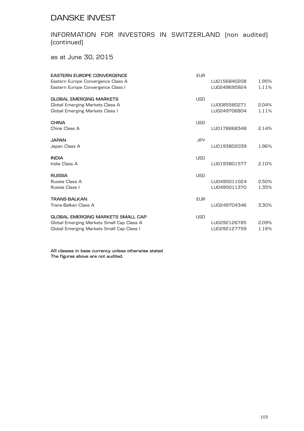## INFORMATION FOR INVESTORS IN SWITZERLAND (non audited) (continued)

as at June 30, 2015

| <b>EASTERN EUROPE CONVERGENCE</b>         | <b>EUR</b> |              |       |
|-------------------------------------------|------------|--------------|-------|
| Eastern Europe Convergence Class A        |            | LU0156840208 | 1.95% |
| Eastern Europe Convergence Class I        |            | LU0249695924 | 1.11% |
| <b>GLOBAL EMERGING MARKETS</b>            | <b>USD</b> |              |       |
| Global Emerging Markets Class A           |            | LU0085580271 | 2.04% |
| Global Emerging Markets Class I           |            | LU0249706804 | 1.11% |
| <b>CHINA</b>                              | <b>USD</b> |              |       |
| China Class A                             |            | LU0178668348 | 2.14% |
| JAPAN.                                    | <b>JPY</b> |              |       |
| Japan Class A                             |            | LU0193802039 | 1.96% |
| INDIA                                     | <b>USD</b> |              |       |
| India Class A                             |            | LU0193801577 | 2.10% |
| RUSSIA                                    | <b>USD</b> |              |       |
| Russia Class A                            |            | LU0495011024 | 2.50% |
| Russia Class I                            |            | LU0495011370 | 1.35% |
| TRANS-BALKAN                              | <b>EUR</b> |              |       |
| Trans-Balkan Class A                      |            | LU0249704346 | 3.30% |
| GLOBAL EMERGING MARKETS SMALL CAP         | <b>USD</b> |              |       |
| Global Emerging Markets Small Cap Class A |            | LU0292126785 | 2.09% |
| Global Emerging Markets Small Cap Class I |            | LU0292127759 | 1.16% |
|                                           |            |              |       |

**All classes in base currency unless otherwise stated The figures above are not audited.**